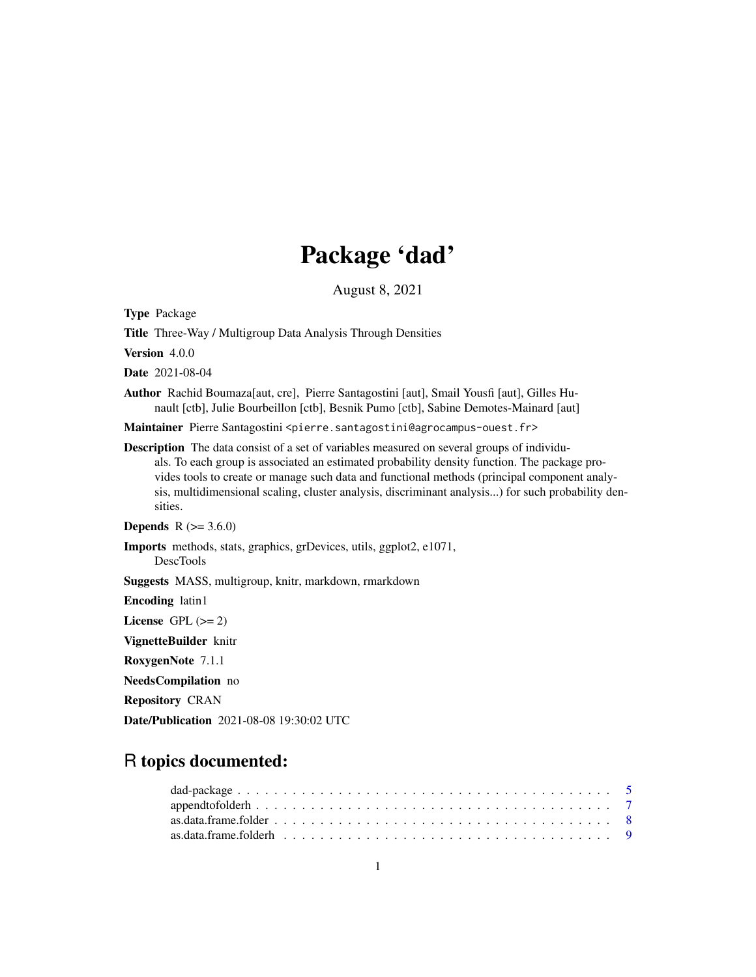# Package 'dad'

August 8, 2021

<span id="page-0-0"></span>Type Package

Title Three-Way / Multigroup Data Analysis Through Densities

Version 4.0.0

Date 2021-08-04

Author Rachid Boumaza[aut, cre], Pierre Santagostini [aut], Smail Yousfi [aut], Gilles Hunault [ctb], Julie Bourbeillon [ctb], Besnik Pumo [ctb], Sabine Demotes-Mainard [aut]

Maintainer Pierre Santagostini <pierre.santagostini@agrocampus-ouest.fr>

Description The data consist of a set of variables measured on several groups of individuals. To each group is associated an estimated probability density function. The package provides tools to create or manage such data and functional methods (principal component analysis, multidimensional scaling, cluster analysis, discriminant analysis...) for such probability densities.

**Depends** R  $(>= 3.6.0)$ 

Imports methods, stats, graphics, grDevices, utils, ggplot2, e1071,

DescTools

Suggests MASS, multigroup, knitr, markdown, rmarkdown

Encoding latin1

License GPL  $(>= 2)$ 

VignetteBuilder knitr

RoxygenNote 7.1.1

NeedsCompilation no

Repository CRAN

Date/Publication 2021-08-08 19:30:02 UTC

# R topics documented: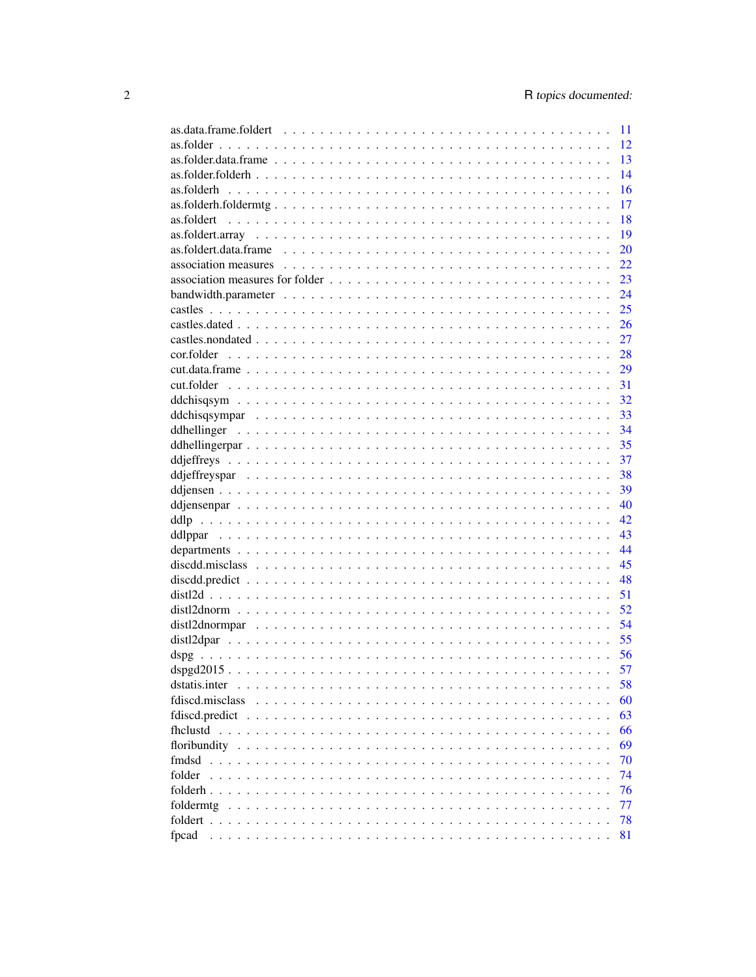|                                                                                                                    |  |  | 11   |
|--------------------------------------------------------------------------------------------------------------------|--|--|------|
|                                                                                                                    |  |  | 12   |
|                                                                                                                    |  |  | 13   |
|                                                                                                                    |  |  | 14   |
|                                                                                                                    |  |  | 16   |
|                                                                                                                    |  |  | 17   |
|                                                                                                                    |  |  | 18   |
|                                                                                                                    |  |  | 19   |
|                                                                                                                    |  |  |      |
| as.foldert.data.frame $\ldots \ldots \ldots \ldots \ldots \ldots \ldots \ldots \ldots \ldots \ldots \ldots \ldots$ |  |  | 20   |
| association measures $\ldots \ldots \ldots \ldots \ldots \ldots \ldots \ldots \ldots \ldots \ldots \ldots \ldots$  |  |  | 22   |
|                                                                                                                    |  |  | 23   |
|                                                                                                                    |  |  | 24   |
|                                                                                                                    |  |  | 25   |
|                                                                                                                    |  |  | 26   |
|                                                                                                                    |  |  | 27   |
|                                                                                                                    |  |  | 28   |
|                                                                                                                    |  |  | 29   |
|                                                                                                                    |  |  | 31   |
|                                                                                                                    |  |  | 32   |
|                                                                                                                    |  |  | 33   |
|                                                                                                                    |  |  | 34   |
|                                                                                                                    |  |  | 35   |
|                                                                                                                    |  |  | 37   |
|                                                                                                                    |  |  | 38   |
|                                                                                                                    |  |  | 39   |
|                                                                                                                    |  |  | 40   |
|                                                                                                                    |  |  | 42   |
|                                                                                                                    |  |  | 43   |
|                                                                                                                    |  |  | 44   |
|                                                                                                                    |  |  | 45   |
|                                                                                                                    |  |  | 48   |
|                                                                                                                    |  |  |      |
|                                                                                                                    |  |  | 51   |
|                                                                                                                    |  |  | 52   |
|                                                                                                                    |  |  | 54   |
|                                                                                                                    |  |  | - 55 |
|                                                                                                                    |  |  |      |
|                                                                                                                    |  |  |      |
|                                                                                                                    |  |  | 58   |
| fdiscd.misclass                                                                                                    |  |  | 60   |
|                                                                                                                    |  |  | 63   |
|                                                                                                                    |  |  | 66   |
|                                                                                                                    |  |  | 69   |
| fmdsd                                                                                                              |  |  | 70   |
| folder                                                                                                             |  |  | 74   |
|                                                                                                                    |  |  | 76   |
|                                                                                                                    |  |  | 77   |
|                                                                                                                    |  |  | 78   |
| fpcad                                                                                                              |  |  | 81   |
|                                                                                                                    |  |  |      |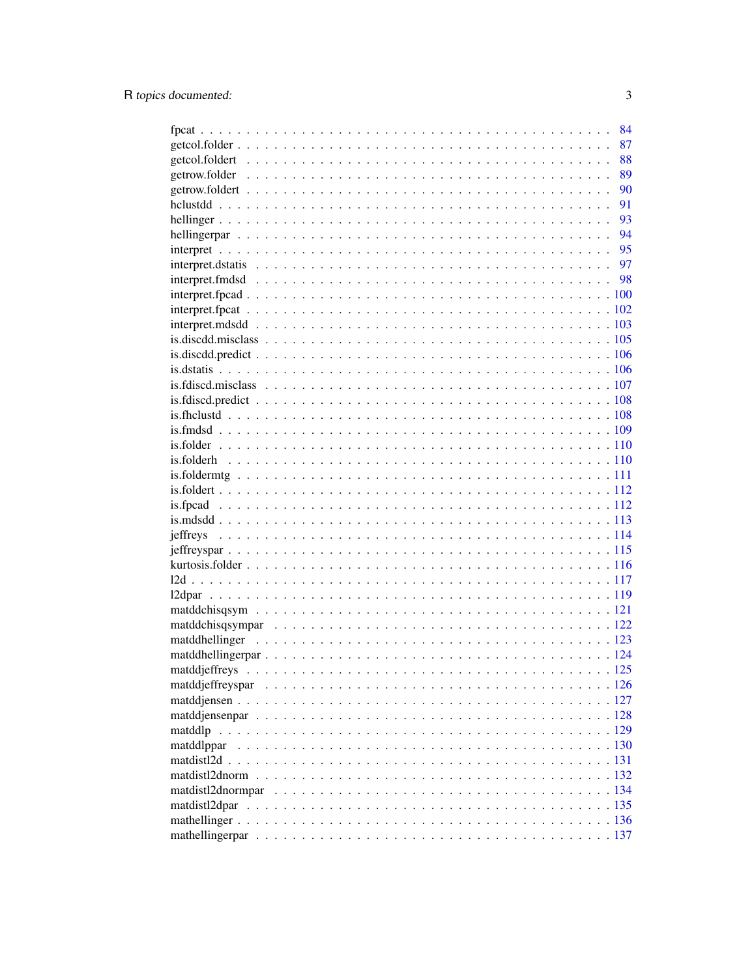|            |  | 84   |
|------------|--|------|
|            |  | 87   |
|            |  | 88   |
|            |  | 89   |
|            |  | 90   |
|            |  | 91   |
|            |  | 93   |
|            |  | - 94 |
|            |  |      |
|            |  |      |
|            |  |      |
|            |  |      |
|            |  |      |
|            |  |      |
|            |  |      |
|            |  |      |
|            |  |      |
|            |  |      |
|            |  |      |
|            |  |      |
|            |  |      |
|            |  |      |
|            |  |      |
|            |  |      |
|            |  |      |
|            |  |      |
|            |  |      |
|            |  |      |
|            |  |      |
|            |  |      |
|            |  |      |
|            |  |      |
|            |  |      |
|            |  |      |
|            |  |      |
|            |  |      |
|            |  |      |
|            |  |      |
|            |  |      |
|            |  |      |
| matddlp    |  |      |
| matddlppar |  |      |
|            |  |      |
|            |  |      |
|            |  |      |
|            |  |      |
|            |  |      |
|            |  |      |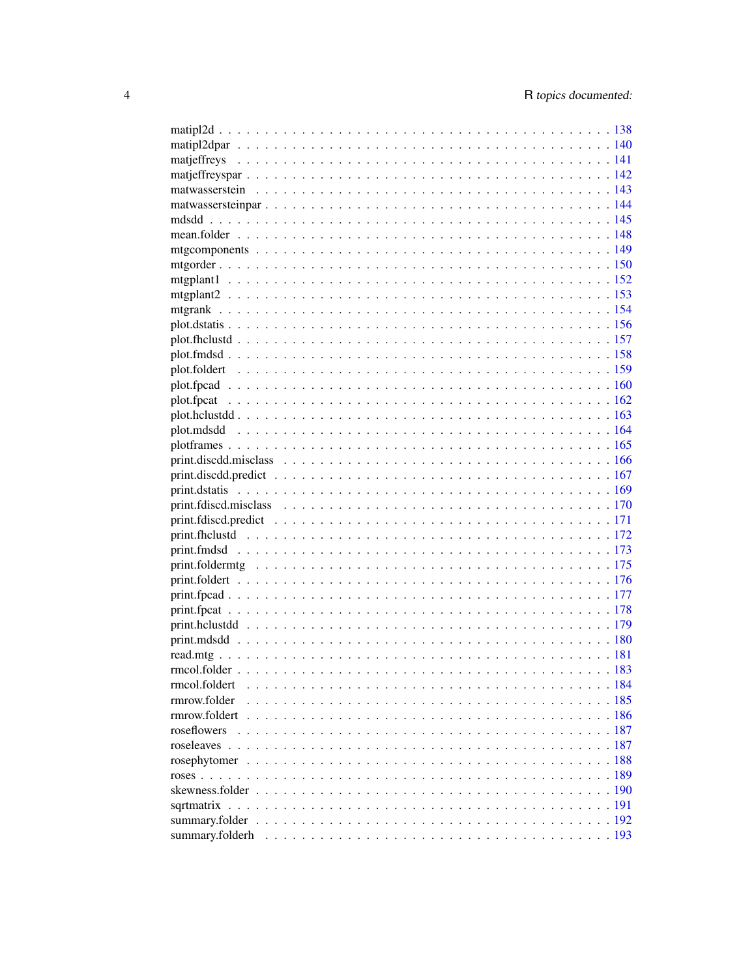| rmcol.foldert   |  |
|-----------------|--|
| rmrow.folder    |  |
|                 |  |
|                 |  |
|                 |  |
|                 |  |
|                 |  |
|                 |  |
|                 |  |
|                 |  |
| summary.folderh |  |
|                 |  |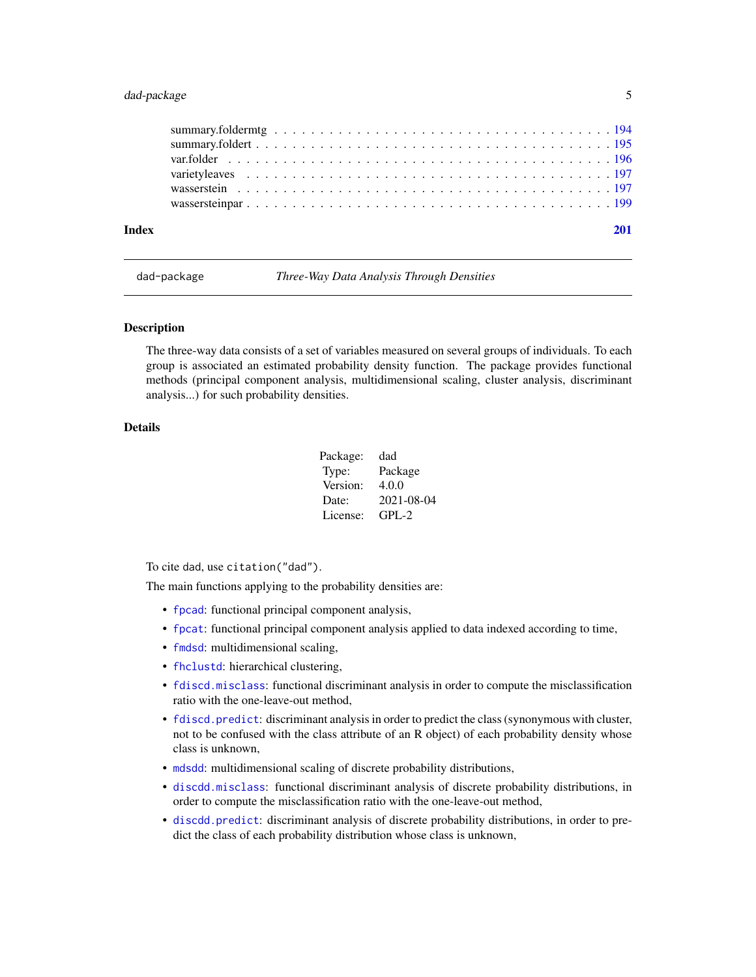# <span id="page-4-0"></span>dad-package 5

| Index |  |
|-------|--|
|       |  |
|       |  |
|       |  |
|       |  |
|       |  |
|       |  |

dad-package *Three-Way Data Analysis Through Densities*

# Description

The three-way data consists of a set of variables measured on several groups of individuals. To each group is associated an estimated probability density function. The package provides functional methods (principal component analysis, multidimensional scaling, cluster analysis, discriminant analysis...) for such probability densities.

# Details

| Package: | dad        |
|----------|------------|
| Type:    | Package    |
| Version: | 4.0.0      |
| Date:    | 2021-08-04 |
| License: | $GPI - 2$  |

To cite dad, use citation("dad").

The main functions applying to the probability densities are:

- [fpcad](#page-80-1): functional principal component analysis,
- [fpcat](#page-83-1): functional principal component analysis applied to data indexed according to time,
- [fmdsd](#page-69-1): multidimensional scaling,
- [fhclustd](#page-65-1): hierarchical clustering,
- [fdiscd.misclass](#page-59-1): functional discriminant analysis in order to compute the misclassification ratio with the one-leave-out method,
- [fdiscd.predict](#page-62-1): discriminant analysis in order to predict the class (synonymous with cluster, not to be confused with the class attribute of an R object) of each probability density whose class is unknown,
- [mdsdd](#page-144-1): multidimensional scaling of discrete probability distributions,
- [discdd.misclass](#page-44-1): functional discriminant analysis of discrete probability distributions, in order to compute the misclassification ratio with the one-leave-out method,
- [discdd.predict](#page-47-1): discriminant analysis of discrete probability distributions, in order to predict the class of each probability distribution whose class is unknown,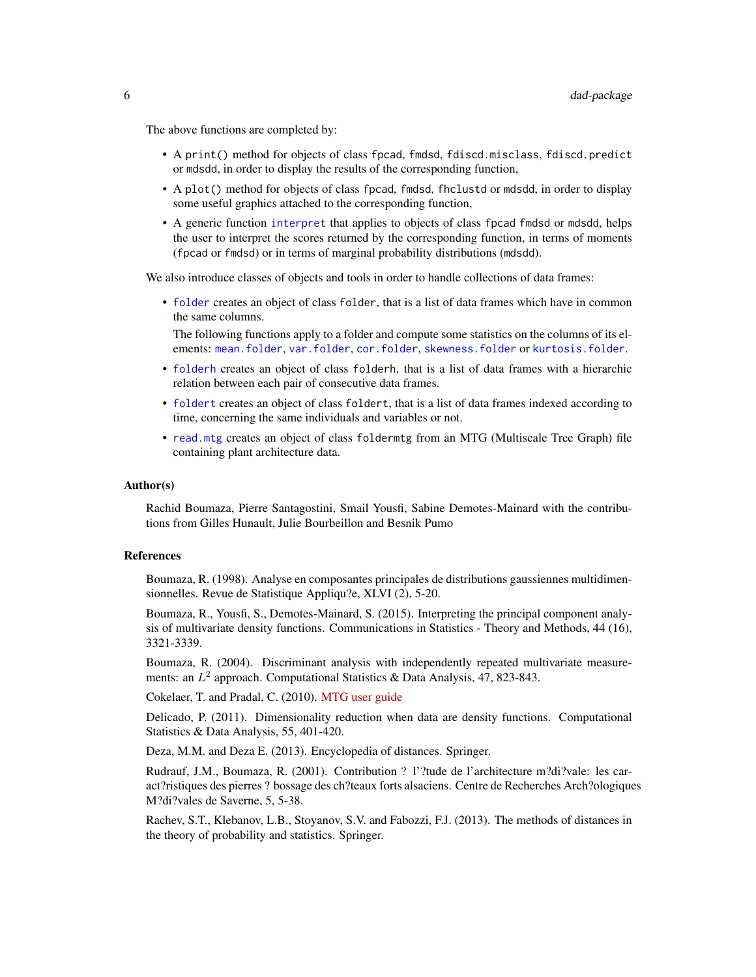The above functions are completed by:

- A print() method for objects of class fpcad, fmdsd, fdiscd.misclass, fdiscd.predict or mdsdd, in order to display the results of the corresponding function,
- A plot() method for objects of class fpcad, fmdsd, fhclustd or mdsdd, in order to display some useful graphics attached to the corresponding function,
- A generic function [interpret](#page-94-1) that applies to objects of class fpcad fmdsd or mdsdd, helps the user to interpret the scores returned by the corresponding function, in terms of moments (fpcad or fmdsd) or in terms of marginal probability distributions (mdsdd).

We also introduce classes of objects and tools in order to handle collections of data frames:

• [folder](#page-73-1) creates an object of class folder, that is a list of data frames which have in common the same columns.

The following functions apply to a folder and compute some statistics on the columns of its elements: [mean.folder](#page-147-1), [var.folder](#page-195-1), [cor.folder](#page-27-1), [skewness.folder](#page-189-1) or [kurtosis.folder](#page-115-1).

- [folderh](#page-75-1) creates an object of class folderh, that is a list of data frames with a hierarchic relation between each pair of consecutive data frames.
- [foldert](#page-77-1) creates an object of class foldert, that is a list of data frames indexed according to time, concerning the same individuals and variables or not.
- [read.mtg](#page-180-1) creates an object of class foldermtg from an MTG (Multiscale Tree Graph) file containing plant architecture data.

#### Author(s)

Rachid Boumaza, Pierre Santagostini, Smail Yousfi, Sabine Demotes-Mainard with the contributions from Gilles Hunault, Julie Bourbeillon and Besnik Pumo

# References

Boumaza, R. (1998). Analyse en composantes principales de distributions gaussiennes multidimensionnelles. Revue de Statistique Appliqu?e, XLVI (2), 5-20.

Boumaza, R., Yousfi, S., Demotes-Mainard, S. (2015). Interpreting the principal component analysis of multivariate density functions. Communications in Statistics - Theory and Methods, 44 (16), 3321-3339.

Boumaza, R. (2004). Discriminant analysis with independently repeated multivariate measurements: an  $L^2$  approach. Computational Statistics & Data Analysis, 47, 823-843.

Cokelaer, T. and Pradal, C. (2010). [MTG user guide](http://openalea.gforge.inria.fr/doc/vplants/newmtg/doc/_build/html/user/syntax.html)

Delicado, P. (2011). Dimensionality reduction when data are density functions. Computational Statistics & Data Analysis, 55, 401-420.

Deza, M.M. and Deza E. (2013). Encyclopedia of distances. Springer.

Rudrauf, J.M., Boumaza, R. (2001). Contribution ? l'?tude de l'architecture m?di?vale: les caract?ristiques des pierres ? bossage des ch?teaux forts alsaciens. Centre de Recherches Arch?ologiques M?di?vales de Saverne, 5, 5-38.

Rachev, S.T., Klebanov, L.B., Stoyanov, S.V. and Fabozzi, F.J. (2013). The methods of distances in the theory of probability and statistics. Springer.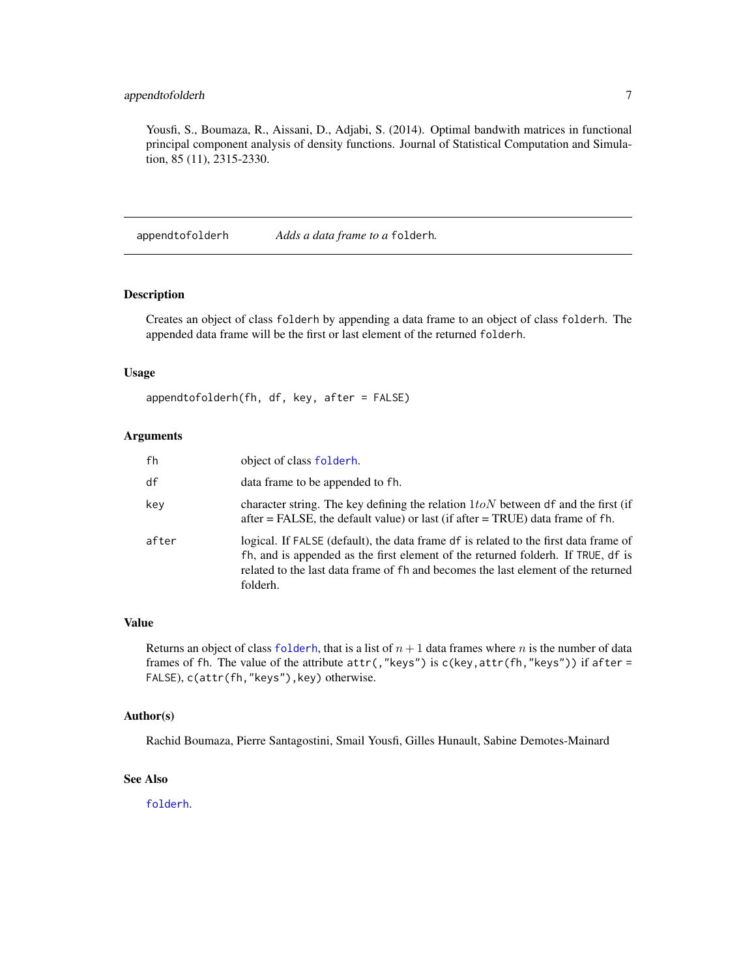# <span id="page-6-0"></span>appendtofolderh 7

Yousfi, S., Boumaza, R., Aissani, D., Adjabi, S. (2014). Optimal bandwith matrices in functional principal component analysis of density functions. Journal of Statistical Computation and Simulation, 85 (11), 2315-2330.

appendtofolderh *Adds a data frame to a* folderh*.*

#### Description

Creates an object of class folderh by appending a data frame to an object of class folderh. The appended data frame will be the first or last element of the returned folderh.

# Usage

```
appendtofolderh(fh, df, key, after = FALSE)
```
#### Arguments

| fh    | object of class folderh.                                                                                                                                                                                                                                                  |
|-------|---------------------------------------------------------------------------------------------------------------------------------------------------------------------------------------------------------------------------------------------------------------------------|
| df    | data frame to be appended to fh.                                                                                                                                                                                                                                          |
| key   | character string. The key defining the relation $1 to N$ between df and the first (if<br>$after = FALSE$ , the default value) or last (if after $= TRUE$ ) data frame of fh.                                                                                              |
| after | logical. If FALSE (default), the data frame df is related to the first data frame of<br>fh, and is appended as the first element of the returned folderh. If TRUE, df is<br>related to the last data frame of fh and becomes the last element of the returned<br>folderh. |

#### Value

Returns an object of class [folderh](#page-75-1), that is a list of  $n + 1$  data frames where n is the number of data frames of fh. The value of the attribute  $attr($ , "keys") is c(key,attr(fh, "keys")) if after = FALSE), c(attr(fh,"keys"),key) otherwise.

#### Author(s)

Rachid Boumaza, Pierre Santagostini, Smail Yousfi, Gilles Hunault, Sabine Demotes-Mainard

#### See Also

[folderh](#page-75-1).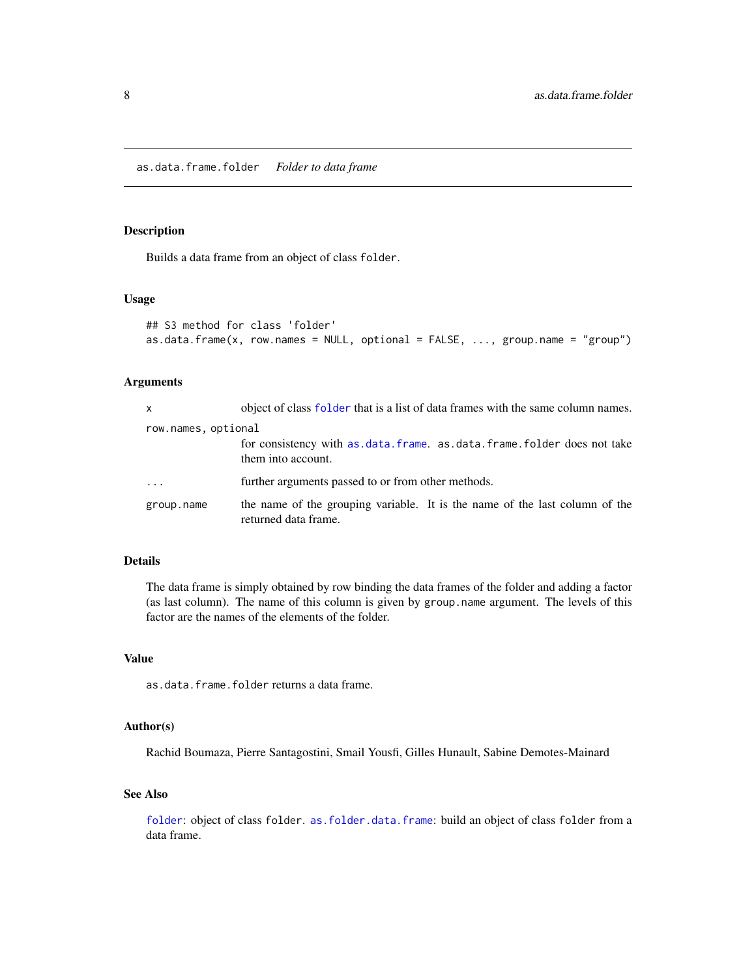<span id="page-7-1"></span><span id="page-7-0"></span>as.data.frame.folder *Folder to data frame*

# Description

Builds a data frame from an object of class folder.

# Usage

```
## S3 method for class 'folder'
as.data frame(x, row.name = NULL, optional = FALSE, ..., group.name = "group")
```
# Arguments

| x                   | object of class folder that is a list of data frames with the same column names.                    |
|---------------------|-----------------------------------------------------------------------------------------------------|
| row.names, optional |                                                                                                     |
|                     | for consistency with as data. frame. as data. frame. folder does not take<br>them into account.     |
| $\cdots$            | further arguments passed to or from other methods.                                                  |
| group.name          | the name of the grouping variable. It is the name of the last column of the<br>returned data frame. |

# Details

The data frame is simply obtained by row binding the data frames of the folder and adding a factor (as last column). The name of this column is given by group.name argument. The levels of this factor are the names of the elements of the folder.

# Value

as.data.frame.folder returns a data frame.

# Author(s)

Rachid Boumaza, Pierre Santagostini, Smail Yousfi, Gilles Hunault, Sabine Demotes-Mainard

# See Also

[folder](#page-73-1): object of class folder. [as.folder.data.frame](#page-12-1): build an object of class folder from a data frame.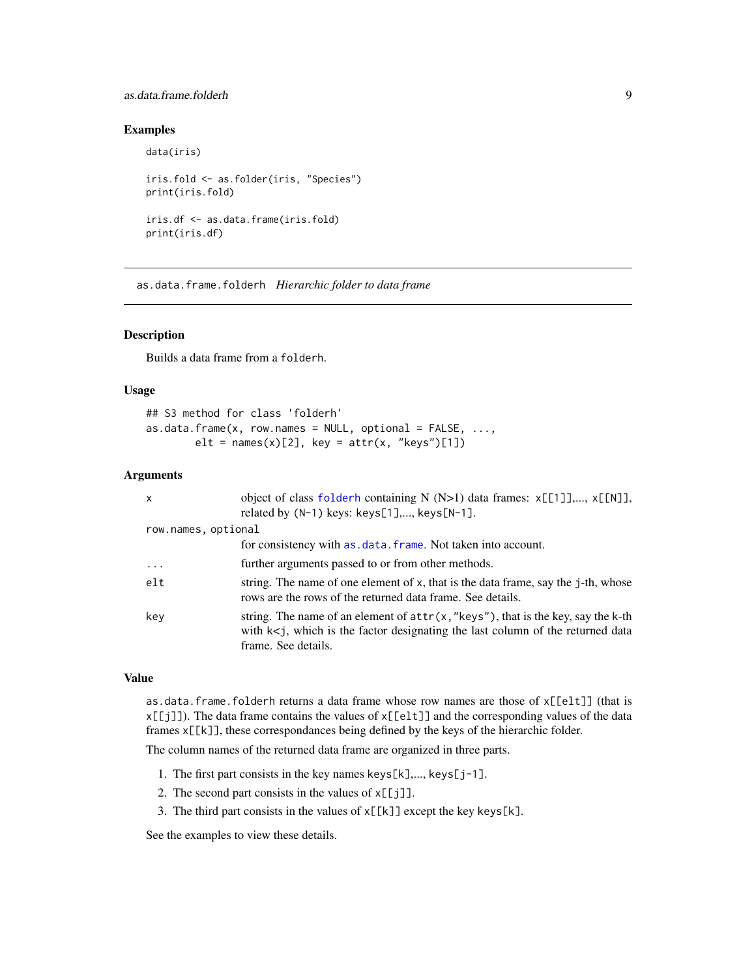# <span id="page-8-0"></span>as.data.frame.folderh 9

# Examples

```
data(iris)
iris.fold <- as.folder(iris, "Species")
print(iris.fold)
iris.df <- as.data.frame(iris.fold)
print(iris.df)
```
<span id="page-8-1"></span>as.data.frame.folderh *Hierarchic folder to data frame*

# Description

Builds a data frame from a folderh.

# Usage

## S3 method for class 'folderh' as.data.frame(x, row.names = NULL, optional =  $FALSE, ...,$ elt = names(x)[2], key =  $attr(x, "keys")[1])$ 

# Arguments

| $\mathsf{x}$        | object of class folderh containing N (N>1) data frames: x[[1]],, x[[N]],<br>related by $(N-1)$ keys: keys $[1]$ ,, keys $[N-1]$ .                                                                 |
|---------------------|---------------------------------------------------------------------------------------------------------------------------------------------------------------------------------------------------|
| row.names, optional |                                                                                                                                                                                                   |
|                     | for consistency with as . data. frame. Not taken into account.                                                                                                                                    |
| $\cdots$            | further arguments passed to or from other methods.                                                                                                                                                |
| $e$ lt              | string. The name of one element of x, that is the data frame, say the j-th, whose<br>rows are the rows of the returned data frame. See details.                                                   |
| key                 | string. The name of an element of $attr(x, "keys")$ , that is the key, say the k-th<br>with $k < j$ , which is the factor designating the last column of the returned data<br>frame. See details. |

# Value

as.data.frame.folderh returns a data frame whose row names are those of x[[elt]] (that is  $x[\frac{r}{j}]$ ). The data frame contains the values of  $x[\frac{e}{t}]$  and the corresponding values of the data frames x[[k]], these correspondances being defined by the keys of the hierarchic folder.

The column names of the returned data frame are organized in three parts.

- 1. The first part consists in the key names keys[k],..., keys[j-1].
- 2. The second part consists in the values of  $x[[j]]$ .
- 3. The third part consists in the values of  $x[[k]]$  except the key keys[k].

See the examples to view these details.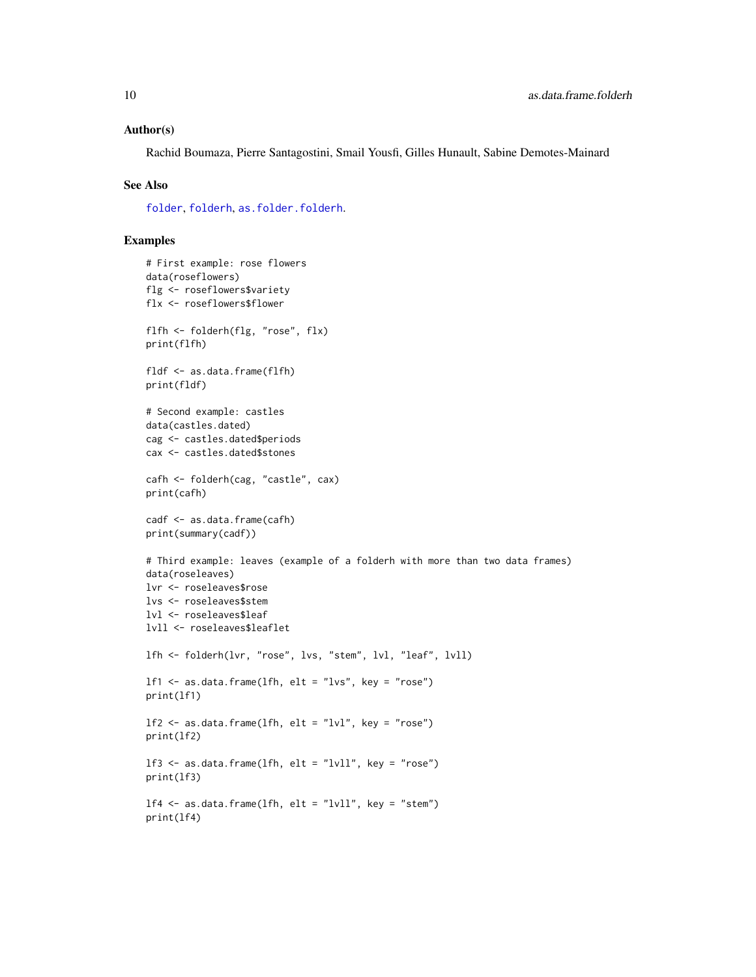#### Author(s)

Rachid Boumaza, Pierre Santagostini, Smail Yousfi, Gilles Hunault, Sabine Demotes-Mainard

#### See Also

[folder](#page-73-1), [folderh](#page-75-1), [as.folder.folderh](#page-13-1).

```
# First example: rose flowers
data(roseflowers)
flg <- roseflowers$variety
flx <- roseflowers$flower
flfh <- folderh(flg, "rose", flx)
print(flfh)
fldf <- as.data.frame(flfh)
print(fldf)
# Second example: castles
data(castles.dated)
cag <- castles.dated$periods
cax <- castles.dated$stones
cafh <- folderh(cag, "castle", cax)
print(cafh)
cadf <- as.data.frame(cafh)
print(summary(cadf))
# Third example: leaves (example of a folderh with more than two data frames)
data(roseleaves)
lvr <- roseleaves$rose
lvs <- roseleaves$stem
lvl <- roseleaves$leaf
lvll <- roseleaves$leaflet
lfh <- folderh(lvr, "rose", lvs, "stem", lvl, "leaf", lvll)
1f1 \le as.data.frame(1fh, elt = "lvs", key = "rose")
print(lf1)
1f2 \leq -as.data frame(1fh, elt = "Ivl", key = "rose")print(lf2)
lf3 <- as.data.frame(lfh, elt = "lvll", key = "rose")
print(lf3)
lf4 \leftarrow as.data-frame(1fh, elt = "Iv11", key = "stem")print(lf4)
```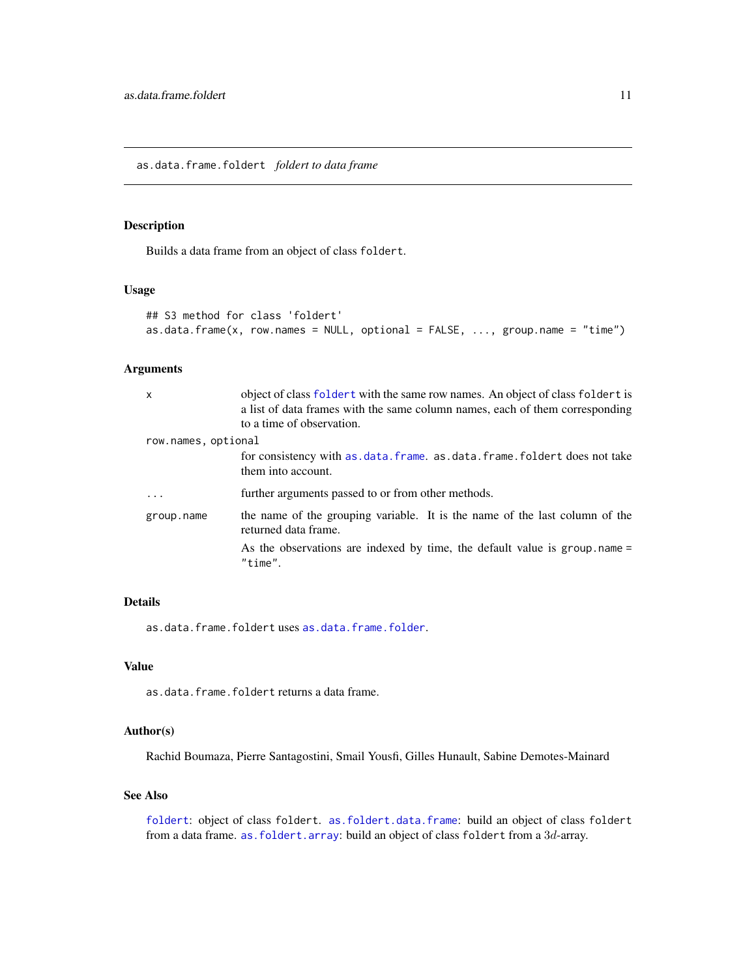# <span id="page-10-1"></span><span id="page-10-0"></span>Description

Builds a data frame from an object of class foldert.

#### Usage

```
## S3 method for class 'foldert'
as.data frame(x, row.name = NULL, optional = FALSE, ..., group.name = "time")
```
# Arguments

| $\mathsf{x}$        | object of class foldert with the same row names. An object of class foldert is<br>a list of data frames with the same column names, each of them corresponding<br>to a time of observation. |
|---------------------|---------------------------------------------------------------------------------------------------------------------------------------------------------------------------------------------|
| row.names, optional |                                                                                                                                                                                             |
|                     | for consistency with as data. frame. as data. frame. foldert does not take<br>them into account.                                                                                            |
| $\ddotsc$           | further arguments passed to or from other methods.                                                                                                                                          |
| group.name          | the name of the grouping variable. It is the name of the last column of the<br>returned data frame.                                                                                         |
|                     | As the observations are indexed by time, the default value is group name =<br>"time".                                                                                                       |

#### Details

as.data.frame.foldert uses [as.data.frame.folder](#page-7-1).

# Value

as.data.frame.foldert returns a data frame.

### Author(s)

Rachid Boumaza, Pierre Santagostini, Smail Yousfi, Gilles Hunault, Sabine Demotes-Mainard

# See Also

[foldert](#page-77-1): object of class foldert. [as.foldert.data.frame](#page-19-1): build an object of class foldert from a data frame. as. foldert.array: build an object of class foldert from a 3d-array.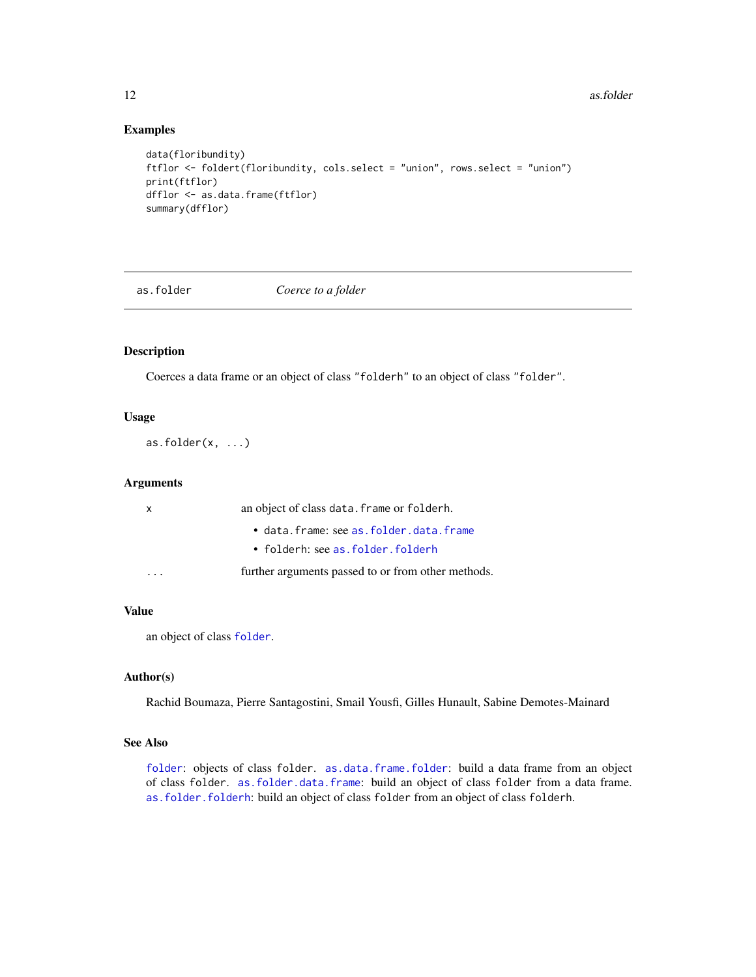# Examples

```
data(floribundity)
ftflor <- foldert(floribundity, cols.select = "union", rows.select = "union")
print(ftflor)
dfflor <- as.data.frame(ftflor)
summary(dfflor)
```
as.folder *Coerce to a folder*

#### Description

Coerces a data frame or an object of class "folderh" to an object of class "folder".

#### Usage

as.folder $(x, \ldots)$ 

# Arguments

| x | an object of class data. frame or folderh.         |
|---|----------------------------------------------------|
|   | • data.frame: see as.folder.data.frame             |
|   | $\bullet$ folderh: see as folder folderh           |
|   | further arguments passed to or from other methods. |

# Value

an object of class [folder](#page-73-1).

#### Author(s)

Rachid Boumaza, Pierre Santagostini, Smail Yousfi, Gilles Hunault, Sabine Demotes-Mainard

#### See Also

[folder](#page-73-1): objects of class folder. [as.data.frame.folder](#page-7-1): build a data frame from an object of class folder. [as.folder.data.frame](#page-12-1): build an object of class folder from a data frame. [as.folder.folderh](#page-13-1): build an object of class folder from an object of class folderh.

<span id="page-11-0"></span>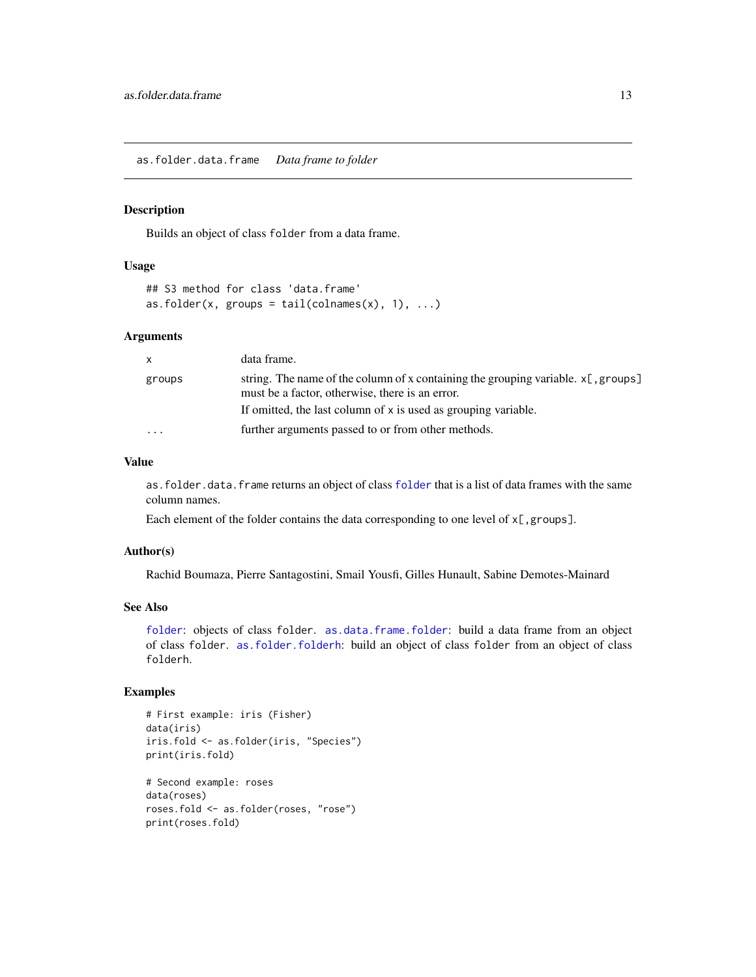<span id="page-12-1"></span><span id="page-12-0"></span>as.folder.data.frame *Data frame to folder*

#### Description

Builds an object of class folder from a data frame.

#### Usage

```
## S3 method for class 'data.frame'
as.folder(x, groups = tail(colnames(x), 1), ...)
```
#### Arguments

| $\mathsf{x}$            | data frame.                                                                                                                             |
|-------------------------|-----------------------------------------------------------------------------------------------------------------------------------------|
| groups                  | string. The name of the column of x containing the grouping variable. $x$ [, groups]<br>must be a factor, otherwise, there is an error. |
|                         | If omitted, the last column of x is used as grouping variable.                                                                          |
| $\cdot$ $\cdot$ $\cdot$ | further arguments passed to or from other methods.                                                                                      |

# Value

as.folder.data.frame returns an object of class [folder](#page-73-1) that is a list of data frames with the same column names.

Each element of the folder contains the data corresponding to one level of  $x[$ , groups].

# Author(s)

Rachid Boumaza, Pierre Santagostini, Smail Yousfi, Gilles Hunault, Sabine Demotes-Mainard

# See Also

[folder](#page-73-1): objects of class folder. [as.data.frame.folder](#page-7-1): build a data frame from an object of class folder. [as.folder.folderh](#page-13-1): build an object of class folder from an object of class folderh.

```
# First example: iris (Fisher)
data(iris)
iris.fold <- as.folder(iris, "Species")
print(iris.fold)
# Second example: roses
data(roses)
roses.fold <- as.folder(roses, "rose")
print(roses.fold)
```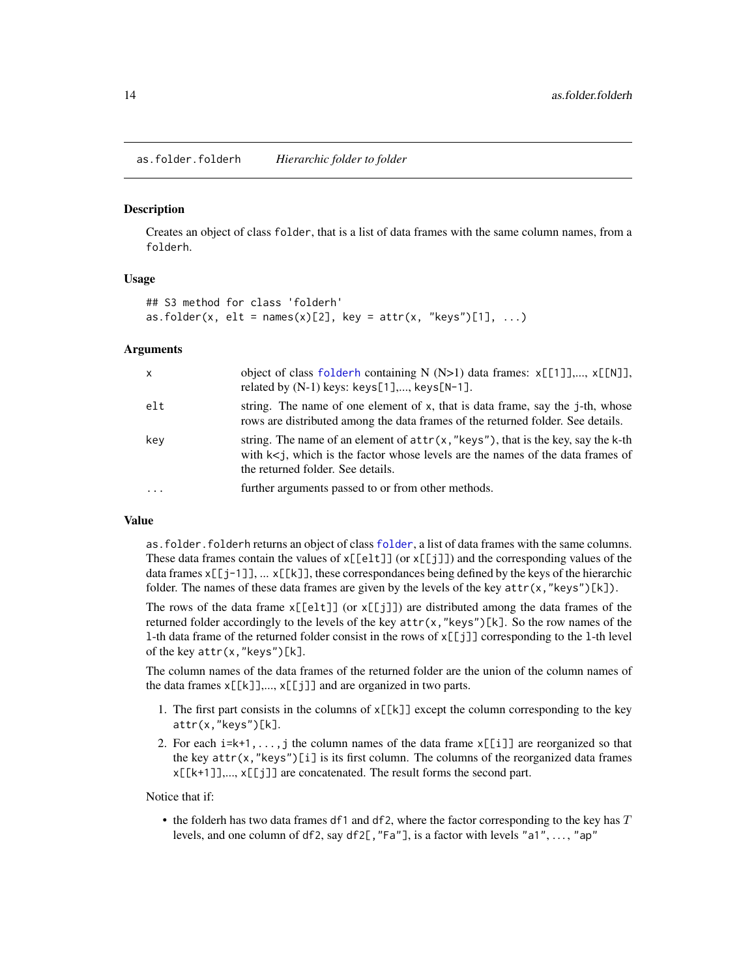<span id="page-13-1"></span><span id="page-13-0"></span>as.folder.folderh *Hierarchic folder to folder*

#### Description

Creates an object of class folder, that is a list of data frames with the same column names, from a folderh.

#### Usage

```
## S3 method for class 'folderh'
as.folder(x, elt = names(x)[2], key = attr(x, "keys")[1], ...)
```
#### Arguments

| $\mathsf{x}$ | object of class folderh containing N (N>1) data frames: x[[1]],, x[[N]],<br>related by $(N-1)$ keys: keys $[1]$ ,, keys $[N-1]$ .                                                                               |
|--------------|-----------------------------------------------------------------------------------------------------------------------------------------------------------------------------------------------------------------|
| elt          | string. The name of one element of x, that is data frame, say the j-th, whose<br>rows are distributed among the data frames of the returned folder. See details.                                                |
| key          | string. The name of an element of $attr(x, "keys")$ , that is the key, say the k-th<br>with $k < j$ , which is the factor whose levels are the names of the data frames of<br>the returned folder. See details. |
|              | further arguments passed to or from other methods.                                                                                                                                                              |

#### Value

as.folder.folderh returns an object of class [folder](#page-73-1), a list of data frames with the same columns. These data frames contain the values of  $x[[e]t]]$  (or  $x[[j]]$ ) and the corresponding values of the data frames  $x[[j-1]]$ , ...  $x[[k]]$ , these correspondances being defined by the keys of the hierarchic folder. The names of these data frames are given by the levels of the key  $attr(x, "keys")[k])$ .

The rows of the data frame  $x[[e]t]]$  (or  $x[[j]]$ ) are distributed among the data frames of the returned folder accordingly to the levels of the key attr(x,"keys")[k]. So the row names of the l-th data frame of the returned folder consist in the rows of x[[j]] corresponding to the l-th level of the key attr(x,"keys")[k].

The column names of the data frames of the returned folder are the union of the column names of the data frames  $x[[k]],..., x[[j]]$  and are organized in two parts.

- 1. The first part consists in the columns of  $x[[k]]$  except the column corresponding to the key attr(x,"keys")[k].
- 2. For each  $i=k+1,...,j$  the column names of the data frame  $x[[i]]$  are reorganized so that the key  $attr(x, "keys")[i]$  is its first column. The columns of the reorganized data frames x[[k+1]],..., x[[j]] are concatenated. The result forms the second part.

Notice that if:

• the folderh has two data frames df1 and df2, where the factor corresponding to the key has  $T$ levels, and one column of df2, say df2[, "Fa"], is a factor with levels "a1", ..., "ap"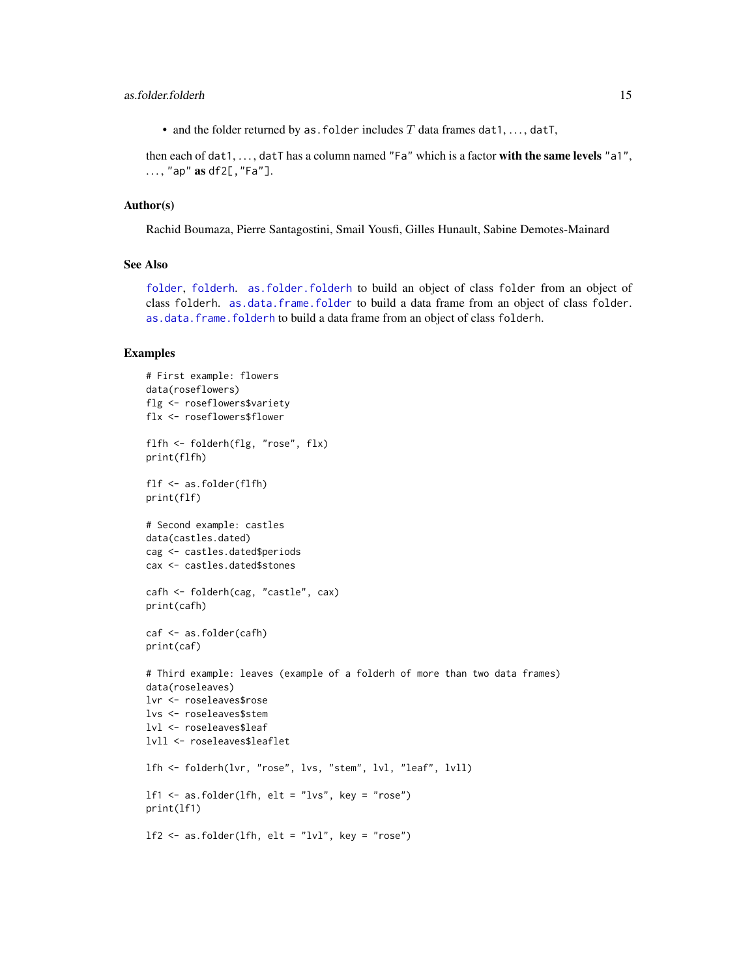• and the folder returned by as. folder includes  $T$  data frames dat1, ..., datT,

then each of dat1, . . . , datT has a column named "Fa" which is a factor with the same levels "a1", . . . , "ap" as df2[,"Fa"].

#### Author(s)

Rachid Boumaza, Pierre Santagostini, Smail Yousfi, Gilles Hunault, Sabine Demotes-Mainard

# See Also

[folder](#page-73-1), [folderh](#page-75-1). [as.folder.folderh](#page-13-1) to build an object of class folder from an object of class folderh. [as.data.frame.folder](#page-7-1) to build a data frame from an object of class folder. [as.data.frame.folderh](#page-8-1) to build a data frame from an object of class folderh.

```
# First example: flowers
data(roseflowers)
flg <- roseflowers$variety
flx <- roseflowers$flower
flfh <- folderh(flg, "rose", flx)
print(flfh)
flf <- as.folder(flfh)
print(flf)
# Second example: castles
data(castles.dated)
cag <- castles.dated$periods
cax <- castles.dated$stones
cafh <- folderh(cag, "castle", cax)
print(cafh)
caf <- as.folder(cafh)
print(caf)
# Third example: leaves (example of a folderh of more than two data frames)
data(roseleaves)
lvr <- roseleaves$rose
lvs <- roseleaves$stem
lvl <- roseleaves$leaf
lvll <- roseleaves$leaflet
lfh <- folderh(lvr, "rose", lvs, "stem", lvl, "leaf", lvll)
1f1 \leq as.folder(1fh, elt = "lvs", key = "rose")
print(lf1)
1f2 \leq -as.folder(1fh, elt = "lvl", key = "rose")
```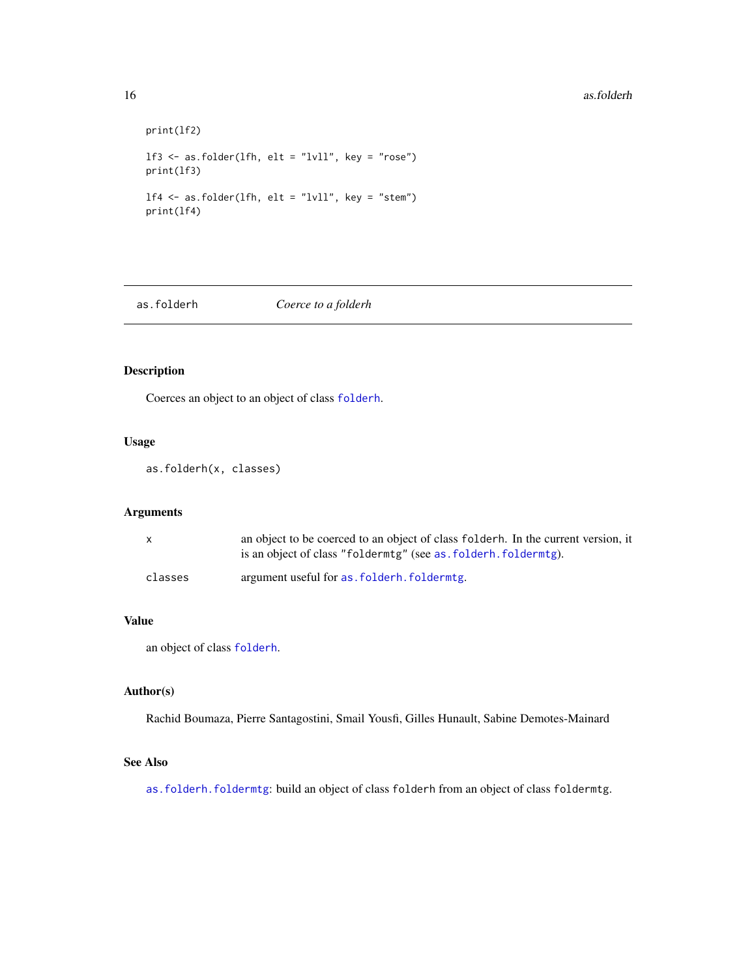#### <span id="page-15-0"></span>16 as.folderh

```
print(lf2)
lf3 <- as.folder(lfh, elt = "lvll", key = "rose")
print(lf3)
lf4 <- as.folder(lfh, elt = "lvll", key = "stem")
print(lf4)
```
as.folderh *Coerce to a folderh*

# Description

Coerces an object to an object of class [folderh](#page-75-1).

# Usage

as.folderh(x, classes)

# Arguments

| x       | an object to be coerced to an object of class folderh. In the current version, it |
|---------|-----------------------------------------------------------------------------------|
|         | is an object of class "folderming" (see as, folderh, folderming).                 |
| classes | argument useful for as folderh. foldermtg.                                        |

#### Value

an object of class [folderh](#page-75-1).

# Author(s)

Rachid Boumaza, Pierre Santagostini, Smail Yousfi, Gilles Hunault, Sabine Demotes-Mainard

### See Also

[as.folderh.foldermtg](#page-16-1): build an object of class folderh from an object of class foldermtg.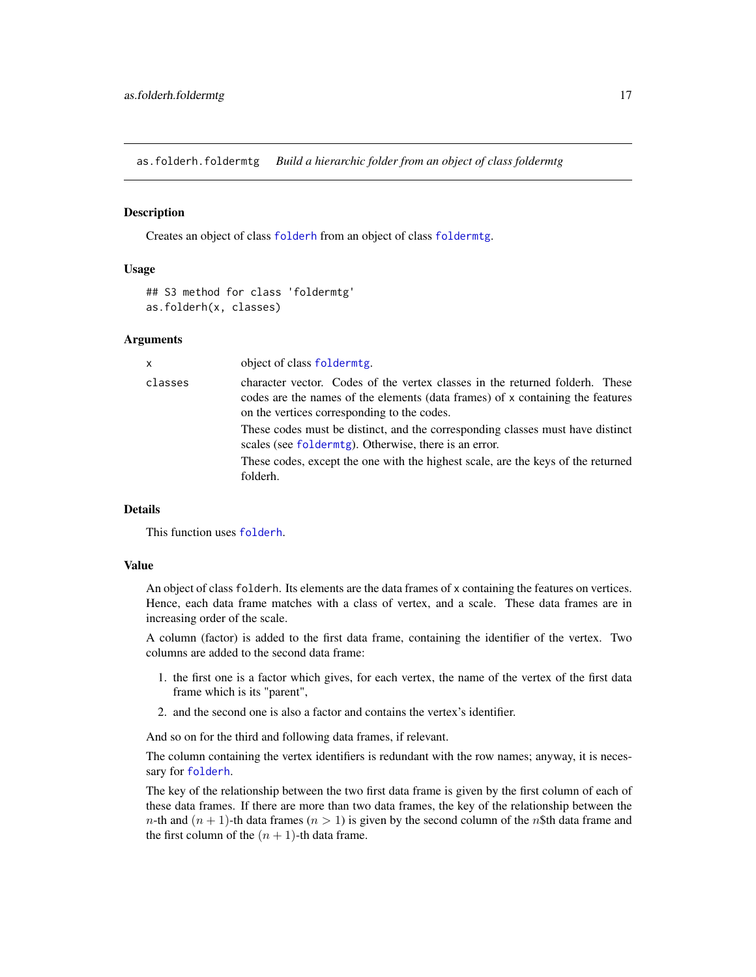<span id="page-16-1"></span><span id="page-16-0"></span>as.folderh.foldermtg *Build a hierarchic folder from an object of class foldermtg*

#### Description

Creates an object of class [folderh](#page-75-1) from an object of class [foldermtg](#page-76-1).

#### Usage

```
## S3 method for class 'foldermtg'
as.folderh(x, classes)
```
#### Arguments

| X       | object of class foldermtg.                                                                                                                                                                                    |
|---------|---------------------------------------------------------------------------------------------------------------------------------------------------------------------------------------------------------------|
| classes | character vector. Codes of the vertex classes in the returned folderh. These<br>codes are the names of the elements (data frames) of x containing the features<br>on the vertices corresponding to the codes. |
|         | These codes must be distinct, and the corresponding classes must have distinct<br>scales (see folderntg). Otherwise, there is an error.                                                                       |
|         | These codes, except the one with the highest scale, are the keys of the returned<br>folderh.                                                                                                                  |
|         |                                                                                                                                                                                                               |

# Details

This function uses [folderh](#page-75-1).

#### Value

An object of class folderh. Its elements are the data frames of x containing the features on vertices. Hence, each data frame matches with a class of vertex, and a scale. These data frames are in increasing order of the scale.

A column (factor) is added to the first data frame, containing the identifier of the vertex. Two columns are added to the second data frame:

- 1. the first one is a factor which gives, for each vertex, the name of the vertex of the first data frame which is its "parent",
- 2. and the second one is also a factor and contains the vertex's identifier.

And so on for the third and following data frames, if relevant.

The column containing the vertex identifiers is redundant with the row names; anyway, it is necessary for [folderh](#page-75-1).

The key of the relationship between the two first data frame is given by the first column of each of these data frames. If there are more than two data frames, the key of the relationship between the *n*-th and  $(n + 1)$ -th data frames  $(n > 1)$  is given by the second column of the *n*\$th data frame and the first column of the  $(n + 1)$ -th data frame.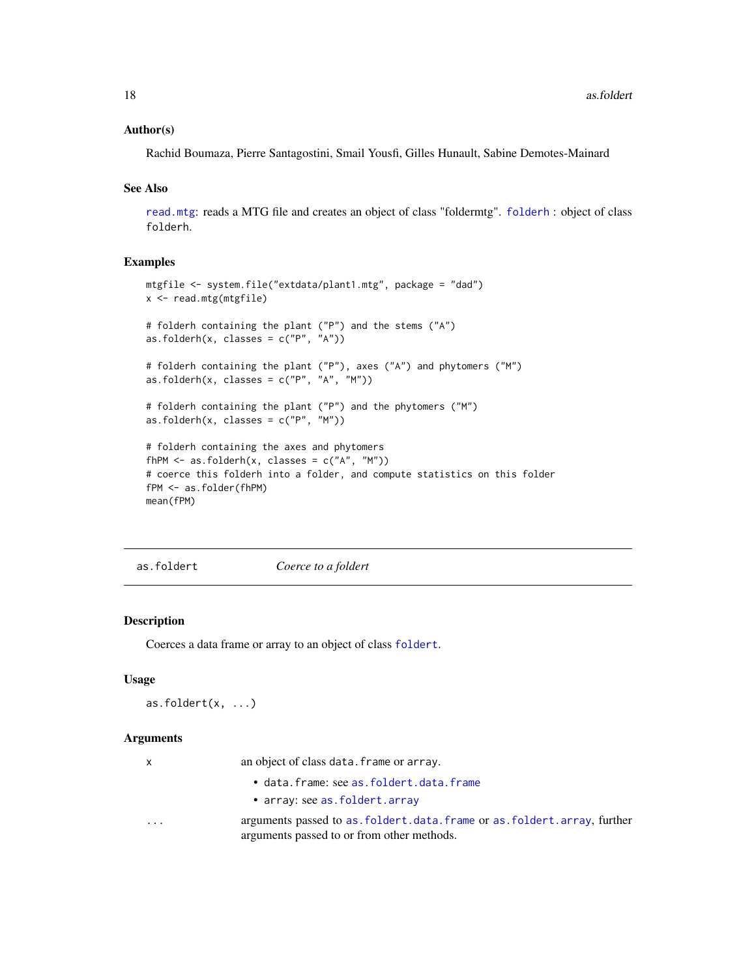#### <span id="page-17-0"></span>Author(s)

Rachid Boumaza, Pierre Santagostini, Smail Yousfi, Gilles Hunault, Sabine Demotes-Mainard

#### See Also

[read.mtg](#page-180-1): reads a MTG file and creates an object of class "foldermtg". [folderh](#page-75-1) : object of class folderh.

#### Examples

```
mtgfile <- system.file("extdata/plant1.mtg", package = "dad")
x <- read.mtg(mtgfile)
# folderh containing the plant ("P") and the stems ("A")
as.folderh(x, classes = c("P", "A"))
# folderh containing the plant ("P"), axes ("A") and phytomers ("M")
as.folderh(x, \text{ classes} = c("P", "A", "M"))# folderh containing the plant ("P") and the phytomers ("M")
as.folderh(x, \text{ classes} = c("P", "M"))# folderh containing the axes and phytomers
fhPM \leftarrow as.folderh(x, classes = c("A", "M"))# coerce this folderh into a folder, and compute statistics on this folder
fPM <- as.folder(fhPM)
mean(fPM)
```
as.foldert *Coerce to a foldert*

#### Description

Coerces a data frame or array to an object of class [foldert](#page-77-1).

#### Usage

```
as.foldert(x, ...)
```
#### Arguments

x an object of class data.frame or array.

- data.frame: see [as.foldert.data.frame](#page-19-1)
- array: see [as.foldert.array](#page-18-1)
- 
- ... arguments passed to [as.foldert.data.frame](#page-19-1) or [as.foldert.array](#page-18-1), further arguments passed to or from other methods.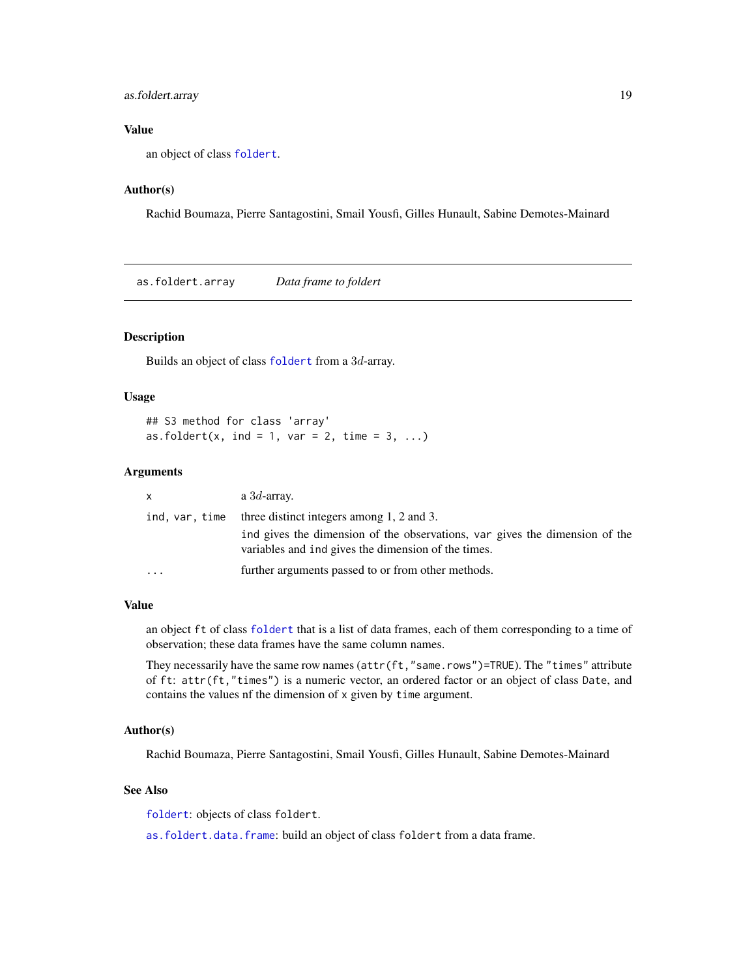## <span id="page-18-0"></span>as.foldert.array 19

# Value

an object of class [foldert](#page-77-1).

# Author(s)

Rachid Boumaza, Pierre Santagostini, Smail Yousfi, Gilles Hunault, Sabine Demotes-Mainard

<span id="page-18-1"></span>as.foldert.array *Data frame to foldert*

#### Description

Builds an object of class [foldert](#page-77-1) from a 3d-array.

#### Usage

## S3 method for class 'array' as.foldert(x, ind = 1, var = 2, time = 3, ...)

#### Arguments

| $\mathsf{x}$   | a $3d$ -array.                                                                                                                     |
|----------------|------------------------------------------------------------------------------------------------------------------------------------|
| ind, var, time | three distinct integers among 1, 2 and 3.                                                                                          |
|                | ind gives the dimension of the observations, var gives the dimension of the<br>variables and ind gives the dimension of the times. |
| $\cdot$        | further arguments passed to or from other methods.                                                                                 |

#### Value

an object ft of class [foldert](#page-77-1) that is a list of data frames, each of them corresponding to a time of observation; these data frames have the same column names.

They necessarily have the same row names (attr(ft,"same.rows")=TRUE). The "times" attribute of ft: attr(ft,"times") is a numeric vector, an ordered factor or an object of class Date, and contains the values nf the dimension of x given by time argument.

#### Author(s)

Rachid Boumaza, Pierre Santagostini, Smail Yousfi, Gilles Hunault, Sabine Demotes-Mainard

# See Also

[foldert](#page-77-1): objects of class foldert.

[as.foldert.data.frame](#page-19-1): build an object of class foldert from a data frame.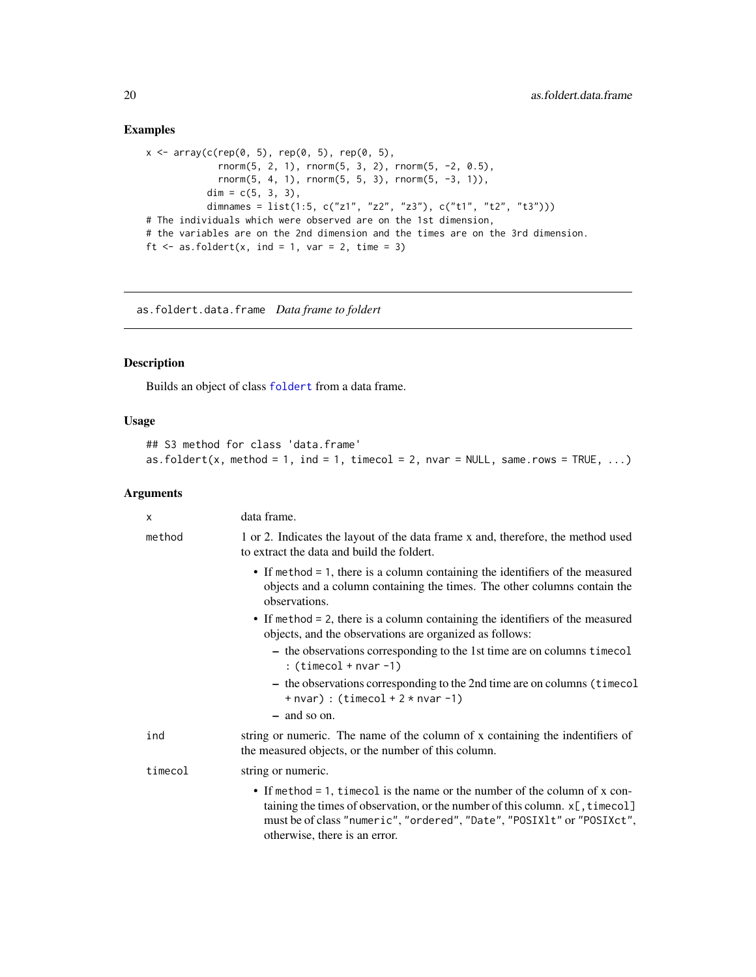# Examples

```
x \le -\arctan(c(\text{rep}(0, 5), \text{rep}(0, 5), \text{rep}(0, 5)),rnorm(5, 2, 1), rnorm(5, 3, 2), rnorm(5, -2, 0.5),
             rnorm(5, 4, 1), rnorm(5, 5, 3), rnorm(5, -3, 1)),
           dim = c(5, 3, 3),
           dimnames = list(1:5, c("z1", "z2", "z3"), c("t1", "t2", "t3")))
# The individuals which were observed are on the 1st dimension,
# the variables are on the 2nd dimension and the times are on the 3rd dimension.
ft \leq as.foldert(x, ind = 1, var = 2, time = 3)
```
<span id="page-19-1"></span>as.foldert.data.frame *Data frame to foldert*

# Description

Builds an object of class [foldert](#page-77-1) from a data frame.

# Usage

```
## S3 method for class 'data.frame'
as.foldert(x, method = 1, ind = 1, timecol = 2, nvar = NULL, same.rows = TRUE, ...)
```
#### Arguments

| $\times$ | data frame.                                                                                                                                                                                                                                                              |
|----------|--------------------------------------------------------------------------------------------------------------------------------------------------------------------------------------------------------------------------------------------------------------------------|
| method   | 1 or 2. Indicates the layout of the data frame x and, therefore, the method used<br>to extract the data and build the foldert.                                                                                                                                           |
|          | • If method = 1, there is a column containing the identifiers of the measured<br>objects and a column containing the times. The other columns contain the<br>observations.                                                                                               |
|          | • If method = 2, there is a column containing the identifiers of the measured<br>objects, and the observations are organized as follows:                                                                                                                                 |
|          | - the observations corresponding to the 1st time are on columns time col<br>: $(timecol + nvar -1)$                                                                                                                                                                      |
|          | - the observations corresponding to the 2nd time are on columns (timecol<br>$+$ nvar) : (timecol $+ 2 *$ nvar $-1$ )                                                                                                                                                     |
|          | - and so on.                                                                                                                                                                                                                                                             |
| ind      | string or numeric. The name of the column of x containing the indentifiers of<br>the measured objects, or the number of this column.                                                                                                                                     |
| timecol  | string or numeric.                                                                                                                                                                                                                                                       |
|          | • If method = 1, timecol is the name or the number of the column of x con-<br>taining the times of observation, or the number of this column. $x$ [, timecol]<br>must be of class "numeric", "ordered", "Date", "POSIX1t" or "POSIXct",<br>otherwise, there is an error. |

<span id="page-19-0"></span>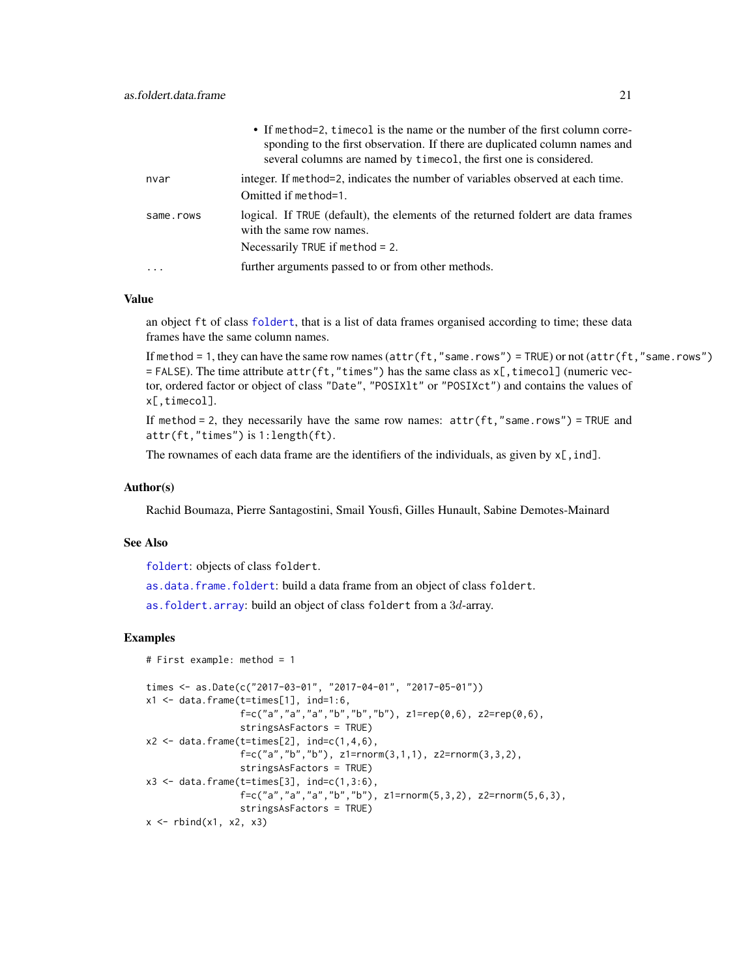|           | • If method=2, timecol is the name or the number of the first column corre-<br>sponding to the first observation. If there are duplicated column names and<br>several columns are named by time col, the first one is considered. |
|-----------|-----------------------------------------------------------------------------------------------------------------------------------------------------------------------------------------------------------------------------------|
| nvar      | integer. If method=2, indicates the number of variables observed at each time.<br>Omitted if method=1.                                                                                                                            |
| same.rows | logical. If TRUE (default), the elements of the returned foldert are data frames<br>with the same row names.<br>Necessarily TRUE if method $= 2$ .                                                                                |
|           | further arguments passed to or from other methods.                                                                                                                                                                                |

# Value

an object ft of class [foldert](#page-77-1), that is a list of data frames organised according to time; these data frames have the same column names.

If method = 1, they can have the same row names (attr(ft,"same.rows") = TRUE) or not (attr(ft,"same.rows")  $=$  FALSE). The time attribute  $attr(ft, "times")$  has the same class as  $x[t, timeout]$  (numeric vector, ordered factor or object of class "Date", "POSIXlt" or "POSIXct") and contains the values of x[,timecol].

If method = 2, they necessarily have the same row names:  $attr(ft, "same rows") = TRUE$  and attr(ft,"times") is 1:length(ft).

The rownames of each data frame are the identifiers of the individuals, as given by  $x$ [, ind].

#### Author(s)

Rachid Boumaza, Pierre Santagostini, Smail Yousfi, Gilles Hunault, Sabine Demotes-Mainard

# See Also

[foldert](#page-77-1): objects of class foldert.

[as.data.frame.foldert](#page-10-1): build a data frame from an object of class foldert.

[as.foldert.array](#page-18-1): build an object of class foldert from a 3d-array.

```
# First example: method = 1
times <- as.Date(c("2017-03-01", "2017-04-01", "2017-05-01"))
x1 \leq - data.frame(t=times[1], ind=1:6,
                  f = c("a", "a", "a", "b", "b", "b"), z1 = rep(0,6), z2 = rep(0,6),stringsAsFactors = TRUE)
x2 \le - data.frame(t=times[2], ind=c(1,4,6),
                  f = c("a", "b", "b"), z1 = rnorm(3, 1, 1), z2 = rnorm(3, 3, 2),
                  stringsAsFactors = TRUE)
x3 \leq data.frame(t=times[3], ind=c(1,3:6),
                  f=c("a","a","a","b","b"), z1=rnorm(5,3,2), z2=rnorm(5,6,3),
                  stringsAsFactors = TRUE)
x \leftarrow \text{rbind}(x1, x2, x3)
```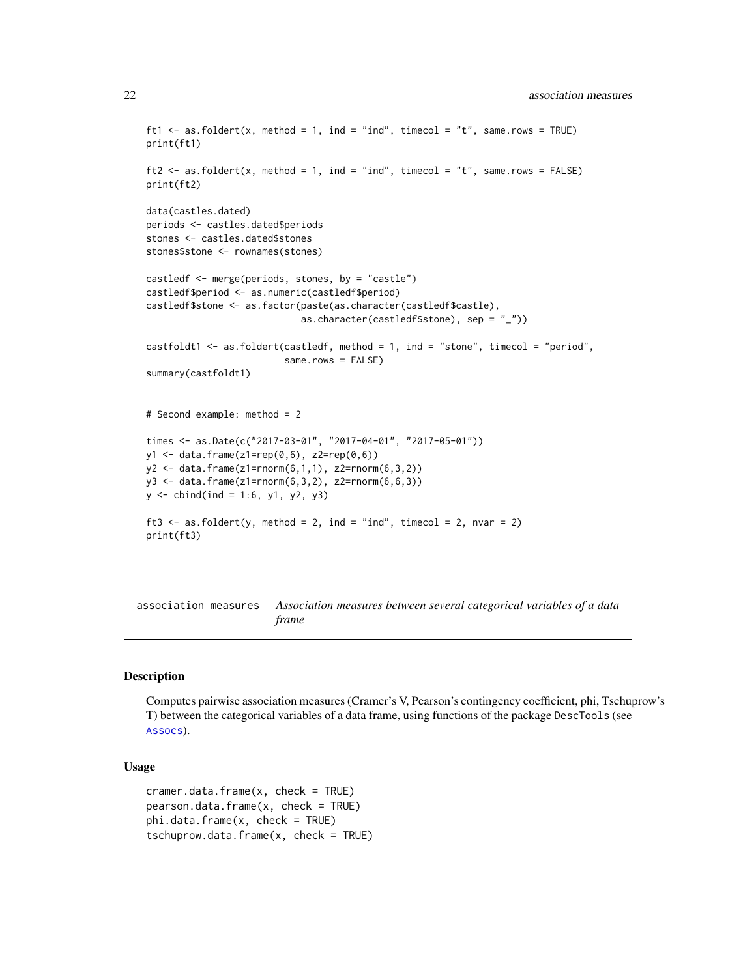```
ft1 <- as.foldert(x, method = 1, ind = "ind", timecol = "t", same.rows = TRUE)
print(ft1)
ft2 \leq as.foldert(x, method = 1, ind = "ind", timecol = "t", same.rows = FALSE)
print(ft2)
data(castles.dated)
periods <- castles.dated$periods
stones <- castles.dated$stones
stones$stone <- rownames(stones)
castledf <- merge(periods, stones, by = "castle")
castledf$period <- as.numeric(castledf$period)
castledf$stone <- as.factor(paste(as.character(castledf$castle),
                            as.character(castledf$stone), sep = "_"))
castfoldt1 <- as.foldert(castledf, method = 1, ind = "stone", timecol = "period",
                         same.rows = FALSE)
summary(castfoldt1)
# Second example: method = 2
times <- as.Date(c("2017-03-01", "2017-04-01", "2017-05-01"))
y1 <- data.frame(z1=rep(0,6), z2=rep(0,6))
y2 <- data.frame(z1=rnorm(6,1,1), z2=rnorm(6,3,2))
y3 <- data.frame(z1=rnorm(6,3,2), z2=rnorm(6,6,3))
y \le - \text{cbind}(ind = 1:6, y1, y2, y3)ft3 \le as.foldert(y, method = 2, ind = "ind", timecol = 2, nvar = 2)
print(ft3)
```
association measures *Association measures between several categorical variables of a data frame*

# <span id="page-21-1"></span>Description

Computes pairwise association measures (Cramer's V, Pearson's contingency coefficient, phi, Tschuprow's T) between the categorical variables of a data frame, using functions of the package DescTools (see [Assocs](#page-0-0)).

#### Usage

```
cramer.data.frame(x, check = TRUE)
pearson.data.frame(x, check = TRUE)phi.data.fname(x, check = TRUE)tschuprow.data.frame(x, check = TRUE)
```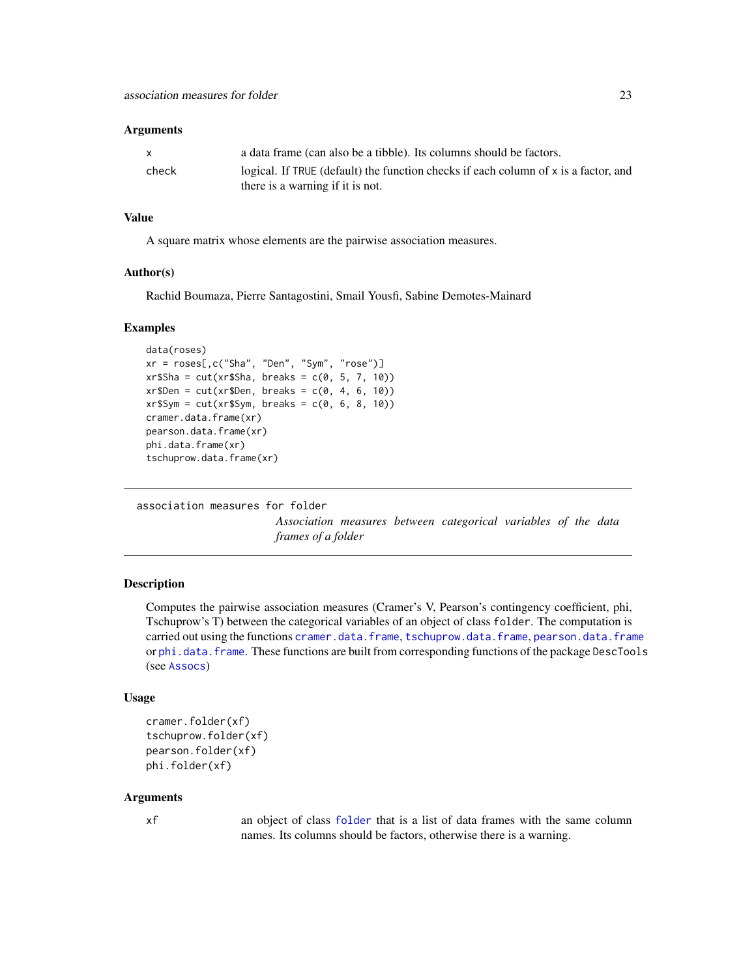#### <span id="page-22-0"></span>Arguments

| X.    | a data frame (can also be a tibble). Its columns should be factors.                 |
|-------|-------------------------------------------------------------------------------------|
| check | logical. If TRUE (default) the function checks if each column of x is a factor, and |
|       | there is a warning if it is not.                                                    |

#### Value

A square matrix whose elements are the pairwise association measures.

#### Author(s)

Rachid Boumaza, Pierre Santagostini, Smail Yousfi, Sabine Demotes-Mainard

#### Examples

```
data(roses)
xr = roses[,c("Sha", "Den", "Sym", "rose")]
xr$Sha = cut(xr$Sha, breaks = c(0, 5, 7, 10))xr$Den = cut(xr$Den, breaks = c(0, 4, 6, 10))xr$Sym = cut(xr$Sym, breaks = c(0, 6, 8, 10))cramer.data.frame(xr)
pearson.data.frame(xr)
phi.data.frame(xr)
tschuprow.data.frame(xr)
```
association measures for folder

*Association measures between categorical variables of the data frames of a folder*

# Description

Computes the pairwise association measures (Cramer's V, Pearson's contingency coefficient, phi, Tschuprow's T) between the categorical variables of an object of class folder. The computation is carried out using the functions [cramer.data.frame](#page-21-1), [tschuprow.data.frame](#page-21-1), [pearson.data.frame](#page-21-1) or [phi.data.frame](#page-21-1). These functions are built from corresponding functions of the package DescTools (see [Assocs](#page-0-0))

#### Usage

```
cramer.folder(xf)
tschuprow.folder(xf)
pearson.folder(xf)
phi.folder(xf)
```
#### Arguments

xf an object of class [folder](#page-73-1) that is a list of data frames with the same column names. Its columns should be factors, otherwise there is a warning.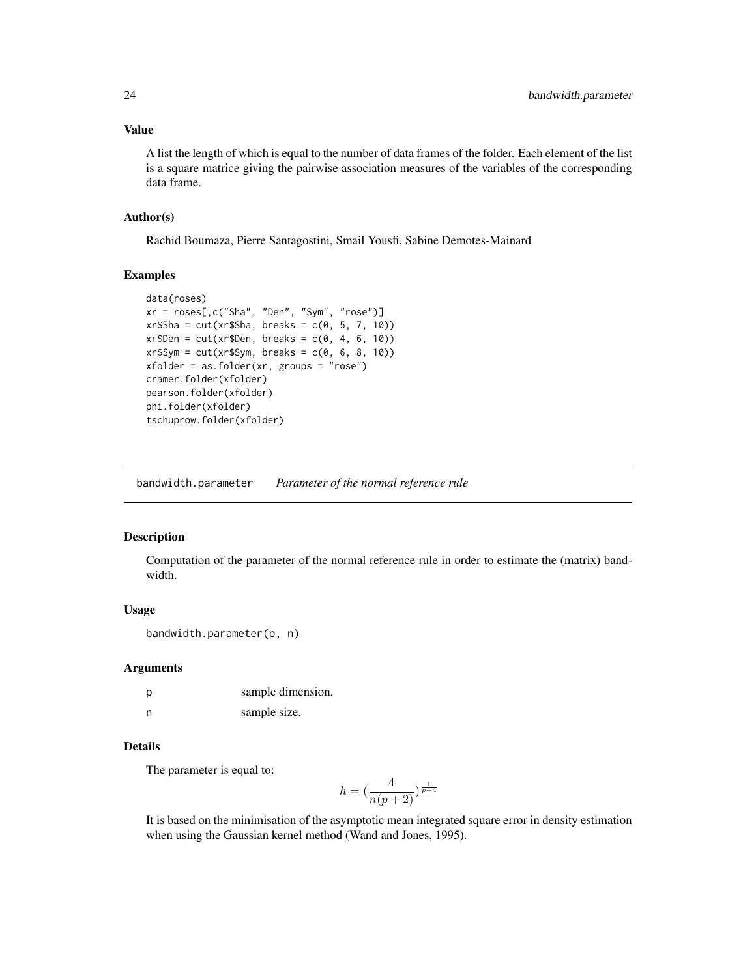## <span id="page-23-0"></span>Value

A list the length of which is equal to the number of data frames of the folder. Each element of the list is a square matrice giving the pairwise association measures of the variables of the corresponding data frame.

#### Author(s)

Rachid Boumaza, Pierre Santagostini, Smail Yousfi, Sabine Demotes-Mainard

#### Examples

```
data(roses)
xr = roses[,c("Sha", "Den", "Sym", "rose")]
xr$Sha = cut(xr$Sha, breaks = c(0, 5, 7, 10))xr$Den = cut(xr$Den, breaks = c(0, 4, 6, 10))xr$Sym = cut(xr$Sym, breaks = c(0, 6, 8, 10))xfolder = as.folder(xr, groups = "rose")
cramer.folder(xfolder)
pearson.folder(xfolder)
phi.folder(xfolder)
tschuprow.folder(xfolder)
```
bandwidth.parameter *Parameter of the normal reference rule*

#### Description

Computation of the parameter of the normal reference rule in order to estimate the (matrix) bandwidth.

# Usage

```
bandwidth.parameter(p, n)
```
#### Arguments

| р | sample dimension. |
|---|-------------------|
| n | sample size.      |

# Details

The parameter is equal to:

$$
h = \left(\frac{4}{n(p+2)}\right)^{\frac{1}{p+4}}
$$

It is based on the minimisation of the asymptotic mean integrated square error in density estimation when using the Gaussian kernel method (Wand and Jones, 1995).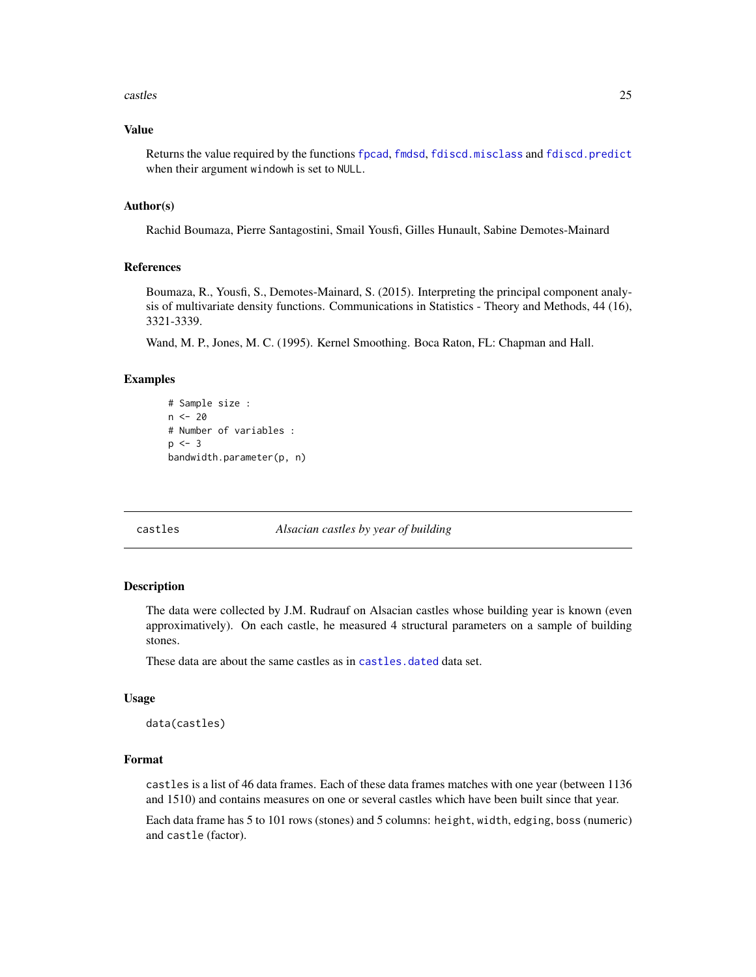#### <span id="page-24-0"></span>castles 25

# Value

Returns the value required by the functions [fpcad](#page-80-1), [fmdsd](#page-69-1), [fdiscd.misclass](#page-59-1) and [fdiscd.predict](#page-62-1) when their argument windowh is set to NULL.

#### Author(s)

Rachid Boumaza, Pierre Santagostini, Smail Yousfi, Gilles Hunault, Sabine Demotes-Mainard

#### References

Boumaza, R., Yousfi, S., Demotes-Mainard, S. (2015). Interpreting the principal component analysis of multivariate density functions. Communications in Statistics - Theory and Methods, 44 (16), 3321-3339.

Wand, M. P., Jones, M. C. (1995). Kernel Smoothing. Boca Raton, FL: Chapman and Hall.

#### Examples

```
# Sample size :
n < -20# Number of variables :
p \le -3bandwidth.parameter(p, n)
```
castles *Alsacian castles by year of building*

#### Description

The data were collected by J.M. Rudrauf on Alsacian castles whose building year is known (even approximatively). On each castle, he measured 4 structural parameters on a sample of building stones.

These data are about the same castles as in castles, dated data set.

#### Usage

```
data(castles)
```
# Format

castles is a list of 46 data frames. Each of these data frames matches with one year (between 1136 and 1510) and contains measures on one or several castles which have been built since that year.

Each data frame has 5 to 101 rows (stones) and 5 columns: height, width, edging, boss (numeric) and castle (factor).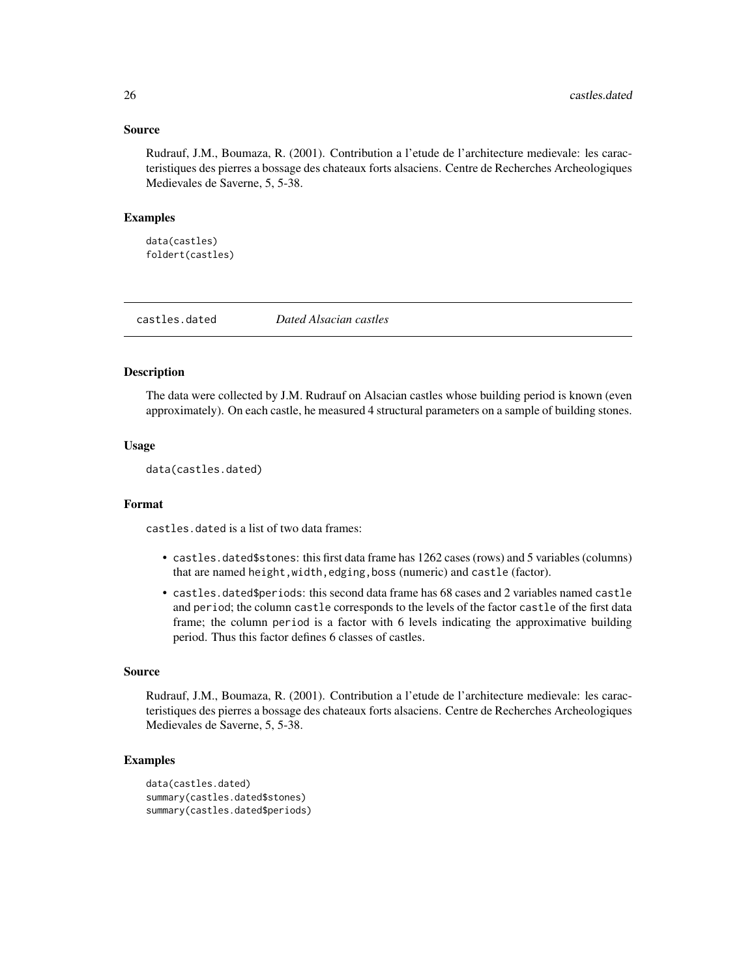#### <span id="page-25-0"></span>Source

Rudrauf, J.M., Boumaza, R. (2001). Contribution a l'etude de l'architecture medievale: les caracteristiques des pierres a bossage des chateaux forts alsaciens. Centre de Recherches Archeologiques Medievales de Saverne, 5, 5-38.

#### Examples

data(castles) foldert(castles)

<span id="page-25-1"></span>castles.dated *Dated Alsacian castles*

#### Description

The data were collected by J.M. Rudrauf on Alsacian castles whose building period is known (even approximately). On each castle, he measured 4 structural parameters on a sample of building stones.

#### Usage

data(castles.dated)

#### Format

castles.dated is a list of two data frames:

- castles.dated\$stones: this first data frame has 1262 cases (rows) and 5 variables (columns) that are named height,width,edging,boss (numeric) and castle (factor).
- castles.dated\$periods: this second data frame has 68 cases and 2 variables named castle and period; the column castle corresponds to the levels of the factor castle of the first data frame; the column period is a factor with 6 levels indicating the approximative building period. Thus this factor defines 6 classes of castles.

#### Source

Rudrauf, J.M., Boumaza, R. (2001). Contribution a l'etude de l'architecture medievale: les caracteristiques des pierres a bossage des chateaux forts alsaciens. Centre de Recherches Archeologiques Medievales de Saverne, 5, 5-38.

```
data(castles.dated)
summary(castles.dated$stones)
summary(castles.dated$periods)
```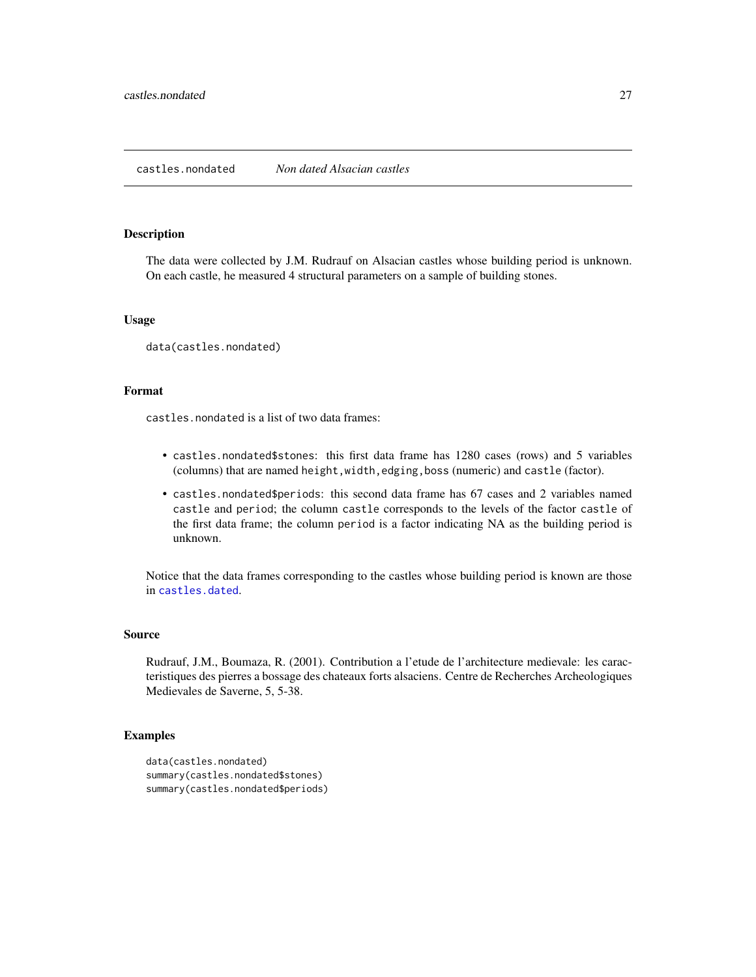#### <span id="page-26-0"></span>Description

The data were collected by J.M. Rudrauf on Alsacian castles whose building period is unknown. On each castle, he measured 4 structural parameters on a sample of building stones.

# Usage

data(castles.nondated)

#### Format

castles.nondated is a list of two data frames:

- castles.nondated\$stones: this first data frame has 1280 cases (rows) and 5 variables (columns) that are named height,width,edging,boss (numeric) and castle (factor).
- castles.nondated\$periods: this second data frame has 67 cases and 2 variables named castle and period; the column castle corresponds to the levels of the factor castle of the first data frame; the column period is a factor indicating NA as the building period is unknown.

Notice that the data frames corresponding to the castles whose building period is known are those in [castles.dated](#page-25-1).

#### Source

Rudrauf, J.M., Boumaza, R. (2001). Contribution a l'etude de l'architecture medievale: les caracteristiques des pierres a bossage des chateaux forts alsaciens. Centre de Recherches Archeologiques Medievales de Saverne, 5, 5-38.

```
data(castles.nondated)
summary(castles.nondated$stones)
summary(castles.nondated$periods)
```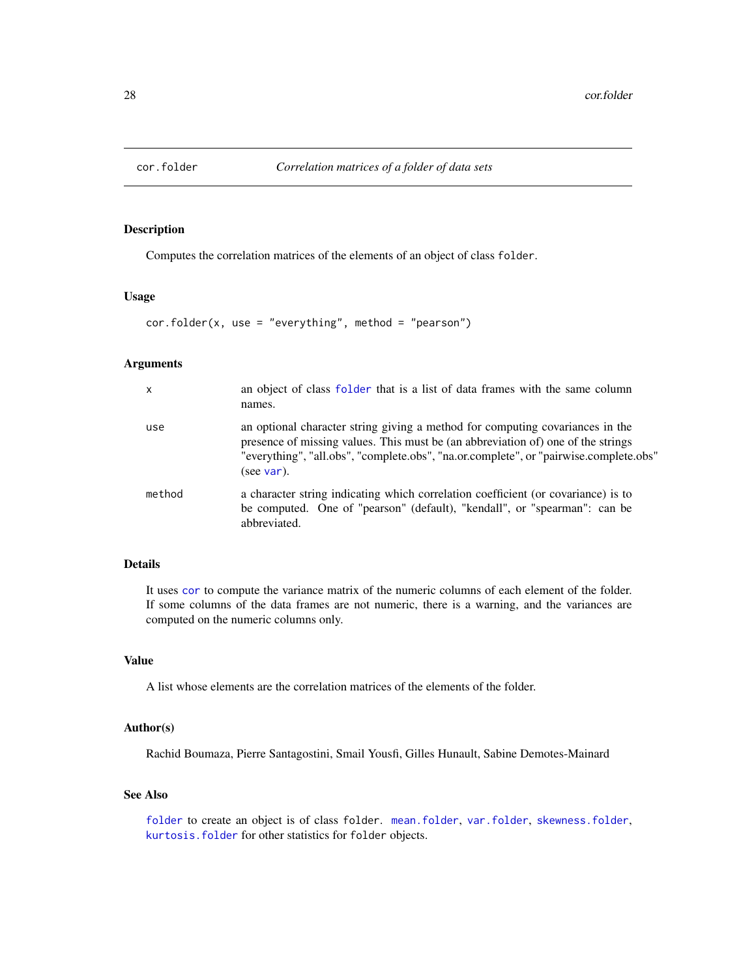<span id="page-27-1"></span><span id="page-27-0"></span>

#### Description

Computes the correlation matrices of the elements of an object of class folder.

#### Usage

cor.folder(x, use = "everything", method = "pearson")

#### Arguments

| $\mathsf{x}$ | an object of class folder that is a list of data frames with the same column<br>names.                                                                                                                                                                                   |
|--------------|--------------------------------------------------------------------------------------------------------------------------------------------------------------------------------------------------------------------------------------------------------------------------|
| use          | an optional character string giving a method for computing covariances in the<br>presence of missing values. This must be (an abbreviation of) one of the strings<br>"everything", "all.obs", "complete.obs", "na.or.complete", or "pairwise.complete.obs"<br>(see var). |
| method       | a character string indicating which correlation coefficient (or covariance) is to<br>be computed. One of "pearson" (default), "kendall", or "spearman": can be<br>abbreviated.                                                                                           |

## Details

It uses [cor](#page-0-0) to compute the variance matrix of the numeric columns of each element of the folder. If some columns of the data frames are not numeric, there is a warning, and the variances are computed on the numeric columns only.

# Value

A list whose elements are the correlation matrices of the elements of the folder.

# Author(s)

Rachid Boumaza, Pierre Santagostini, Smail Yousfi, Gilles Hunault, Sabine Demotes-Mainard

# See Also

[folder](#page-73-1) to create an object is of class folder. [mean.folder](#page-147-1), [var.folder](#page-195-1), [skewness.folder](#page-189-1), [kurtosis.folder](#page-115-1) for other statistics for folder objects.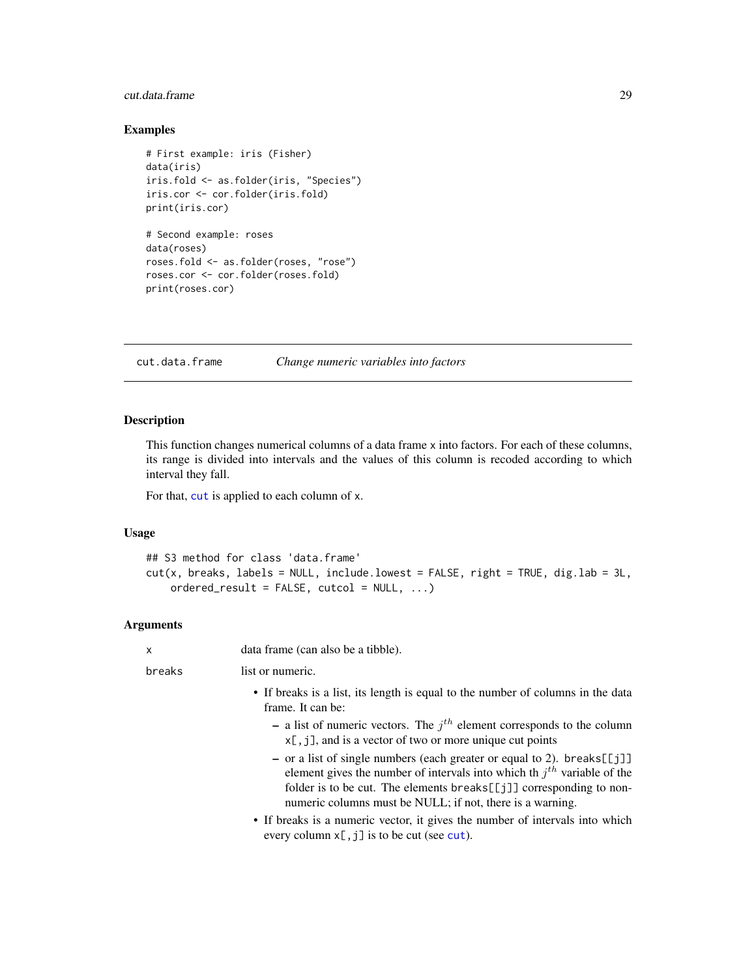# <span id="page-28-0"></span>cut.data.frame 29

# Examples

```
# First example: iris (Fisher)
data(iris)
iris.fold <- as.folder(iris, "Species")
iris.cor <- cor.folder(iris.fold)
print(iris.cor)
# Second example: roses
data(roses)
roses.fold <- as.folder(roses, "rose")
roses.cor <- cor.folder(roses.fold)
print(roses.cor)
```
<span id="page-28-1"></span>cut.data.frame *Change numeric variables into factors*

# Description

This function changes numerical columns of a data frame x into factors. For each of these columns, its range is divided into intervals and the values of this column is recoded according to which interval they fall.

For that, [cut](#page-0-0) is applied to each column of x.

# Usage

```
## S3 method for class 'data.frame'
cut(x, breaks, labels = NULL, include.lower = FALSE, right = TRUE, digr.lab = 3L,ordered_result = FALSE, cutcol = NULL, ...)
```
# Arguments

| X      | data frame (can also be a tibble).                                                                                                                                                                                                                                                            |
|--------|-----------------------------------------------------------------------------------------------------------------------------------------------------------------------------------------------------------------------------------------------------------------------------------------------|
| breaks | list or numeric.                                                                                                                                                                                                                                                                              |
|        | • If breaks is a list, its length is equal to the number of columns in the data<br>frame. It can be:                                                                                                                                                                                          |
|        | - a list of numeric vectors. The $jth$ element corresponds to the column<br>$x[, j],$ and is a vector of two or more unique cut points                                                                                                                                                        |
|        | - or a list of single numbers (each greater or equal to 2). breaks[[j]]<br>element gives the number of intervals into which th $jth$ variable of the<br>folder is to be cut. The elements breaks [[ $j$ ]] corresponding to non-<br>numeric columns must be NULL; if not, there is a warning. |
|        | • If breaks is a numeric vector, it gives the number of intervals into which<br>every column $x$ [, j] is to be cut (see cut).                                                                                                                                                                |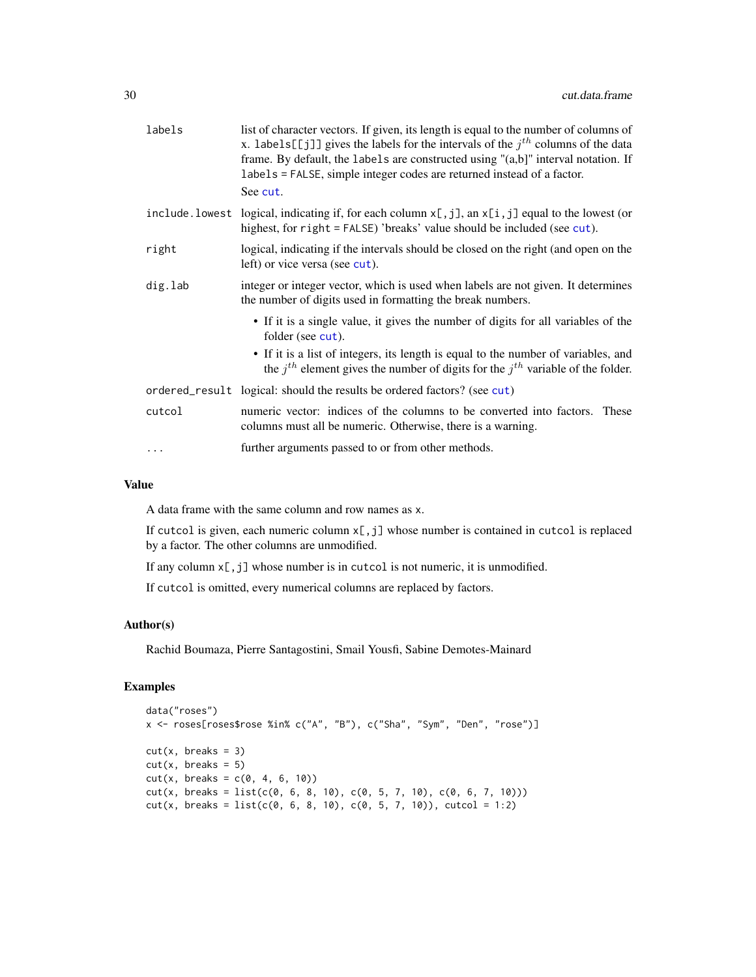| labels  | list of character vectors. If given, its length is equal to the number of columns of<br>x. labels [[j]] gives the labels for the intervals of the $jth$ columns of the data<br>frame. By default, the labels are constructed using "(a,b]" interval notation. If<br>labels = FALSE, simple integer codes are returned instead of a factor.<br>See cut. |
|---------|--------------------------------------------------------------------------------------------------------------------------------------------------------------------------------------------------------------------------------------------------------------------------------------------------------------------------------------------------------|
|         | include. lowest logical, indicating if, for each column $x$ [, j], an $x$ [i, j] equal to the lowest (or<br>highest, for right = FALSE) 'breaks' value should be included (see cut).                                                                                                                                                                   |
| right   | logical, indicating if the intervals should be closed on the right (and open on the<br>left) or vice versa (see cut).                                                                                                                                                                                                                                  |
| dig.lab | integer or integer vector, which is used when labels are not given. It determines<br>the number of digits used in formatting the break numbers.                                                                                                                                                                                                        |
|         | • If it is a single value, it gives the number of digits for all variables of the<br>folder (see cut).                                                                                                                                                                                                                                                 |
|         | • If it is a list of integers, its length is equal to the number of variables, and<br>the $j^{th}$ element gives the number of digits for the $j^{th}$ variable of the folder.                                                                                                                                                                         |
|         | ordered_result logical: should the results be ordered factors? (see cut)                                                                                                                                                                                                                                                                               |
| cutcol  | numeric vector: indices of the columns to be converted into factors. These<br>columns must all be numeric. Otherwise, there is a warning.                                                                                                                                                                                                              |
|         | further arguments passed to or from other methods.                                                                                                                                                                                                                                                                                                     |
|         |                                                                                                                                                                                                                                                                                                                                                        |

#### Value

A data frame with the same column and row names as x.

If cutcol is given, each numeric column x[,j] whose number is contained in cutcol is replaced by a factor. The other columns are unmodified.

If any column  $x$ [, j] whose number is in cutcol is not numeric, it is unmodified.

If cutcol is omitted, every numerical columns are replaced by factors.

# Author(s)

Rachid Boumaza, Pierre Santagostini, Smail Yousfi, Sabine Demotes-Mainard

```
data("roses")
x <- roses[roses$rose %in% c("A", "B"), c("Sha", "Sym", "Den", "rose")]
cut(x, breaks = 3)cut(x, breaks = 5)cut(x, \text{ breaks} = c(0, 4, 6, 10))cut(x, \text{ breaks} = \text{list}(c(0, 6, 8, 10), c(0, 5, 7, 10), c(0, 6, 7, 10)))cut(x, \text{ breaks} = list(c(0, 6, 8, 10), c(0, 5, 7, 10)), cutcol = 1:2)
```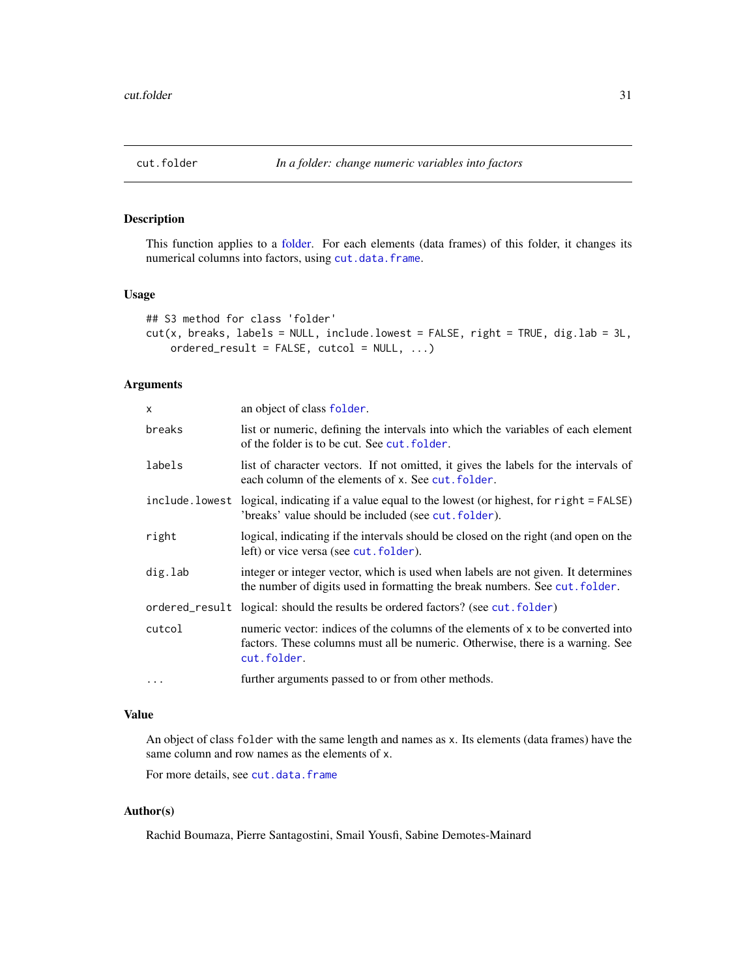<span id="page-30-1"></span><span id="page-30-0"></span>

# Description

This function applies to a [folder.](#page-73-1) For each elements (data frames) of this folder, it changes its numerical columns into factors, using [cut.data.frame](#page-28-1).

# Usage

```
## S3 method for class 'folder'
cut(x, breaks, labels = NULL, include.lower = FALSE, right = TRUE, digr.lab = 3L,
    ordered_result = FALSE, cutcol = NULL, ...)
```
#### Arguments

| x              | an object of class folder.                                                                                                                                                        |
|----------------|-----------------------------------------------------------------------------------------------------------------------------------------------------------------------------------|
| breaks         | list or numeric, defining the intervals into which the variables of each element<br>of the folder is to be cut. See cut. folder.                                                  |
| labels         | list of character vectors. If not omitted, it gives the labels for the intervals of<br>each column of the elements of x. See cut, folder.                                         |
| include.lowest | logical, indicating if a value equal to the lowest (or highest, for right = FALSE)<br>'breaks' value should be included (see cut.folder).                                         |
| right          | logical, indicating if the intervals should be closed on the right (and open on the<br>left) or vice versa (see cut. folder).                                                     |
| dig.lab        | integer or integer vector, which is used when labels are not given. It determines<br>the number of digits used in formatting the break numbers. See cut. folder.                  |
|                | ordered_result logical: should the results be ordered factors? (see cut. folder)                                                                                                  |
| cutcol         | numeric vector: indices of the columns of the elements of x to be converted into<br>factors. These columns must all be numeric. Otherwise, there is a warning. See<br>cut.folder. |
| $\ddots$       | further arguments passed to or from other methods.                                                                                                                                |

#### Value

An object of class folder with the same length and names as x. Its elements (data frames) have the same column and row names as the elements of x.

For more details, see [cut.data.frame](#page-28-1)

# Author(s)

Rachid Boumaza, Pierre Santagostini, Smail Yousfi, Sabine Demotes-Mainard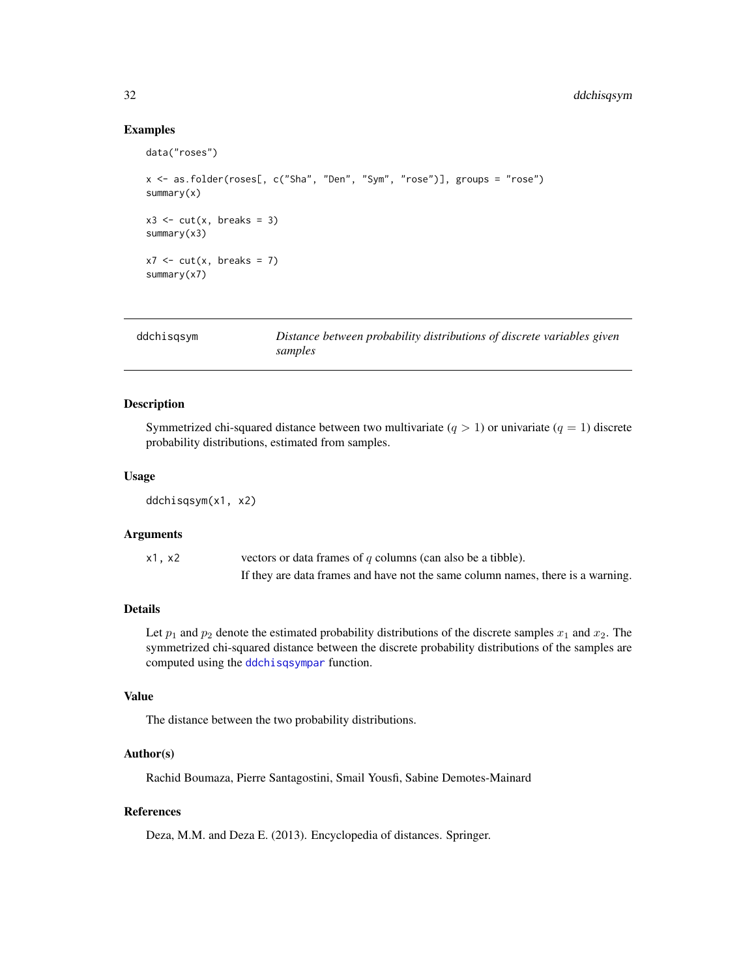# <span id="page-31-0"></span>Examples

```
data("roses")
x <- as.folder(roses[, c("Sha", "Den", "Sym", "rose")], groups = "rose")
summary(x)
x3 \leq cut(x, breaks = 3)summary(x3)
x7 \le -\text{cut}(x, \text{ breaks} = 7)summary(x7)
```
<span id="page-31-1"></span>

| ddchisgsym | Distance between probability distributions of discrete variables given |
|------------|------------------------------------------------------------------------|
|            | samples                                                                |

# Description

Symmetrized chi-squared distance between two multivariate  $(q > 1)$  or univariate  $(q = 1)$  discrete probability distributions, estimated from samples.

#### Usage

ddchisqsym(x1, x2)

# Arguments

| x1, x2 | vectors or data frames of $q$ columns (can also be a tibble).                   |
|--------|---------------------------------------------------------------------------------|
|        | If they are data frames and have not the same column names, there is a warning. |

# Details

Let  $p_1$  and  $p_2$  denote the estimated probability distributions of the discrete samples  $x_1$  and  $x_2$ . The symmetrized chi-squared distance between the discrete probability distributions of the samples are computed using the [ddchisqsympar](#page-32-1) function.

#### Value

The distance between the two probability distributions.

# Author(s)

Rachid Boumaza, Pierre Santagostini, Smail Yousfi, Sabine Demotes-Mainard

# References

Deza, M.M. and Deza E. (2013). Encyclopedia of distances. Springer.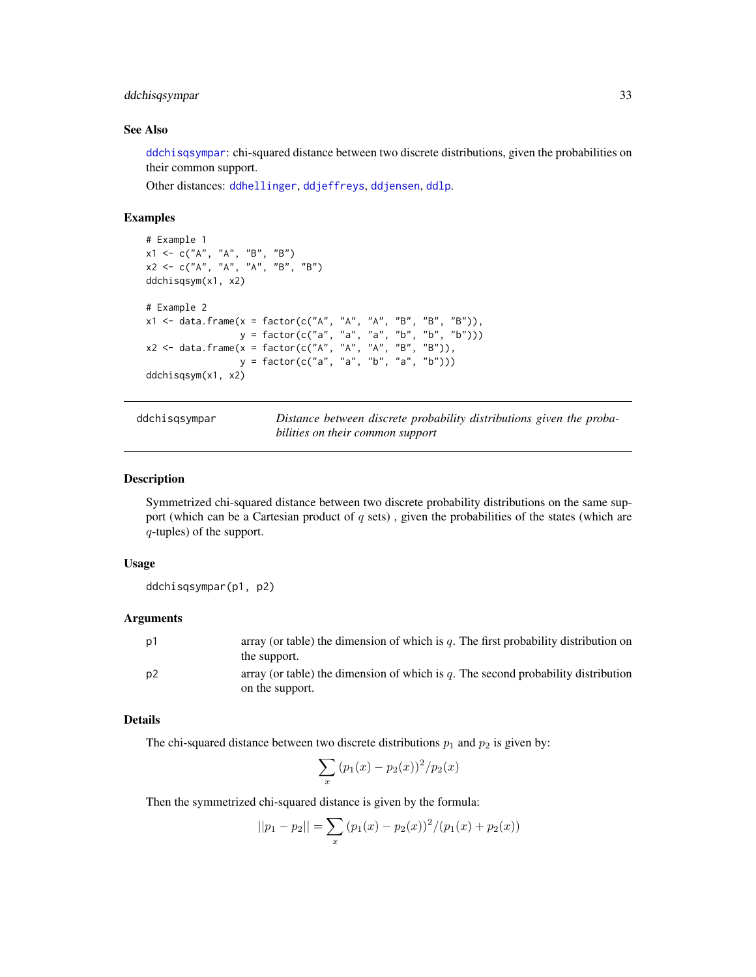# <span id="page-32-0"></span>ddchisqsympar 33

#### See Also

[ddchisqsympar](#page-32-1): chi-squared distance between two discrete distributions, given the probabilities on their common support.

Other distances: [ddhellinger](#page-33-1), [ddjeffreys](#page-36-1), [ddjensen](#page-38-1), [ddlp](#page-41-1).

#### Examples

```
# Example 1
x1 <- c("A", "A", "B", "B")
x2 <- c("A", "A", "A", "B", "B")
ddchisqsym(x1, x2)
# Example 2
x1 <- data.frame(x = factor(c("A", "A", "A", "B", "B", "B")),
                 y = factor(c("a", "a", "a", "b", "b", "b")))
x2 <- data.frame(x = factor(c("A", "A", "A", "B", "B")),
                 y = factor(c("a", "a", "b", "a", "b")))
ddchisqsym(x1, x2)
```
ddchisqsympar *Distance between discrete probability distributions given the probabilities on their common support*

#### Description

Symmetrized chi-squared distance between two discrete probability distributions on the same support (which can be a Cartesian product of  $q$  sets), given the probabilities of the states (which are q-tuples) of the support.

#### Usage

ddchisqsympar(p1, p2)

#### Arguments

| .p1 | array (or table) the dimension of which is q. The first probability distribution on<br>the support.  |
|-----|------------------------------------------------------------------------------------------------------|
| .p2 | array (or table) the dimension of which is q. The second probability distribution<br>on the support. |

# Details

The chi-squared distance between two discrete distributions  $p_1$  and  $p_2$  is given by:

$$
\sum_{x} (p_1(x) - p_2(x))^2 / p_2(x)
$$

Then the symmetrized chi-squared distance is given by the formula:

$$
||p_1 - p_2|| = \sum_{x} (p_1(x) - p_2(x))^2 / (p_1(x) + p_2(x))
$$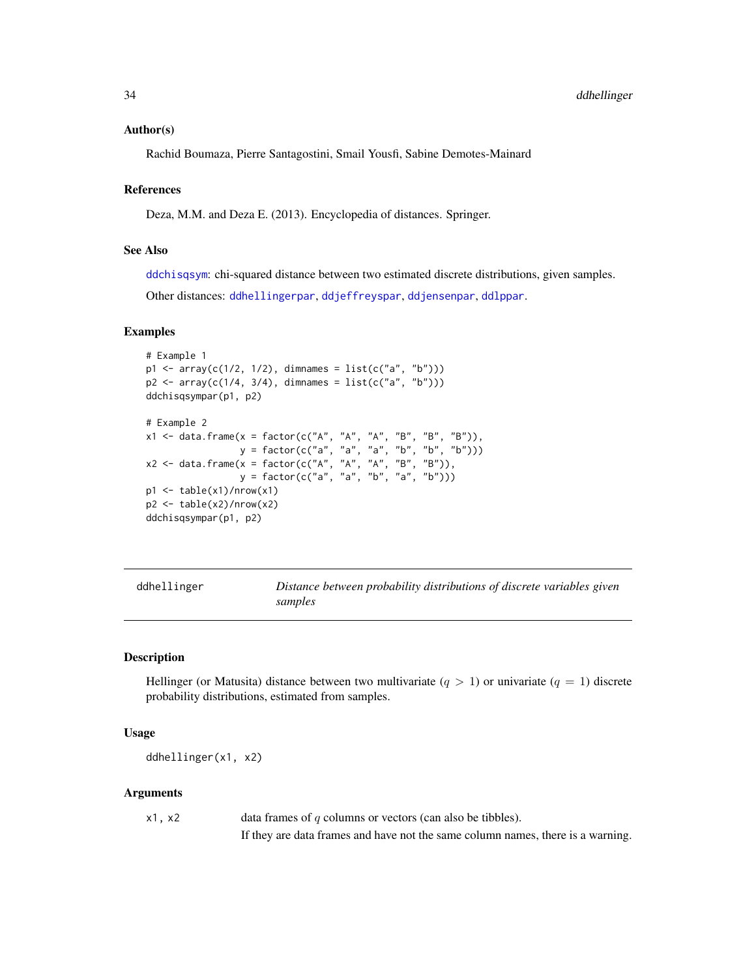#### <span id="page-33-0"></span>Author(s)

Rachid Boumaza, Pierre Santagostini, Smail Yousfi, Sabine Demotes-Mainard

# References

Deza, M.M. and Deza E. (2013). Encyclopedia of distances. Springer.

#### See Also

[ddchisqsym](#page-31-1): chi-squared distance between two estimated discrete distributions, given samples.

Other distances: [ddhellingerpar](#page-34-1), [ddjeffreyspar](#page-37-1), [ddjensenpar](#page-39-1), [ddlppar](#page-42-1).

#### Examples

```
# Example 1
p1 <- array(c(1/2, 1/2), dimnames = list(c("a", "b")))
p2 \leq -\arctan(c(1/4, 3/4), \text{ dimmames} = \text{list}(c("a", "b")))ddchisqsympar(p1, p2)
# Example 2
x1 <- data.frame(x = factor(c("A", "A", "A", "B", "B", "B")),
                   y = factor(c("a", "a", "a", "b", "b", "b")))
x2 \leq - data.frame(x = factor(c("A", "A", "A", "B", "B")),
                   y = factor(c("a", "a", "b", "a", "b")))
p1 \leftarrow table(x1)/nrow(x1)p2 \leftarrow table(x2)/nrow(x2)ddchisqsympar(p1, p2)
```
<span id="page-33-1"></span>

| ddhellinger |  |
|-------------|--|
|-------------|--|

Distance between probability distributions of discrete variables given *samples*

# **Description**

Hellinger (or Matusita) distance between two multivariate  $(q > 1)$  or univariate  $(q = 1)$  discrete probability distributions, estimated from samples.

#### Usage

```
ddhellinger(x1, x2)
```
#### Arguments

| x1, x2 | data frames of $q$ columns or vectors (can also be tibbles).                    |
|--------|---------------------------------------------------------------------------------|
|        | If they are data frames and have not the same column names, there is a warning. |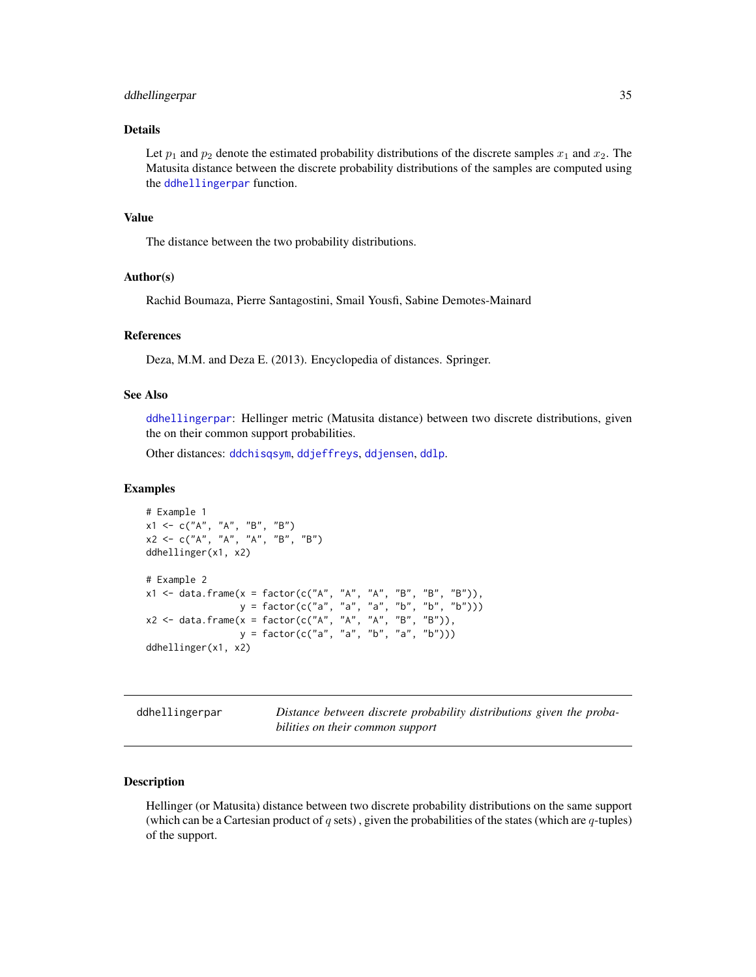#### <span id="page-34-0"></span>ddhellingerpar 35

#### Details

Let  $p_1$  and  $p_2$  denote the estimated probability distributions of the discrete samples  $x_1$  and  $x_2$ . The Matusita distance between the discrete probability distributions of the samples are computed using the [ddhellingerpar](#page-34-1) function.

#### Value

The distance between the two probability distributions.

# Author(s)

Rachid Boumaza, Pierre Santagostini, Smail Yousfi, Sabine Demotes-Mainard

#### References

Deza, M.M. and Deza E. (2013). Encyclopedia of distances. Springer.

# See Also

[ddhellingerpar](#page-34-1): Hellinger metric (Matusita distance) between two discrete distributions, given the on their common support probabilities.

Other distances: [ddchisqsym](#page-31-1), [ddjeffreys](#page-36-1), [ddjensen](#page-38-1), [ddlp](#page-41-1).

#### Examples

```
# Example 1
x1 <- c("A", "A", "B", "B")
x2 \leq -c("A", "A", "A", "B", "B")ddhellinger(x1, x2)
# Example 2
x1 <- data.frame(x = factor(c("A", "A", "A", "B", "B", "B")),
                 y = factor(c("a", "a", "a", "b", "b", "b")))
x2 <- data.frame(x = factor(c("A", "A", "A", "B", "B")),
                 y = factor(c("a", "a", "b", "a", "b")))
ddhellinger(x1, x2)
```
<span id="page-34-1"></span>ddhellingerpar *Distance between discrete probability distributions given the probabilities on their common support*

#### Description

Hellinger (or Matusita) distance between two discrete probability distributions on the same support (which can be a Cartesian product of  $q$  sets), given the probabilities of the states (which are  $q$ -tuples) of the support.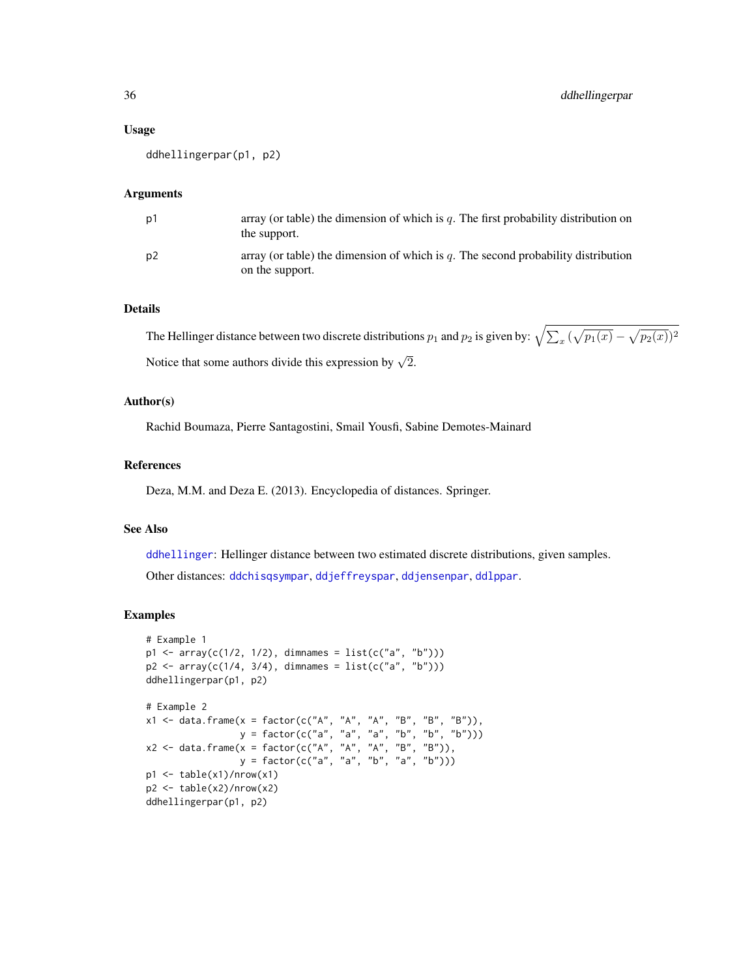#### Usage

ddhellingerpar(p1, p2)

#### Arguments

| p1 | array (or table) the dimension of which is $q$ . The first probability distribution on<br>the support. |
|----|--------------------------------------------------------------------------------------------------------|
| p2 | array (or table) the dimension of which is q. The second probability distribution<br>on the support.   |

#### Details

The Hellinger distance between two discrete distributions  $p_1$  and  $p_2$  is given by:  $\sqrt{\sum_x (\sqrt{p_1(x)} - \sqrt{p_2(x)})^2}$ Notice that some authors divide this expression by  $\sqrt{2}$ .

# Author(s)

Rachid Boumaza, Pierre Santagostini, Smail Yousfi, Sabine Demotes-Mainard

#### References

Deza, M.M. and Deza E. (2013). Encyclopedia of distances. Springer.

# See Also

[ddhellinger](#page-33-1): Hellinger distance between two estimated discrete distributions, given samples. Other distances: [ddchisqsympar](#page-32-1), [ddjeffreyspar](#page-37-1), [ddjensenpar](#page-39-1), [ddlppar](#page-42-1).

```
# Example 1
p1 \leq -\arctan(c(1/2, 1/2), \text{dimnames} = \text{list}(c("a", "b")))p2 \leq -\arctan(c(1/4, 3/4), \text{ dimensions} = \text{list}(c("a", "b")))ddhellingerpar(p1, p2)
# Example 2
x1 <- data.frame(x = factor(c("A", "A", "A", "B", "B", "B")),
                 y = factor(c("a", "a", "a", "b", "b", "b");x2 \leq - data.frame(x = factor(c("A", "A", "A", "B", "B")),
                   y = factor(c("a", "a", "b", "a", "b")))
p1 <- table(x1)/nrow(x1)
p2 <- table(x2)/nrow(x2)
ddhellingerpar(p1, p2)
```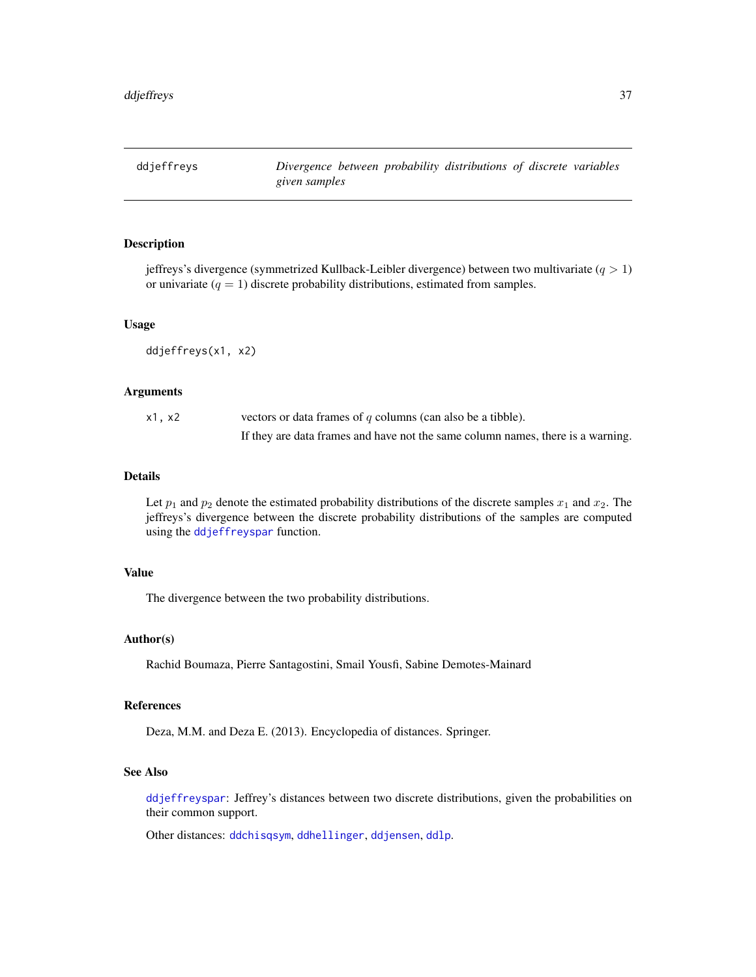<span id="page-36-0"></span>ddjeffreys *Divergence between probability distributions of discrete variables given samples*

# Description

jeffreys's divergence (symmetrized Kullback-Leibler divergence) between two multivariate  $(q > 1)$ or univariate  $(q = 1)$  discrete probability distributions, estimated from samples.

## Usage

ddjeffreys(x1, x2)

### Arguments

| x1, x2 | vectors or data frames of q columns (can also be a tibble).                     |
|--------|---------------------------------------------------------------------------------|
|        | If they are data frames and have not the same column names, there is a warning. |

# Details

Let  $p_1$  and  $p_2$  denote the estimated probability distributions of the discrete samples  $x_1$  and  $x_2$ . The jeffreys's divergence between the discrete probability distributions of the samples are computed using the [ddjeffreyspar](#page-37-0) function.

### Value

The divergence between the two probability distributions.

## Author(s)

Rachid Boumaza, Pierre Santagostini, Smail Yousfi, Sabine Demotes-Mainard

### References

Deza, M.M. and Deza E. (2013). Encyclopedia of distances. Springer.

# See Also

[ddjeffreyspar](#page-37-0): Jeffrey's distances between two discrete distributions, given the probabilities on their common support.

Other distances: [ddchisqsym](#page-31-0), [ddhellinger](#page-33-0), [ddjensen](#page-38-0), [ddlp](#page-41-0).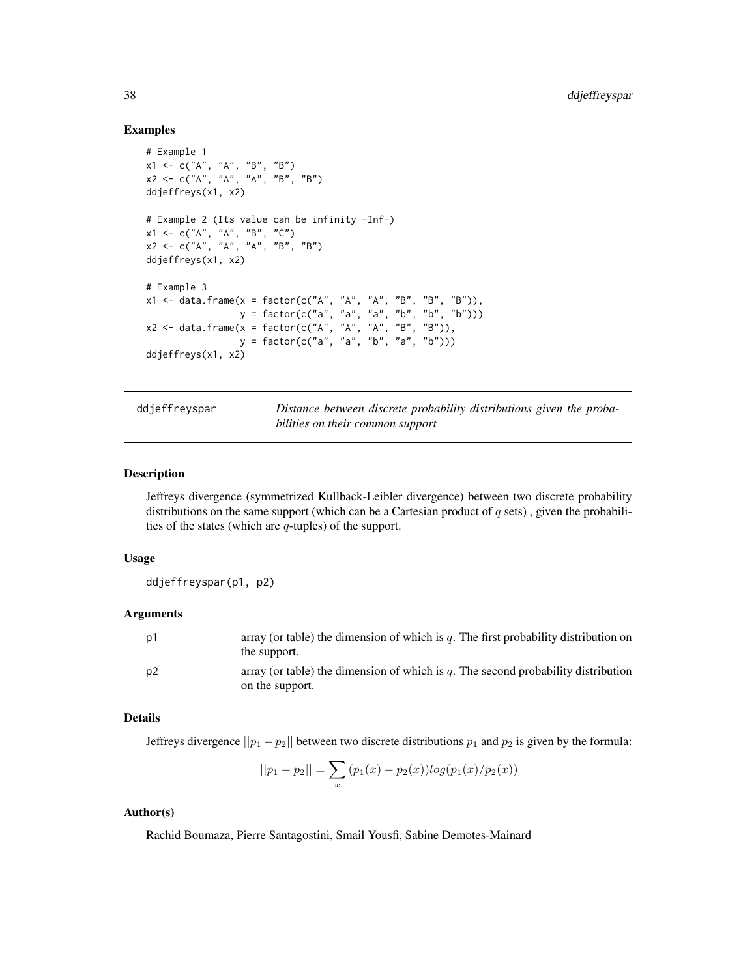## Examples

```
# Example 1
x1 <- c("A", "A", "B", "B")
x2 <- c("A", "A", "A", "B", "B")
ddjeffreys(x1, x2)
# Example 2 (Its value can be infinity -Inf-)
x1 \leq -c("A", "A", "B", "C")x2 \leq -c("A", "A", "A", "B", "B")ddjeffreys(x1, x2)
# Example 3
x1 <- data.frame(x = factor(c("A", "A", "A", "B", "B", "B")),
                 y = factor(c("a", "a", "a", "b", "b", "b")))
x2 <- data.frame(x = factor(c("A", "A", "A", "B", "B")),
                y = factor(c("a", "a", "b", "a", "b")))
ddjeffreys(x1, x2)
```
ddjeffreyspar *Distance between discrete probability distributions given the probabilities on their common support*

## Description

Jeffreys divergence (symmetrized Kullback-Leibler divergence) between two discrete probability distributions on the same support (which can be a Cartesian product of  $q$  sets), given the probabilities of the states (which are  $q$ -tuples) of the support.

## Usage

ddjeffreyspar(p1, p2)

### Arguments

| p1  | array (or table) the dimension of which is $q$ . The first probability distribution on<br>the support.  |
|-----|---------------------------------------------------------------------------------------------------------|
| .p2 | array (or table) the dimension of which is $q$ . The second probability distribution<br>on the support. |

### Details

Jeffreys divergence  $||p_1 - p_2||$  between two discrete distributions  $p_1$  and  $p_2$  is given by the formula:

$$
||p_1 - p_2|| = \sum_{x} (p_1(x) - p_2(x))log(p_1(x)/p_2(x))
$$

## Author(s)

Rachid Boumaza, Pierre Santagostini, Smail Yousfi, Sabine Demotes-Mainard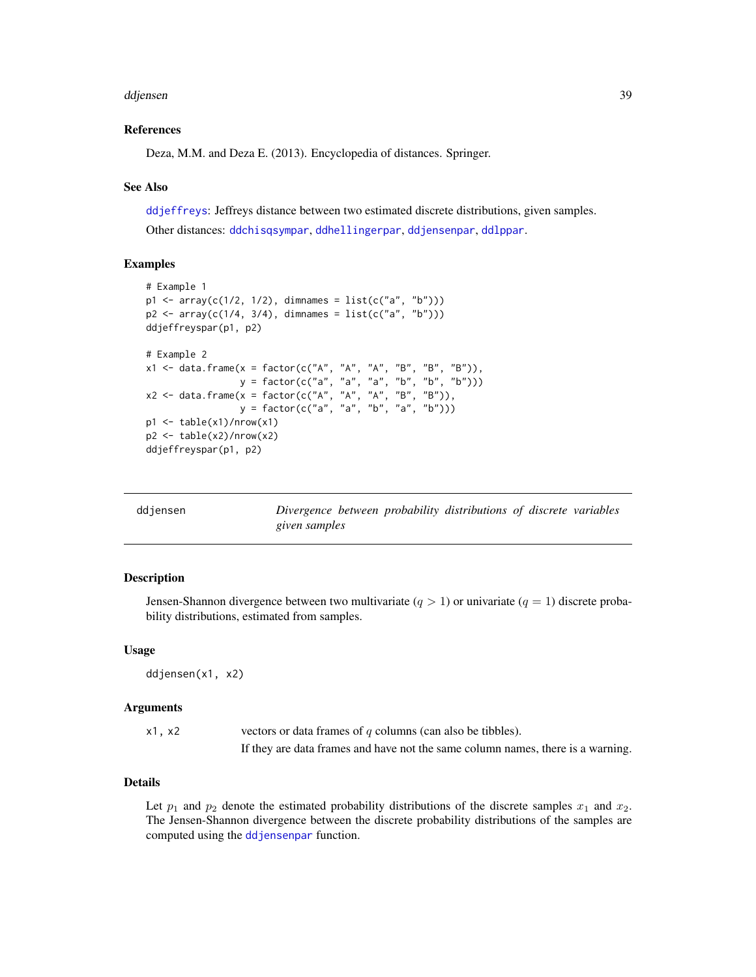#### ddjensen 39

## References

Deza, M.M. and Deza E. (2013). Encyclopedia of distances. Springer.

#### See Also

[ddjeffreys](#page-36-0): Jeffreys distance between two estimated discrete distributions, given samples. Other distances: [ddchisqsympar](#page-32-0), [ddhellingerpar](#page-34-0), [ddjensenpar](#page-39-0), [ddlppar](#page-42-0).

# Examples

```
# Example 1
p1 \leq -\arctan(c(1/2, 1/2), \text{dimnames} = list(c("a", "b")))p2 \leq -\arctan(c(1/4, 3/4), \text{ dimmames} = \text{list}(c("a", "b")))ddjeffreyspar(p1, p2)
# Example 2
x1 <- data.frame(x = factor(c("A", "A", "A", "B", "B", "B")),
                   y = factor(c("a", 'a", 'a", 'b", 'b", 'b", 'b"))x2 \leq - data.frame(x = factor(c("A", "A", "A", "B", "B")),
                   y = factor(c("a", "a", "b", "a", "b")))
p1 \leftarrow table(x1)/nrow(x1)p2 \leftarrow table(x2)/nrow(x2)ddjeffreyspar(p1, p2)
```
<span id="page-38-0"></span>

| ddjensen |               |  | Divergence between probability distributions of discrete variables |  |  |
|----------|---------------|--|--------------------------------------------------------------------|--|--|
|          | given samples |  |                                                                    |  |  |

### Description

Jensen-Shannon divergence between two multivariate  $(q > 1)$  or univariate  $(q = 1)$  discrete probability distributions, estimated from samples.

## Usage

```
ddjensen(x1, x2)
```
#### Arguments

| x1, x2 | vectors or data frames of $q$ columns (can also be tibbles).                    |
|--------|---------------------------------------------------------------------------------|
|        | If they are data frames and have not the same column names, there is a warning. |

# Details

Let  $p_1$  and  $p_2$  denote the estimated probability distributions of the discrete samples  $x_1$  and  $x_2$ . The Jensen-Shannon divergence between the discrete probability distributions of the samples are computed using the [ddjensenpar](#page-39-0) function.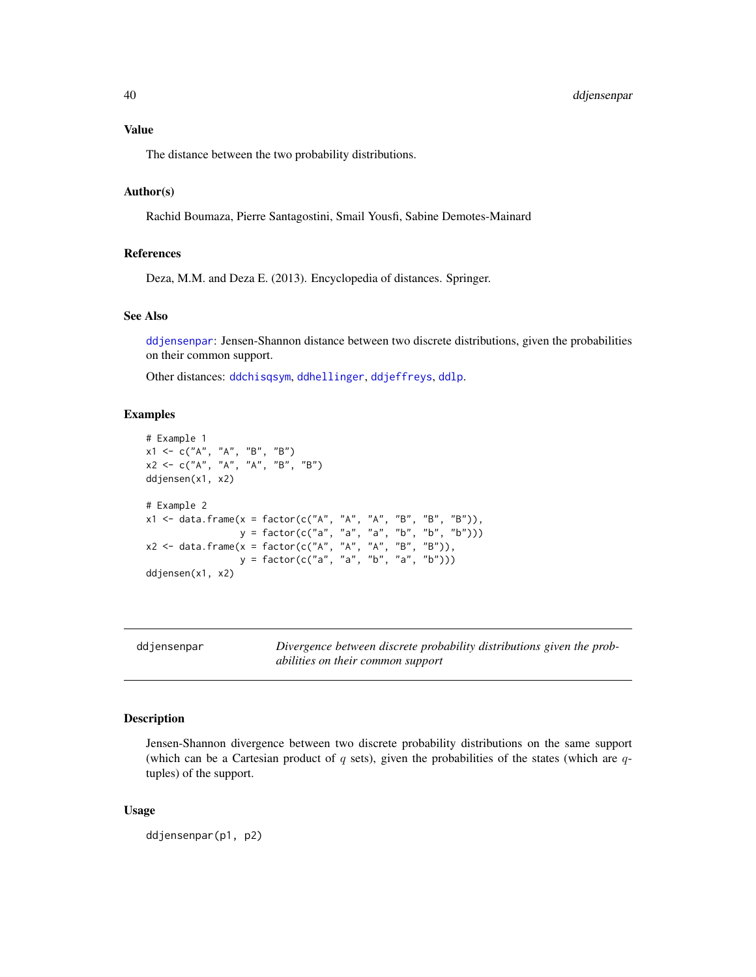# 40 ddjensenpar

# Value

The distance between the two probability distributions.

## Author(s)

Rachid Boumaza, Pierre Santagostini, Smail Yousfi, Sabine Demotes-Mainard

## References

Deza, M.M. and Deza E. (2013). Encyclopedia of distances. Springer.

### See Also

[ddjensenpar](#page-39-0): Jensen-Shannon distance between two discrete distributions, given the probabilities on their common support.

Other distances: [ddchisqsym](#page-31-0), [ddhellinger](#page-33-0), [ddjeffreys](#page-36-0), [ddlp](#page-41-0).

# Examples

```
# Example 1
x1 \leq -c("A", "A", "B", "B")x2 <- c("A", "A", "A", "B", "B")
ddjensen(x1, x2)
# Example 2
x1 <- data.frame(x = factor(c("A", "A", "A", "B", "B", "B")),
                 y = factor(c("a", "a", "a", "b", "b", "b")))
x2 <- data.frame(x = factor(c("A", "A", "A", "B", "B")),
                 y = factor(c("a", "a", "b", "a", "b")))
ddjensen(x1, x2)
```
<span id="page-39-0"></span>

| ddjensenpar |
|-------------|
|-------------|

ddjensenpar *Divergence between discrete probability distributions given the probabilities on their common support*

# Description

Jensen-Shannon divergence between two discrete probability distributions on the same support (which can be a Cartesian product of  $q$  sets), given the probabilities of the states (which are  $q$ tuples) of the support.

#### Usage

ddjensenpar(p1, p2)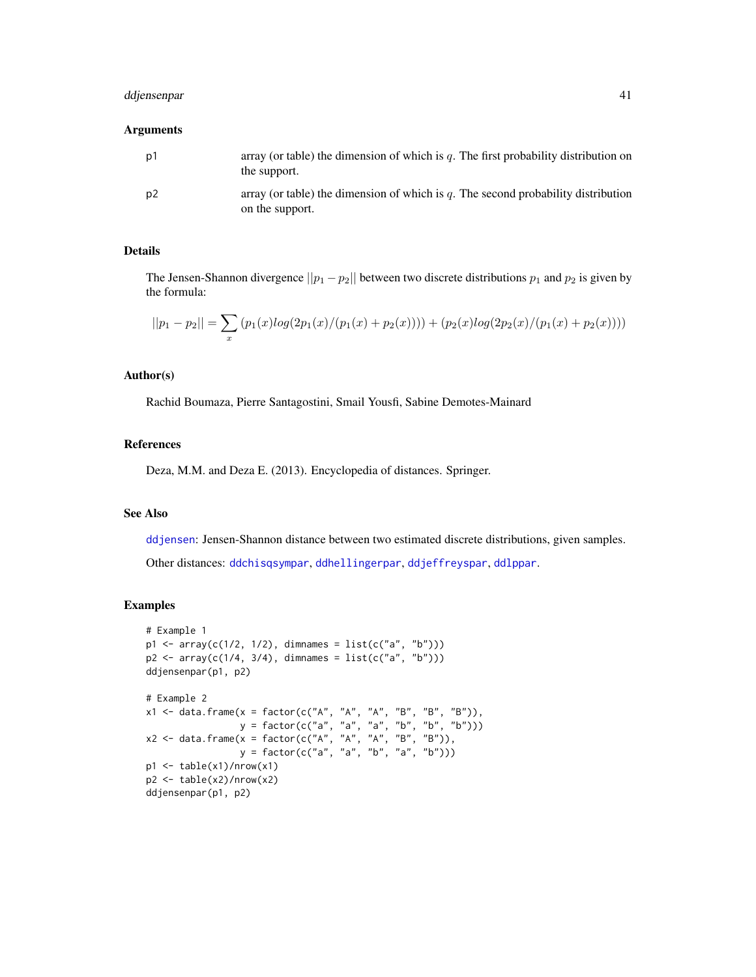# ddjensenpar 41

#### Arguments

| p1 | array (or table) the dimension of which is $q$ . The first probability distribution on<br>the support. |
|----|--------------------------------------------------------------------------------------------------------|
| p2 | array (or table) the dimension of which is q. The second probability distribution<br>on the support.   |

# Details

The Jensen-Shannon divergence  $||p_1 - p_2||$  between two discrete distributions  $p_1$  and  $p_2$  is given by the formula:

$$
||p_1 - p_2|| = \sum_x (p_1(x)log(2p_1(x)/(p_1(x) + p_2(x)))) + (p_2(x)log(2p_2(x)/(p_1(x) + p_2(x))))
$$

# Author(s)

Rachid Boumaza, Pierre Santagostini, Smail Yousfi, Sabine Demotes-Mainard

# References

Deza, M.M. and Deza E. (2013). Encyclopedia of distances. Springer.

### See Also

[ddjensen](#page-38-0): Jensen-Shannon distance between two estimated discrete distributions, given samples.

Other distances: [ddchisqsympar](#page-32-0), [ddhellingerpar](#page-34-0), [ddjeffreyspar](#page-37-0), [ddlppar](#page-42-0).

### Examples

```
# Example 1
p1 \leq -\arctan(C(1/2, 1/2), \text{dimnames} = \text{list}(c("a", "b")))p2 \leq -\arctan(c(1/4, 3/4), \text{ dimmames} = \text{list}(c("a", "b")))ddjensenpar(p1, p2)
# Example 2
x1 <- data.frame(x = factor(c("A", "A", "A", "B", "B", "B")),
                   y = factor(c("a", "a", "a", "b", "b", "b")))
x2 <- data.frame(x = factor(c("A", "A", "A", "B", "B")),
                   y = factor(c("a", "a", "b", "a", "b")))
p1 <- table(x1)/nrow(x1)
p2 <- table(x2)/nrow(x2)
ddjensenpar(p1, p2)
```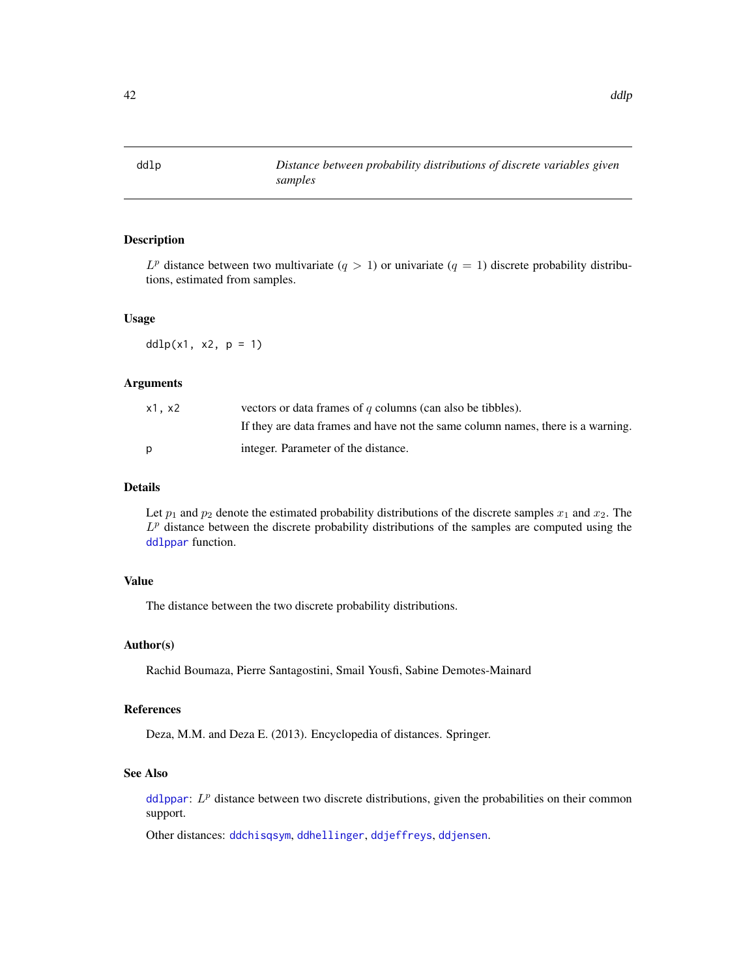<span id="page-41-0"></span>ddlp *Distance between probability distributions of discrete variables given samples*

#### Description

 $L^p$  distance between two multivariate  $(q > 1)$  or univariate  $(q = 1)$  discrete probability distributions, estimated from samples.

### Usage

 $ddlp(x1, x2, p = 1)$ 

#### Arguments

| x1, x2 | vectors or data frames of $q$ columns (can also be tibbles).                    |
|--------|---------------------------------------------------------------------------------|
|        | If they are data frames and have not the same column names, there is a warning. |
| D      | integer. Parameter of the distance.                                             |

# Details

Let  $p_1$  and  $p_2$  denote the estimated probability distributions of the discrete samples  $x_1$  and  $x_2$ . The  $L<sup>p</sup>$  distance between the discrete probability distributions of the samples are computed using the [ddlppar](#page-42-0) function.

# Value

The distance between the two discrete probability distributions.

# Author(s)

Rachid Boumaza, Pierre Santagostini, Smail Yousfi, Sabine Demotes-Mainard

#### References

Deza, M.M. and Deza E. (2013). Encyclopedia of distances. Springer.

# See Also

[ddlppar](#page-42-0):  $L^p$  distance between two discrete distributions, given the probabilities on their common support.

Other distances: [ddchisqsym](#page-31-0), [ddhellinger](#page-33-0), [ddjeffreys](#page-36-0), [ddjensen](#page-38-0).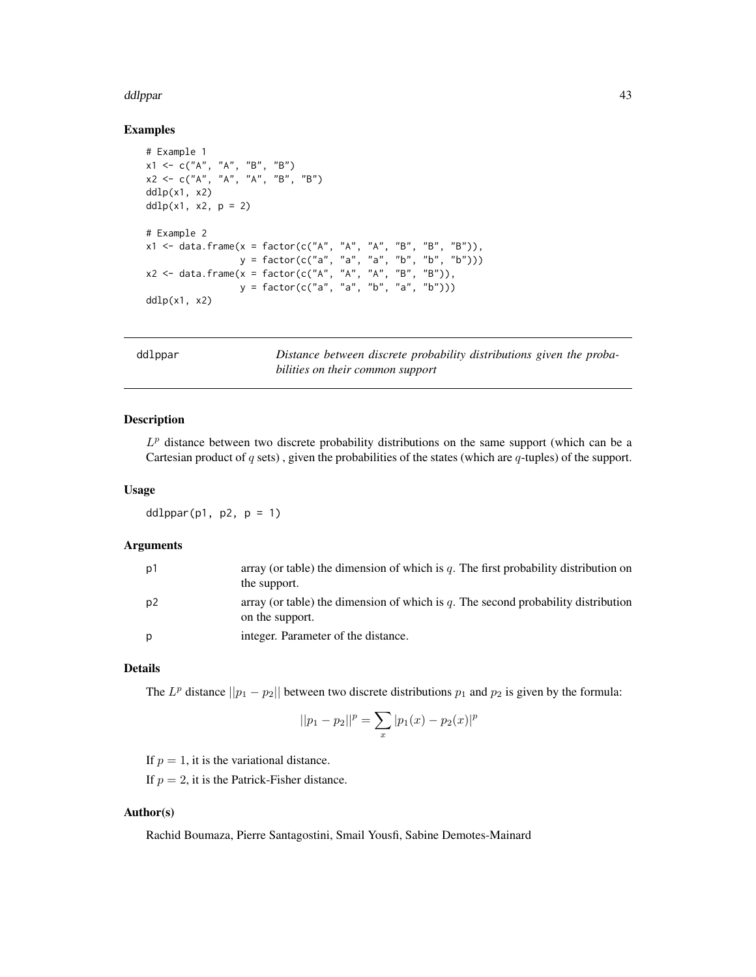#### ddlppar ann an 130 an 131 an 131 an 131 an 131 an 132 an 133 an 134 an 135 an 137 an 137 an 137 an 137 an 138

### Examples

```
# Example 1
x1 \leq -c("A", "A", "B", "B")x2 \leq -c("A", "A", "A", "B", "B")ddlp(x1, x2)ddlp(x1, x2, p = 2)# Example 2
x1 \le - data.frame(x = factor(c("A", "A", "A", "B", "B", "B")),
                  y = factor(c("a", "a", "a", "b", "b", "b")))
x2 <- data.frame(x = factor(c("A", "A", "A", "B", "B")),
                  y = factor(c("a", "a", "b", "a", "b")))
ddlp(x1, x2)
```
<span id="page-42-0"></span>

r *Distance between discrete probability distributions given the probabilities on their common support*

## Description

 $L<sup>p</sup>$  distance between two discrete probability distributions on the same support (which can be a Cartesian product of  $q$  sets), given the probabilities of the states (which are  $q$ -tuples) of the support.

#### Usage

ddlppar(p1, p2,  $p = 1$ )

### Arguments

| p1             | array (or table) the dimension of which is q. The first probability distribution on<br>the support.  |
|----------------|------------------------------------------------------------------------------------------------------|
| p <sub>2</sub> | array (or table) the dimension of which is q. The second probability distribution<br>on the support. |
| p              | integer. Parameter of the distance.                                                                  |

# Details

The  $L^p$  distance  $||p_1 - p_2||$  between two discrete distributions  $p_1$  and  $p_2$  is given by the formula:

$$
||p_1 - p_2||^p = \sum_x |p_1(x) - p_2(x)|^p
$$

If  $p = 1$ , it is the variational distance.

If  $p = 2$ , it is the Patrick-Fisher distance.

## Author(s)

Rachid Boumaza, Pierre Santagostini, Smail Yousfi, Sabine Demotes-Mainard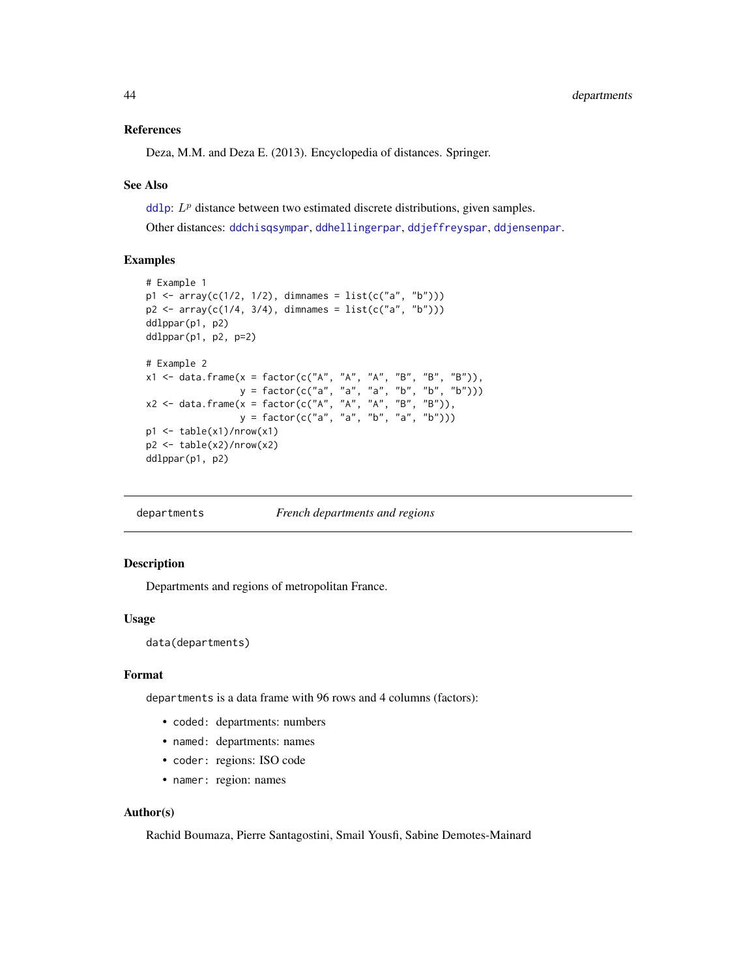## References

Deza, M.M. and Deza E. (2013). Encyclopedia of distances. Springer.

#### See Also

[ddlp](#page-41-0):  $L^p$  distance between two estimated discrete distributions, given samples. Other distances: [ddchisqsympar](#page-32-0), [ddhellingerpar](#page-34-0), [ddjeffreyspar](#page-37-0), [ddjensenpar](#page-39-0).

### Examples

```
# Example 1
p1 \leq -\arctan((c(1/2, 1/2), \text{dimnames} = \text{list}(c("a", "b"))))p2 \leq -\arctan(c(1/4, 3/4), \text{ dimmames} = \text{list}(c("a", "b")))ddlppar(p1, p2)
ddlppar(p1, p2, p=2)
# Example 2
x1 <- data.frame(x = factor(c("A", "A", "A", "B", "B", "B")),
                   y = factor(c("a", "a", "a", "b", "b", "b")))
x2 <- data.frame(x = factor(c("A", "A", "A", "B", "B")),
                   y = factor(c("a", "a", "b", "a", "b")))
p1 <- table(x1)/nrow(x1)
p2 <- table(x2)/nrow(x2)
ddlppar(p1, p2)
```
departments *French departments and regions*

## Description

Departments and regions of metropolitan France.

### Usage

data(departments)

### Format

departments is a data frame with 96 rows and 4 columns (factors):

- coded: departments: numbers
- named: departments: names
- coder: regions: ISO code
- namer: region: names

### Author(s)

Rachid Boumaza, Pierre Santagostini, Smail Yousfi, Sabine Demotes-Mainard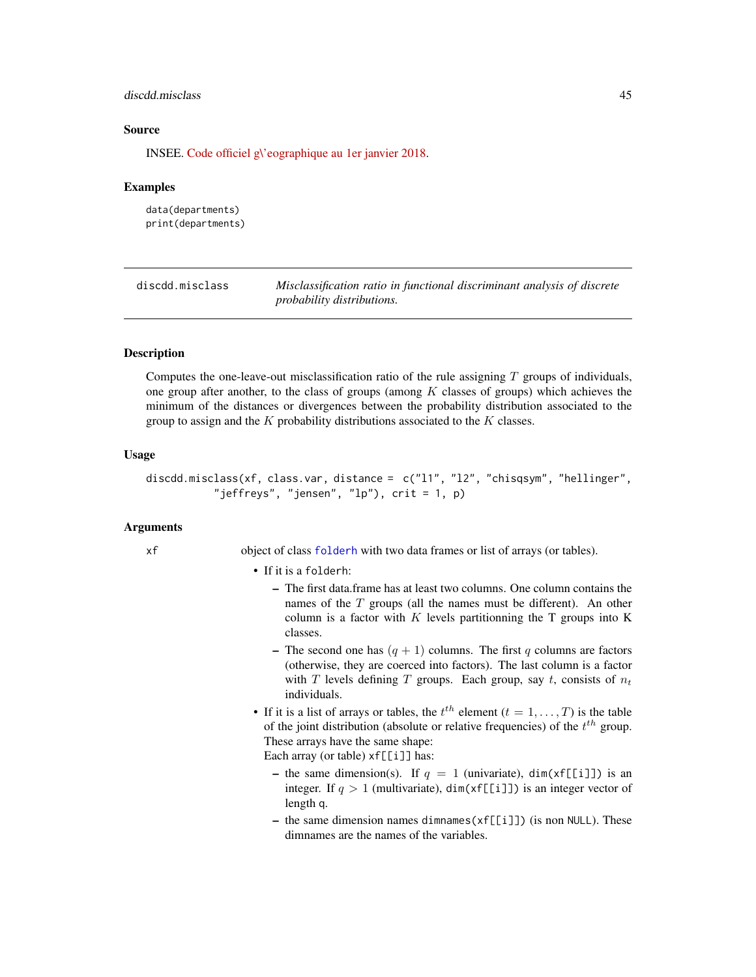# discdd.misclass 45

### Source

INSEE. [Code officiel g\'eographique au 1er janvier 2018.](https://www.insee.fr/fr/information/3363419)

#### Examples

data(departments) print(departments)

<span id="page-44-0"></span>discdd.misclass *Misclassification ratio in functional discriminant analysis of discrete probability distributions.*

# **Description**

Computes the one-leave-out misclassification ratio of the rule assigning  $T$  groups of individuals, one group after another, to the class of groups (among  $K$  classes of groups) which achieves the minimum of the distances or divergences between the probability distribution associated to the group to assign and the  $K$  probability distributions associated to the  $K$  classes.

### Usage

```
discdd.misclass(xf, class.var, distance = c("l1", "l2", "chisqsym", "hellinger",
           "jeffreys", "jensen", "lp"), crit = 1, p)
```
## Arguments

xf object of class [folderh](#page-75-0) with two data frames or list of arrays (or tables).

#### • If it is a folderh:

- The first data.frame has at least two columns. One column contains the names of the  $T$  groups (all the names must be different). An other column is a factor with  $K$  levels partitionning the T groups into  $K$ classes.
- The second one has  $(q + 1)$  columns. The first q columns are factors (otherwise, they are coerced into factors). The last column is a factor with T levels defining T groups. Each group, say t, consists of  $n_t$ individuals.
- If it is a list of arrays or tables, the  $t^{th}$  element  $(t = 1, \ldots, T)$  is the table of the joint distribution (absolute or relative frequencies) of the  $t^{th}$  group. These arrays have the same shape:

Each array (or table)  $xf[[i]]$  has:

- the same dimension(s). If  $q = 1$  (univariate), dim(xf[[i]]) is an integer. If  $q > 1$  (multivariate), dim(xf[[i]]) is an integer vector of length q.
- the same dimension names dimnames  $(xf[[i]])$  (is non NULL). These dimnames are the names of the variables.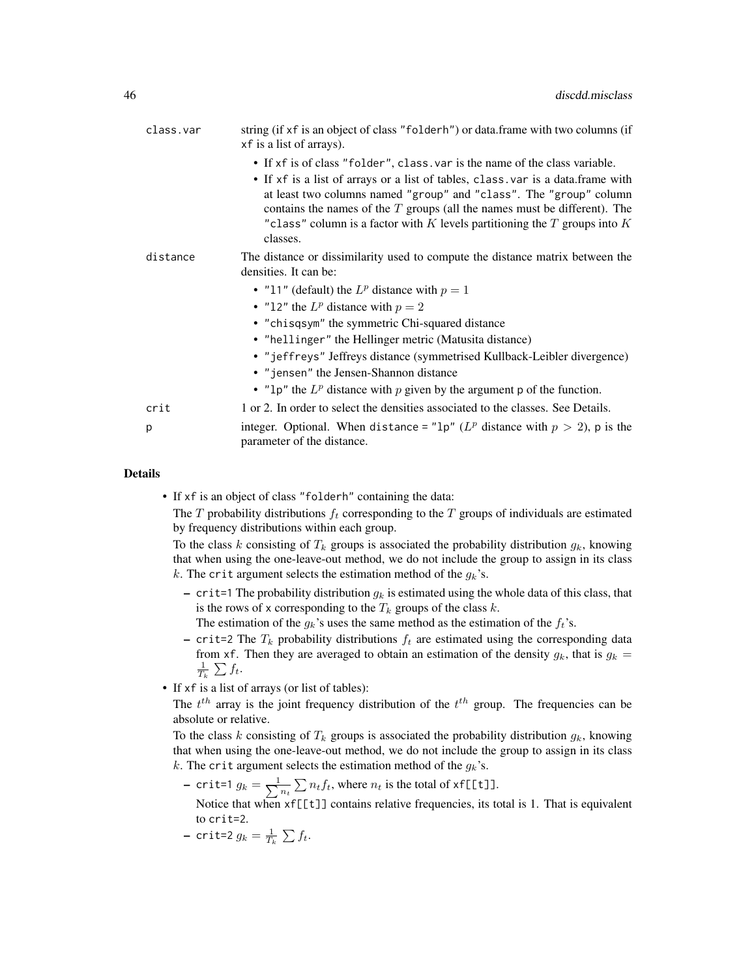| class.var | string (if xf is an object of class "folderh") or data.frame with two columns (if<br>xf is a list of arrays).                                                                                                                                                                                                                                                                                                    |
|-----------|------------------------------------------------------------------------------------------------------------------------------------------------------------------------------------------------------------------------------------------------------------------------------------------------------------------------------------------------------------------------------------------------------------------|
|           | • If xf is of class "folder", class, var is the name of the class variable.<br>• If xf is a list of arrays or a list of tables, class var is a data.frame with<br>at least two columns named "group" and "class". The "group" column<br>contains the names of the $T$ groups (all the names must be different). The<br>"class" column is a factor with K levels partitioning the $T$ groups into $K$<br>classes. |
| distance  | The distance or dissimilarity used to compute the distance matrix between the<br>densities. It can be:                                                                                                                                                                                                                                                                                                           |
|           | • "11" (default) the $L^p$ distance with $p = 1$                                                                                                                                                                                                                                                                                                                                                                 |
|           | • "12" the $L^p$ distance with $p = 2$                                                                                                                                                                                                                                                                                                                                                                           |
|           | • "chisqsym" the symmetric Chi-squared distance                                                                                                                                                                                                                                                                                                                                                                  |
|           | • "hellinger" the Hellinger metric (Matusita distance)                                                                                                                                                                                                                                                                                                                                                           |
|           | • "jeffreys" Jeffreys distance (symmetrised Kullback-Leibler divergence)                                                                                                                                                                                                                                                                                                                                         |
|           | • "jensen" the Jensen-Shannon distance                                                                                                                                                                                                                                                                                                                                                                           |
|           | • "1p" the $L^p$ distance with p given by the argument p of the function.                                                                                                                                                                                                                                                                                                                                        |
| crit      | 1 or 2. In order to select the densities associated to the classes. See Details.                                                                                                                                                                                                                                                                                                                                 |
| p         | integer. Optional. When distance = " $1p''$ ( $L^p$ distance with $p > 2$ ), p is the<br>parameter of the distance.                                                                                                                                                                                                                                                                                              |

• If xf is an object of class "folderh" containing the data:

The T probability distributions  $f_t$  corresponding to the T groups of individuals are estimated by frequency distributions within each group.

To the class k consisting of  $T_k$  groups is associated the probability distribution  $g_k$ , knowing that when using the one-leave-out method, we do not include the group to assign in its class k. The crit argument selects the estimation method of the  $g_k$ 's.

– crit=1 The probability distribution  $g_k$  is estimated using the whole data of this class, that is the rows of x corresponding to the  $T_k$  groups of the class k.

The estimation of the  $g_k$ 's uses the same method as the estimation of the  $f_t$ 's.

- crit=2 The  $T_k$  probability distributions  $f_t$  are estimated using the corresponding data from xf. Then they are averaged to obtain an estimation of the density  $g_k$ , that is  $g_k =$  $\frac{1}{T_k} \sum f_t$ .
- If xf is a list of arrays (or list of tables):

The  $t^{th}$  array is the joint frequency distribution of the  $t^{th}$  group. The frequencies can be absolute or relative.

To the class k consisting of  $T_k$  groups is associated the probability distribution  $g_k$ , knowing that when using the one-leave-out method, we do not include the group to assign in its class k. The crit argument selects the estimation method of the  $g_k$ 's.

– crit=1  $g_k = \frac{1}{\sum_{i=1}^{k} g_i}$  $\frac{1}{n_t} \sum n_t f_t$ , where  $n_t$  is the total of xf[[t]].

Notice that when xf[[t]] contains relative frequencies, its total is 1. That is equivalent to crit=2.

– crit=2  $g_k = \frac{1}{T_k} \sum f_t$ .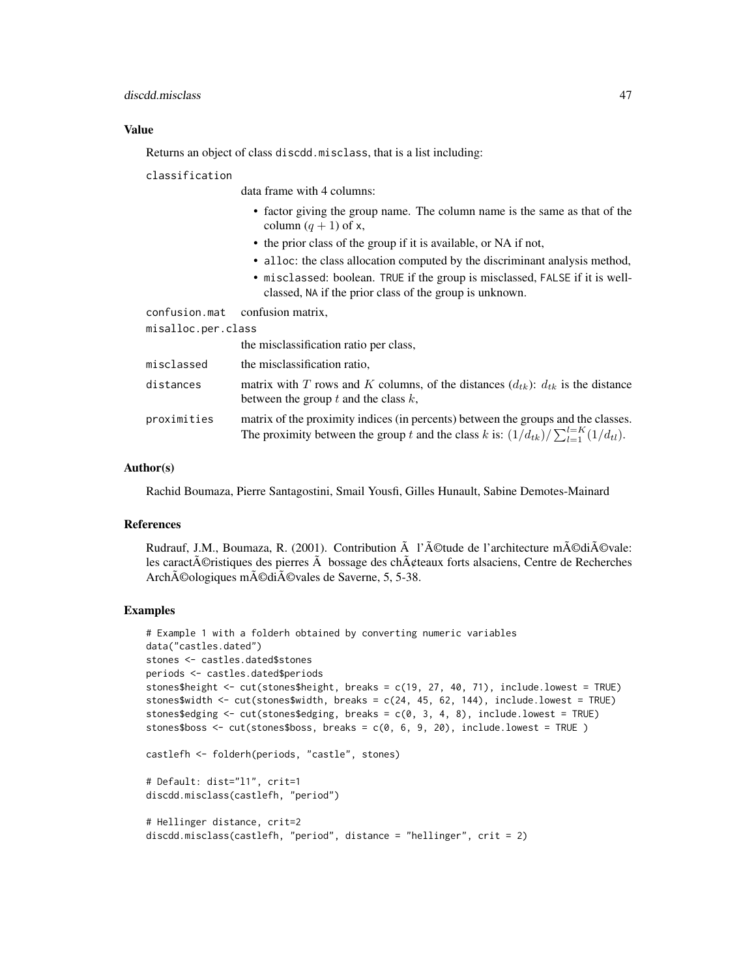## discdd.misclass 47

## Value

Returns an object of class discdd.misclass, that is a list including:

#### classification

data frame with 4 columns:

- factor giving the group name. The column name is the same as that of the column  $(q + 1)$  of x,
- the prior class of the group if it is available, or NA if not,
- alloc: the class allocation computed by the discriminant analysis method,
- misclassed: boolean. TRUE if the group is misclassed, FALSE if it is wellclassed, NA if the prior class of the group is unknown.

|                    | confusion.mat confusion matrix,                                                                                                                                                       |
|--------------------|---------------------------------------------------------------------------------------------------------------------------------------------------------------------------------------|
| misalloc.per.class |                                                                                                                                                                                       |
|                    | the misclassification ratio per class,                                                                                                                                                |
| misclassed         | the misclassification ratio.                                                                                                                                                          |
| distances          | matrix with T rows and K columns, of the distances $(d_{tk})$ : $d_{tk}$ is the distance<br>between the group $t$ and the class $k$ ,                                                 |
| proximities        | matrix of the proximity indices (in percents) between the groups and the classes.<br>The proximity between the group t and the class k is: $(1/d_{tk})/\sum_{l=1}^{l=K} (1/d_{tl})$ . |

## Author(s)

Rachid Boumaza, Pierre Santagostini, Smail Yousfi, Gilles Hunault, Sabine Demotes-Mainard

#### References

Rudrauf, J.M., Boumaza, R. (2001). Contribution  $\tilde{A}$  l' $\tilde{A}$ ©tude de l'architecture m $\tilde{A}$ ©di $\tilde{A}$ ©vale: les caract $\tilde{A}$ ©ristiques des pierres  $\tilde{A}$  bossage des ch $\tilde{A}$ ¢teaux forts alsaciens, Centre de Recherches Archéologiques médiévales de Saverne, 5, 5-38.

# Examples

```
# Example 1 with a folderh obtained by converting numeric variables
data("castles.dated")
stones <- castles.dated$stones
periods <- castles.dated$periods
stones$height <- cut(stones$height, breaks = c(19, 27, 40, 71), include.lowest = TRUE)
stones$width <- cut(stones$width, breaks = c(24, 45, 62, 144), include.lowest = TRUE)
stones$edging <- cut(stones$edging, breaks = c(0, 3, 4, 8), include.lowest = TRUE)
stones$boss <- cut(stones$boss, breaks = c(0, 6, 9, 20), include.lowest = TRUE )
castlefh <- folderh(periods, "castle", stones)
# Default: dist="l1", crit=1
discdd.misclass(castlefh, "period")
# Hellinger distance, crit=2
discdd.misclass(castlefh, "period", distance = "hellinger", crit = 2)
```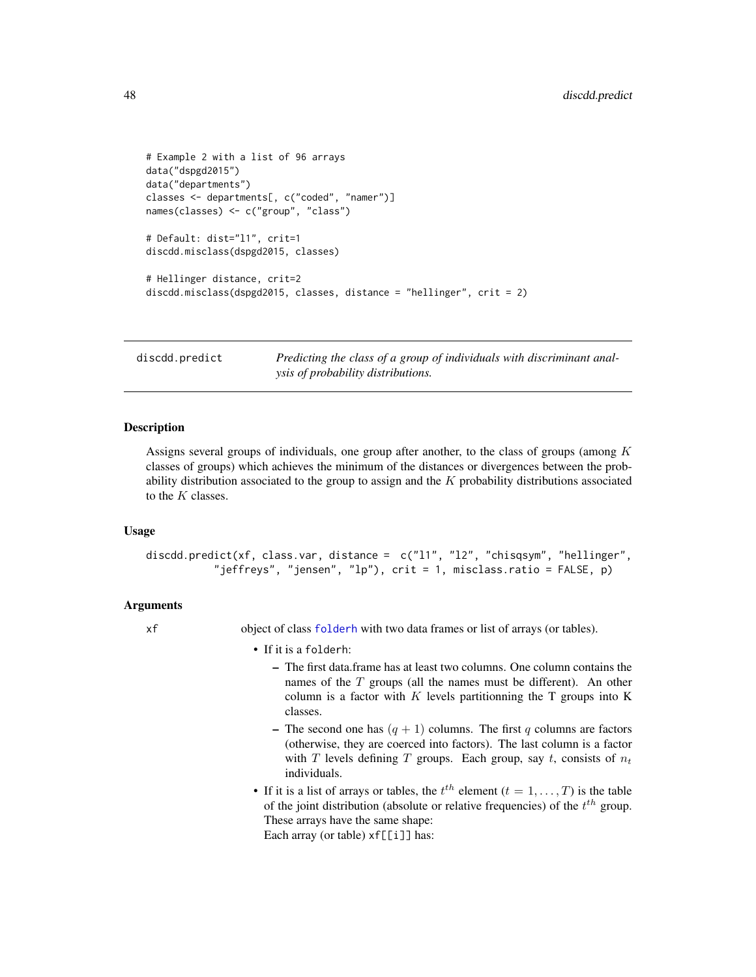```
# Example 2 with a list of 96 arrays
data("dspgd2015")
data("departments")
classes <- departments[, c("coded", "namer")]
names(classes) <- c("group", "class")
# Default: dist="l1", crit=1
discdd.misclass(dspgd2015, classes)
# Hellinger distance, crit=2
discdd.misclass(dspgd2015, classes, distance = "hellinger", crit = 2)
```
discdd.predict *Predicting the class of a group of individuals with discriminant analysis of probability distributions.*

# **Description**

Assigns several groups of individuals, one group after another, to the class of groups (among  $K$ classes of groups) which achieves the minimum of the distances or divergences between the probability distribution associated to the group to assign and the  $K$  probability distributions associated to the  $K$  classes.

### Usage

```
discdd.predict(xf, class.var, distance = c("l1", "l2", "chisqsym", "hellinger",
           "jeffreys", "jensen", "lp"), crit = 1, misclass.ratio = FALSE, p)
```
#### Arguments

xf object of class [folderh](#page-75-0) with two data frames or list of arrays (or tables).

• If it is a folderh:

- The first data.frame has at least two columns. One column contains the names of the  $T$  groups (all the names must be different). An other column is a factor with K levels partitionning the  $T$  groups into K classes.
- The second one has  $(q + 1)$  columns. The first q columns are factors (otherwise, they are coerced into factors). The last column is a factor with T levels defining T groups. Each group, say t, consists of  $n_t$ individuals.
- If it is a list of arrays or tables, the  $t^{th}$  element  $(t = 1, \ldots, T)$  is the table of the joint distribution (absolute or relative frequencies) of the  $t^{th}$  group. These arrays have the same shape:

Each array (or table)  $xf[[i]]$  has: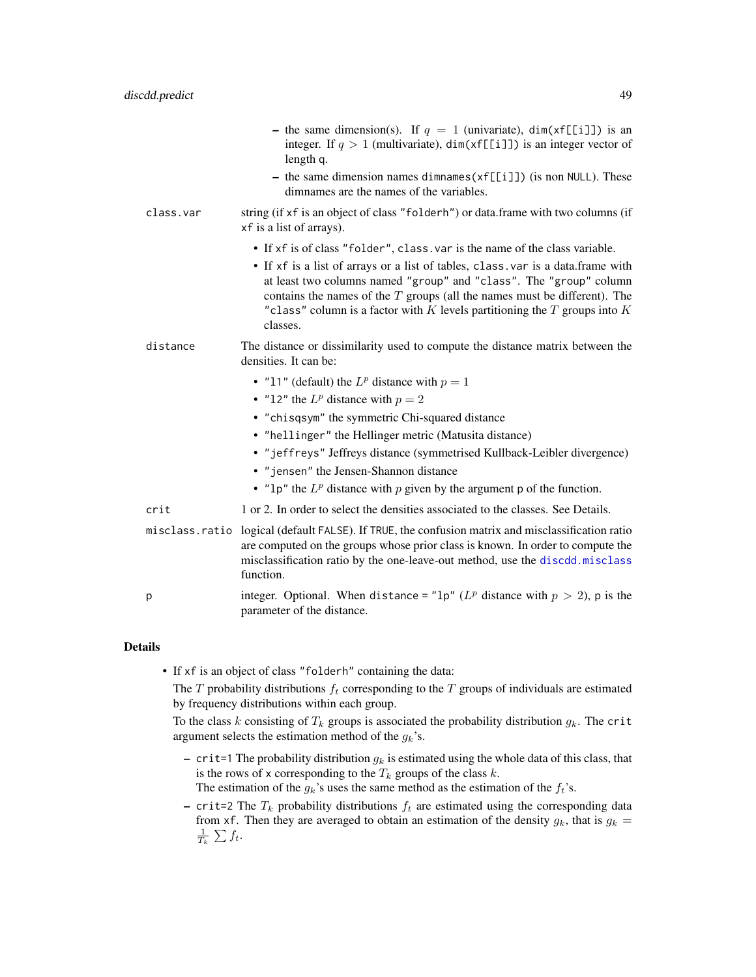|           | - the same dimension(s). If $q = 1$ (univariate), dim(xf[[i]]) is an<br>integer. If $q > 1$ (multivariate), dim(xf[[i]]) is an integer vector of<br>length q.                                                                                                                                                                       |
|-----------|-------------------------------------------------------------------------------------------------------------------------------------------------------------------------------------------------------------------------------------------------------------------------------------------------------------------------------------|
|           | - the same dimension names dimnames $(xf[[i]])$ (is non NULL). These<br>dimnames are the names of the variables.                                                                                                                                                                                                                    |
| class.var | string (if xf is an object of class "folderh") or data.frame with two columns (if<br>xf is a list of arrays).                                                                                                                                                                                                                       |
|           | • If xf is of class "folder", class. var is the name of the class variable.                                                                                                                                                                                                                                                         |
|           | • If xf is a list of arrays or a list of tables, class var is a data.frame with<br>at least two columns named "group" and "class". The "group" column<br>contains the names of the $T$ groups (all the names must be different). The<br>"class" column is a factor with $K$ levels partitioning the $T$ groups into $K$<br>classes. |
| distance  | The distance or dissimilarity used to compute the distance matrix between the<br>densities. It can be:                                                                                                                                                                                                                              |
|           | • "11" (default) the $L^p$ distance with $p = 1$                                                                                                                                                                                                                                                                                    |
|           | • "12" the $L^p$ distance with $p = 2$                                                                                                                                                                                                                                                                                              |
|           | • "chisqsym" the symmetric Chi-squared distance                                                                                                                                                                                                                                                                                     |
|           | • "hellinger" the Hellinger metric (Matusita distance)                                                                                                                                                                                                                                                                              |
|           | • "jeffreys" Jeffreys distance (symmetrised Kullback-Leibler divergence)<br>• "jensen" the Jensen-Shannon distance                                                                                                                                                                                                                  |
|           | • "1p" the $L^p$ distance with p given by the argument p of the function.                                                                                                                                                                                                                                                           |
| crit      | 1 or 2. In order to select the densities associated to the classes. See Details.                                                                                                                                                                                                                                                    |
|           | misclass.ratio logical (default FALSE). If TRUE, the confusion matrix and misclassification ratio<br>are computed on the groups whose prior class is known. In order to compute the<br>misclassification ratio by the one-leave-out method, use the discdd.misclass<br>function.                                                    |
| p         | integer. Optional. When distance = "1p" ( $L^p$ distance with $p > 2$ ), p is the<br>parameter of the distance.                                                                                                                                                                                                                     |

• If xf is an object of class "folderh" containing the data:

The  $T$  probability distributions  $f_t$  corresponding to the  $T$  groups of individuals are estimated by frequency distributions within each group.

To the class k consisting of  $T_k$  groups is associated the probability distribution  $g_k$ . The crit argument selects the estimation method of the  $g_k$ 's.

- crit=1 The probability distribution  $g_k$  is estimated using the whole data of this class, that is the rows of x corresponding to the  $T_k$  groups of the class  $k$ .
	- The estimation of the  $g_k$ 's uses the same method as the estimation of the  $f_t$ 's.
- crit=2 The  $T_k$  probability distributions  $f_t$  are estimated using the corresponding data from xf. Then they are averaged to obtain an estimation of the density  $g_k$ , that is  $g_k =$  $\frac{1}{T_k} \sum f_t$ .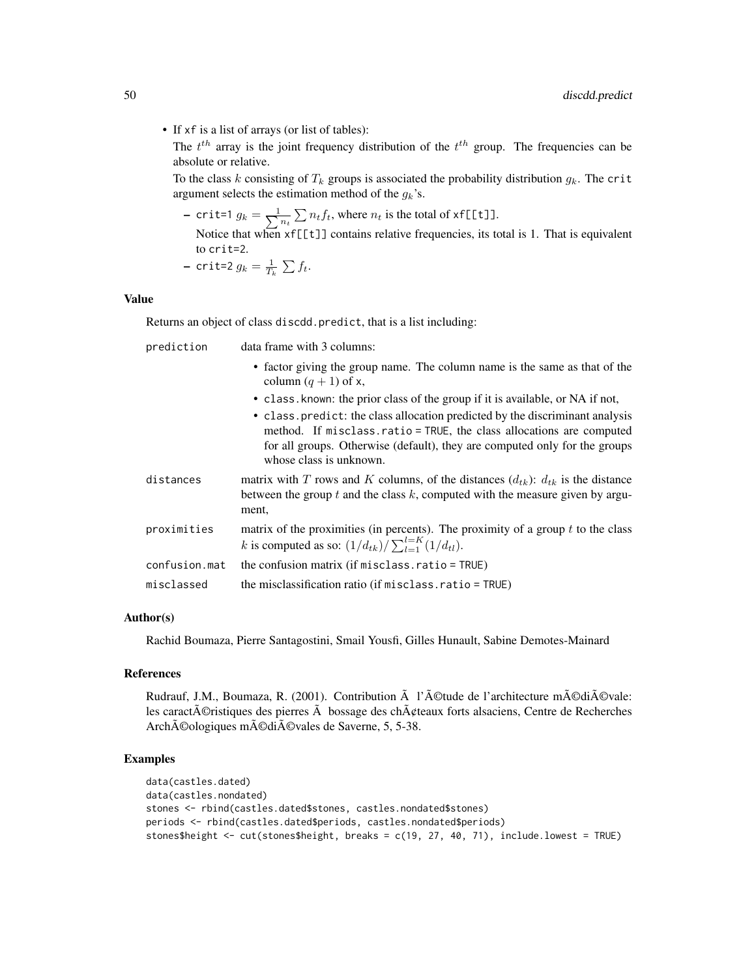• If xf is a list of arrays (or list of tables):

The  $t^{th}$  array is the joint frequency distribution of the  $t^{th}$  group. The frequencies can be absolute or relative.

To the class k consisting of  $T_k$  groups is associated the probability distribution  $g_k$ . The crit argument selects the estimation method of the  $g_k$ 's.

– crit=1  $g_k = \frac{1}{\sum_{i=1}^{k} g_i}$  $\frac{1}{n_t} \sum_{t} n_t f_t$ , where  $n_t$  is the total of xf[[t]]. Notice that when xf[[t]] contains relative frequencies, its total is 1. That is equivalent to  $crit=2$ 

- crit=2 
$$
g_k = \frac{1}{T_k} \sum f_t
$$
.

# Value

Returns an object of class discdd.predict, that is a list including:

| prediction    | data frame with 3 columns:                                                                                                                                                                                                                                    |
|---------------|---------------------------------------------------------------------------------------------------------------------------------------------------------------------------------------------------------------------------------------------------------------|
|               | • factor giving the group name. The column name is the same as that of the<br>column $(q + 1)$ of x,                                                                                                                                                          |
|               | • class. known: the prior class of the group if it is available, or NA if not,                                                                                                                                                                                |
|               | • class predict: the class allocation predicted by the discriminant analysis<br>method. If misclass ratio = TRUE, the class allocations are computed<br>for all groups. Otherwise (default), they are computed only for the groups<br>whose class is unknown. |
| distances     | matrix with T rows and K columns, of the distances $(d_{tk})$ : $d_{tk}$ is the distance<br>between the group $t$ and the class $k$ , computed with the measure given by argu-<br>ment,                                                                       |
| proximities   | matrix of the proximities (in percents). The proximity of a group $t$ to the class<br><i>k</i> is computed as so: $(1/d_{tk})/\sum_{l=1}^{l=K} (1/d_{tl})$ .                                                                                                  |
| confusion.mat | the confusion matrix (if $misclass.ratio = TRUE$ )                                                                                                                                                                                                            |
| misclassed    | the misclassification ratio (if misclass.ratio = TRUE)                                                                                                                                                                                                        |

# Author(s)

Rachid Boumaza, Pierre Santagostini, Smail Yousfi, Gilles Hunault, Sabine Demotes-Mainard

### References

Rudrauf, J.M., Boumaza, R. (2001). Contribution  $\tilde{A}$  l' $\tilde{A}$ ©tude de l'architecture m $\tilde{A}$ ©di $\tilde{A}$ ©vale: les caract $\tilde{A}$ ©ristiques des pierres  $\tilde{A}$  bossage des ch $\tilde{A}$ ¢teaux forts alsaciens, Centre de Recherches Archéologiques médiévales de Saverne, 5, 5-38.

# Examples

```
data(castles.dated)
data(castles.nondated)
stones <- rbind(castles.dated$stones, castles.nondated$stones)
periods <- rbind(castles.dated$periods, castles.nondated$periods)
stones$height <- cut(stones$height, breaks = c(19, 27, 40, 71), include.lowest = TRUE)
```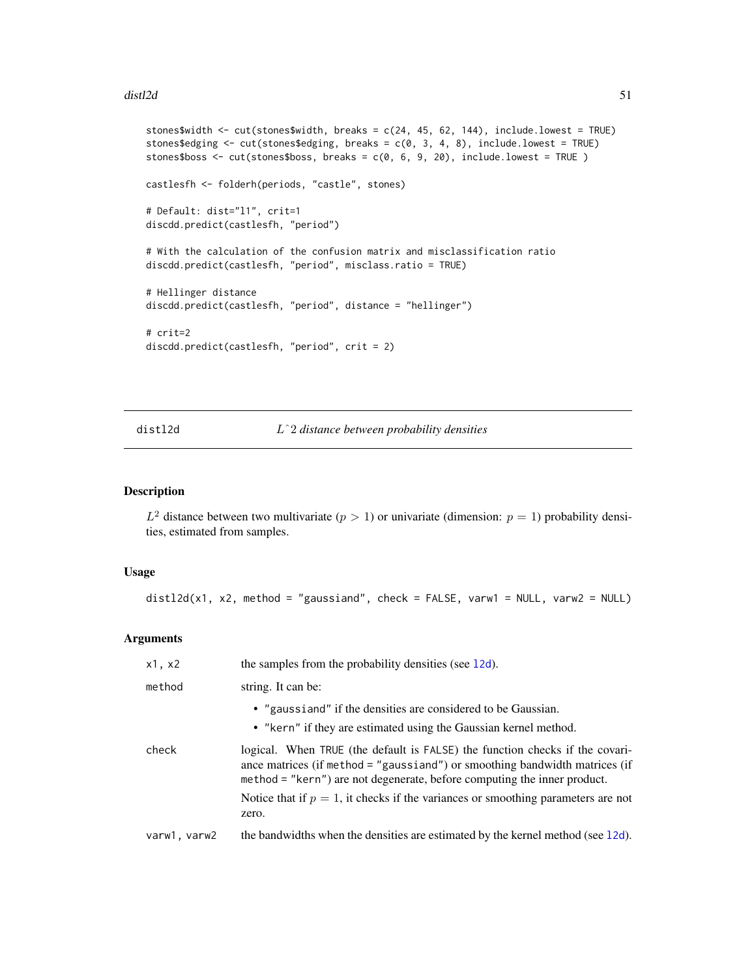### $dist2d$  51

```
stones$width <- cut(stones$width, breaks = c(24, 45, 62, 144), include.lowest = TRUE)
stones$edging <- cut(stones$edging, breaks = c(0, 3, 4, 8), include.lowest = TRUE)
stones$boss <- cut(stones$boss, breaks = c(0, 6, 9, 20), include.lowest = TRUE )
castlesfh <- folderh(periods, "castle", stones)
# Default: dist="l1", crit=1
discdd.predict(castlesfh, "period")
# With the calculation of the confusion matrix and misclassification ratio
discdd.predict(castlesfh, "period", misclass.ratio = TRUE)
# Hellinger distance
discdd.predict(castlesfh, "period", distance = "hellinger")
# crit=2
discdd.predict(castlesfh, "period", crit = 2)
```
# <span id="page-50-0"></span>distl2d Lˆ2 *distance between probability densities*

## Description

 $L^2$  distance between two multivariate  $(p > 1)$  or univariate (dimension:  $p = 1$ ) probability densities, estimated from samples.

## Usage

```
distl2d(x1, x2, method = "gaussiand", check = FALSE, varw1 = NULL, varw2 = NULL)
```
# Arguments

| x1, x2       | the samples from the probability densities (see 12d).                                                                                                                                                                                   |
|--------------|-----------------------------------------------------------------------------------------------------------------------------------------------------------------------------------------------------------------------------------------|
| method       | string. It can be:                                                                                                                                                                                                                      |
|              | • "gaussiand" if the densities are considered to be Gaussian.<br>• "kern" if they are estimated using the Gaussian kernel method.                                                                                                       |
| check        | logical. When TRUE (the default is FALSE) the function checks if the covari-<br>ance matrices (if method = "gaussiand") or smoothing bandwidth matrices (if<br>method = "kern") are not degenerate, before computing the inner product. |
|              | Notice that if $p = 1$ , it checks if the variances or smoothing parameters are not<br>zero.                                                                                                                                            |
| varw1, varw2 | the bandwidths when the densities are estimated by the kernel method (see 12d).                                                                                                                                                         |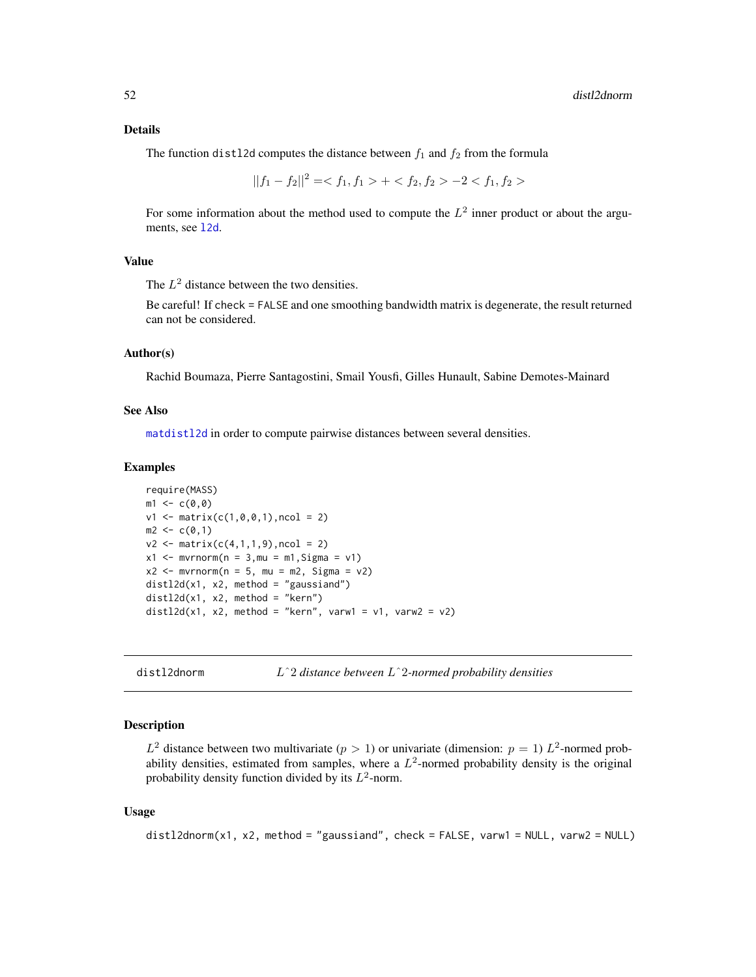The function distl2d computes the distance between  $f_1$  and  $f_2$  from the formula

$$
||f_1 - f_2||^2 = \langle f_1, f_1 \rangle + \langle f_2, f_2 \rangle - 2 \langle f_1, f_2 \rangle
$$

For some information about the method used to compute the  $L^2$  inner product or about the arguments, see [l2d](#page-116-0).

## Value

The  $L^2$  distance between the two densities.

Be careful! If check = FALSE and one smoothing bandwidth matrix is degenerate, the result returned can not be considered.

# Author(s)

Rachid Boumaza, Pierre Santagostini, Smail Yousfi, Gilles Hunault, Sabine Demotes-Mainard

#### See Also

[matdistl2d](#page-130-0) in order to compute pairwise distances between several densities.

# Examples

```
require(MASS)
m1 < -c(0, 0)v1 \leq - matrix(c(1,0,0,1),ncol = 2)
m2 < -c(0,1)v2 \le matrix(c(4,1,1,9), ncol = 2)
x1 \le - mvrnorm(n = 3,mu = m1, Sigma = v1)
x2 \le - mvrnorm(n = 5, mu = m2, Sigma = v2)
distl2d(x1, x2, method = "gaussiand")
distl2d(x1, x2, method = "kern")
distl2d(x1, x2, method = "kern", varw1 = v1, varw2 = v2)
```
distl2dnorm Lˆ2 *distance between* Lˆ2*-normed probability densities*

## Description

 $L^2$  distance between two multivariate  $(p > 1)$  or univariate (dimension:  $p = 1$ )  $L^2$ -normed probability densities, estimated from samples, where a  $L^2$ -normed probability density is the original probability density function divided by its  $L^2$ -norm.

### Usage

```
distl2dnorm(x1, x2, method = "gaussiand", check = FALSE, varw1 = NULL, varw2 = NULL)
```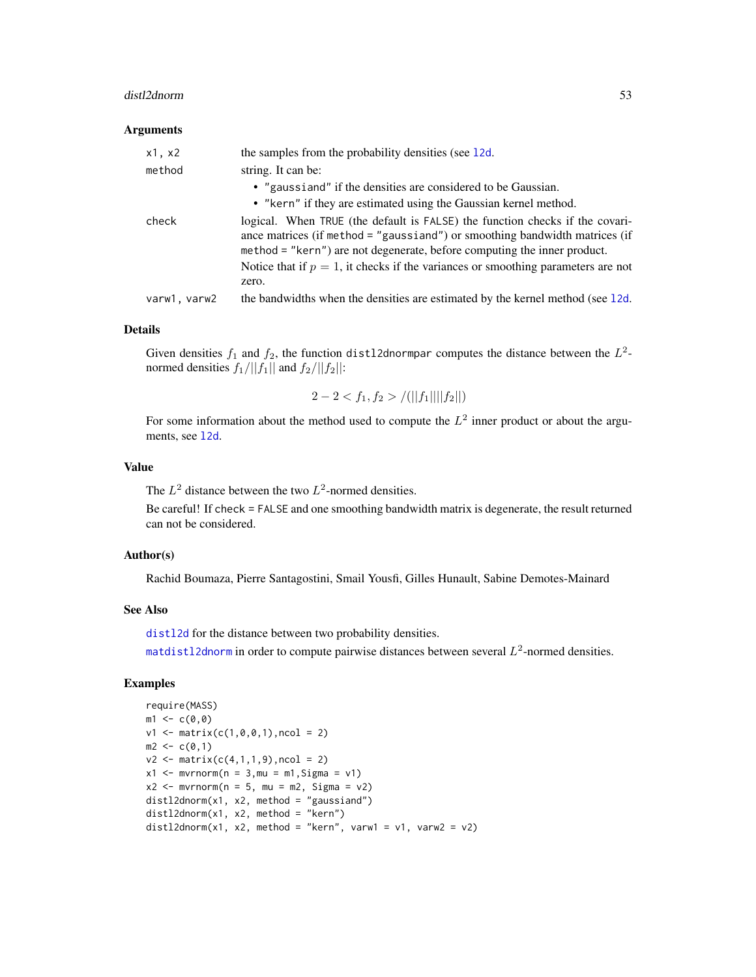#### distl2dnorm 53

#### Arguments

| x1, x2       | the samples from the probability densities (see 12d.                                                                                                                                                                                                                                                                                    |
|--------------|-----------------------------------------------------------------------------------------------------------------------------------------------------------------------------------------------------------------------------------------------------------------------------------------------------------------------------------------|
| method       | string. It can be:                                                                                                                                                                                                                                                                                                                      |
|              | • "gaussiand" if the densities are considered to be Gaussian.                                                                                                                                                                                                                                                                           |
|              | • "kern" if they are estimated using the Gaussian kernel method.                                                                                                                                                                                                                                                                        |
| check        | logical. When TRUE (the default is FALSE) the function checks if the covari-<br>ance matrices (if method = "gaussiand") or smoothing bandwidth matrices (if<br>method = "kern") are not degenerate, before computing the inner product.<br>Notice that if $p = 1$ , it checks if the variances or smoothing parameters are not<br>zero. |
| varw1, varw2 | the bandwidths when the densities are estimated by the kernel method (see 12d.                                                                                                                                                                                                                                                          |

### Details

Given densities  $f_1$  and  $f_2$ , the function distl2dnormpar computes the distance between the  $L^2$ normed densities  $f_1/||f_1||$  and  $f_2/||f_2||$ :

$$
2 - 2 < f_1, f_2 > /(||f_1|| ||f_2||)
$$

For some information about the method used to compute the  $L^2$  inner product or about the arguments, see [l2d](#page-116-0).

# Value

The  $L^2$  distance between the two  $L^2$ -normed densities.

Be careful! If check = FALSE and one smoothing bandwidth matrix is degenerate, the result returned can not be considered.

# Author(s)

Rachid Boumaza, Pierre Santagostini, Smail Yousfi, Gilles Hunault, Sabine Demotes-Mainard

# See Also

[distl2d](#page-50-0) for the distance between two probability densities.

[matdistl2dnorm](#page-131-0) in order to compute pairwise distances between several  $L^2$ -normed densities.

## Examples

```
require(MASS)
m1 < -c(0, 0)v1 \le matrix(c(1,0,0,1), ncol = 2)
m2 < -c(0,1)v2 \le matrix(c(4,1,1,9), ncol = 2)
x1 \le - mvrnorm(n = 3, mu = m1, Sigma = v1)
x2 \le - mvrnorm(n = 5, mu = m2, Sigma = v2)
distl2dnorm(x1, x2, method = "gaussiand")
distl2dnorm(x1, x2, method = "kern")
distl2dnorm(x1, x2, method = "kern", varw1 = v1, varw2 = v2)
```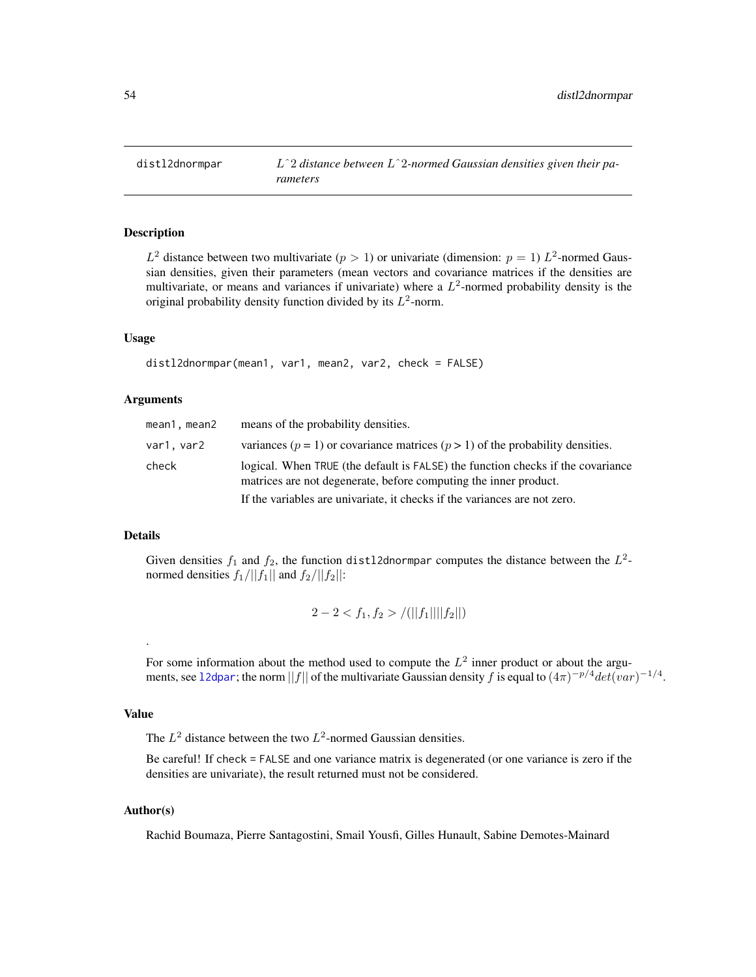distl2dnormpar Lˆ2 *distance between* Lˆ2*-normed Gaussian densities given their parameters*

# **Description**

 $L^2$  distance between two multivariate  $(p > 1)$  or univariate (dimension:  $p = 1$ )  $L^2$ -normed Gaussian densities, given their parameters (mean vectors and covariance matrices if the densities are multivariate, or means and variances if univariate) where a  $L^2$ -normed probability density is the original probability density function divided by its  $L^2$ -norm.

#### Usage

```
distl2dnormpar(mean1, var1, mean2, var2, check = FALSE)
```
### Arguments

| mean1, mean2 | means of the probability densities.                                                                                                                 |
|--------------|-----------------------------------------------------------------------------------------------------------------------------------------------------|
| var1.var2    | variances ( $p = 1$ ) or covariance matrices ( $p > 1$ ) of the probability densities.                                                              |
| check        | logical. When TRUE (the default is FALSE) the function checks if the covariance<br>matrices are not degenerate, before computing the inner product. |
|              | If the variables are univariate, it checks if the variances are not zero.                                                                           |

# Details

Given densities  $f_1$  and  $f_2$ , the function distl2dnormpar computes the distance between the  $L^2$ normed densities  $f_1/||f_1||$  and  $f_2/||f_2||$ :

$$
2 - 2 < f_1, f_2 > /(||f_1|| ||f_2||)
$$

For some information about the method used to compute the  $L^2$  inner product or about the arguments, see 12dpar; the norm ||f|| of the multivariate Gaussian density f is equal to  $(4\pi)^{-p/4} det(var)^{-1/4}$ .

# Value

.

The  $L^2$  distance between the two  $L^2$ -normed Gaussian densities.

Be careful! If check = FALSE and one variance matrix is degenerated (or one variance is zero if the densities are univariate), the result returned must not be considered.

### Author(s)

Rachid Boumaza, Pierre Santagostini, Smail Yousfi, Gilles Hunault, Sabine Demotes-Mainard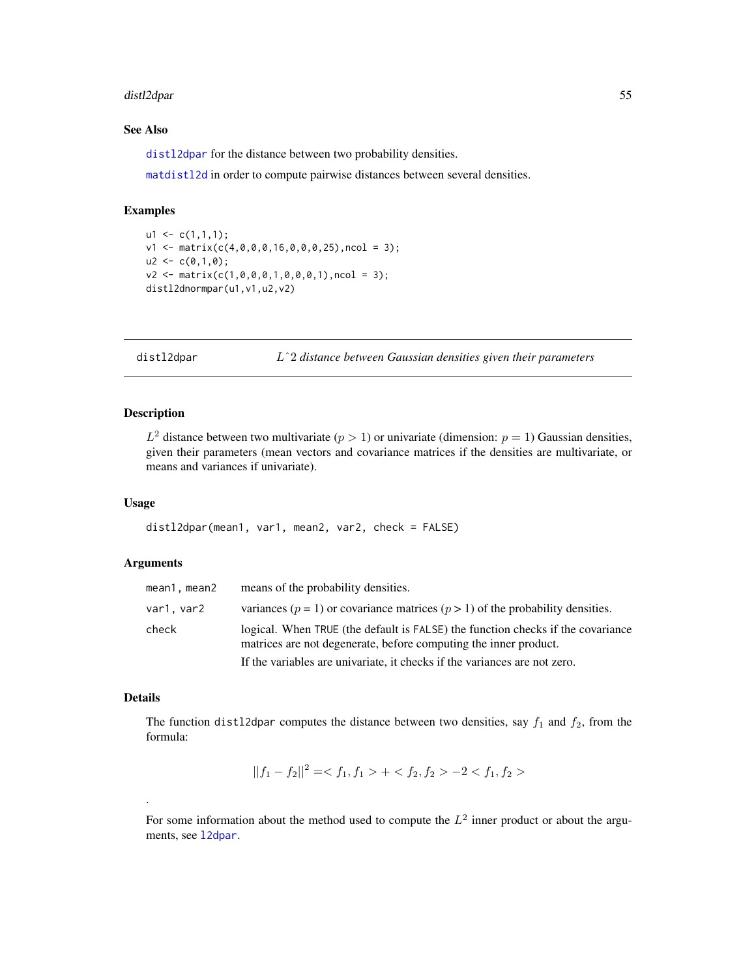#### distl2dpar 55

## See Also

[distl2dpar](#page-54-0) for the distance between two probability densities.

[matdistl2d](#page-130-0) in order to compute pairwise distances between several densities.

### Examples

```
u1 \leftarrow c(1,1,1);v1 \leq - matrix(c(4,0,0,0,16,0,0,0,25),ncol = 3);
u2 < -c(0,1,0);v2 \leq - matrix(c(1,0,0,0,1,0,0,0,1),ncol = 3);
distl2dnormpar(u1, v1, u2, v2)
```
<span id="page-54-0"></span>distl2dpar Lˆ2 *distance between Gaussian densities given their parameters*

# Description

 $L^2$  distance between two multivariate  $(p > 1)$  or univariate (dimension:  $p = 1$ ) Gaussian densities, given their parameters (mean vectors and covariance matrices if the densities are multivariate, or means and variances if univariate).

# Usage

```
distl2dpar(mean1, var1, mean2, var2, check = FALSE)
```
### Arguments

| mean1, mean2 | means of the probability densities.                                                                                                                 |
|--------------|-----------------------------------------------------------------------------------------------------------------------------------------------------|
| var1.var2    | variances ( $p = 1$ ) or covariance matrices ( $p > 1$ ) of the probability densities.                                                              |
| check        | logical. When TRUE (the default is FALSE) the function checks if the covariance<br>matrices are not degenerate, before computing the inner product. |
|              | If the variables are univariate, it checks if the variances are not zero.                                                                           |

# Details

.

The function distl2dpar computes the distance between two densities, say  $f_1$  and  $f_2$ , from the formula:

$$
||f_1 - f_2||^2 = \langle f_1, f_1 \rangle + \langle f_2, f_2 \rangle - 2 \langle f_1, f_2 \rangle
$$

For some information about the method used to compute the  $L^2$  inner product or about the arguments, see [l2dpar](#page-118-0).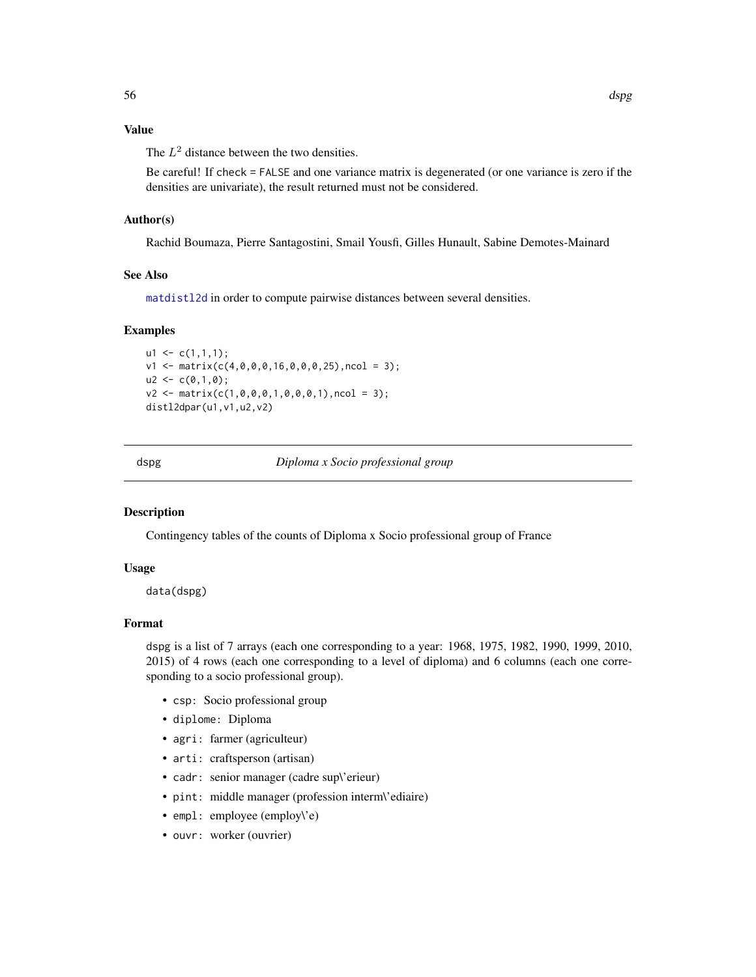# Value

The  $L^2$  distance between the two densities.

Be careful! If check = FALSE and one variance matrix is degenerated (or one variance is zero if the densities are univariate), the result returned must not be considered.

# Author(s)

Rachid Boumaza, Pierre Santagostini, Smail Yousfi, Gilles Hunault, Sabine Demotes-Mainard

### See Also

[matdistl2d](#page-130-0) in order to compute pairwise distances between several densities.

### Examples

```
u1 \leftarrow c(1,1,1);v1 <- matrix(c(4,0,0,0,16,0,0,0,25),ncol = 3);
u2 < -c(0,1,0);v2 \leq - matrix(c(1,0,0,0,1,0,0,0,1),ncol = 3);
distl2dpar(u1,v1,u2,v2)
```
dspg *Diploma x Socio professional group*

### Description

Contingency tables of the counts of Diploma x Socio professional group of France

#### Usage

data(dspg)

# Format

dspg is a list of 7 arrays (each one corresponding to a year: 1968, 1975, 1982, 1990, 1999, 2010, 2015) of 4 rows (each one corresponding to a level of diploma) and 6 columns (each one corresponding to a socio professional group).

- csp: Socio professional group
- diplome: Diploma
- agri: farmer (agriculteur)
- arti: craftsperson (artisan)
- cadr: senior manager (cadre sup\'erieur)
- pint: middle manager (profession interm\'ediaire)
- empl: employee (employ\'e)
- ouvr: worker (ouvrier)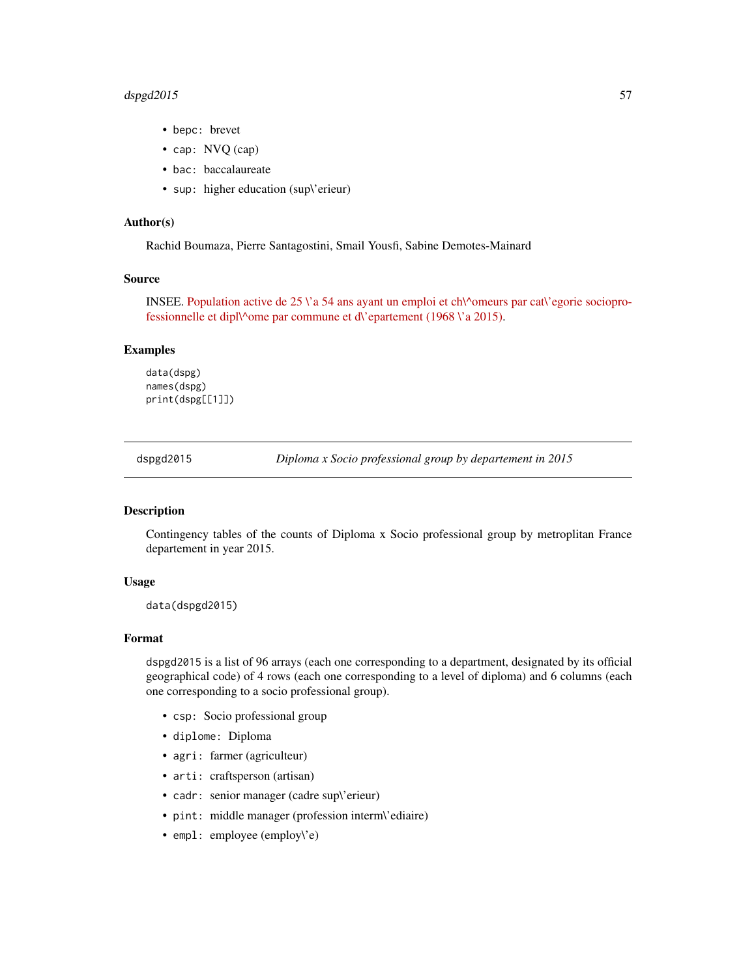# dspgd2015 57

- bepc: brevet
- cap: NVQ (cap)
- bac: baccalaureate
- sup: higher education (sup\'erieur)

## Author(s)

Rachid Boumaza, Pierre Santagostini, Smail Yousfi, Sabine Demotes-Mainard

### Source

INSEE. [Population active de 25 \'a 54 ans ayant un emploi et ch\^omeurs par cat\'egorie sociopro](https://www.insee.fr/fr/statistiques/1893185)fessionnelle et dipl $\gamma$ ome par commune et d $\gamma$ epartement (1968  $\gamma$ a 2015).

### Examples

data(dspg) names(dspg) print(dspg[[1]])

dspgd2015 *Diploma x Socio professional group by departement in 2015*

#### Description

Contingency tables of the counts of Diploma x Socio professional group by metroplitan France departement in year 2015.

#### Usage

```
data(dspgd2015)
```
#### Format

dspgd2015 is a list of 96 arrays (each one corresponding to a department, designated by its official geographical code) of 4 rows (each one corresponding to a level of diploma) and 6 columns (each one corresponding to a socio professional group).

- csp: Socio professional group
- diplome: Diploma
- agri: farmer (agriculteur)
- arti: craftsperson (artisan)
- cadr: senior manager (cadre sup\'erieur)
- pint: middle manager (profession interm\'ediaire)
- empl: employee (employ\'e)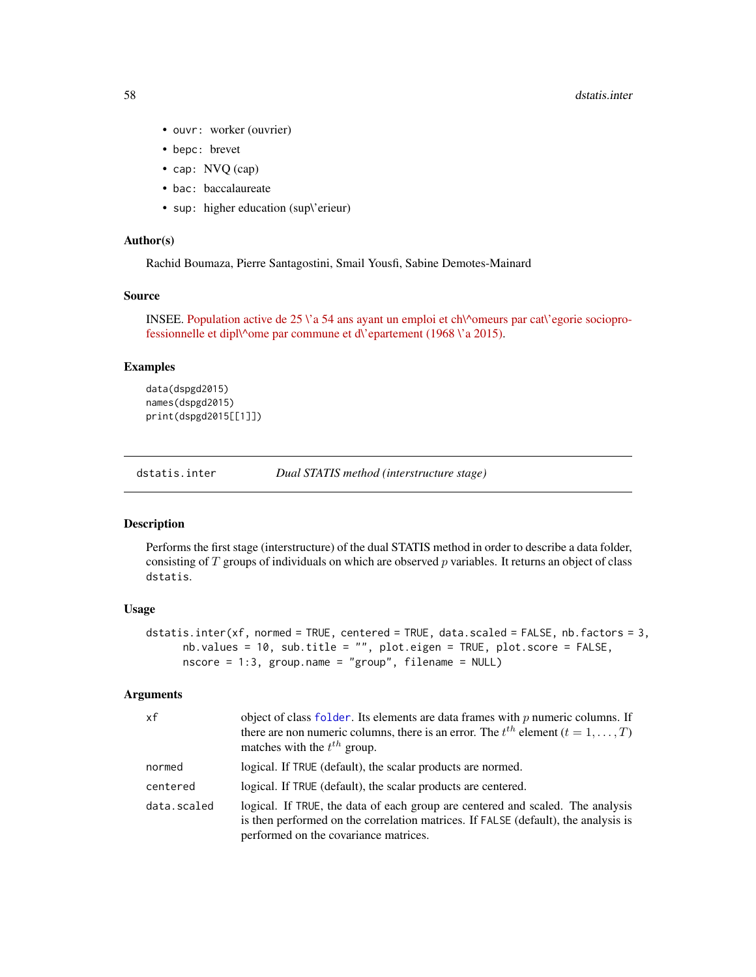- ouvr: worker (ouvrier)
- bepc: brevet
- cap: NVQ (cap)
- bac: baccalaureate
- sup: higher education (sup\'erieur)

## Author(s)

Rachid Boumaza, Pierre Santagostini, Smail Yousfi, Sabine Demotes-Mainard

### Source

INSEE. [Population active de 25 \'a 54 ans ayant un emploi et ch\^omeurs par cat\'egorie sociopro](https://www.insee.fr/fr/statistiques/1893185)fessionnelle et dipl $\gamma$ ome par commune et d $\gamma$ epartement (1968  $\gamma$  a 2015).

### Examples

```
data(dspgd2015)
names(dspgd2015)
print(dspgd2015[[1]])
```
dstatis.inter *Dual STATIS method (interstructure stage)*

#### Description

Performs the first stage (interstructure) of the dual STATIS method in order to describe a data folder, consisting of  $T$  groups of individuals on which are observed  $p$  variables. It returns an object of class dstatis.

## Usage

```
dstatis.inter(xf, normed = TRUE, centered = TRUE, data.scaled = FALSE, nb.factors = 3,
      nb.values = 10, sub.title = "", plot.eigen = TRUE, plot.score = FALSE,
      nscore = 1:3, group.name = "group", filename = NULL)
```
#### Arguments

| xf          | object of class folder. Its elements are data frames with $p$ numeric columns. If<br>there are non numeric columns, there is an error. The $t^{th}$ element $(t = 1, , T)$<br>matches with the $t^{th}$ group. |
|-------------|----------------------------------------------------------------------------------------------------------------------------------------------------------------------------------------------------------------|
| normed      | logical. If TRUE (default), the scalar products are normed.                                                                                                                                                    |
| centered    | logical. If TRUE (default), the scalar products are centered.                                                                                                                                                  |
| data.scaled | logical. If TRUE, the data of each group are centered and scaled. The analysis<br>is then performed on the correlation matrices. If FALSE (default), the analysis is<br>performed on the covariance matrices.  |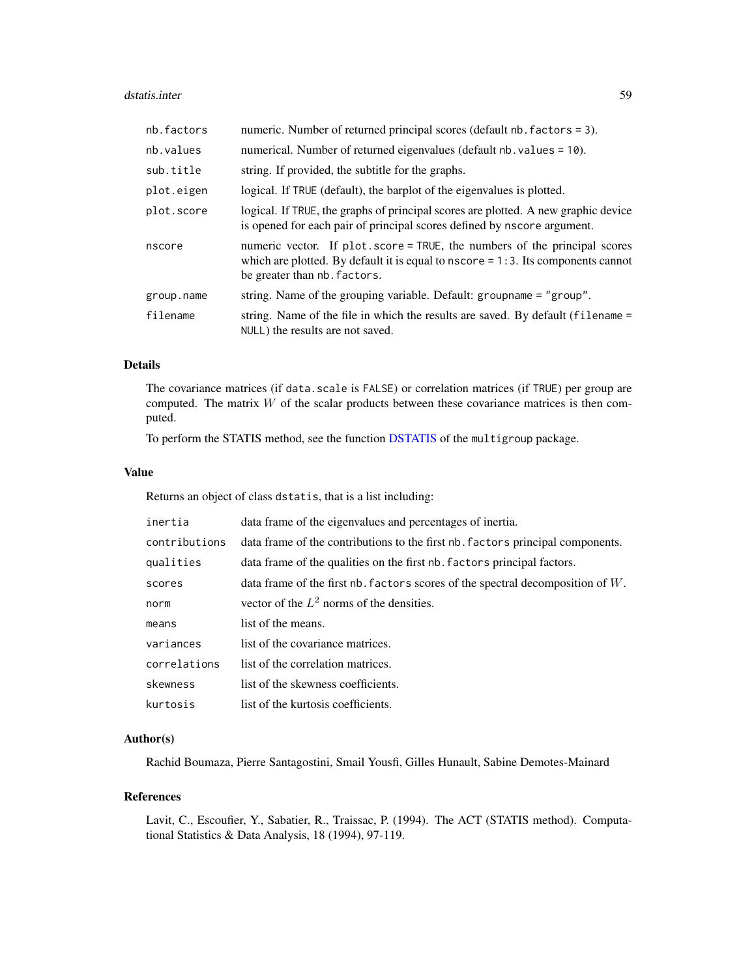#### dstatis.inter 59

| nb.factors | numeric. Number of returned principal scores (default nb. factors = 3).                                                                                                                          |
|------------|--------------------------------------------------------------------------------------------------------------------------------------------------------------------------------------------------|
| nb.values  | numerical. Number of returned eigenvalues (default nb. values = 10).                                                                                                                             |
| sub.title  | string. If provided, the subtitle for the graphs.                                                                                                                                                |
| plot.eigen | logical. If TRUE (default), the barplot of the eigenvalues is plotted.                                                                                                                           |
| plot.score | logical. If TRUE, the graphs of principal scores are plotted. A new graphic device<br>is opened for each pair of principal scores defined by nscore argument.                                    |
| nscore     | numeric vector. If plot score = TRUE, the numbers of the principal scores<br>which are plotted. By default it is equal to $nscore = 1:3$ . Its components cannot<br>be greater than nb. factors. |
| group.name | string. Name of the grouping variable. Default: groupname = "group".                                                                                                                             |
| filename   | string. Name of the file in which the results are saved. By default (filename =<br>NULL) the results are not saved.                                                                              |

### Details

The covariance matrices (if data.scale is FALSE) or correlation matrices (if TRUE) per group are computed. The matrix  $W$  of the scalar products between these covariance matrices is then computed.

To perform the STATIS method, see the function [DSTATIS](#page-0-0) of the multigroup package.

#### Value

Returns an object of class dstatis, that is a list including:

| inertia       | data frame of the eigenvalues and percentages of inertia.                         |
|---------------|-----------------------------------------------------------------------------------|
| contributions | data frame of the contributions to the first nb. factors principal components.    |
| qualities     | data frame of the qualities on the first nb. factors principal factors.           |
| scores        | data frame of the first nb. factors scores of the spectral decomposition of $W$ . |
| norm          | vector of the $L^2$ norms of the densities.                                       |
| means         | list of the means.                                                                |
| variances     | list of the covariance matrices.                                                  |
| correlations  | list of the correlation matrices.                                                 |
| skewness      | list of the skewness coefficients.                                                |
| kurtosis      | list of the kurtosis coefficients.                                                |

# Author(s)

Rachid Boumaza, Pierre Santagostini, Smail Yousfi, Gilles Hunault, Sabine Demotes-Mainard

#### References

Lavit, C., Escoufier, Y., Sabatier, R., Traissac, P. (1994). The ACT (STATIS method). Computational Statistics & Data Analysis, 18 (1994), 97-119.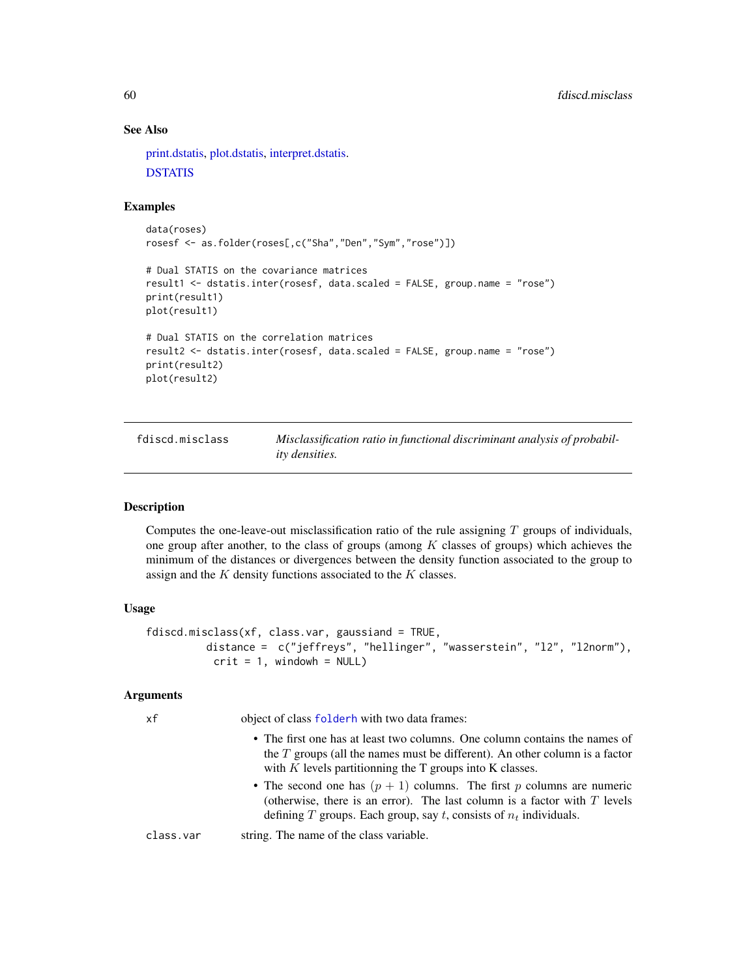# See Also

[print.dstatis,](#page-168-0) [plot.dstatis,](#page-155-0) [interpret.dstatis.](#page-96-0) **[DSTATIS](#page-0-0)** 

## Examples

```
data(roses)
rosesf <- as.folder(roses[,c("Sha","Den","Sym","rose")])
# Dual STATIS on the covariance matrices
result1 <- dstatis.inter(rosesf, data.scaled = FALSE, group.name = "rose")
print(result1)
plot(result1)
# Dual STATIS on the correlation matrices
result2 <- dstatis.inter(rosesf, data.scaled = FALSE, group.name = "rose")
print(result2)
plot(result2)
```
<span id="page-59-0"></span>fdiscd.misclass *Misclassification ratio in functional discriminant analysis of probability densities.*

## Description

Computes the one-leave-out misclassification ratio of the rule assigning  $T$  groups of individuals, one group after another, to the class of groups (among  $K$  classes of groups) which achieves the minimum of the distances or divergences between the density function associated to the group to assign and the  $K$  density functions associated to the  $K$  classes.

## Usage

```
fdiscd.misclass(xf, class.var, gaussiand = TRUE,
         distance = c("jeffreys", "hellinger", "wasserstein", "l2", "l2norm"),
          crit = 1, windowh = NULL)
```
## Arguments

| xf        | object of class folderh with two data frames:                                                                                                                                                                                  |
|-----------|--------------------------------------------------------------------------------------------------------------------------------------------------------------------------------------------------------------------------------|
|           | • The first one has at least two columns. One column contains the names of<br>the $T$ groups (all the names must be different). An other column is a factor<br>with $K$ levels partitionning the $T$ groups into $K$ classes.  |
|           | • The second one has $(p + 1)$ columns. The first p columns are numeric<br>(otherwise, there is an error). The last column is a factor with $T$ levels<br>defining T groups. Each group, say t, consists of $n_t$ individuals. |
| class.var | string. The name of the class variable.                                                                                                                                                                                        |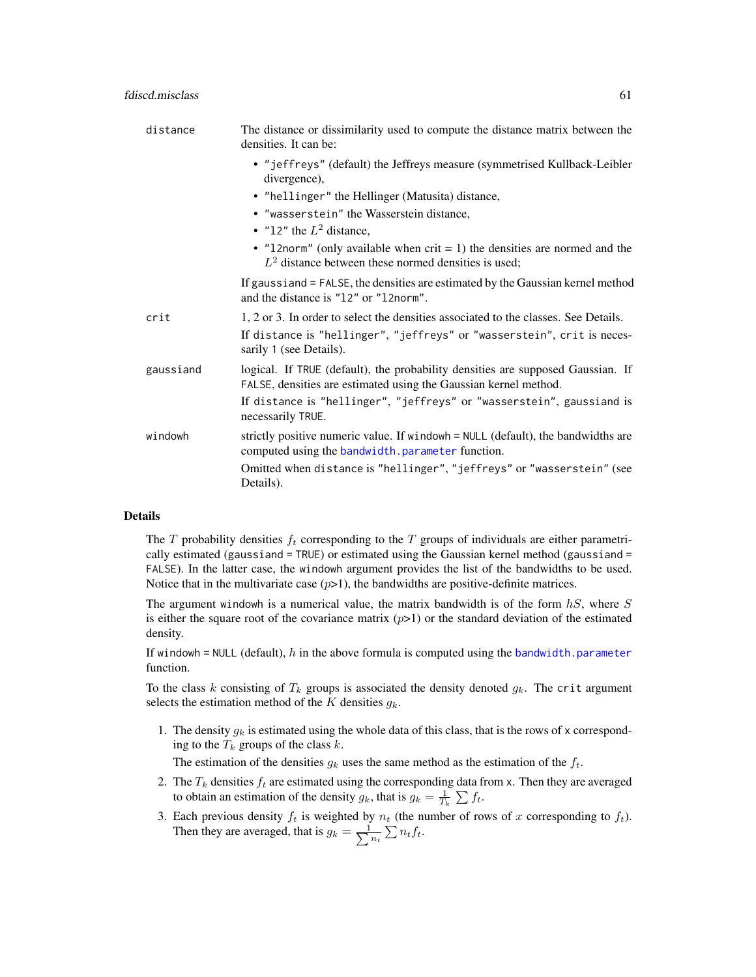| distance  | The distance or dissimilarity used to compute the distance matrix between the<br>densities. It can be:                                              |
|-----------|-----------------------------------------------------------------------------------------------------------------------------------------------------|
|           | • "jeffreys" (default) the Jeffreys measure (symmetrised Kullback-Leibler<br>divergence),                                                           |
|           | • "hellinger" the Hellinger (Matusita) distance,                                                                                                    |
|           | • "wasserstein" the Wasserstein distance,                                                                                                           |
|           | • "12" the $L^2$ distance,                                                                                                                          |
|           | • "12norm" (only available when $crit = 1$ ) the densities are normed and the<br>$L2$ distance between these normed densities is used;              |
|           | If gaussiand = FALSE, the densities are estimated by the Gaussian kernel method<br>and the distance is "12" or "12norm".                            |
| crit      | 1, 2 or 3. In order to select the densities associated to the classes. See Details.                                                                 |
|           | If distance is "hellinger", "jeffreys" or "wasserstein", crit is neces-<br>sarily 1 (see Details).                                                  |
| gaussiand | logical. If TRUE (default), the probability densities are supposed Gaussian. If<br>FALSE, densities are estimated using the Gaussian kernel method. |
|           | If distance is "hellinger", "jeffreys" or "wasserstein", gaussiand is<br>necessarily TRUE.                                                          |
| windowh   | strictly positive numeric value. If windowh = NULL (default), the bandwidths are<br>computed using the bandwidth. parameter function.               |
|           | Omitted when distance is "hellinger", "jeffreys" or "wasserstein" (see<br>Details).                                                                 |

The T probability densities  $f_t$  corresponding to the T groups of individuals are either parametrically estimated (gaussiand = TRUE) or estimated using the Gaussian kernel method (gaussiand = FALSE). In the latter case, the windowh argument provides the list of the bandwidths to be used. Notice that in the multivariate case  $(p>1)$ , the bandwidths are positive-definite matrices.

The argument windowh is a numerical value, the matrix bandwidth is of the form  $hS$ , where S is either the square root of the covariance matrix  $(p>1)$  or the standard deviation of the estimated density.

If windowh = NULL (default), h in the above formula is computed using the [bandwidth.parameter](#page-23-0) function.

To the class k consisting of  $T_k$  groups is associated the density denoted  $g_k$ . The crit argument selects the estimation method of the K densities  $g_k$ .

1. The density  $g_k$  is estimated using the whole data of this class, that is the rows of x corresponding to the  $T_k$  groups of the class  $k$ .

The estimation of the densities  $g_k$  uses the same method as the estimation of the  $f_t$ .

- 2. The  $T_k$  densities  $f_t$  are estimated using the corresponding data from x. Then they are averaged to obtain an estimation of the density  $g_k$ , that is  $g_k = \frac{1}{T_k} \sum f_t$ .
- 3. Each previous density  $f_t$  is weighted by  $n_t$  (the number of rows of x corresponding to  $f_t$ ). Then they are averaged, that is  $g_k = \frac{1}{\sum_{i=1}^{k} g_i^2}$  $\sum_{n_t} \sum_{t} f_t$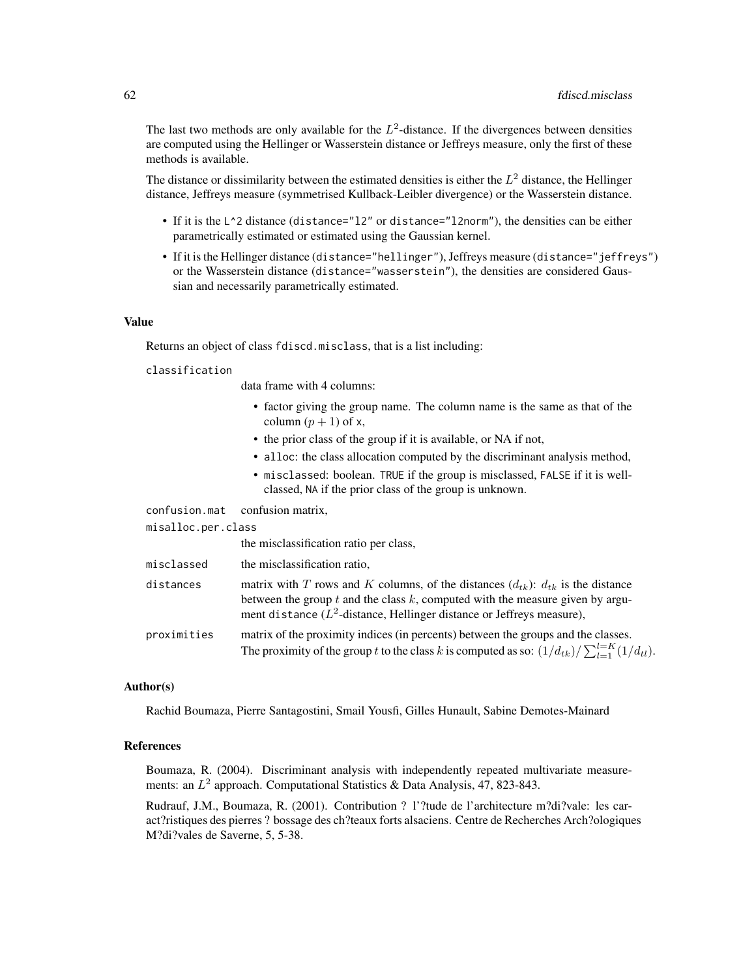The last two methods are only available for the  $L^2$ -distance. If the divergences between densities are computed using the Hellinger or Wasserstein distance or Jeffreys measure, only the first of these methods is available.

The distance or dissimilarity between the estimated densities is either the  $L^2$  distance, the Hellinger distance, Jeffreys measure (symmetrised Kullback-Leibler divergence) or the Wasserstein distance.

- If it is the L<sup>^2</sup> distance (distance="12" or distance="l2norm"), the densities can be either parametrically estimated or estimated using the Gaussian kernel.
- If it is the Hellinger distance (distance="hellinger"), Jeffreys measure (distance="jeffreys") or the Wasserstein distance (distance="wasserstein"), the densities are considered Gaussian and necessarily parametrically estimated.

#### Value

Returns an object of class fdiscd.misclass, that is a list including:

#### classification

data frame with 4 columns:

- factor giving the group name. The column name is the same as that of the column  $(p + 1)$  of x,
- the prior class of the group if it is available, or NA if not,
- alloc: the class allocation computed by the discriminant analysis method,
- misclassed: boolean. TRUE if the group is misclassed, FALSE if it is wellclassed, NA if the prior class of the group is unknown.

confusion.mat confusion matrix,

misalloc.per.class

|             | the misclassification ratio per class,                                                                                                                                                                                                                     |
|-------------|------------------------------------------------------------------------------------------------------------------------------------------------------------------------------------------------------------------------------------------------------------|
| misclassed  | the misclassification ratio.                                                                                                                                                                                                                               |
| distances   | matrix with T rows and K columns, of the distances $(d_{tk})$ : $d_{tk}$ is the distance<br>between the group $t$ and the class $k$ , computed with the measure given by argu-<br>ment distance $(L^2$ -distance, Hellinger distance or Jeffreys measure), |
| proximities | matrix of the proximity indices (in percents) between the groups and the classes.<br>The proximity of the group t to the class k is computed as so: $(1/d_{tk})/\sum_{l=1}^{l=K} (1/d_{tl})$ .                                                             |

### Author(s)

Rachid Boumaza, Pierre Santagostini, Smail Yousfi, Gilles Hunault, Sabine Demotes-Mainard

## References

Boumaza, R. (2004). Discriminant analysis with independently repeated multivariate measurements: an  $L^2$  approach. Computational Statistics & Data Analysis, 47, 823-843.

Rudrauf, J.M., Boumaza, R. (2001). Contribution ? l'?tude de l'architecture m?di?vale: les caract?ristiques des pierres ? bossage des ch?teaux forts alsaciens. Centre de Recherches Arch?ologiques M?di?vales de Saverne, 5, 5-38.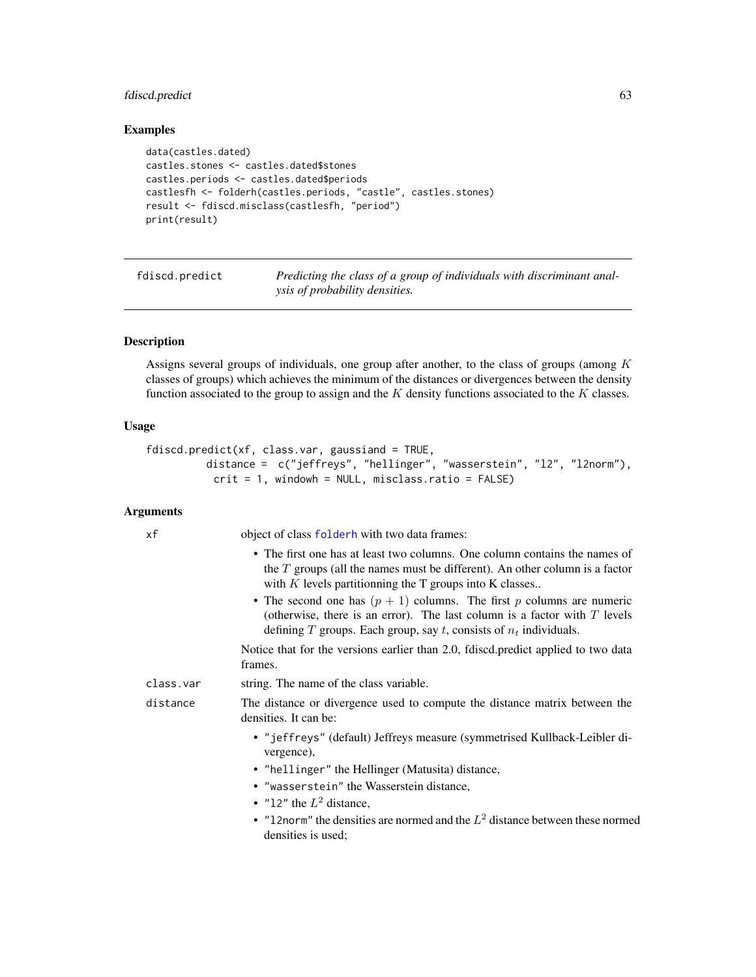# fdiscd.predict 63

# Examples

```
data(castles.dated)
castles.stones <- castles.dated$stones
castles.periods <- castles.dated$periods
castlesfh <- folderh(castles.periods, "castle", castles.stones)
result <- fdiscd.misclass(castlesfh, "period")
print(result)
```
<span id="page-62-0"></span>fdiscd.predict *Predicting the class of a group of individuals with discriminant analysis of probability densities.*

# Description

Assigns several groups of individuals, one group after another, to the class of groups (among  $K$ classes of groups) which achieves the minimum of the distances or divergences between the density function associated to the group to assign and the  $K$  density functions associated to the  $K$  classes.

# Usage

```
fdiscd.predict(xf, class.var, gaussiand = TRUE,
         distance = c("jeffreys", "hellinger", "wasserstein", "l2", "l2norm"),
          crit = 1, windowh = NULL, misclass.ratio = FALSE)
```
## **Arguments**

| xf        | object of class folderh with two data frames:                                                                                                                                                                                  |
|-----------|--------------------------------------------------------------------------------------------------------------------------------------------------------------------------------------------------------------------------------|
|           | • The first one has at least two columns. One column contains the names of<br>the $T$ groups (all the names must be different). An other column is a factor<br>with $K$ levels partitionning the $T$ groups into $K$ classes   |
|           | • The second one has $(p + 1)$ columns. The first p columns are numeric<br>(otherwise, there is an error). The last column is a factor with $T$ levels<br>defining T groups. Each group, say t, consists of $n_t$ individuals. |
|           | Notice that for the versions earlier than 2.0, fdiscd.predict applied to two data<br>frames.                                                                                                                                   |
| class.var | string. The name of the class variable.                                                                                                                                                                                        |
| distance  | The distance or divergence used to compute the distance matrix between the<br>densities. It can be:                                                                                                                            |
|           | • "jeffreys" (default) Jeffreys measure (symmetrised Kullback-Leibler di-<br>vergence),                                                                                                                                        |
|           | • "hellinger" the Hellinger (Matusita) distance,                                                                                                                                                                               |
|           | • "wasserstein" the Wasserstein distance,                                                                                                                                                                                      |
|           | • "12" the $L^2$ distance,                                                                                                                                                                                                     |
|           | • "12norm" the densities are normed and the $L^2$ distance between these normed<br>densities is used;                                                                                                                          |
|           |                                                                                                                                                                                                                                |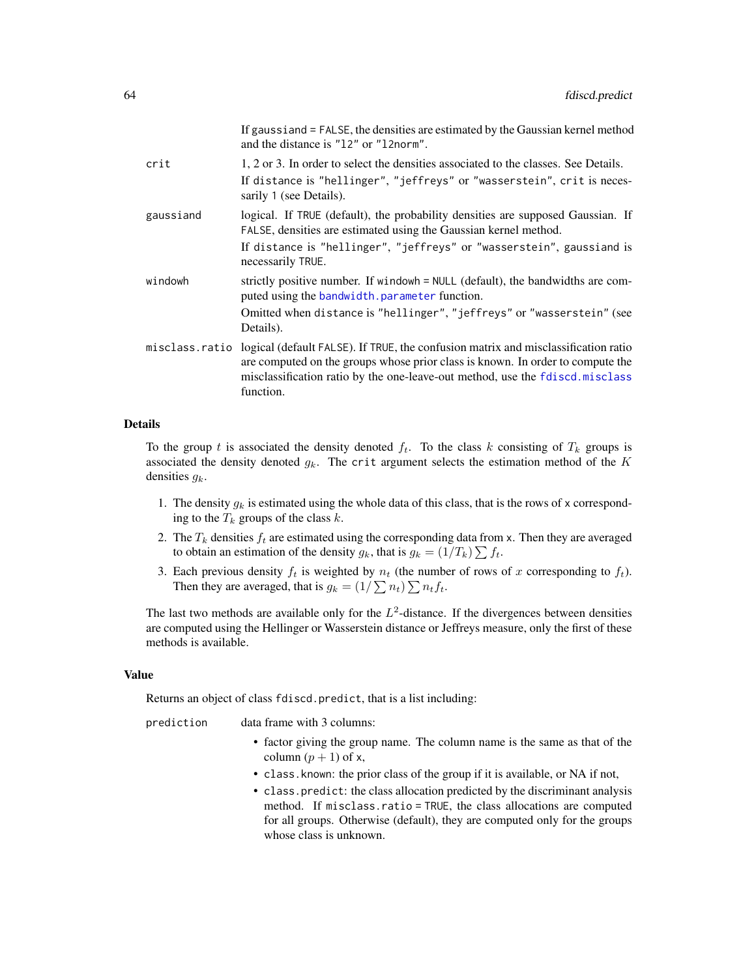| If gaussiand = FALSE, the densities are estimated by the Gaussian kernel method<br>and the distance is "12" or "12norm".                                                                                                                                                         |
|----------------------------------------------------------------------------------------------------------------------------------------------------------------------------------------------------------------------------------------------------------------------------------|
| 1, 2 or 3. In order to select the densities associated to the classes. See Details.                                                                                                                                                                                              |
| If distance is "hellinger", "jeffreys" or "wasserstein", crit is neces-<br>sarily 1 (see Details).                                                                                                                                                                               |
| logical. If TRUE (default), the probability densities are supposed Gaussian. If<br>FALSE, densities are estimated using the Gaussian kernel method.                                                                                                                              |
| If distance is "hellinger", "jeffreys" or "wasserstein", gaussiand is<br>necessarily TRUE.                                                                                                                                                                                       |
| strictly positive number. If windowh = NULL (default), the bandwidths are com-<br>puted using the bandwidth.parameter function.                                                                                                                                                  |
| Omitted when distance is "hellinger", "jeffreys" or "wasserstein" (see<br>Details).                                                                                                                                                                                              |
| misclass.ratio logical (default FALSE). If TRUE, the confusion matrix and misclassification ratio<br>are computed on the groups whose prior class is known. In order to compute the<br>misclassification ratio by the one-leave-out method, use the fdiscd.misclass<br>function. |
|                                                                                                                                                                                                                                                                                  |

To the group t is associated the density denoted  $f_t$ . To the class k consisting of  $T_k$  groups is associated the density denoted  $g_k$ . The crit argument selects the estimation method of the K densities  $g_k$ .

- 1. The density  $g_k$  is estimated using the whole data of this class, that is the rows of x corresponding to the  $T_k$  groups of the class k.
- 2. The  $T_k$  densities  $f_t$  are estimated using the corresponding data from x. Then they are averaged to obtain an estimation of the density  $g_k$ , that is  $g_k = (1/T_k) \sum f_t$ .
- 3. Each previous density  $f_t$  is weighted by  $n_t$  (the number of rows of x corresponding to  $f_t$ ). Then they are averaged, that is  $g_k = (1/\sum n_t) \sum n_t f_t$ .

The last two methods are available only for the  $L^2$ -distance. If the divergences between densities are computed using the Hellinger or Wasserstein distance or Jeffreys measure, only the first of these methods is available.

### Value

Returns an object of class fdiscd.predict, that is a list including:

| prediction | data frame with 3 columns: |
|------------|----------------------------|
|------------|----------------------------|

- factor giving the group name. The column name is the same as that of the column  $(p + 1)$  of x,
- class.known: the prior class of the group if it is available, or NA if not,
- class.predict: the class allocation predicted by the discriminant analysis method. If misclass.ratio = TRUE, the class allocations are computed for all groups. Otherwise (default), they are computed only for the groups whose class is unknown.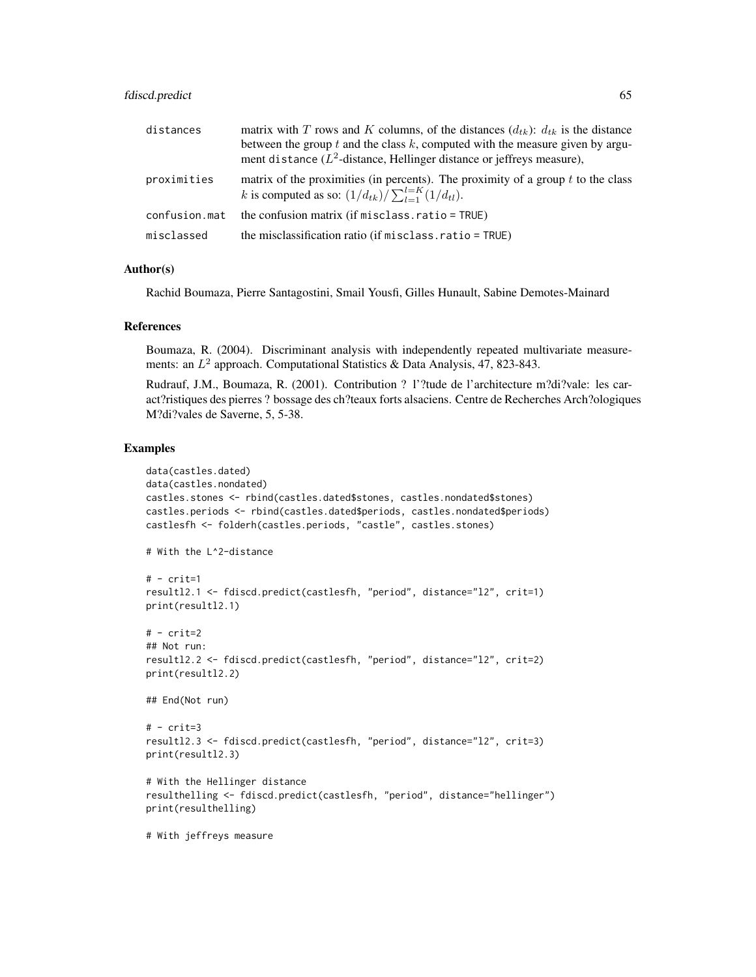# fdiscd.predict 65

| distances     | matrix with T rows and K columns, of the distances $(d_{tk})$ : $d_{tk}$ is the distance                                                                       |
|---------------|----------------------------------------------------------------------------------------------------------------------------------------------------------------|
|               | between the group $t$ and the class $k$ , computed with the measure given by argu-<br>ment distance $(L^2$ -distance, Hellinger distance or jeffreys measure), |
| proximities   | matrix of the proximities (in percents). The proximity of a group $t$ to the class<br>k is computed as so: $(1/d_{tk})/\sum_{l=1}^{l=K} (1/d_{tl}).$           |
| confusion.mat | the confusion matrix (if misclass.ratio = TRUE)                                                                                                                |
| misclassed    | the misclassification ratio (if misclass.ratio = TRUE)                                                                                                         |

## Author(s)

Rachid Boumaza, Pierre Santagostini, Smail Yousfi, Gilles Hunault, Sabine Demotes-Mainard

## References

Boumaza, R. (2004). Discriminant analysis with independently repeated multivariate measurements: an  $L^2$  approach. Computational Statistics & Data Analysis, 47, 823-843.

Rudrauf, J.M., Boumaza, R. (2001). Contribution ? l'?tude de l'architecture m?di?vale: les caract?ristiques des pierres ? bossage des ch?teaux forts alsaciens. Centre de Recherches Arch?ologiques M?di?vales de Saverne, 5, 5-38.

#### Examples

```
data(castles.dated)
data(castles.nondated)
castles.stones <- rbind(castles.dated$stones, castles.nondated$stones)
castles.periods <- rbind(castles.dated$periods, castles.nondated$periods)
castlesfh <- folderh(castles.periods, "castle", castles.stones)
# With the L^2-distance
# - crit=1resultl2.1 <- fdiscd.predict(castlesfh, "period", distance="l2", crit=1)
print(resultl2.1)
# - crit=2
## Not run:
resultl2.2 <- fdiscd.predict(castlesfh, "period", distance="l2", crit=2)
print(resultl2.2)
## End(Not run)
# - crit=3
resultl2.3 <- fdiscd.predict(castlesfh, "period", distance="l2", crit=3)
print(resultl2.3)
# With the Hellinger distance
resulthelling <- fdiscd.predict(castlesfh, "period", distance="hellinger")
print(resulthelling)
# With jeffreys measure
```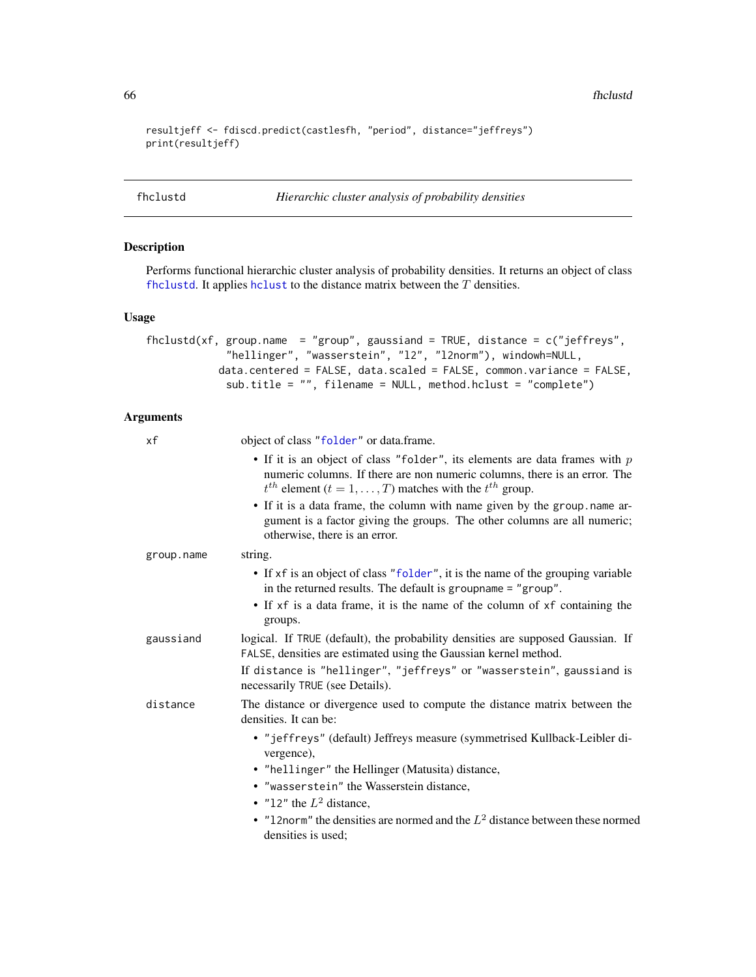66 fhclustd

```
resultjeff <- fdiscd.predict(castlesfh, "period", distance="jeffreys")
print(resultjeff)
```
<span id="page-65-0"></span>fhclustd *Hierarchic cluster analysis of probability densities*

# Description

Performs functional hierarchic cluster analysis of probability densities. It returns an object of class [fhclustd](#page-65-0). It applies [hclust](#page-0-0) to the distance matrix between the  $T$  densities.

#### Usage

```
fhclustd(xf, group.name = "group", gaussiand = TRUE, distance = c("jeffreys",
             "hellinger", "wasserstein", "l2", "l2norm"), windowh=NULL,
           data.centered = FALSE, data.scaled = FALSE, common.variance = FALSE,
             sub.title = "", filename = NULL, method.hclust = "complete")
```
## Arguments

| object of class "folder" or data.frame.                                                                                                                                                                                              |
|--------------------------------------------------------------------------------------------------------------------------------------------------------------------------------------------------------------------------------------|
| • If it is an object of class "folder", its elements are data frames with $p$<br>numeric columns. If there are non numeric columns, there is an error. The<br>$t^{th}$ element $(t = 1, \ldots, T)$ matches with the $t^{th}$ group. |
| • If it is a data frame, the column with name given by the group . name ar-<br>gument is a factor giving the groups. The other columns are all numeric;<br>otherwise, there is an error.                                             |
| string.                                                                                                                                                                                                                              |
| • If xf is an object of class "folder", it is the name of the grouping variable<br>in the returned results. The default is groupname $=$ "group".                                                                                    |
| • If xf is a data frame, it is the name of the column of xf containing the<br>groups.                                                                                                                                                |
| logical. If TRUE (default), the probability densities are supposed Gaussian. If<br>FALSE, densities are estimated using the Gaussian kernel method.                                                                                  |
| If distance is "hellinger", "jeffreys" or "wasserstein", gaussiand is<br>necessarily TRUE (see Details).                                                                                                                             |
| The distance or divergence used to compute the distance matrix between the<br>densities. It can be:                                                                                                                                  |
| • "jeffreys" (default) Jeffreys measure (symmetrised Kullback-Leibler di-<br>vergence),                                                                                                                                              |
| • "hellinger" the Hellinger (Matusita) distance,                                                                                                                                                                                     |
| • "wasserstein" the Wasserstein distance,                                                                                                                                                                                            |
| • "12" the $L^2$ distance,                                                                                                                                                                                                           |
| • "12norm" the densities are normed and the $L^2$ distance between these normed<br>densities is used:                                                                                                                                |
|                                                                                                                                                                                                                                      |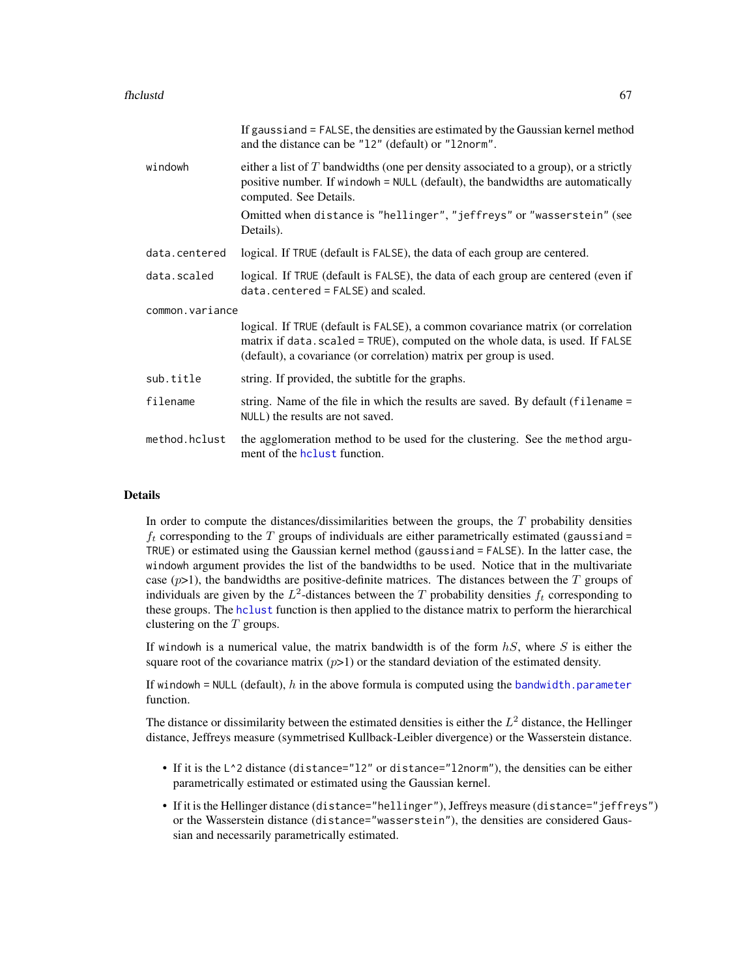|                 | If gaussiand = FALSE, the densities are estimated by the Gaussian kernel method<br>and the distance can be "12" (default) or "12norm".                                                                                                 |
|-----------------|----------------------------------------------------------------------------------------------------------------------------------------------------------------------------------------------------------------------------------------|
| windowh         | either a list of $T$ bandwidths (one per density associated to a group), or a strictly<br>positive number. If windowh = NULL (default), the bandwidths are automatically<br>computed. See Details.                                     |
|                 | Omitted when distance is "hellinger", "jeffreys" or "wasserstein" (see<br>Details).                                                                                                                                                    |
| data.centered   | logical. If TRUE (default is FALSE), the data of each group are centered.                                                                                                                                                              |
| data.scaled     | logical. If TRUE (default is FALSE), the data of each group are centered (even if<br>data.centered = FALSE) and scaled.                                                                                                                |
| common.variance |                                                                                                                                                                                                                                        |
|                 | logical. If TRUE (default is FALSE), a common covariance matrix (or correlation<br>matrix if data. scaled = TRUE), computed on the whole data, is used. If FALSE<br>(default), a covariance (or correlation) matrix per group is used. |
| sub.title       | string. If provided, the subtitle for the graphs.                                                                                                                                                                                      |
| filename        | string. Name of the file in which the results are saved. By default (filename =<br>NULL) the results are not saved.                                                                                                                    |
| method.hclust   | the agglomeration method to be used for the clustering. See the method argu-<br>ment of the holast function.                                                                                                                           |

In order to compute the distances/dissimilarities between the groups, the  $T$  probability densities  $f_t$  corresponding to the T groups of individuals are either parametrically estimated (gaussiand = TRUE) or estimated using the Gaussian kernel method (gaussiand = FALSE). In the latter case, the windowh argument provides the list of the bandwidths to be used. Notice that in the multivariate case  $(p>1)$ , the bandwidths are positive-definite matrices. The distances between the T groups of individuals are given by the  $L^2$ -distances between the T probability densities  $f_t$  corresponding to these groups. The [hclust](#page-0-0) function is then applied to the distance matrix to perform the hierarchical clustering on the  $T$  groups.

If windowh is a numerical value, the matrix bandwidth is of the form  $hS$ , where S is either the square root of the covariance matrix  $(p>1)$  or the standard deviation of the estimated density.

If windowh = NULL (default),  $h$  in the above formula is computed using the [bandwidth.parameter](#page-23-0) function.

The distance or dissimilarity between the estimated densities is either the  $L^2$  distance, the Hellinger distance, Jeffreys measure (symmetrised Kullback-Leibler divergence) or the Wasserstein distance.

- If it is the  $L^2$  distance (distance="12" or distance="l2norm"), the densities can be either parametrically estimated or estimated using the Gaussian kernel.
- If it is the Hellinger distance (distance="hellinger"), Jeffreys measure (distance="jeffreys") or the Wasserstein distance (distance="wasserstein"), the densities are considered Gaussian and necessarily parametrically estimated.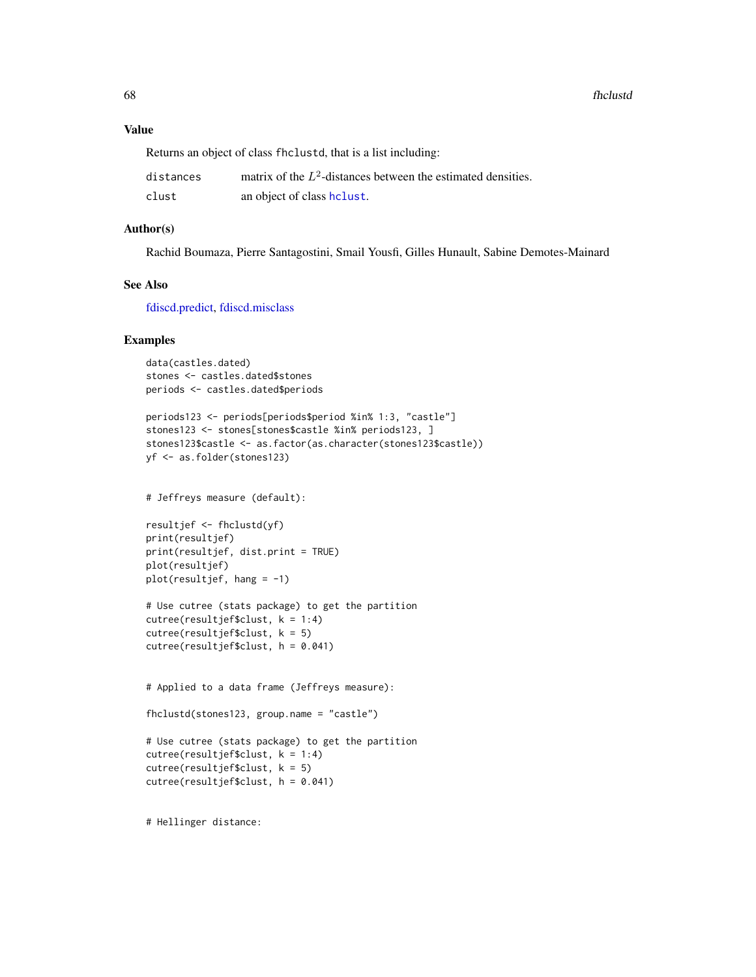## Value

Returns an object of class fhclustd, that is a list including:

| distances | matrix of the $L^2$ -distances between the estimated densities. |
|-----------|-----------------------------------------------------------------|
| clust     | an object of class helust.                                      |

 $\sim$ 

## Author(s)

Rachid Boumaza, Pierre Santagostini, Smail Yousfi, Gilles Hunault, Sabine Demotes-Mainard

# See Also

[fdiscd.predict,](#page-62-0) [fdiscd.misclass](#page-59-0)

### Examples

```
data(castles.dated)
stones <- castles.dated$stones
periods <- castles.dated$periods
```

```
periods123 <- periods[periods$period %in% 1:3, "castle"]
stones123 <- stones[stones$castle %in% periods123, ]
stones123$castle <- as.factor(as.character(stones123$castle))
yf <- as.folder(stones123)
```
# Jeffreys measure (default):

```
resultjef <- fhclustd(yf)
print(resultjef)
print(resultjef, dist.print = TRUE)
plot(resultjef)
plot(resultjef, hang = -1)
```

```
# Use cutree (stats package) to get the partition
cutree(resultjef$clust, k = 1:4)
cutree(resultjef$clust, k = 5)
cutree(resultjef$clust, h = 0.041)
```
# Applied to a data frame (Jeffreys measure):

```
fhclustd(stones123, group.name = "castle")
```

```
# Use cutree (stats package) to get the partition
cutree(resultjef$clust, k = 1:4)
cutree(resultjef$clust, k = 5)
cutree(resultjef$clust, h = 0.041)
```
# Hellinger distance: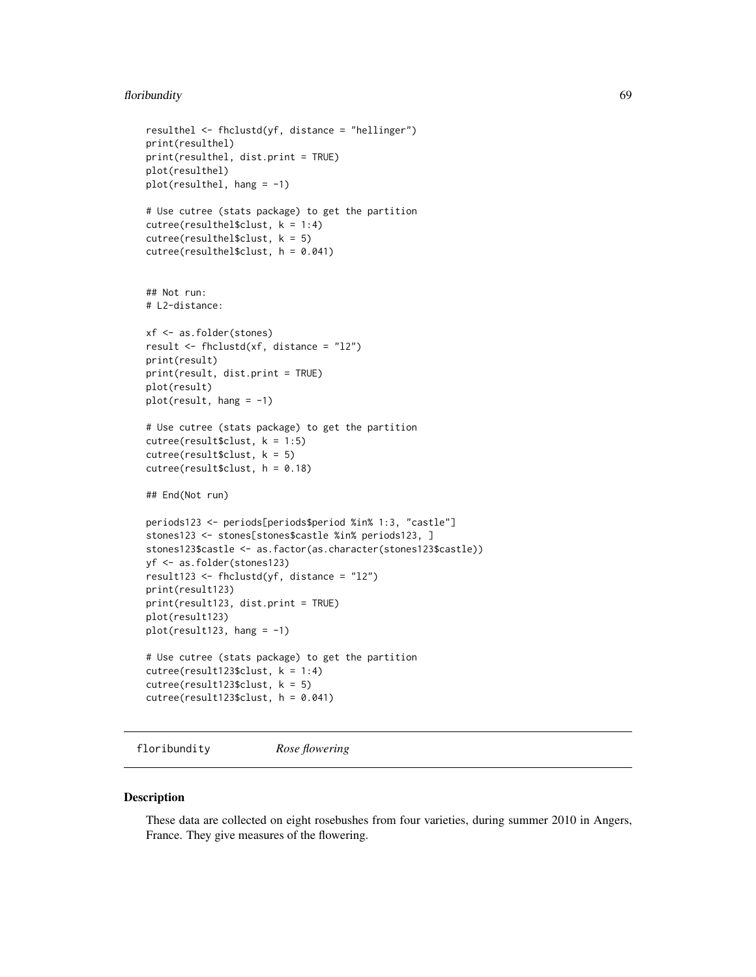## floribundity to the contract of the contract of the contract of the contract of the contract of the contract of the contract of the contract of the contract of the contract of the contract of the contract of the contract o

```
resulthel <- fhclustd(yf, distance = "hellinger")
print(resulthel)
print(resulthel, dist.print = TRUE)
plot(resulthel)
plot(resulthel, hang = -1)# Use cutree (stats package) to get the partition
cutree(resulthel$clust, k = 1:4)cutree(resulthel$clust, k = 5)
cutree(resulthel$clust, h = 0.041)
## Not run:
# L2-distance:
xf <- as.folder(stones)
result <- fhclustd(xf, distance = "l2")
print(result)
print(result, dist.print = TRUE)
plot(result)
plot(result, hang = -1)
# Use cutree (stats package) to get the partition
cutree(result$clust, k = 1:5)
cutree(result$clust, k = 5)
cutree(result$clust, h = 0.18)## End(Not run)
periods123 <- periods[periods$period %in% 1:3, "castle"]
stones123 <- stones[stones$castle %in% periods123, ]
stones123$castle <- as.factor(as.character(stones123$castle))
yf <- as.folder(stones123)
result123 <- fhclustd(yf, distance = "l2")
print(result123)
print(result123, dist.print = TRUE)
plot(result123)
plot(result123, hang = -1)# Use cutree (stats package) to get the partition
cutree(result123$clust, k = 1:4)
cutree(result123$clust, k = 5)
cutree(result123$clust, h = 0.041)
```
floribundity *Rose flowering*

### Description

These data are collected on eight rosebushes from four varieties, during summer 2010 in Angers, France. They give measures of the flowering.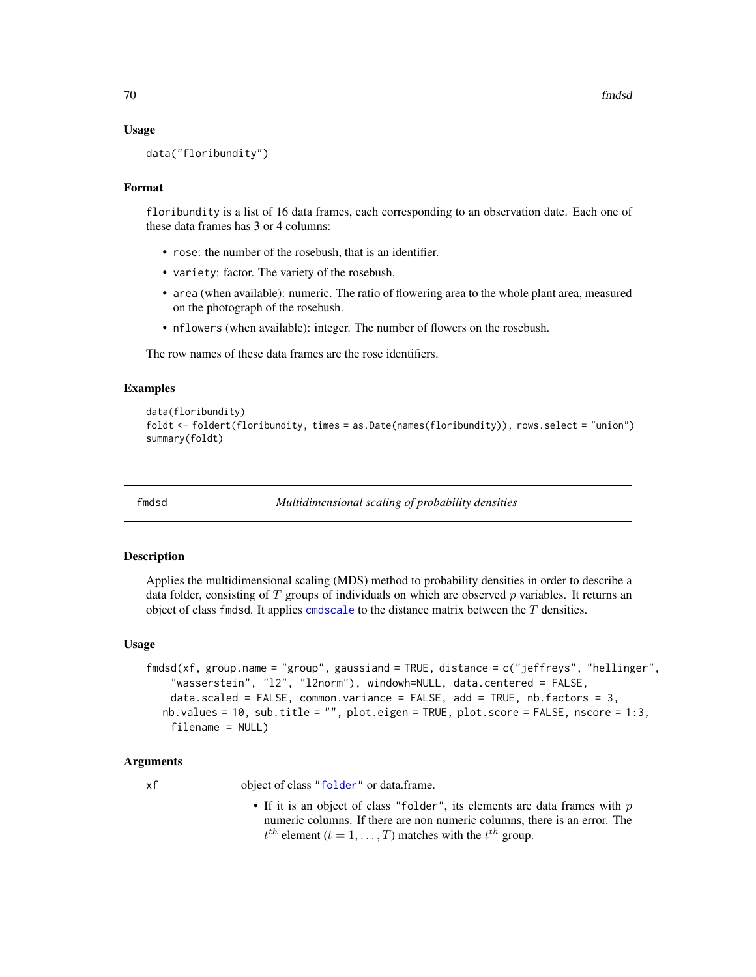#### Usage

data("floribundity")

## Format

floribundity is a list of 16 data frames, each corresponding to an observation date. Each one of these data frames has 3 or 4 columns:

- rose: the number of the rosebush, that is an identifier.
- variety: factor. The variety of the rosebush.
- area (when available): numeric. The ratio of flowering area to the whole plant area, measured on the photograph of the rosebush.
- nflowers (when available): integer. The number of flowers on the rosebush.

The row names of these data frames are the rose identifiers.

### Examples

```
data(floribundity)
foldt <- foldert(floribundity, times = as.Date(names(floribundity)), rows.select = "union")
summary(foldt)
```
fmdsd *Multidimensional scaling of probability densities*

#### Description

Applies the multidimensional scaling (MDS) method to probability densities in order to describe a data folder, consisting of  $T$  groups of individuals on which are observed  $p$  variables. It returns an object of class fmdsd. It applies [cmdscale](#page-0-0) to the distance matrix between the  $T$  densities.

#### Usage

```
fmdsd(xf, group.name = "group", gaussiand = TRUE, distance = c("jeffreys", "hellinger",
    "wasserstein", "l2", "l2norm"), windowh=NULL, data.centered = FALSE,
    data.scaled = FALSE, common.variance = FALSE, add = TRUE, nb.factors = 3,
  nb.values = 10, sub.title = "", plot.eigen = TRUE, plot.score = FALSE, nscore = 1:3,
    filename = NULL)
```
## Arguments

xf object of class ["folder"](#page-73-0) or data.frame.

• If it is an object of class "folder", its elements are data frames with  $p$ numeric columns. If there are non numeric columns, there is an error. The  $t^{th}$  element ( $t = 1, \ldots, T$ ) matches with the  $t^{th}$  group.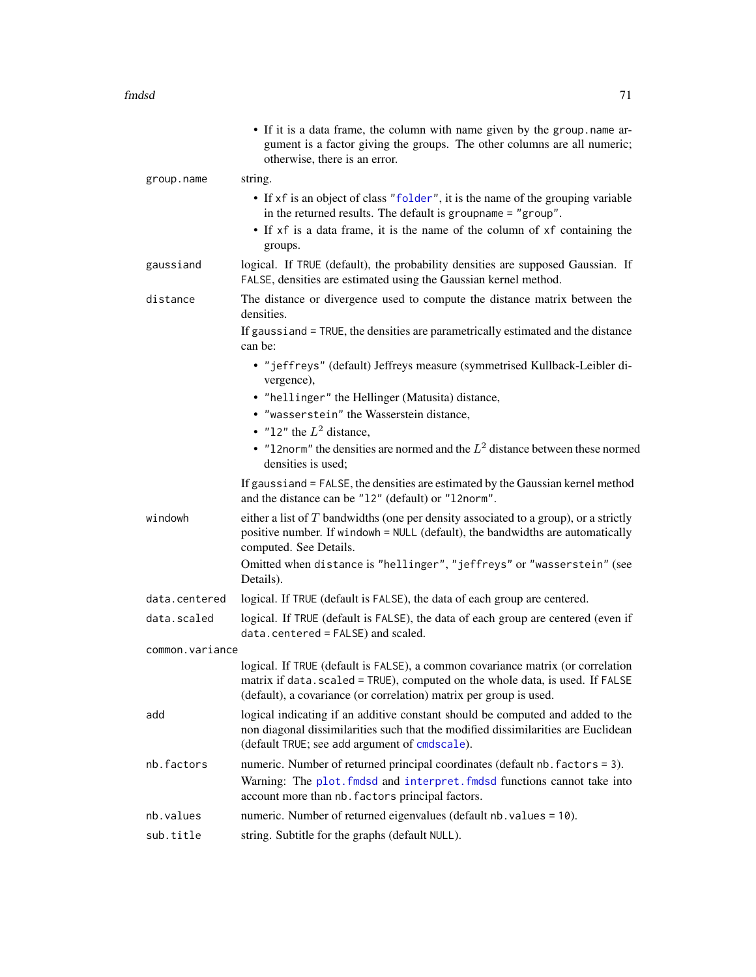|                 | • If it is a data frame, the column with name given by the group name ar-<br>gument is a factor giving the groups. The other columns are all numeric;<br>otherwise, there is an error.                                                 |
|-----------------|----------------------------------------------------------------------------------------------------------------------------------------------------------------------------------------------------------------------------------------|
| group.name      | string.                                                                                                                                                                                                                                |
|                 | • If xf is an object of class "folder", it is the name of the grouping variable<br>in the returned results. The default is groupname = "group".                                                                                        |
|                 | • If xf is a data frame, it is the name of the column of xf containing the<br>groups.                                                                                                                                                  |
| gaussiand       | logical. If TRUE (default), the probability densities are supposed Gaussian. If<br>FALSE, densities are estimated using the Gaussian kernel method.                                                                                    |
| distance        | The distance or divergence used to compute the distance matrix between the<br>densities.                                                                                                                                               |
|                 | If gaussiand = TRUE, the densities are parametrically estimated and the distance<br>can be:                                                                                                                                            |
|                 | • "jeffreys" (default) Jeffreys measure (symmetrised Kullback-Leibler di-<br>vergence),                                                                                                                                                |
|                 | • "hellinger" the Hellinger (Matusita) distance,                                                                                                                                                                                       |
|                 | • "wasserstein" the Wasserstein distance,                                                                                                                                                                                              |
|                 | • "12" the $L^2$ distance,                                                                                                                                                                                                             |
|                 | • "12norm" the densities are normed and the $L^2$ distance between these normed<br>densities is used:                                                                                                                                  |
|                 | If gaussiand = FALSE, the densities are estimated by the Gaussian kernel method<br>and the distance can be "12" (default) or "12norm".                                                                                                 |
| windowh         | either a list of $T$ bandwidths (one per density associated to a group), or a strictly<br>positive number. If windowh = NULL (default), the bandwidths are automatically<br>computed. See Details.                                     |
|                 | Omitted when distance is "hellinger", "jeffreys" or "wasserstein" (see<br>Details).                                                                                                                                                    |
| data.centered   | logical. If TRUE (default is FALSE), the data of each group are centered.                                                                                                                                                              |
| data.scaled     | logical. If TRUE (default is FALSE), the data of each group are centered (even if<br>data.centered = FALSE) and scaled.                                                                                                                |
| common.variance |                                                                                                                                                                                                                                        |
|                 | logical. If TRUE (default is FALSE), a common covariance matrix (or correlation<br>matrix if data. scaled = TRUE), computed on the whole data, is used. If FALSE<br>(default), a covariance (or correlation) matrix per group is used. |
| add             | logical indicating if an additive constant should be computed and added to the<br>non diagonal dissimilarities such that the modified dissimilarities are Euclidean<br>(default TRUE; see add argument of cmdscale).                   |
| nb.factors      | numeric. Number of returned principal coordinates (default nb. factors = 3).                                                                                                                                                           |
|                 | Warning: The plot. fmdsd and interpret. fmdsd functions cannot take into<br>account more than nb. factors principal factors.                                                                                                           |
| nb.values       | numeric. Number of returned eigenvalues (default nb. values = 10).                                                                                                                                                                     |
| sub.title       | string. Subtitle for the graphs (default NULL).                                                                                                                                                                                        |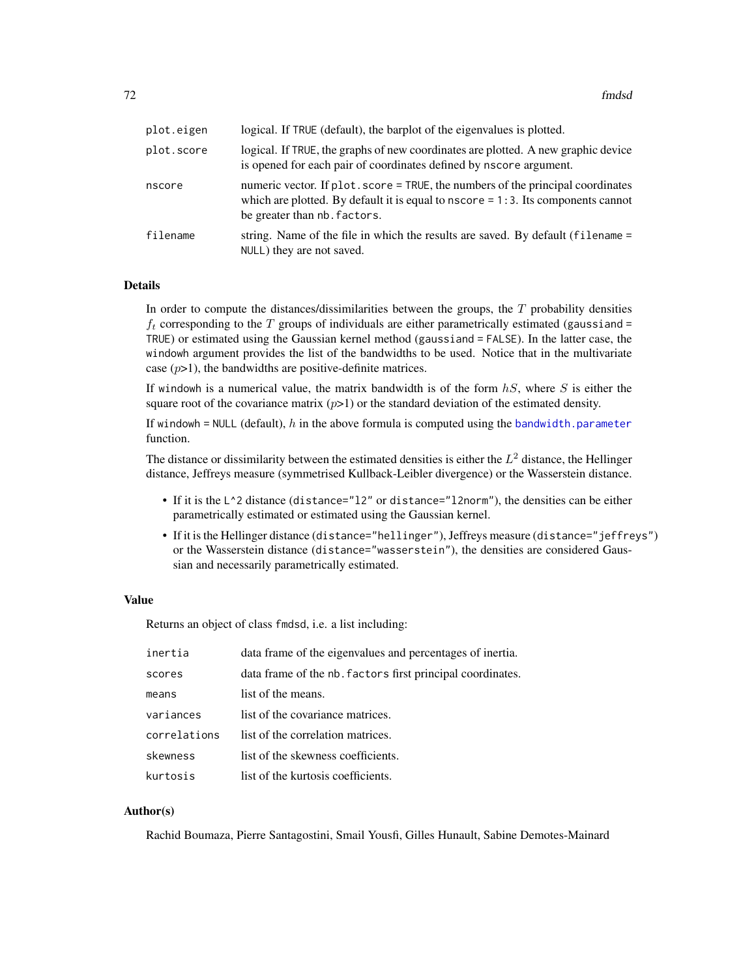| plot.eigen | logical. If TRUE (default), the barplot of the eigenvalues is plotted.                                                                                                                                  |
|------------|---------------------------------------------------------------------------------------------------------------------------------------------------------------------------------------------------------|
| plot.score | logical. If TRUE, the graphs of new coordinates are plotted. A new graphic device<br>is opened for each pair of coordinates defined by nscore argument.                                                 |
| nscore     | numeric vector. If plot . score = TRUE, the numbers of the principal coordinates<br>which are plotted. By default it is equal to $nscore = 1:3$ . Its components cannot<br>be greater than nb. factors. |
| filename   | string. Name of the file in which the results are saved. By default (filename =<br>NULL) they are not saved.                                                                                            |

In order to compute the distances/dissimilarities between the groups, the  $T$  probability densities  $f_t$  corresponding to the T groups of individuals are either parametrically estimated (gaussiand = TRUE) or estimated using the Gaussian kernel method (gaussiand = FALSE). In the latter case, the windowh argument provides the list of the bandwidths to be used. Notice that in the multivariate case  $(p>1)$ , the bandwidths are positive-definite matrices.

If windowh is a numerical value, the matrix bandwidth is of the form  $hS$ , where S is either the square root of the covariance matrix  $(p>1)$  or the standard deviation of the estimated density.

If windowh = NULL (default),  $h$  in the above formula is computed using the [bandwidth.parameter](#page-23-0) function.

The distance or dissimilarity between the estimated densities is either the  $L^2$  distance, the Hellinger distance, Jeffreys measure (symmetrised Kullback-Leibler divergence) or the Wasserstein distance.

- If it is the L^2 distance (distance="l2" or distance="l2norm"), the densities can be either parametrically estimated or estimated using the Gaussian kernel.
- If it is the Hellinger distance (distance="hellinger"), Jeffreys measure (distance="jeffreys") or the Wasserstein distance (distance="wasserstein"), the densities are considered Gaussian and necessarily parametrically estimated.

# Value

Returns an object of class fmdsd, i.e. a list including:

| inertia      | data frame of the eigenvalues and percentages of inertia.  |
|--------------|------------------------------------------------------------|
| scores       | data frame of the nb. factors first principal coordinates. |
| means        | list of the means.                                         |
| variances    | list of the covariance matrices.                           |
| correlations | list of the correlation matrices.                          |
| skewness     | list of the skewness coefficients.                         |
| kurtosis     | list of the kurtosis coefficients.                         |

## Author(s)

Rachid Boumaza, Pierre Santagostini, Smail Yousfi, Gilles Hunault, Sabine Demotes-Mainard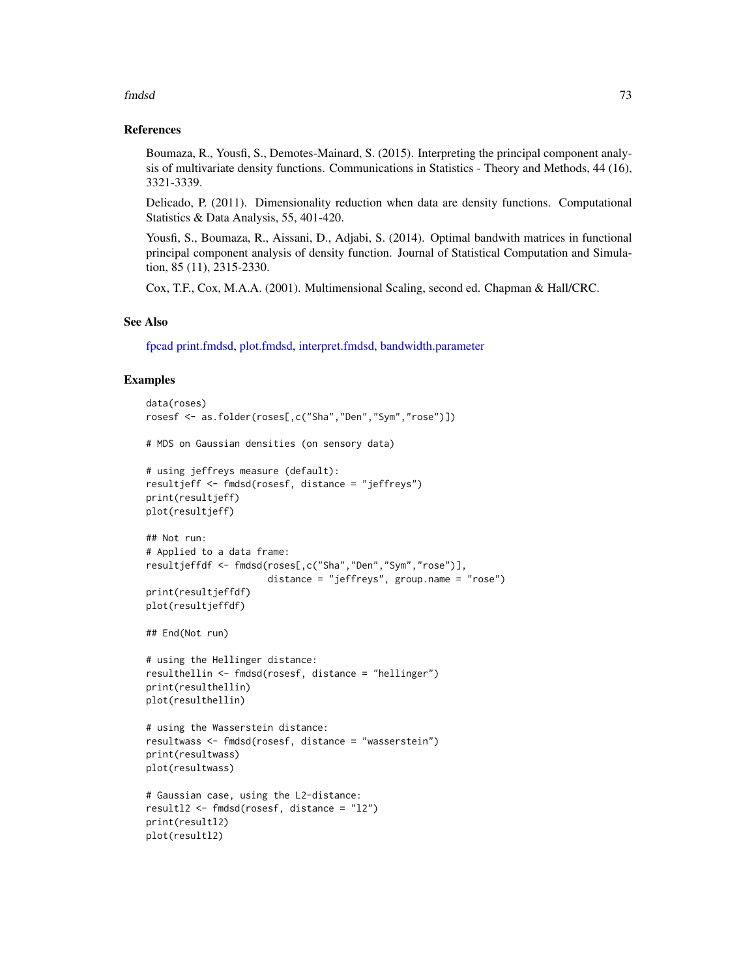#### fmdsd 73

#### References

Boumaza, R., Yousfi, S., Demotes-Mainard, S. (2015). Interpreting the principal component analysis of multivariate density functions. Communications in Statistics - Theory and Methods, 44 (16), 3321-3339.

Delicado, P. (2011). Dimensionality reduction when data are density functions. Computational Statistics & Data Analysis, 55, 401-420.

Yousfi, S., Boumaza, R., Aissani, D., Adjabi, S. (2014). Optimal bandwith matrices in functional principal component analysis of density function. Journal of Statistical Computation and Simulation, 85 (11), 2315-2330.

Cox, T.F., Cox, M.A.A. (2001). Multimensional Scaling, second ed. Chapman & Hall/CRC.

# See Also

[fpcad](#page-80-0) [print.fmdsd,](#page-172-0) [plot.fmdsd,](#page-157-0) [interpret.fmdsd,](#page-97-0) [bandwidth.parameter](#page-23-0)

```
data(roses)
rosesf <- as.folder(roses[,c("Sha","Den","Sym","rose")])
# MDS on Gaussian densities (on sensory data)
# using jeffreys measure (default):
resultjeff <- fmdsd(rosesf, distance = "jeffreys")
print(resultjeff)
plot(resultjeff)
## Not run:
# Applied to a data frame:
resultjeffdf <- fmdsd(roses[,c("Sha","Den","Sym","rose")],
                      distance = "jeffreys", group.name = "rose")
print(resultjeffdf)
plot(resultjeffdf)
## End(Not run)
# using the Hellinger distance:
resulthellin <- fmdsd(rosesf, distance = "hellinger")
print(resulthellin)
plot(resulthellin)
# using the Wasserstein distance:
resultwass <- fmdsd(rosesf, distance = "wasserstein")
print(resultwass)
plot(resultwass)
# Gaussian case, using the L2-distance:
resultl2 <- fmdsd(rosesf, distance = "l2")
print(resultl2)
plot(resultl2)
```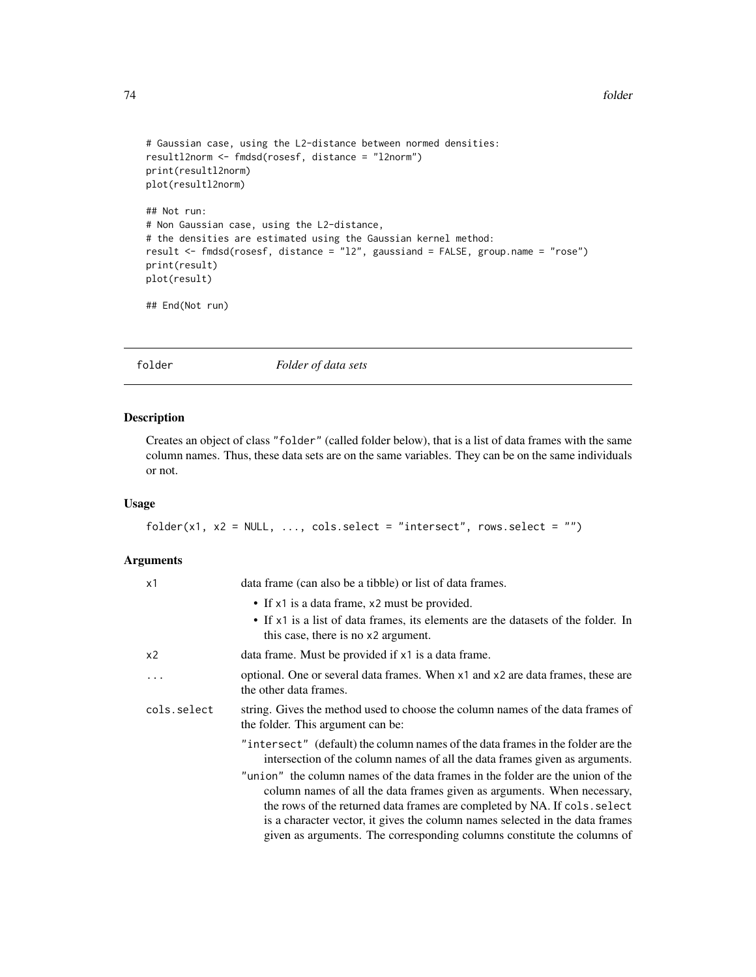```
# Gaussian case, using the L2-distance between normed densities:
resultl2norm <- fmdsd(rosesf, distance = "l2norm")
print(resultl2norm)
plot(resultl2norm)
## Not run:
# Non Gaussian case, using the L2-distance,
# the densities are estimated using the Gaussian kernel method:
result <- fmdsd(rosesf, distance = "l2", gaussiand = FALSE, group.name = "rose")
print(result)
plot(result)
```
## End(Not run)

# <span id="page-73-0"></span>folder *Folder of data sets*

# Description

Creates an object of class "folder" (called folder below), that is a list of data frames with the same column names. Thus, these data sets are on the same variables. They can be on the same individuals or not.

## Usage

```
folder(x1, x2 = NULL, ..., cols.sleepct = "interest", rows.sleepct = "")
```
#### Arguments

| x1             | data frame (can also be a tibble) or list of data frames.                                                                                                                                                                                                                                                                                                                                         |
|----------------|---------------------------------------------------------------------------------------------------------------------------------------------------------------------------------------------------------------------------------------------------------------------------------------------------------------------------------------------------------------------------------------------------|
|                | • If x1 is a data frame, x2 must be provided.                                                                                                                                                                                                                                                                                                                                                     |
|                | • If x1 is a list of data frames, its elements are the datasets of the folder. In<br>this case, there is no x2 argument.                                                                                                                                                                                                                                                                          |
| x <sub>2</sub> | data frame. Must be provided if x1 is a data frame.                                                                                                                                                                                                                                                                                                                                               |
| $\cdots$       | optional. One or several data frames. When x1 and x2 are data frames, these are<br>the other data frames.                                                                                                                                                                                                                                                                                         |
| cols.select    | string. Gives the method used to choose the column names of the data frames of<br>the folder. This argument can be:                                                                                                                                                                                                                                                                               |
|                | "intersect" (default) the column names of the data frames in the folder are the<br>intersection of the column names of all the data frames given as arguments.                                                                                                                                                                                                                                    |
|                | "union" the column names of the data frames in the folder are the union of the<br>column names of all the data frames given as arguments. When necessary,<br>the rows of the returned data frames are completed by NA. If cols. select<br>is a character vector, it gives the column names selected in the data frames<br>given as arguments. The corresponding columns constitute the columns of |
|                |                                                                                                                                                                                                                                                                                                                                                                                                   |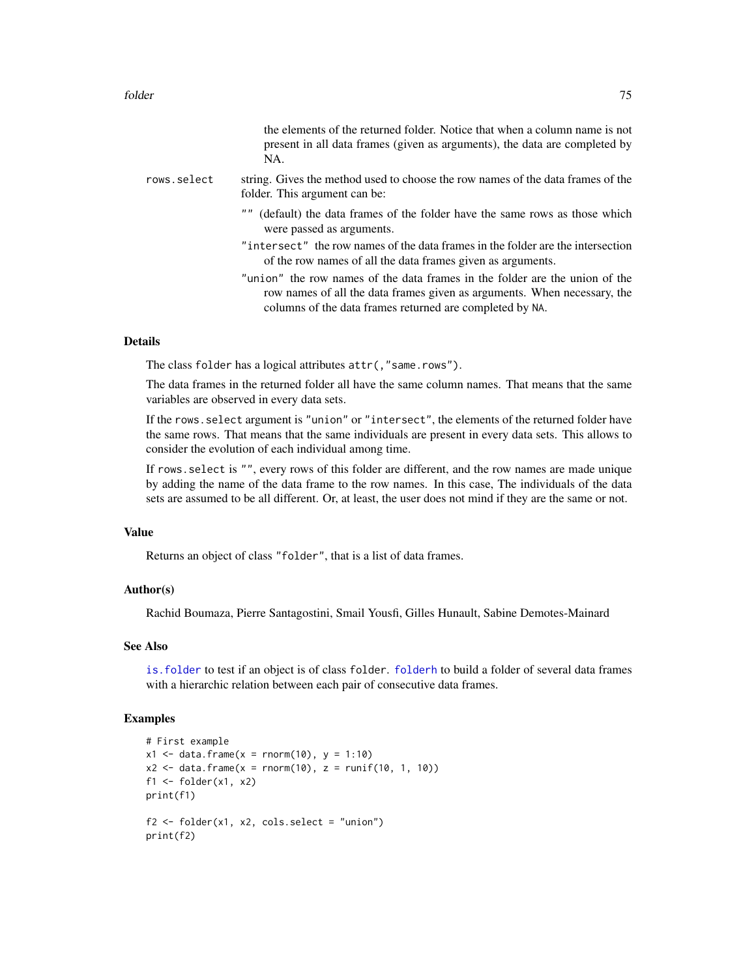|             | the elements of the returned folder. Notice that when a column name is not<br>present in all data frames (given as arguments), the data are completed by<br>NA. |
|-------------|-----------------------------------------------------------------------------------------------------------------------------------------------------------------|
| rows.select | string. Gives the method used to choose the row names of the data frames of the<br>folder. This argument can be:                                                |
|             | (default) the data frames of the folder have the same rows as those which<br>were passed as arguments.                                                          |
|             | "intersect" the row names of the data frames in the folder are the intersection<br>of the row names of all the data frames given as arguments.                  |
|             | "union" the row names of the data frames in the folder are the union of the<br>row names of all the data frames given as arguments. When necessary, the         |

#### Details

The class folder has a logical attributes attr(,"same.rows").

The data frames in the returned folder all have the same column names. That means that the same variables are observed in every data sets.

columns of the data frames returned are completed by NA.

If the rows.select argument is "union" or "intersect", the elements of the returned folder have the same rows. That means that the same individuals are present in every data sets. This allows to consider the evolution of each individual among time.

If rows.select is "", every rows of this folder are different, and the row names are made unique by adding the name of the data frame to the row names. In this case, The individuals of the data sets are assumed to be all different. Or, at least, the user does not mind if they are the same or not.

# Value

Returns an object of class "folder", that is a list of data frames.

## Author(s)

Rachid Boumaza, Pierre Santagostini, Smail Yousfi, Gilles Hunault, Sabine Demotes-Mainard

# See Also

[is.folder](#page-109-0) to test if an object is of class folder. [folderh](#page-75-0) to build a folder of several data frames with a hierarchic relation between each pair of consecutive data frames.

```
# First example
x1 \le - data.frame(x =rnorm(10), y = 1:10)
x2 \leq - data.frame(x = rnorm(10), z = runif(10, 1, 10))
f1 <- folder(x1, x2)print(f1)
f2 \leq-folder(x1, x2, cols.select = "union")print(f2)
```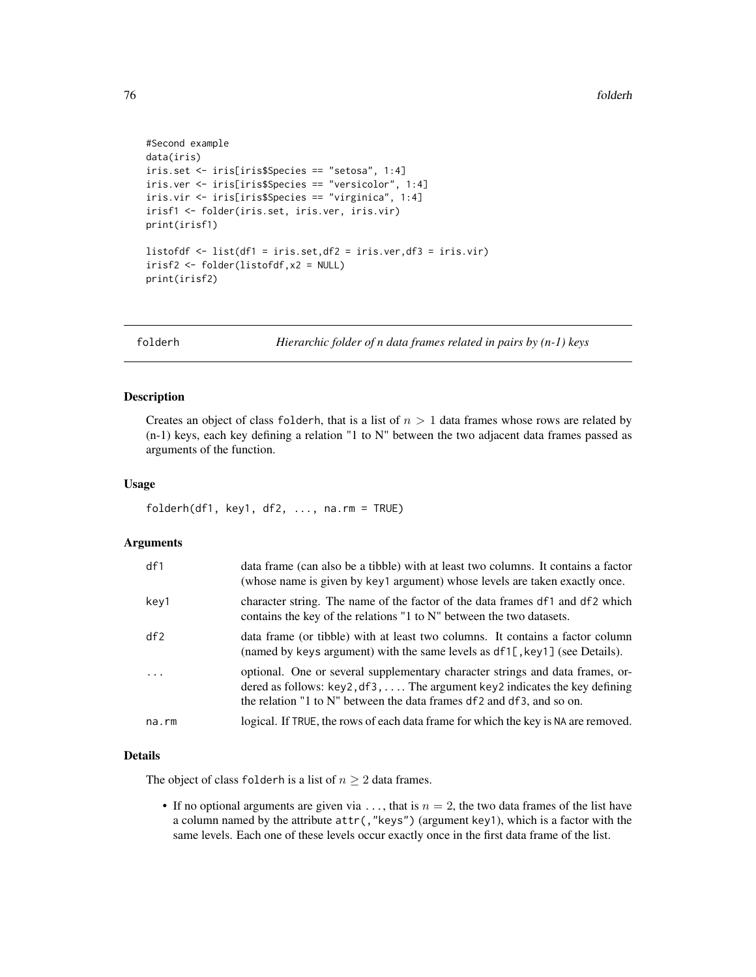```
#Second example
data(iris)
iris.set <- iris[iris$Species == "setosa", 1:4]
iris.ver <- iris[iris$Species == "versicolor", 1:4]
iris.vir <- iris[iris$Species == "virginica", 1:4]
irisf1 <- folder(iris.set, iris.ver, iris.vir)
print(irisf1)
listofdf <- list(df1 = iris.set,df2 = iris.ver,df3 = iris.vir)
irisf2 <- folder(listofdf,x2 = NULL)
print(irisf2)
```
folderh *Hierarchic folder of n data frames related in pairs by (n-1) keys*

## Description

Creates an object of class folderh, that is a list of  $n > 1$  data frames whose rows are related by (n-1) keys, each key defining a relation "1 to N" between the two adjacent data frames passed as arguments of the function.

#### Usage

folderh(df1, key1, df2, ..., na.rm = TRUE)

#### Arguments

| df1       | data frame (can also be a tibble) with at least two columns. It contains a factor<br>(whose name is given by key1 argument) whose levels are taken exactly once.                                                                                         |
|-----------|----------------------------------------------------------------------------------------------------------------------------------------------------------------------------------------------------------------------------------------------------------|
| key1      | character string. The name of the factor of the data frames df1 and df2 which<br>contains the key of the relations "1 to N" between the two datasets.                                                                                                    |
| df2       | data frame (or tibble) with at least two columns. It contains a factor column<br>(named by keys argument) with the same levels as $df1$ [, key1] (see Details).                                                                                          |
| $\ddotsc$ | optional. One or several supplementary character strings and data frames, or-<br>dered as follows: $key2, df3, \ldots$ . The argument $key2$ indicates the key defining<br>the relation "1 to $N$ " between the data frames $df2$ and $df3$ , and so on. |
| na.rm     | logical. If TRUE, the rows of each data frame for which the key is NA are removed.                                                                                                                                                                       |

# Details

The object of class folderh is a list of  $n \geq 2$  data frames.

• If no optional arguments are given via  $\dots$ , that is  $n = 2$ , the two data frames of the list have a column named by the attribute attr(,"keys") (argument key1), which is a factor with the same levels. Each one of these levels occur exactly once in the first data frame of the list.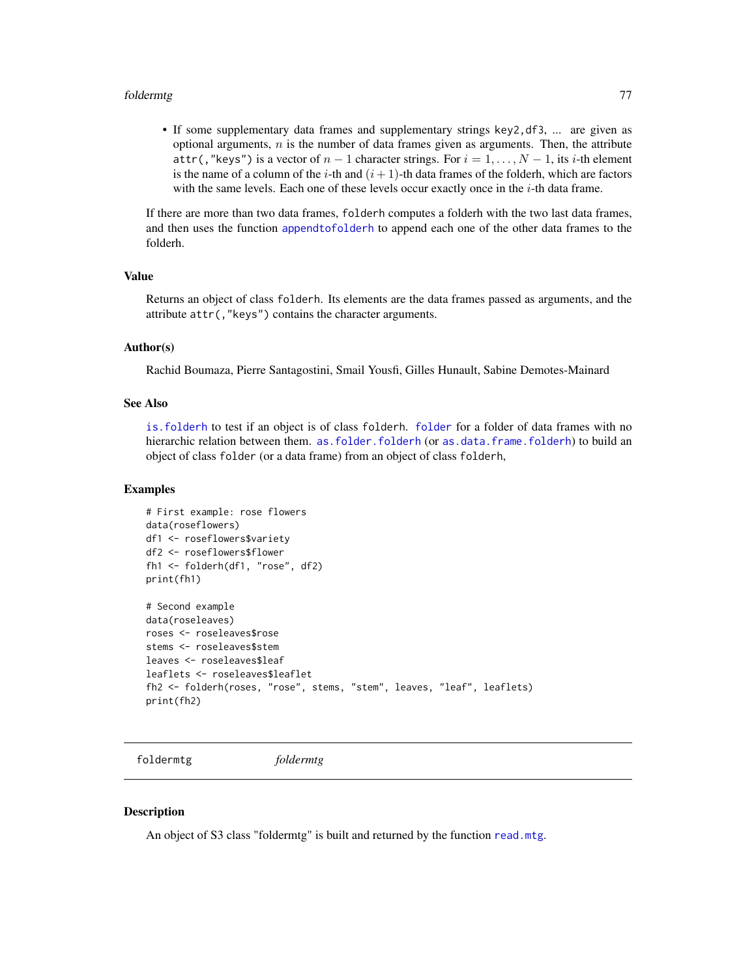#### foldermtg 77

• If some supplementary data frames and supplementary strings key2,df3, ... are given as optional arguments,  $n$  is the number of data frames given as arguments. Then, the attribute attr(,"keys") is a vector of  $n-1$  character strings. For  $i = 1, ..., N-1$ , its i-th element is the name of a column of the i-th and  $(i + 1)$ -th data frames of the folderh, which are factors with the same levels. Each one of these levels occur exactly once in the  $i$ -th data frame.

If there are more than two data frames, folderh computes a folderh with the two last data frames, and then uses the function [appendtofolderh](#page-6-0) to append each one of the other data frames to the folderh.

#### Value

Returns an object of class folderh. Its elements are the data frames passed as arguments, and the attribute attr(,"keys") contains the character arguments.

### Author(s)

Rachid Boumaza, Pierre Santagostini, Smail Yousfi, Gilles Hunault, Sabine Demotes-Mainard

## See Also

[is.folderh](#page-109-1) to test if an object is of class folderh. [folder](#page-73-0) for a folder of data frames with no hierarchic relation between them. [as.folder.folderh](#page-13-0) (or [as.data.frame.folderh](#page-8-0)) to build an object of class folder (or a data frame) from an object of class folderh,

#### Examples

```
# First example: rose flowers
data(roseflowers)
df1 <- roseflowers$variety
df2 <- roseflowers$flower
fh1 <- folderh(df1, "rose", df2)
print(fh1)
# Second example
data(roseleaves)
roses <- roseleaves$rose
stems <- roseleaves$stem
leaves <- roseleaves$leaf
leaflets <- roseleaves$leaflet
fh2 <- folderh(roses, "rose", stems, "stem", leaves, "leaf", leaflets)
print(fh2)
```
foldermtg *foldermtg*

#### **Description**

An object of S3 class "foldermtg" is built and returned by the function [read.mtg](#page-180-0).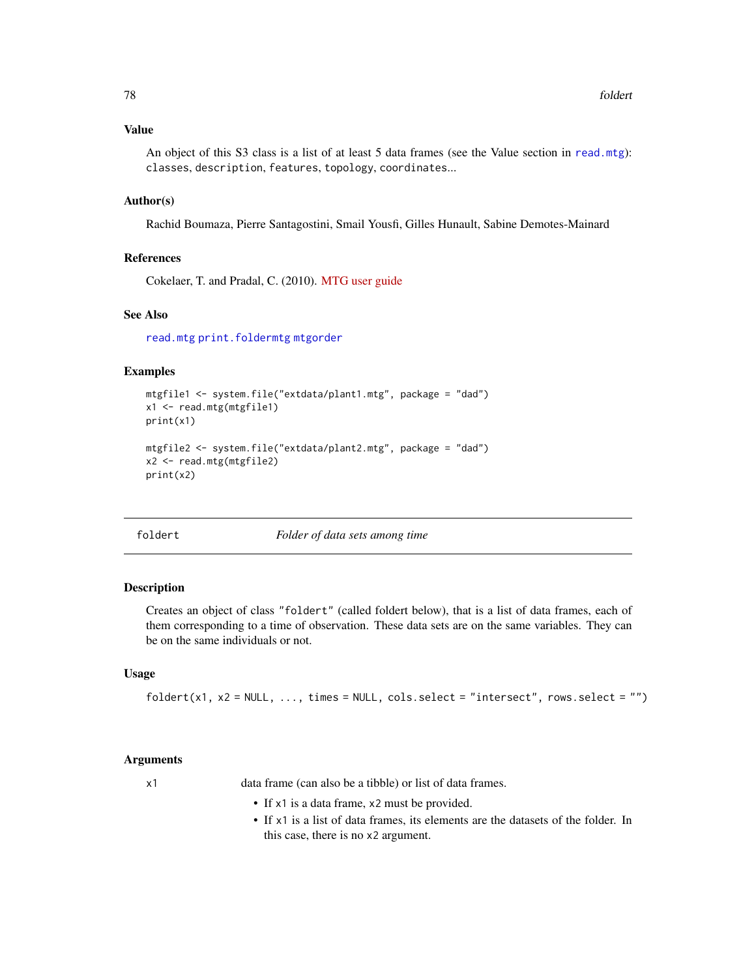## Value

An object of this S3 class is a list of at least 5 data frames (see the Value section in [read.mtg](#page-180-0)): classes, description, features, topology, coordinates...

## Author(s)

Rachid Boumaza, Pierre Santagostini, Smail Yousfi, Gilles Hunault, Sabine Demotes-Mainard

# References

Cokelaer, T. and Pradal, C. (2010). [MTG user guide](http://openalea.gforge.inria.fr/doc/vplants/newmtg/doc/_build/html/user/syntax.html)

## See Also

[read.mtg](#page-180-0) [print.foldermtg](#page-174-0) [mtgorder](#page-149-0)

## Examples

```
mtgfile1 <- system.file("extdata/plant1.mtg", package = "dad")
x1 <- read.mtg(mtgfile1)
print(x1)
mtgfile2 <- system.file("extdata/plant2.mtg", package = "dad")
x2 <- read.mtg(mtgfile2)
print(x2)
```
<span id="page-77-0"></span>

foldert *Folder of data sets among time*

## Description

Creates an object of class "foldert" (called foldert below), that is a list of data frames, each of them corresponding to a time of observation. These data sets are on the same variables. They can be on the same individuals or not.

#### Usage

 $folder(x1, x2 = NULL, ..., times = NULL, cols.select = "intersect", rows.select = "")$ 

#### Arguments

x1 data frame (can also be a tibble) or list of data frames.

- If x1 is a data frame, x2 must be provided.
- If x1 is a list of data frames, its elements are the datasets of the folder. In this case, there is no x2 argument.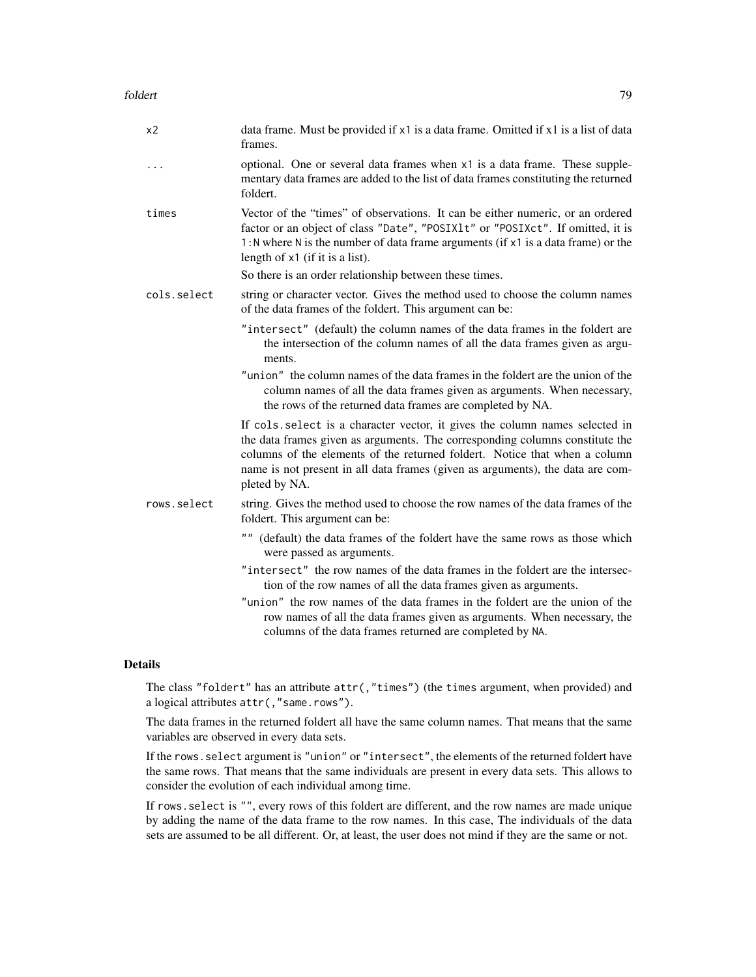| x <sub>2</sub> | data frame. Must be provided if x1 is a data frame. Omitted if x1 is a list of data<br>frames.                                                                                                                                                                                             |
|----------------|--------------------------------------------------------------------------------------------------------------------------------------------------------------------------------------------------------------------------------------------------------------------------------------------|
| $\ddots$       | optional. One or several data frames when x1 is a data frame. These supple-<br>mentary data frames are added to the list of data frames constituting the returned<br>foldert.                                                                                                              |
| times          | Vector of the "times" of observations. It can be either numeric, or an ordered<br>factor or an object of class "Date", "POSIX1t" or "POSIXct". If omitted, it is<br>1: N where N is the number of data frame arguments (if x1 is a data frame) or the<br>length of $x1$ (if it is a list). |
|                | So there is an order relationship between these times.                                                                                                                                                                                                                                     |
|                |                                                                                                                                                                                                                                                                                            |

- cols.select string or character vector. Gives the method used to choose the column names of the data frames of the foldert. This argument can be:
	- "intersect" (default) the column names of the data frames in the foldert are the intersection of the column names of all the data frames given as arguments.
	- "union" the column names of the data frames in the foldert are the union of the column names of all the data frames given as arguments. When necessary, the rows of the returned data frames are completed by NA.

If cols.select is a character vector, it gives the column names selected in the data frames given as arguments. The corresponding columns constitute the columns of the elements of the returned foldert. Notice that when a column name is not present in all data frames (given as arguments), the data are completed by NA.

- rows.select string. Gives the method used to choose the row names of the data frames of the foldert. This argument can be:
	- "" (default) the data frames of the foldert have the same rows as those which were passed as arguments.
	- "intersect" the row names of the data frames in the foldert are the intersection of the row names of all the data frames given as arguments.
	- "union" the row names of the data frames in the foldert are the union of the row names of all the data frames given as arguments. When necessary, the columns of the data frames returned are completed by NA.

# Details

The class "foldert" has an attribute attr(,"times") (the times argument, when provided) and a logical attributes attr(,"same.rows").

The data frames in the returned foldert all have the same column names. That means that the same variables are observed in every data sets.

If the rows.select argument is "union" or "intersect", the elements of the returned foldert have the same rows. That means that the same individuals are present in every data sets. This allows to consider the evolution of each individual among time.

If rows.select is "", every rows of this foldert are different, and the row names are made unique by adding the name of the data frame to the row names. In this case, The individuals of the data sets are assumed to be all different. Or, at least, the user does not mind if they are the same or not.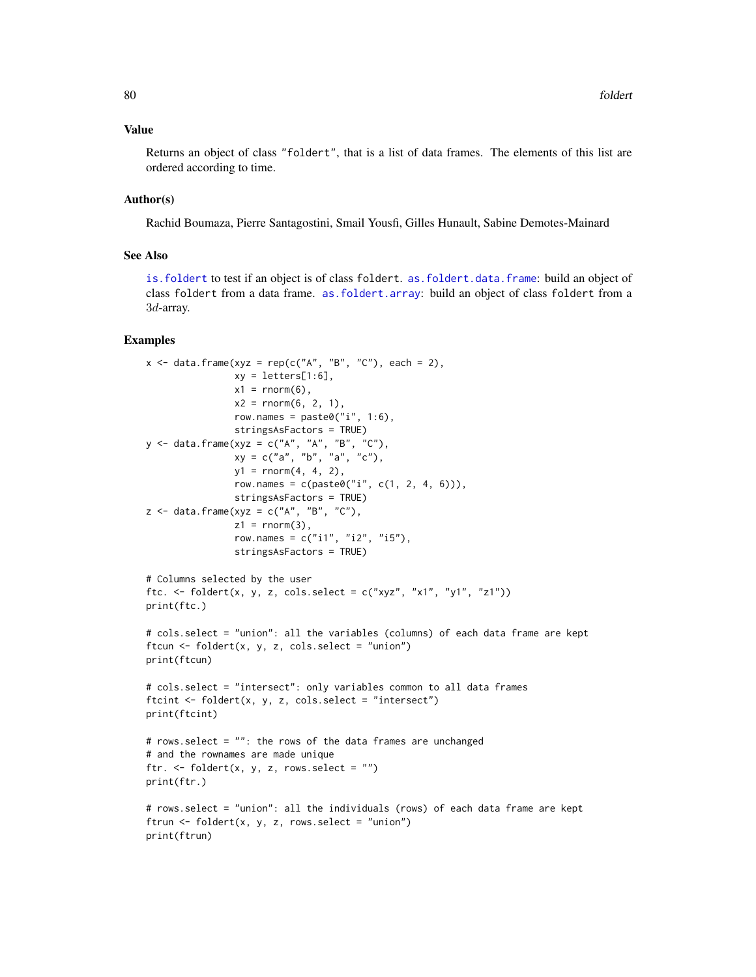#### Value

Returns an object of class "foldert", that is a list of data frames. The elements of this list are ordered according to time.

#### Author(s)

Rachid Boumaza, Pierre Santagostini, Smail Yousfi, Gilles Hunault, Sabine Demotes-Mainard

## See Also

[is.foldert](#page-111-0) to test if an object is of class foldert. [as.foldert.data.frame](#page-19-0): build an object of class foldert from a data frame. [as.foldert.array](#page-18-0): build an object of class foldert from a 3d-array.

```
x \le - data.frame(xyz = rep(c("A", "B", "C"), each = 2),
                xy = letters[1:6],x1 = \text{norm}(6),
                x2 = rnorm(6, 2, 1),row.names = paste0("i", 1:6),
                stringsAsFactors = TRUE)
y <- data.frame(xyz = c("A", "A", "B", "C"),
                xy = c("a", "b", "a", "c"),y1 = rnorm(4, 4, 2),
                row.names = c(paste0("i", c(1, 2, 4, 6))),
                stringsAsFactors = TRUE)
z \leq data.frame(xyz = c("A", "B", "C"),
                z1 = rnorm(3),
                row.names = c("i1", "i2", "i5"),stringsAsFactors = TRUE)
# Columns selected by the user
ftc. \le foldert(x, y, z, cols.select = c("xyz", "x1", "y1", "z1"))
print(ftc.)
# cols.select = "union": all the variables (columns) of each data frame are kept
ftcun \le foldert(x, y, z, cols.select = "union")
print(ftcun)
# cols.select = "intersect": only variables common to all data frames
ftcint \leq foldert(x, y, z, cols.select = "intersect")
print(ftcint)
# rows.select = "": the rows of the data frames are unchanged
# and the rownames are made unique
ftr. \le foldert(x, y, z, rows.select = ")
print(ftr.)
# rows.select = "union": all the individuals (rows) of each data frame are kept
ftrun \leq foldert(x, y, z, rows.select = "union")
print(ftrun)
```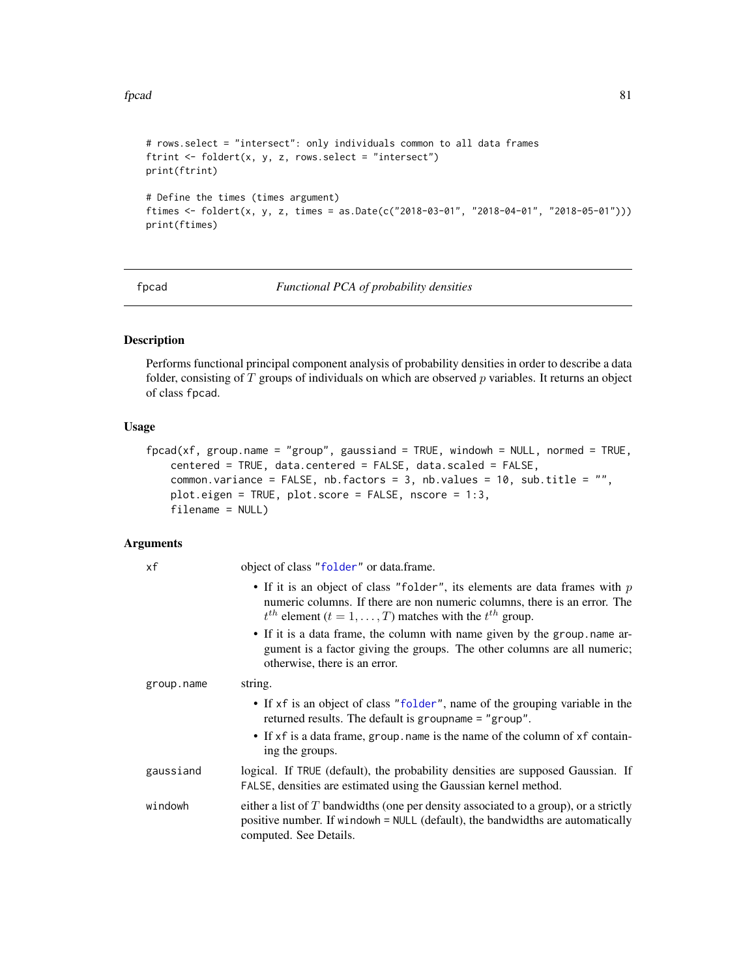## fpcad 81

```
# rows.select = "intersect": only individuals common to all data frames
ftrint <- foldert(x, y, z, rows.select = "intersect")
print(ftrint)
# Define the times (times argument)
ftimes <- foldert(x, y, z, times = as.Date(c("2018-03-01", "2018-04-01", "2018-05-01")))
print(ftimes)
```
<span id="page-80-0"></span>

fpcad *Functional PCA of probability densities*

# Description

Performs functional principal component analysis of probability densities in order to describe a data folder, consisting of  $T$  groups of individuals on which are observed  $p$  variables. It returns an object of class fpcad.

# Usage

```
fpcad(xf, group.name = "group", gaussiand = TRUE, windowh = NULL, normed = TRUE,
    centered = TRUE, data.centered = FALSE, data.scaled = FALSE,
    common.variance = FALSE, nb.factors = 3, nb.values = 10, sub.title = "",
    plot.eigen = TRUE, plot.score = FALSE, nscore = 1:3,
    filename = NULL)
```
## Arguments

| xf         | object of class "folder" or data.frame.                                                                                                                                                                                              |
|------------|--------------------------------------------------------------------------------------------------------------------------------------------------------------------------------------------------------------------------------------|
|            | • If it is an object of class "folder", its elements are data frames with $p$<br>numeric columns. If there are non numeric columns, there is an error. The<br>$t^{th}$ element $(t = 1, \ldots, T)$ matches with the $t^{th}$ group. |
|            | • If it is a data frame, the column with name given by the group .name ar-<br>gument is a factor giving the groups. The other columns are all numeric;<br>otherwise, there is an error.                                              |
| group.name | string.                                                                                                                                                                                                                              |
|            | • If xf is an object of class "folder", name of the grouping variable in the<br>returned results. The default is groupname = "group".                                                                                                |
|            | • If xf is a data frame, group name is the name of the column of xf contain-<br>ing the groups.                                                                                                                                      |
| gaussiand  | logical. If TRUE (default), the probability densities are supposed Gaussian. If<br>FALSE, densities are estimated using the Gaussian kernel method.                                                                                  |
| windowh    | either a list of $T$ bandwidths (one per density associated to a group), or a strictly<br>positive number. If windowh = NULL (default), the bandwidths are automatically<br>computed. See Details.                                   |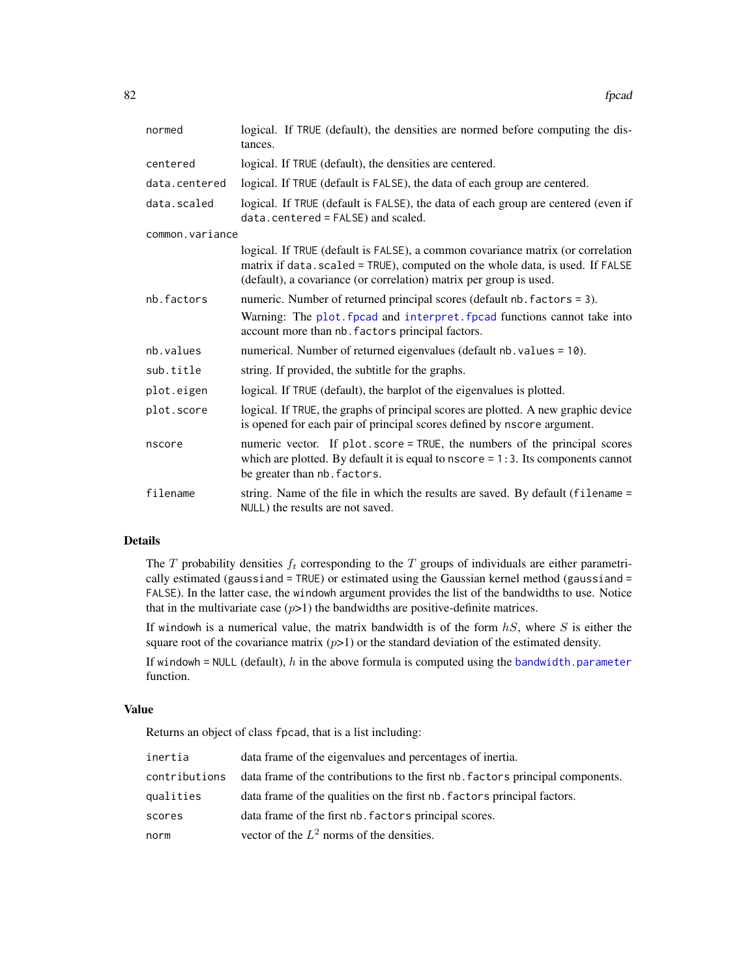| normed          | logical. If TRUE (default), the densities are normed before computing the dis-<br>tances.                                                                                                                                              |
|-----------------|----------------------------------------------------------------------------------------------------------------------------------------------------------------------------------------------------------------------------------------|
| centered        | logical. If TRUE (default), the densities are centered.                                                                                                                                                                                |
| data.centered   | logical. If TRUE (default is FALSE), the data of each group are centered.                                                                                                                                                              |
| data.scaled     | logical. If TRUE (default is FALSE), the data of each group are centered (even if<br>data.centered = FALSE) and scaled.                                                                                                                |
| common.variance |                                                                                                                                                                                                                                        |
|                 | logical. If TRUE (default is FALSE), a common covariance matrix (or correlation<br>matrix if data. scaled = TRUE), computed on the whole data, is used. If FALSE<br>(default), a covariance (or correlation) matrix per group is used. |
| nb.factors      | numeric. Number of returned principal scores (default nb. factors = 3).                                                                                                                                                                |
|                 | Warning: The plot. fpcad and interpret. fpcad functions cannot take into<br>account more than nb. factors principal factors.                                                                                                           |
| nb.values       | numerical. Number of returned eigenvalues (default nb. values = 10).                                                                                                                                                                   |
| sub.title       | string. If provided, the subtitle for the graphs.                                                                                                                                                                                      |
| plot.eigen      | logical. If TRUE (default), the barplot of the eigenvalues is plotted.                                                                                                                                                                 |
| plot.score      | logical. If TRUE, the graphs of principal scores are plotted. A new graphic device<br>is opened for each pair of principal scores defined by nscore argument.                                                                          |
| nscore          | numeric vector. If plot score = TRUE, the numbers of the principal scores<br>which are plotted. By default it is equal to $nscore = 1:3$ . Its components cannot<br>be greater than nb. factors.                                       |
| filename        | string. Name of the file in which the results are saved. By default (filename =<br>NULL) the results are not saved.                                                                                                                    |

#### Details

The  $T$  probability densities  $f_t$  corresponding to the  $T$  groups of individuals are either parametrically estimated (gaussiand = TRUE) or estimated using the Gaussian kernel method (gaussiand = FALSE). In the latter case, the windowh argument provides the list of the bandwidths to use. Notice that in the multivariate case  $(p>1)$  the bandwidths are positive-definite matrices.

If windowh is a numerical value, the matrix bandwidth is of the form  $hS$ , where S is either the square root of the covariance matrix  $(p>1)$  or the standard deviation of the estimated density.

If windowh = NULL (default),  $h$  in the above formula is computed using the [bandwidth.parameter](#page-23-0) function.

#### Value

Returns an object of class fpcad, that is a list including:

| inertia       | data frame of the eigenvalues and percentages of inertia.                      |
|---------------|--------------------------------------------------------------------------------|
| contributions | data frame of the contributions to the first nb. factors principal components. |
| qualities     | data frame of the qualities on the first nb. factors principal factors.        |
| scores        | data frame of the first nb. factors principal scores.                          |
| norm          | vector of the $L^2$ norms of the densities.                                    |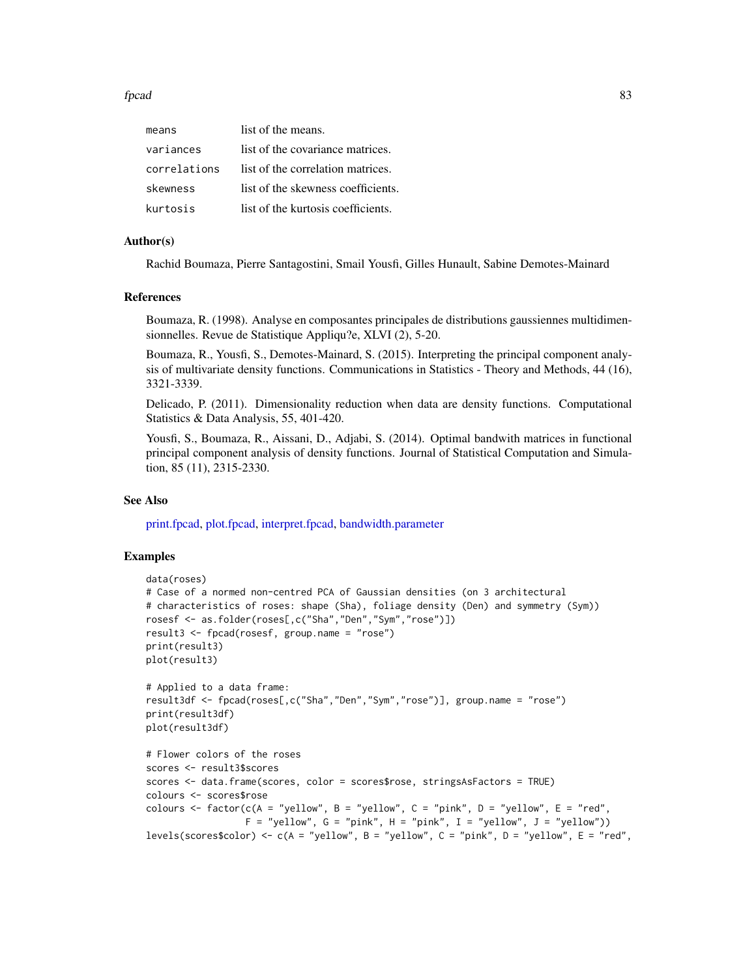#### fpcad 83

| means        | list of the means.                 |
|--------------|------------------------------------|
| variances    | list of the covariance matrices.   |
| correlations | list of the correlation matrices.  |
| skewness     | list of the skewness coefficients. |
| kurtosis     | list of the kurtosis coefficients. |

## Author(s)

Rachid Boumaza, Pierre Santagostini, Smail Yousfi, Gilles Hunault, Sabine Demotes-Mainard

#### References

Boumaza, R. (1998). Analyse en composantes principales de distributions gaussiennes multidimensionnelles. Revue de Statistique Appliqu?e, XLVI (2), 5-20.

Boumaza, R., Yousfi, S., Demotes-Mainard, S. (2015). Interpreting the principal component analysis of multivariate density functions. Communications in Statistics - Theory and Methods, 44 (16), 3321-3339.

Delicado, P. (2011). Dimensionality reduction when data are density functions. Computational Statistics & Data Analysis, 55, 401-420.

Yousfi, S., Boumaza, R., Aissani, D., Adjabi, S. (2014). Optimal bandwith matrices in functional principal component analysis of density functions. Journal of Statistical Computation and Simulation, 85 (11), 2315-2330.

#### See Also

[print.fpcad,](#page-176-0) [plot.fpcad,](#page-159-0) [interpret.fpcad,](#page-99-0) [bandwidth.parameter](#page-23-0)

```
data(roses)
# Case of a normed non-centred PCA of Gaussian densities (on 3 architectural
# characteristics of roses: shape (Sha), foliage density (Den) and symmetry (Sym))
rosesf <- as.folder(roses[,c("Sha","Den","Sym","rose")])
result3 <- fpcad(rosesf, group.name = "rose")
print(result3)
plot(result3)
# Applied to a data frame:
result3df <- fpcad(roses[,c("Sha","Den","Sym","rose")], group.name = "rose")
print(result3df)
plot(result3df)
# Flower colors of the roses
scores <- result3$scores
scores <- data.frame(scores, color = scores$rose, stringsAsFactors = TRUE)
colours <- scores$rose
colours <- factor(c(A = "yellow", B = "yellow", C = "pink", D = "yellow", E = "red",
                  F = "yellow", G = "pink", H = "pink", I = "yellow", J = "yellow")levels(scores$color) <- c(A = "yellow", B = "yellow", C = "pink", D = "yellow", E = "red",
```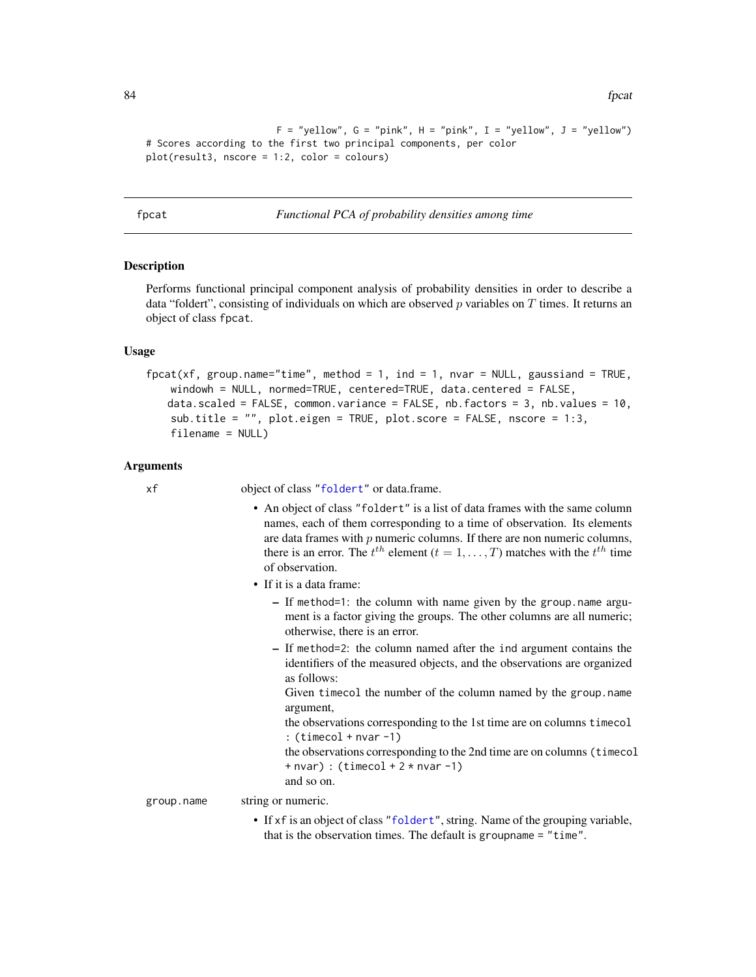```
F = "yellow", G = "pink", H = "pink", I = "yellow", J = "yellow")# Scores according to the first two principal components, per color
plot(result3, nscore = 1:2, color = colours)
```
<span id="page-83-0"></span>fpcat *Functional PCA of probability densities among time*

#### Description

Performs functional principal component analysis of probability densities in order to describe a data "foldert", consisting of individuals on which are observed  $p$  variables on  $T$  times. It returns an object of class fpcat.

## Usage

```
fpcat(xf, group.name="time", method = 1, ind = 1, nvar = NULL, gaussiand = TRUE,
   windowh = NULL, normed=TRUE, centered=TRUE, data.centered = FALSE,
   data.scaled = FALSE, common.variance = FALSE, nb.factors = 3, nb.values = 10,
   sub.title = "", plot.eigen = TRUE, plot.score = FALSE, nscore = 1:3,
   filename = NULL)
```
#### Arguments

xf object of class ["foldert"](#page-77-0) or data.frame.

- An object of class "foldert" is a list of data frames with the same column names, each of them corresponding to a time of observation. Its elements are data frames with  $p$  numeric columns. If there are non numeric columns, there is an error. The  $t^{th}$  element  $(t = 1, \ldots, T)$  matches with the  $t^{th}$  time of observation.
- If it is a data frame:
	- If method=1: the column with name given by the group.name argument is a factor giving the groups. The other columns are all numeric; otherwise, there is an error.
	- If method=2: the column named after the ind argument contains the identifiers of the measured objects, and the observations are organized as follows:

Given timecol the number of the column named by the group.name argument,

the observations corresponding to the 1st time are on columns timecol  $: (timecol + nvar -1)$ 

the observations corresponding to the 2nd time are on columns (timecol  $+$  nvar) : (timecol  $+ 2 *$  nvar  $-1$ )

and so on.

group.name string or numeric.

- - If xf is an object of class ["foldert"](#page-77-0), string. Name of the grouping variable, that is the observation times. The default is groupname = "time".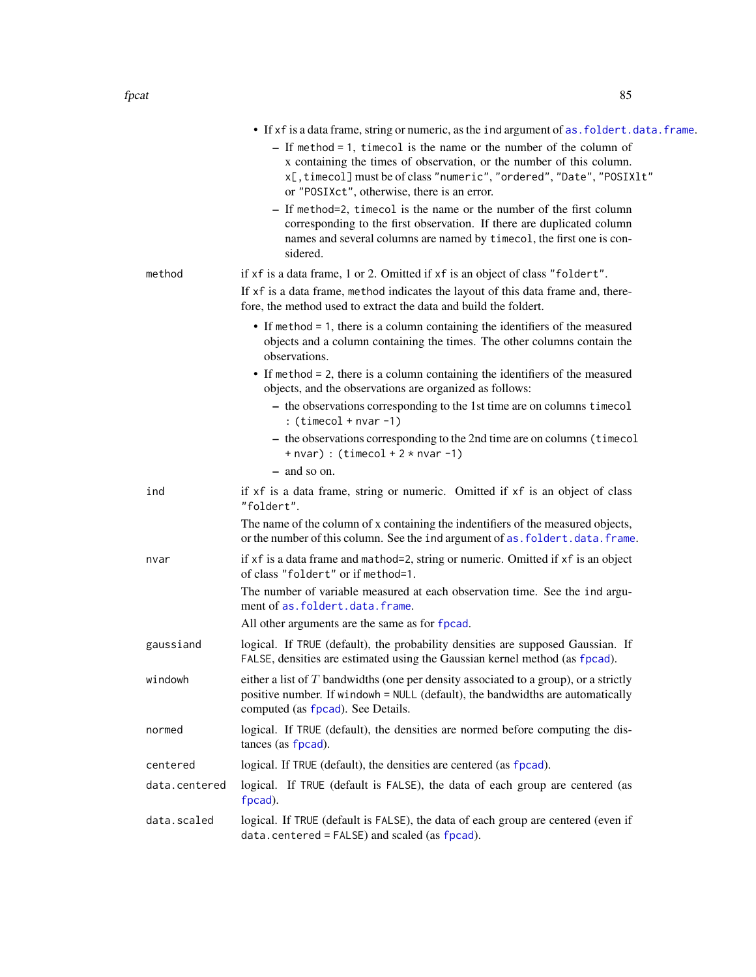|               | • If xf is a data frame, string or numeric, as the ind argument of as. foldert. data. frame.                                                                                                                                                                          |
|---------------|-----------------------------------------------------------------------------------------------------------------------------------------------------------------------------------------------------------------------------------------------------------------------|
|               | $-$ If method = 1, timecol is the name or the number of the column of<br>x containing the times of observation, or the number of this column.<br>x[, timecol] must be of class "numeric", "ordered", "Date", "POSIXlt"<br>or "POSIXct", otherwise, there is an error. |
|               | - If method=2, timecol is the name or the number of the first column<br>corresponding to the first observation. If there are duplicated column<br>names and several columns are named by timecol, the first one is con-<br>sidered.                                   |
| method        | if xf is a data frame, 1 or 2. Omitted if xf is an object of class "foldert".                                                                                                                                                                                         |
|               | If xf is a data frame, method indicates the layout of this data frame and, there-<br>fore, the method used to extract the data and build the foldert.                                                                                                                 |
|               | • If method = 1, there is a column containing the identifiers of the measured<br>objects and a column containing the times. The other columns contain the<br>observations.                                                                                            |
|               | $\bullet$ If method = 2, there is a column containing the identifiers of the measured<br>objects, and the observations are organized as follows:                                                                                                                      |
|               | - the observations corresponding to the 1st time are on columns timecol<br>: $(timecol + nvar -1)$                                                                                                                                                                    |
|               | - the observations corresponding to the 2nd time are on columns (timecol<br>$+$ nvar) : (timecol + 2 $*$ nvar -1)                                                                                                                                                     |
|               | - and so on.                                                                                                                                                                                                                                                          |
| ind           | if xf is a data frame, string or numeric. Omitted if xf is an object of class<br>"foldert".                                                                                                                                                                           |
|               | The name of the column of x containing the indentifiers of the measured objects,<br>or the number of this column. See the ind argument of as. foldert.data.frame.                                                                                                     |
| nvar          | if xf is a data frame and mathod=2, string or numeric. Omitted if xf is an object<br>of class "foldert" or if method=1.                                                                                                                                               |
|               | The number of variable measured at each observation time. See the ind argu-<br>ment of as. foldert.data.frame.                                                                                                                                                        |
|               | All other arguments are the same as for fpcad.                                                                                                                                                                                                                        |
| gaussiand     | logical. If TRUE (default), the probability densities are supposed Gaussian. If<br>FALSE, densities are estimated using the Gaussian kernel method (as fpcad).                                                                                                        |
| windowh       | either a list of $T$ bandwidths (one per density associated to a group), or a strictly<br>positive number. If windowh = NULL (default), the bandwidths are automatically<br>computed (as fpcad). See Details.                                                         |
| normed        | logical. If TRUE (default), the densities are normed before computing the dis-<br>tances (as fpcad).                                                                                                                                                                  |
| centered      | logical. If TRUE (default), the densities are centered (as fpcad).                                                                                                                                                                                                    |
| data.centered | logical. If TRUE (default is FALSE), the data of each group are centered (as<br>fpcad).                                                                                                                                                                               |
| data.scaled   | logical. If TRUE (default is FALSE), the data of each group are centered (even if<br>data.centered = FALSE) and scaled (as fpcad).                                                                                                                                    |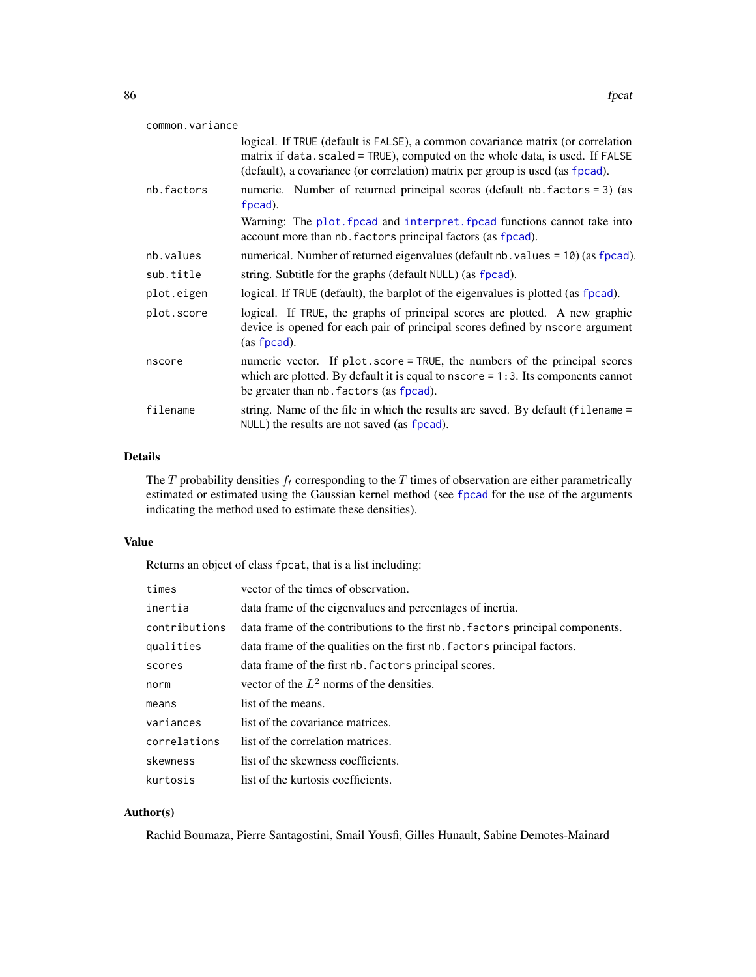| common.variance |                                                                                                                                                                                                                                                  |
|-----------------|--------------------------------------------------------------------------------------------------------------------------------------------------------------------------------------------------------------------------------------------------|
|                 | logical. If TRUE (default is FALSE), a common covariance matrix (or correlation<br>matrix if data.scaled = TRUE), computed on the whole data, is used. If FALSE<br>(default), a covariance (or correlation) matrix per group is used (as fpcad). |
| nb.factors      | numeric. Number of returned principal scores (default nb. factors = 3) (as<br>fpcad).                                                                                                                                                            |
|                 | Warning: The plot f pead and interpret f pead functions cannot take into<br>account more than nb. factors principal factors (as fpcad).                                                                                                          |
| nb.values       | numerical. Number of returned eigenvalues (default nb. values = 10) (as fpcad).                                                                                                                                                                  |
| sub.title       | string. Subtitle for the graphs (default NULL) (as fpcad).                                                                                                                                                                                       |
| plot.eigen      | logical. If TRUE (default), the barplot of the eigenvalues is plotted (as fpcad).                                                                                                                                                                |
| plot.score      | logical. If TRUE, the graphs of principal scores are plotted. A new graphic<br>device is opened for each pair of principal scores defined by nscore argument<br>(as fpcad).                                                                      |
| nscore          | numeric vector. If plot score = TRUE, the numbers of the principal scores<br>which are plotted. By default it is equal to $nscore = 1:3$ . Its components cannot<br>be greater than nb. factors (as fpcad).                                      |
| filename        | string. Name of the file in which the results are saved. By default (filename =<br>NULL) the results are not saved (as fpcad).                                                                                                                   |

# Details

The  $T$  probability densities  $f_t$  corresponding to the  $T$  times of observation are either parametrically estimated or estimated using the Gaussian kernel method (see [fpcad](#page-80-0) for the use of the arguments indicating the method used to estimate these densities).

## Value

Returns an object of class fpcat, that is a list including:

| times         | vector of the times of observation.                                            |
|---------------|--------------------------------------------------------------------------------|
| inertia       | data frame of the eigenvalues and percentages of inertia.                      |
| contributions | data frame of the contributions to the first nb. factors principal components. |
| qualities     | data frame of the qualities on the first nb. factors principal factors.        |
| scores        | data frame of the first nb. factors principal scores.                          |
| norm          | vector of the $L^2$ norms of the densities.                                    |
| means         | list of the means.                                                             |
| variances     | list of the covariance matrices.                                               |
| correlations  | list of the correlation matrices.                                              |
| skewness      | list of the skewness coefficients.                                             |
| kurtosis      | list of the kurtosis coefficients.                                             |

# Author(s)

Rachid Boumaza, Pierre Santagostini, Smail Yousfi, Gilles Hunault, Sabine Demotes-Mainard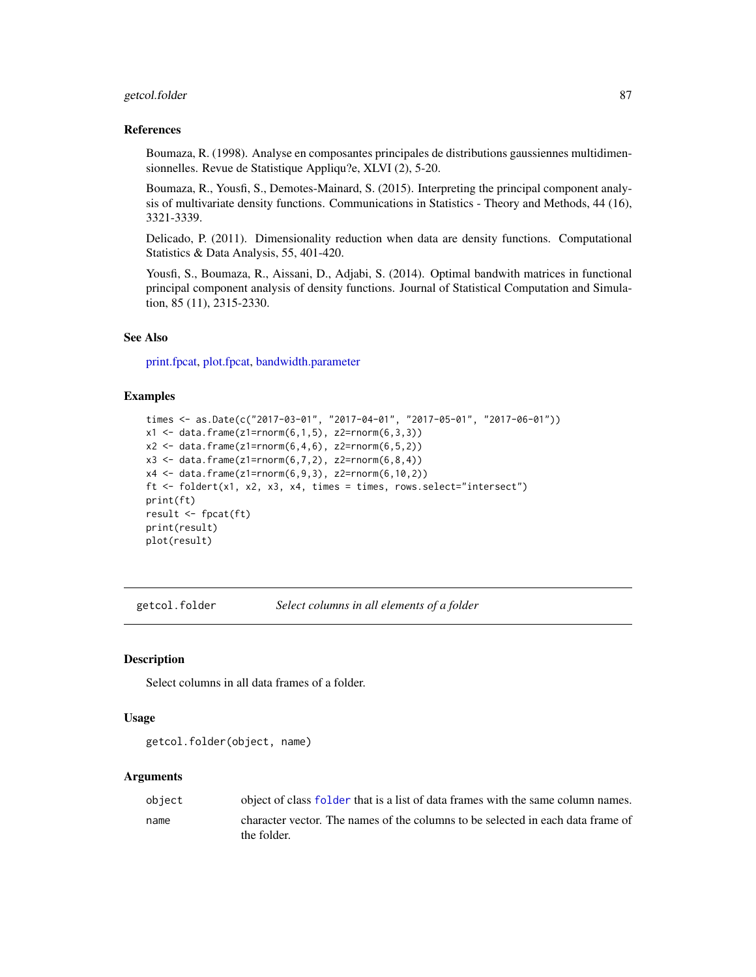# getcol.folder 87

#### References

Boumaza, R. (1998). Analyse en composantes principales de distributions gaussiennes multidimensionnelles. Revue de Statistique Appliqu?e, XLVI (2), 5-20.

Boumaza, R., Yousfi, S., Demotes-Mainard, S. (2015). Interpreting the principal component analysis of multivariate density functions. Communications in Statistics - Theory and Methods, 44 (16), 3321-3339.

Delicado, P. (2011). Dimensionality reduction when data are density functions. Computational Statistics & Data Analysis, 55, 401-420.

Yousfi, S., Boumaza, R., Aissani, D., Adjabi, S. (2014). Optimal bandwith matrices in functional principal component analysis of density functions. Journal of Statistical Computation and Simulation, 85 (11), 2315-2330.

## See Also

[print.fpcat,](#page-177-0) [plot.fpcat,](#page-161-0) [bandwidth.parameter](#page-23-0)

## Examples

```
times <- as.Date(c("2017-03-01", "2017-04-01", "2017-05-01", "2017-06-01"))
x1 \leq - data.frame(z1=rnorm(6,1,5), z2=rnorm(6,3,3))
x2 \leq - data.frame(z1=rnorm(6,4,6), z2=rnorm(6,5,2))
x3 \leq data.frame(z1=rnorm(6,7,2), z2=rnorm(6,8,4))
x4 <- data.frame(z1=rnorm(6,9,3), z2=rnorm(6,10,2))
ft <- foldert(x1, x2, x3, x4, times = times, rows.select="intersect")
print(ft)
result <- fpcat(ft)
print(result)
plot(result)
```
<span id="page-86-0"></span>getcol.folder *Select columns in all elements of a folder*

## **Description**

Select columns in all data frames of a folder.

#### Usage

```
getcol.folder(object, name)
```
#### **Arguments**

| object | object of class folder that is a list of data frames with the same column names.               |
|--------|------------------------------------------------------------------------------------------------|
| name   | character vector. The names of the columns to be selected in each data frame of<br>the folder. |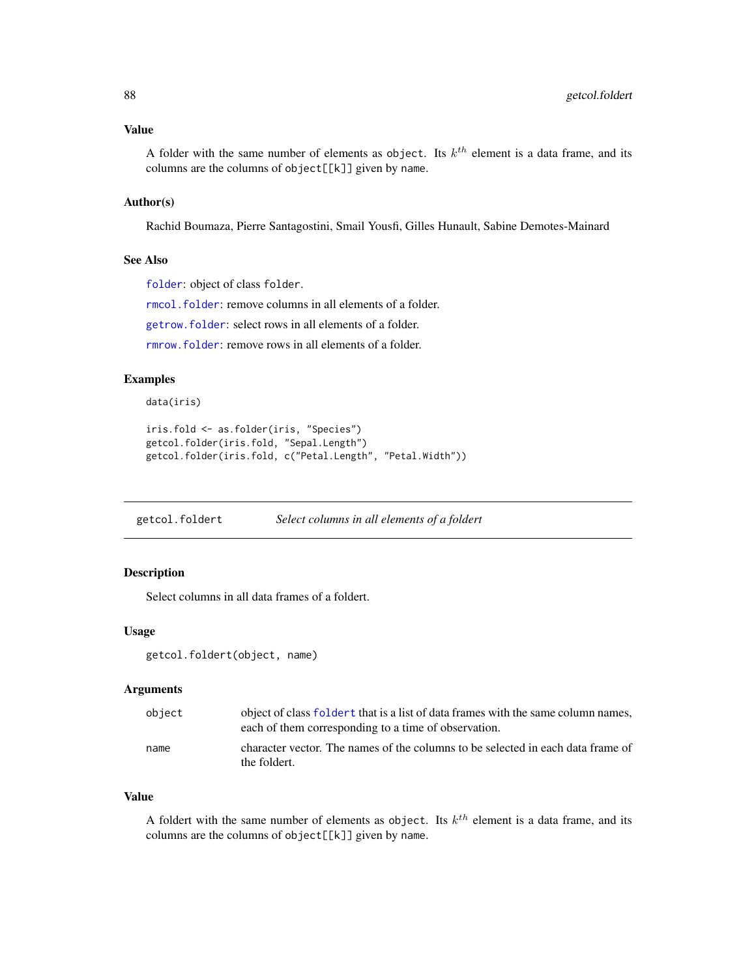## Value

A folder with the same number of elements as object. Its  $k^{th}$  element is a data frame, and its columns are the columns of object[[k]] given by name.

# Author(s)

Rachid Boumaza, Pierre Santagostini, Smail Yousfi, Gilles Hunault, Sabine Demotes-Mainard

#### See Also

[folder](#page-73-0): object of class folder.

[rmcol.folder](#page-182-0): remove columns in all elements of a folder.

[getrow.folder](#page-88-0): select rows in all elements of a folder.

[rmrow.folder](#page-184-0): remove rows in all elements of a folder.

# Examples

data(iris)

```
iris.fold <- as.folder(iris, "Species")
getcol.folder(iris.fold, "Sepal.Length")
getcol.folder(iris.fold, c("Petal.Length", "Petal.Width"))
```
<span id="page-87-0"></span>getcol.foldert *Select columns in all elements of a foldert*

## Description

Select columns in all data frames of a foldert.

# Usage

getcol.foldert(object, name)

#### Arguments

| object | object of class foldert that is a list of data frames with the same column names,<br>each of them corresponding to a time of observation. |
|--------|-------------------------------------------------------------------------------------------------------------------------------------------|
| name   | character vector. The names of the columns to be selected in each data frame of<br>the foldert.                                           |

#### Value

A foldert with the same number of elements as object. Its  $k^{th}$  element is a data frame, and its columns are the columns of object[[k]] given by name.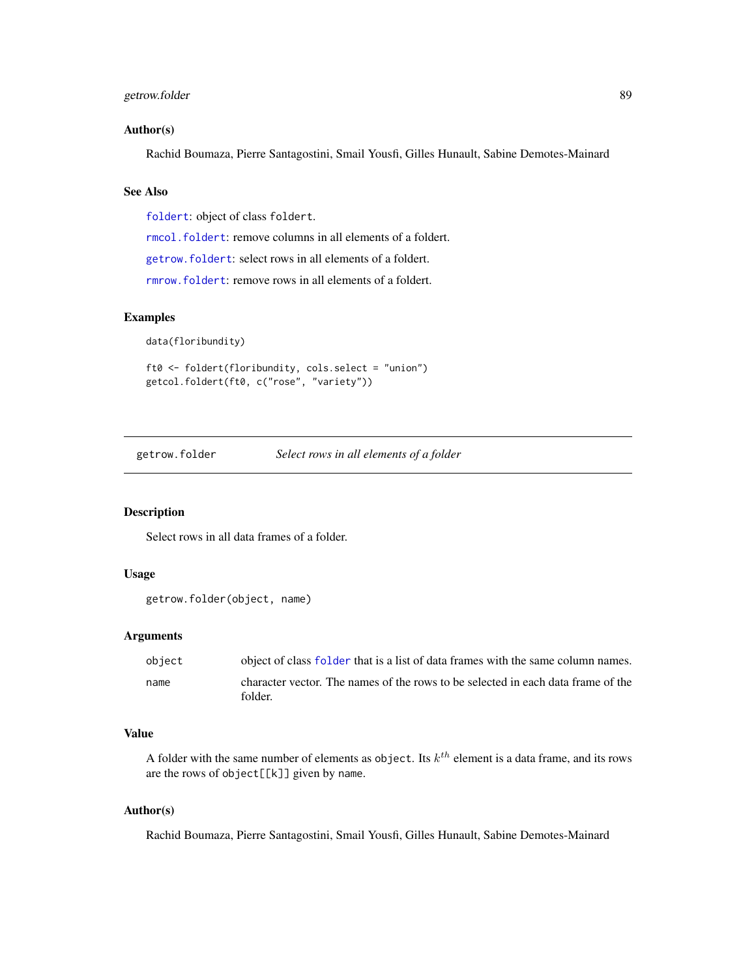# getrow.folder 89

#### Author(s)

Rachid Boumaza, Pierre Santagostini, Smail Yousfi, Gilles Hunault, Sabine Demotes-Mainard

# See Also

[foldert](#page-77-0): object of class foldert.

[rmcol.foldert](#page-183-0): remove columns in all elements of a foldert.

[getrow.foldert](#page-89-0): select rows in all elements of a foldert.

[rmrow.foldert](#page-185-0): remove rows in all elements of a foldert.

## Examples

data(floribundity)

ft0 <- foldert(floribundity, cols.select = "union") getcol.foldert(ft0, c("rose", "variety"))

<span id="page-88-0"></span>getrow.folder *Select rows in all elements of a folder*

## Description

Select rows in all data frames of a folder.

## Usage

getrow.folder(object, name)

#### Arguments

| object | object of class folder that is a list of data frames with the same column names.            |
|--------|---------------------------------------------------------------------------------------------|
| name   | character vector. The names of the rows to be selected in each data frame of the<br>folder. |
|        |                                                                                             |

## Value

A folder with the same number of elements as object. Its  $k^{th}$  element is a data frame, and its rows are the rows of object[[k]] given by name.

#### Author(s)

Rachid Boumaza, Pierre Santagostini, Smail Yousfi, Gilles Hunault, Sabine Demotes-Mainard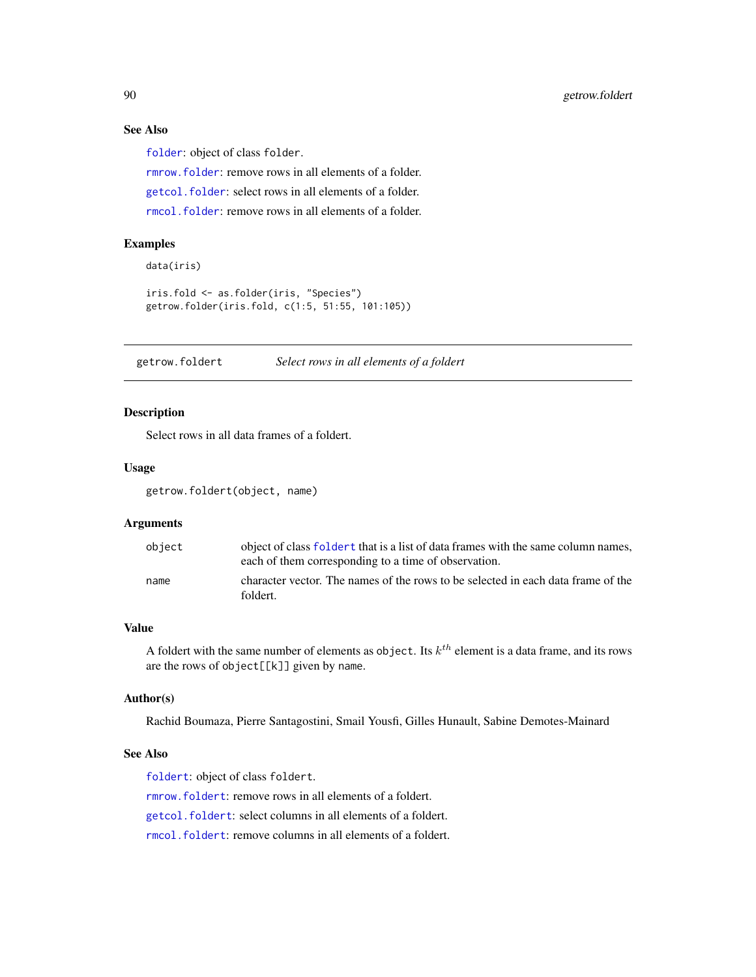# See Also

[folder](#page-73-0): object of class folder.

[rmrow.folder](#page-184-0): remove rows in all elements of a folder.

[getcol.folder](#page-86-0): select rows in all elements of a folder.

[rmcol.folder](#page-182-0): remove rows in all elements of a folder.

# Examples

```
data(iris)
iris.fold <- as.folder(iris, "Species")
getrow.folder(iris.fold, c(1:5, 51:55, 101:105))
```
<span id="page-89-0"></span>getrow.foldert *Select rows in all elements of a foldert*

#### Description

Select rows in all data frames of a foldert.

# Usage

getrow.foldert(object, name)

#### Arguments

| object | object of class foldert that is a list of data frames with the same column names,<br>each of them corresponding to a time of observation. |
|--------|-------------------------------------------------------------------------------------------------------------------------------------------|
| name   | character vector. The names of the rows to be selected in each data frame of the<br>foldert.                                              |

#### Value

A foldert with the same number of elements as object. Its  $k^{th}$  element is a data frame, and its rows are the rows of object[[k]] given by name.

# Author(s)

Rachid Boumaza, Pierre Santagostini, Smail Yousfi, Gilles Hunault, Sabine Demotes-Mainard

## See Also

[foldert](#page-77-0): object of class foldert. [rmrow.foldert](#page-185-0): remove rows in all elements of a foldert. [getcol.foldert](#page-87-0): select columns in all elements of a foldert. [rmcol.foldert](#page-183-0): remove columns in all elements of a foldert.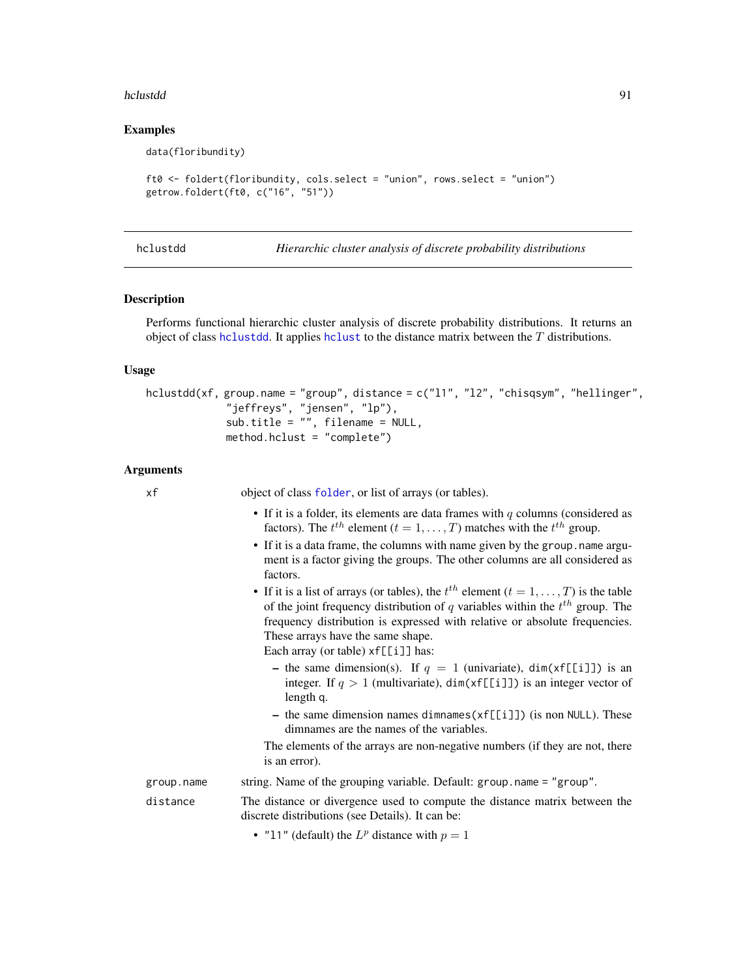#### hclustdd 91

## Examples

data(floribundity)

```
ft0 <- foldert(floribundity, cols.select = "union", rows.select = "union")
getrow.foldert(ft0, c("16", "51"))
```
<span id="page-90-0"></span>hclustdd *Hierarchic cluster analysis of discrete probability distributions*

#### Description

Performs functional hierarchic cluster analysis of discrete probability distributions. It returns an object of class [hclustdd](#page-90-0). It applies [hclust](#page-0-0) to the distance matrix between the  $T$  distributions.

#### Usage

```
hclustdd(xf, group.name = "group", distance = c("11", "12", "chisqsym", "hellinger","jeffreys", "jensen", "lp"),
             sub.title = "", filename = NULL,
             method.hclust = "complete")
```
### Arguments

|        | ٠ | × |
|--------|---|---|
| ٠<br>٦ |   |   |

f object of class [folder](#page-73-0), or list of arrays (or tables).

- If it is a folder, its elements are data frames with  $q$  columns (considered as factors). The  $t^{th}$  element  $(t = 1, ..., T)$  matches with the  $t^{th}$  group.
- If it is a data frame, the columns with name given by the group. name argument is a factor giving the groups. The other columns are all considered as factors.
- If it is a list of arrays (or tables), the  $t^{th}$  element  $(t = 1, \ldots, T)$  is the table of the joint frequency distribution of q variables within the  $t^{th}$  group. The frequency distribution is expressed with relative or absolute frequencies. These arrays have the same shape.

Each array (or table)  $xf[[i]]$  has:

- the same dimension(s). If  $q = 1$  (univariate), dim(xf[[i]]) is an integer. If  $q > 1$  (multivariate), dim(xf[[i]]) is an integer vector of length q.
- the same dimension names dimnames(xf[[i]]) (is non NULL). These dimnames are the names of the variables.

The elements of the arrays are non-negative numbers (if they are not, there is an error).

group.name string. Name of the grouping variable. Default: group.name = "group". distance The distance or divergence used to compute the distance matrix between the discrete distributions (see Details). It can be:

• "11" (default) the  $L^p$  distance with  $p = 1$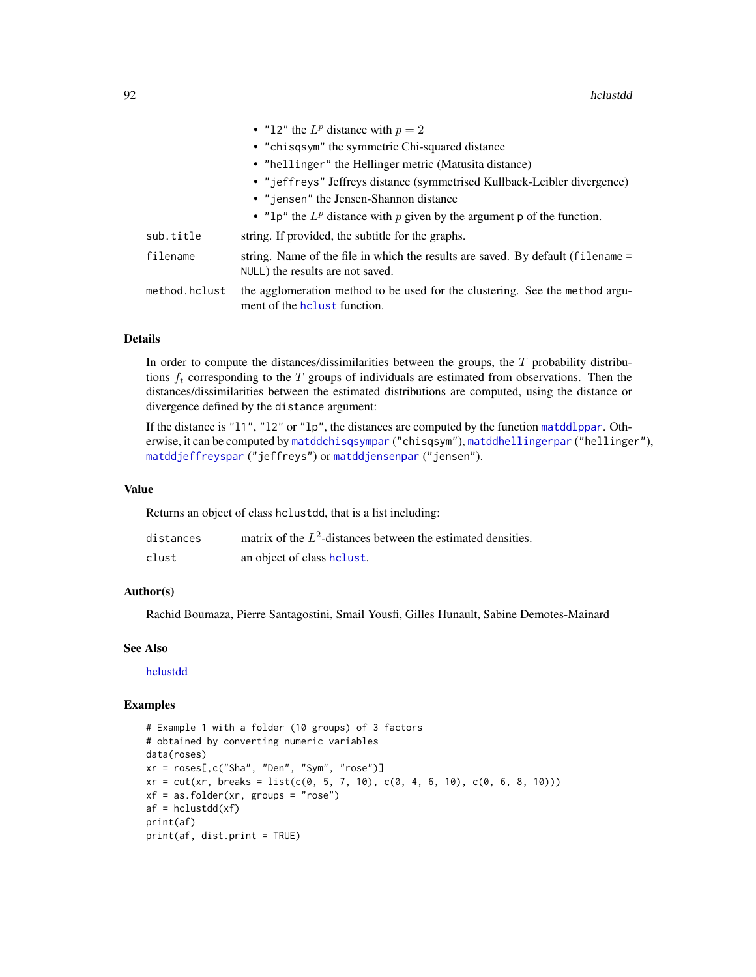|               | • "12" the $L^p$ distance with $p = 2$                                                                               |
|---------------|----------------------------------------------------------------------------------------------------------------------|
|               | • "chisqsym" the symmetric Chi-squared distance                                                                      |
|               | • "hellinger" the Hellinger metric (Matusita distance)                                                               |
|               | • "jeffreys" Jeffreys distance (symmetrised Kullback-Leibler divergence)                                             |
|               | • "jensen" the Jensen-Shannon distance                                                                               |
|               | • " $1p$ " the $L^p$ distance with p given by the argument p of the function.                                        |
| sub.title     | string. If provided, the subtitle for the graphs.                                                                    |
| filename      | string. Name of the file in which the results are saved. By default (filename =<br>NULL) the results are not saved.  |
| method.hclust | the agglomeration method to be used for the clustering. See the method argu-<br>ment of the <b>h</b> clust function. |

# Details

In order to compute the distances/dissimilarities between the groups, the  $T$  probability distributions  $f_t$  corresponding to the T groups of individuals are estimated from observations. Then the distances/dissimilarities between the estimated distributions are computed, using the distance or divergence defined by the distance argument:

If the distance is "l1", "l2" or "lp", the distances are computed by the function [matddlppar](#page-129-0). Otherwise, it can be computed by [matddchisqsympar](#page-121-0) ("chisqsym"), [matddhellingerpar](#page-123-0) ("hellinger"), [matddjeffreyspar](#page-125-0) ("jeffreys") or [matddjensenpar](#page-127-0) ("jensen").

## Value

Returns an object of class hclustdd, that is a list including:

| distances | matrix of the $L^2$ -distances between the estimated densities. |
|-----------|-----------------------------------------------------------------|
| clust     | an object of class helust.                                      |

#### Author(s)

Rachid Boumaza, Pierre Santagostini, Smail Yousfi, Gilles Hunault, Sabine Demotes-Mainard

## See Also

[hclustdd](#page-90-0)

```
# Example 1 with a folder (10 groups) of 3 factors
# obtained by converting numeric variables
data(roses)
xr = roses[,c("Sha", "Den", "Sym", "rose")]
xr = cut(xr, breaks = list(c(0, 5, 7, 10), c(0, 4, 6, 10), c(0, 6, 8, 10)))xf = as.floatder(xr, groups = "rose")af = hclustdd(xf)print(af)
print(af, dist.print = TRUE)
```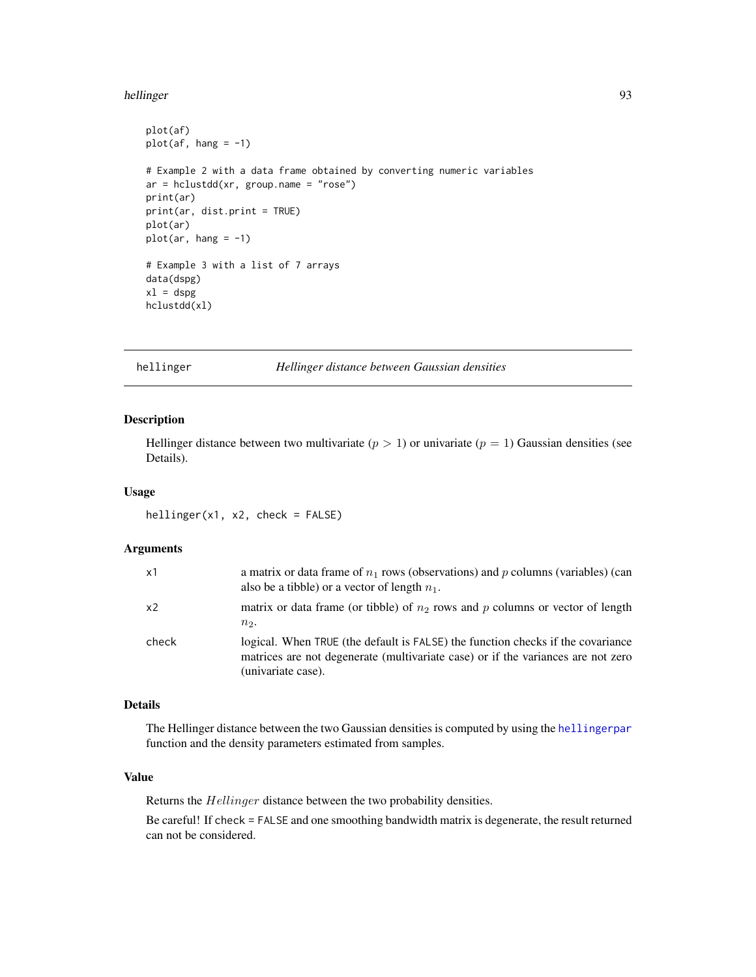#### hellinger 1933 – 1936 – 1937 – 1938 – 1939 – 1938 – 1939 – 1939 – 1939 – 1939 – 1939 – 1939 – 1939 – 1939 – 1

```
plot(af)
plot(af, hang = -1)# Example 2 with a data frame obtained by converting numeric variables
ar = \text{hclustdd}(xr, \text{ group.name = "rose")}print(ar)
print(ar, dist.print = TRUE)
plot(ar)
plot(ar, hang = -1)# Example 3 with a list of 7 arrays
data(dspg)
x1 = dspghclustdd(xl)
```
<span id="page-92-0"></span>hellinger *Hellinger distance between Gaussian densities*

# Description

Hellinger distance between two multivariate ( $p > 1$ ) or univariate ( $p = 1$ ) Gaussian densities (see Details).

#### Usage

hellinger(x1, x2, check = FALSE)

# Arguments

| x1             | a matrix or data frame of $n_1$ rows (observations) and p columns (variables) (can<br>also be a tibble) or a vector of length $n_1$ .                                                     |
|----------------|-------------------------------------------------------------------------------------------------------------------------------------------------------------------------------------------|
| x <sub>2</sub> | matrix or data frame (or tibble) of $n_2$ rows and p columns or vector of length<br>$n2$ .                                                                                                |
| check          | logical. When TRUE (the default is FALSE) the function checks if the covariance<br>matrices are not degenerate (multivariate case) or if the variances are not zero<br>(univariate case). |

# Details

The Hellinger distance between the two Gaussian densities is computed by using the [hellingerpar](#page-93-0) function and the density parameters estimated from samples.

# Value

Returns the Hellinger distance between the two probability densities.

Be careful! If check = FALSE and one smoothing bandwidth matrix is degenerate, the result returned can not be considered.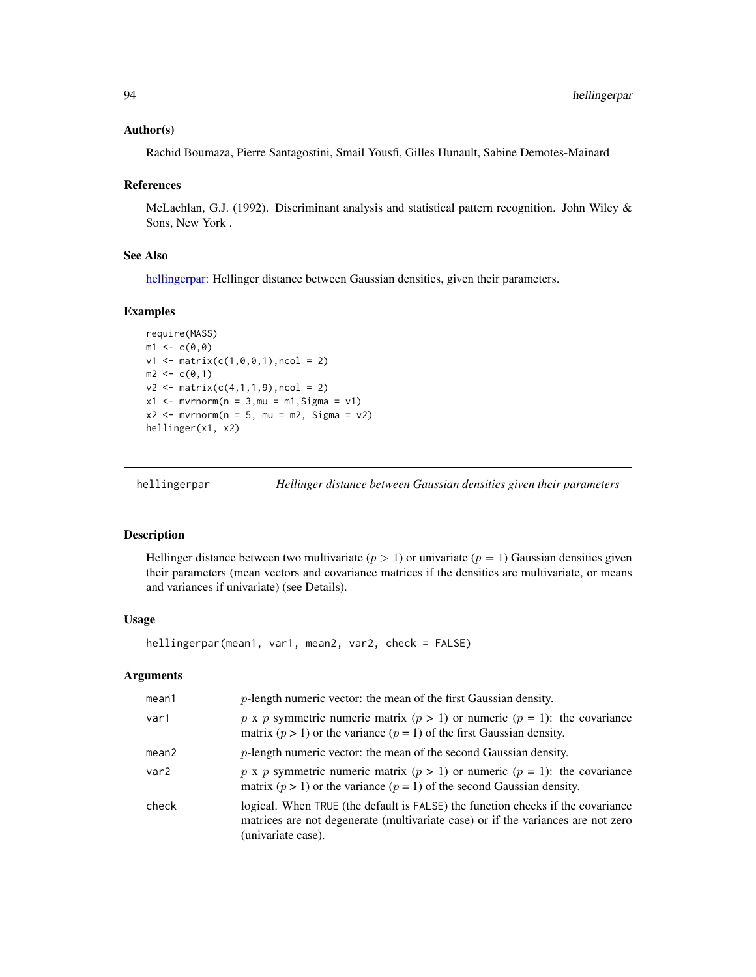#### Author(s)

Rachid Boumaza, Pierre Santagostini, Smail Yousfi, Gilles Hunault, Sabine Demotes-Mainard

#### References

McLachlan, G.J. (1992). Discriminant analysis and statistical pattern recognition. John Wiley & Sons, New York .

## See Also

[hellingerpar:](#page-93-0) Hellinger distance between Gaussian densities, given their parameters.

## Examples

```
require(MASS)
m1 < -c(0, 0)v1 \le matrix(c(1,0,0,1), ncol = 2)
m2 < -c(0,1)v2 \le matrix(c(4,1,1,9), ncol = 2)
x1 \le - mvrnorm(n = 3, mu = m1, Sigma = v1)
x2 \le - mvrnorm(n = 5, mu = m2, Sigma = v2)
hellinger(x1, x2)
```
<span id="page-93-0"></span>

hellingerpar *Hellinger distance between Gaussian densities given their parameters*

#### Description

Hellinger distance between two multivariate ( $p > 1$ ) or univariate ( $p = 1$ ) Gaussian densities given their parameters (mean vectors and covariance matrices if the densities are multivariate, or means and variances if univariate) (see Details).

#### Usage

hellingerpar(mean1, var1, mean2, var2, check = FALSE)

#### Arguments

| mean1             | $p$ -length numeric vector: the mean of the first Gaussian density.                                                                                                                       |
|-------------------|-------------------------------------------------------------------------------------------------------------------------------------------------------------------------------------------|
| var1              | p x p symmetric numeric matrix $(p > 1)$ or numeric $(p = 1)$ : the covariance<br>matrix ( $p > 1$ ) or the variance ( $p = 1$ ) of the first Gaussian density.                           |
| mean <sub>2</sub> | $p$ -length numeric vector: the mean of the second Gaussian density.                                                                                                                      |
| var <sub>2</sub>  | p x p symmetric numeric matrix $(p > 1)$ or numeric $(p = 1)$ : the covariance<br>matrix $(p > 1)$ or the variance $(p = 1)$ of the second Gaussian density.                              |
| check             | logical. When TRUE (the default is FALSE) the function checks if the covariance<br>matrices are not degenerate (multivariate case) or if the variances are not zero<br>(univariate case). |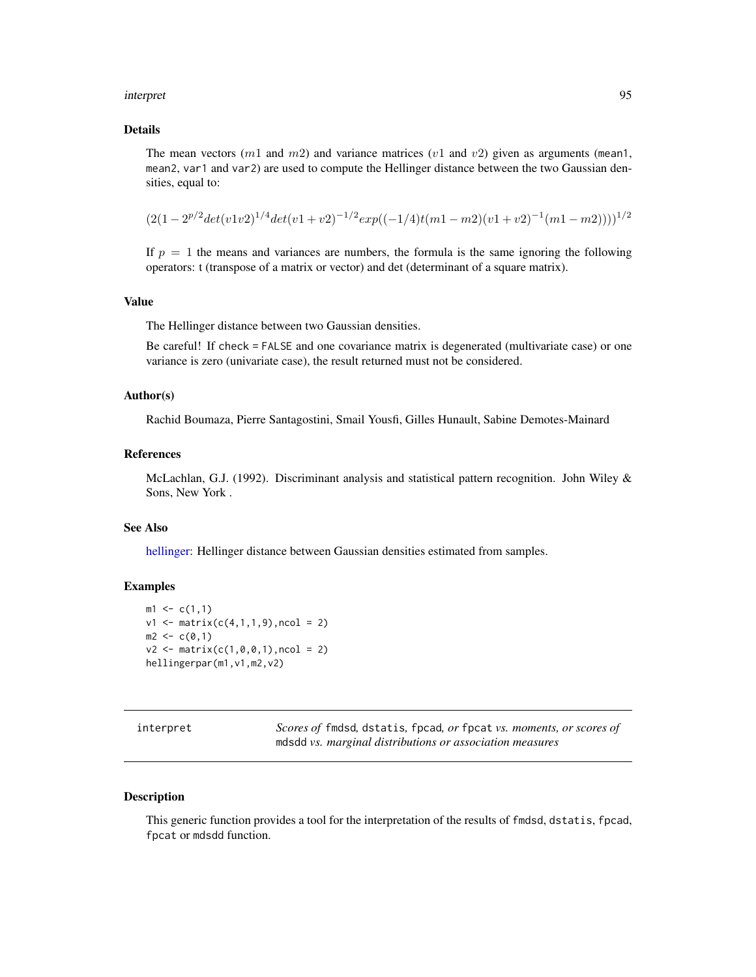#### interpret 50 and 200 minutes of the state of the state of the state of the state of the state of the state of the state of the state of the state of the state of the state of the state of the state of the state of the stat

## Details

The mean vectors  $(m1 \text{ and } m2)$  and variance matrices  $(v1 \text{ and } v2)$  given as arguments (mean1, mean2, var1 and var2) are used to compute the Hellinger distance between the two Gaussian densities, equal to:

$$
(2(1-2^{p/2}det(v1v2)^{1/4}det(v1+v2)^{-1/2}exp((-1/4)t(m1-m2)(v1+v2)^{-1}(m1-m2))))^{1/2}
$$

If  $p = 1$  the means and variances are numbers, the formula is the same ignoring the following operators: t (transpose of a matrix or vector) and det (determinant of a square matrix).

#### Value

The Hellinger distance between two Gaussian densities.

Be careful! If check = FALSE and one covariance matrix is degenerated (multivariate case) or one variance is zero (univariate case), the result returned must not be considered.

## Author(s)

Rachid Boumaza, Pierre Santagostini, Smail Yousfi, Gilles Hunault, Sabine Demotes-Mainard

# References

McLachlan, G.J. (1992). Discriminant analysis and statistical pattern recognition. John Wiley & Sons, New York .

## See Also

[hellinger:](#page-92-0) Hellinger distance between Gaussian densities estimated from samples.

#### Examples

```
m1 \leq c(1,1)v1 \leftarrow matrix(c(4,1,1,9), ncol = 2)m2 < -c(0,1)v2 \le matrix(c(1,0,0,1), ncol = 2)
hellingerpar(m1,v1,m2,v2)
```

| interpret |  |
|-----------|--|
|           |  |
|           |  |
|           |  |

Scores of fmdsd, dstatis, fpcad, or fpcat *vs. moments, or scores of* mdsdd *vs. marginal distributions or association measures*

#### Description

This generic function provides a tool for the interpretation of the results of fmdsd, dstatis, fpcad, fpcat or mdsdd function.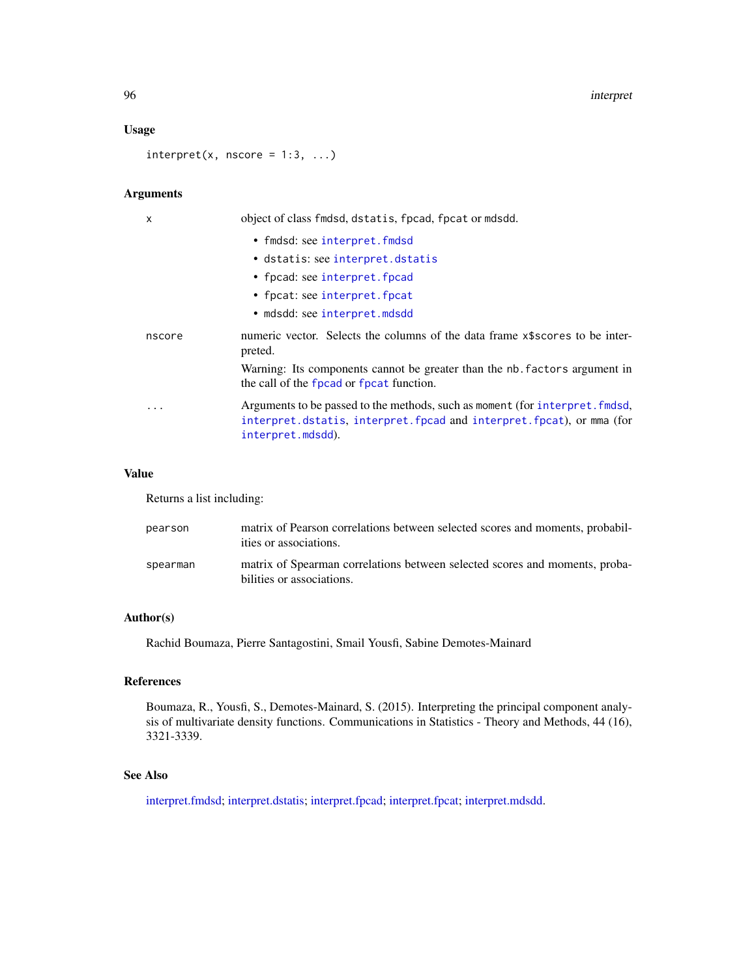96 interpret in the set of the set of the set of the set of the set of the set of the set of the set of the set of the set of the set of the set of the set of the set of the set of the set of the set of the set of the set

## Usage

 $interpret(x, nscore = 1:3, ...)$ 

# Arguments

| x      | object of class findsd, dstatis, fpcad, fpcat or mdsdd.                                                                                                                   |
|--------|---------------------------------------------------------------------------------------------------------------------------------------------------------------------------|
|        | • fmdsd: see interpret.fmdsd                                                                                                                                              |
|        | • dstatis: see interpret.dstatis                                                                                                                                          |
|        | • fpcad: see interpret. fpcad                                                                                                                                             |
|        | • fpcat: see interpret. fpcat                                                                                                                                             |
|        | • mdsdd: see interpret.mdsdd                                                                                                                                              |
| nscore | numeric vector. Selects the columns of the data frame x\$scores to be inter-<br>preted.                                                                                   |
|        | Warning: Its components cannot be greater than the nb. factors argument in<br>the call of the fpcad or fpcat function.                                                    |
| .      | Arguments to be passed to the methods, such as moment (for interpret. fmdsd,<br>interpret.dstatis, interpret.fpcad and interpret.fpcat), or mma (for<br>interpret.mdsdd). |

# Value

Returns a list including:

| pearson  | matrix of Pearson correlations between selected scores and moments, probabil-<br>ities or associations.  |
|----------|----------------------------------------------------------------------------------------------------------|
| spearman | matrix of Spearman correlations between selected scores and moments, proba-<br>bilities or associations. |

# Author(s)

Rachid Boumaza, Pierre Santagostini, Smail Yousfi, Sabine Demotes-Mainard

# References

Boumaza, R., Yousfi, S., Demotes-Mainard, S. (2015). Interpreting the principal component analysis of multivariate density functions. Communications in Statistics - Theory and Methods, 44 (16), 3321-3339.

## See Also

[interpret.fmdsd;](#page-97-0) [interpret.dstatis;](#page-96-0) [interpret.fpcad;](#page-99-0) [interpret.fpcat;](#page-101-0) [interpret.mdsdd.](#page-102-0)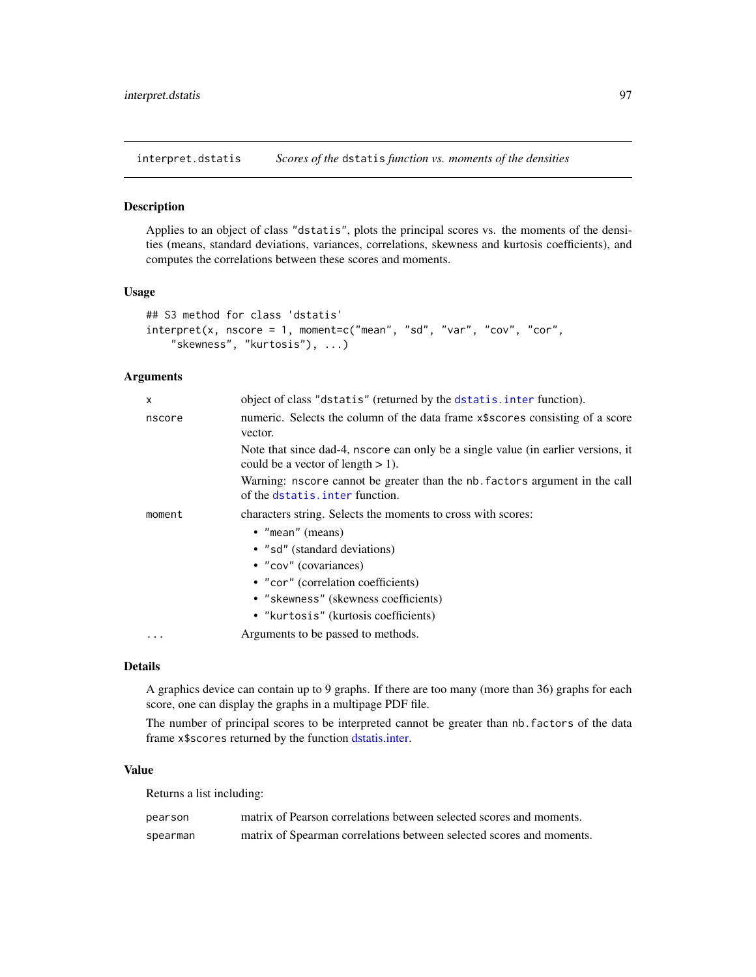<span id="page-96-0"></span>interpret.dstatis *Scores of the* dstatis *function vs. moments of the densities*

#### Description

Applies to an object of class "dstatis", plots the principal scores vs. the moments of the densities (means, standard deviations, variances, correlations, skewness and kurtosis coefficients), and computes the correlations between these scores and moments.

#### Usage

```
## S3 method for class 'dstatis'
interpret(x, nscore = 1, moment=c("mean", "sd", "var", "cov", "cor",
    "skewness", "kurtosis"), ...)
```
# Arguments

| X      | object of class "dstatis" (returned by the dstatis. inter function).                                                      |
|--------|---------------------------------------------------------------------------------------------------------------------------|
| nscore | numeric. Selects the column of the data frame x\$scores consisting of a score<br>vector.                                  |
|        | Note that since dad-4, nscore can only be a single value (in earlier versions, it<br>could be a vector of length $> 1$ ). |
|        | Warning: nscore cannot be greater than the nb. factors argument in the call<br>of the dstatis. inter function.            |
| moment | characters string. Selects the moments to cross with scores:                                                              |
|        | $\bullet$ "mean" (means)                                                                                                  |
|        | • "sd" (standard deviations)                                                                                              |
|        | • "cov" (covariances)                                                                                                     |
|        | • "cor" (correlation coefficients)                                                                                        |
|        | • "skewness" (skewness coefficients)                                                                                      |
|        | • "kurtosis" (kurtosis coefficients)                                                                                      |
|        | Arguments to be passed to methods.                                                                                        |

#### Details

A graphics device can contain up to 9 graphs. If there are too many (more than 36) graphs for each score, one can display the graphs in a multipage PDF file.

The number of principal scores to be interpreted cannot be greater than nb.factors of the data frame x\$scores returned by the function [dstatis.inter.](#page-57-0)

## Value

Returns a list including:

| pearson  | matrix of Pearson correlations between selected scores and moments.  |
|----------|----------------------------------------------------------------------|
| spearman | matrix of Spearman correlations between selected scores and moments. |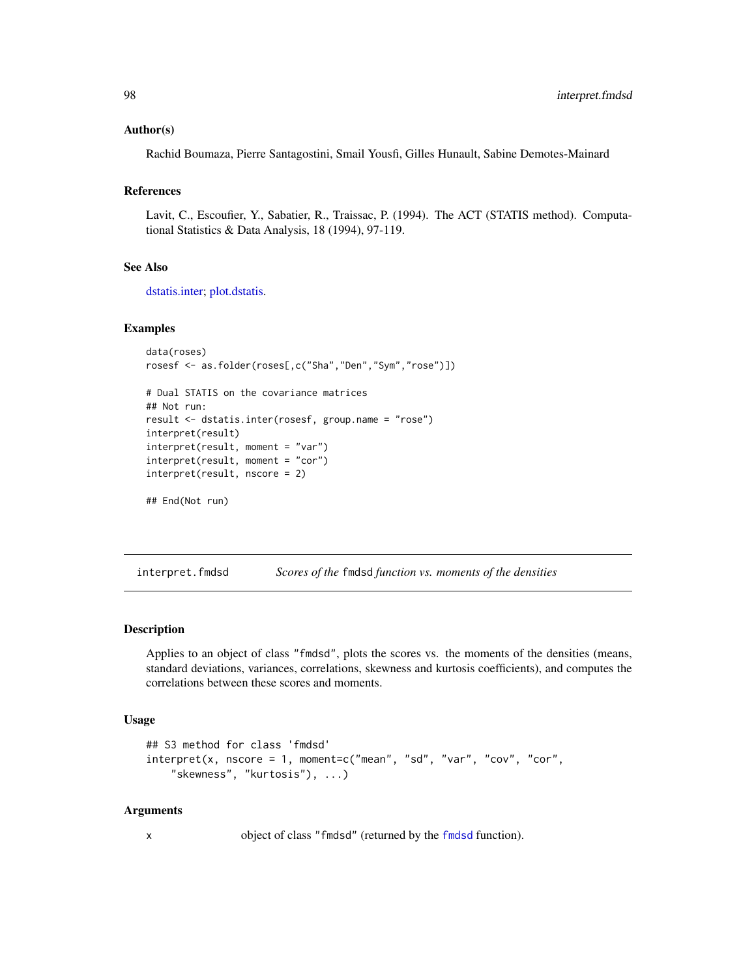#### Author(s)

Rachid Boumaza, Pierre Santagostini, Smail Yousfi, Gilles Hunault, Sabine Demotes-Mainard

## References

Lavit, C., Escoufier, Y., Sabatier, R., Traissac, P. (1994). The ACT (STATIS method). Computational Statistics & Data Analysis, 18 (1994), 97-119.

#### See Also

[dstatis.inter;](#page-57-0) [plot.dstatis.](#page-155-0)

#### Examples

```
data(roses)
rosesf <- as.folder(roses[,c("Sha","Den","Sym","rose")])
```

```
# Dual STATIS on the covariance matrices
## Not run:
result <- dstatis.inter(rosesf, group.name = "rose")
interpret(result)
interpret(result, moment = "var")
interpret(result, moment = "cor")
interpret(result, nscore = 2)
## End(Not run)
```
<span id="page-97-0"></span>interpret.fmdsd *Scores of the* fmdsd *function vs. moments of the densities*

#### Description

Applies to an object of class "fmdsd", plots the scores vs. the moments of the densities (means, standard deviations, variances, correlations, skewness and kurtosis coefficients), and computes the correlations between these scores and moments.

#### Usage

```
## S3 method for class 'fmdsd'
interpret(x, nscore = 1, moment=c("mean", "sd", "var", "cov", "cor","skewness", "kurtosis"), ...)
```
#### Arguments

x object of class "fmdsd" (returned by the [fmdsd](#page-69-0) function).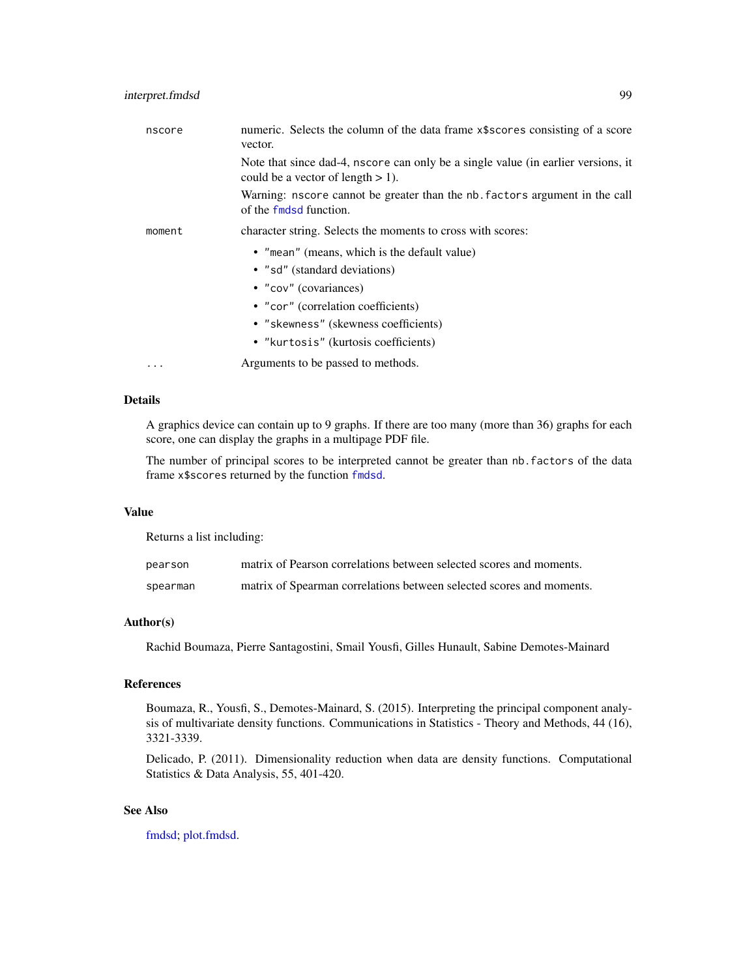| nscore   | numeric. Selects the column of the data frame x\$scores consisting of a score<br>vector.                                  |
|----------|---------------------------------------------------------------------------------------------------------------------------|
|          | Note that since dad-4, nscore can only be a single value (in earlier versions, it<br>could be a vector of length $> 1$ ). |
|          | Warning: nscore cannot be greater than the nb. factors argument in the call<br>of the fmdsd function.                     |
| moment   | character string. Selects the moments to cross with scores:                                                               |
|          | • "mean" (means, which is the default value)                                                                              |
|          | • "sd" (standard deviations)                                                                                              |
|          | • "cov" (covariances)                                                                                                     |
|          | • "cor" (correlation coefficients)                                                                                        |
|          | • "skewness" (skewness coefficients)                                                                                      |
|          | • "kurtosis" (kurtosis coefficients)                                                                                      |
| $\cdots$ | Arguments to be passed to methods.                                                                                        |
|          |                                                                                                                           |

# Details

A graphics device can contain up to 9 graphs. If there are too many (more than 36) graphs for each score, one can display the graphs in a multipage PDF file.

The number of principal scores to be interpreted cannot be greater than nb.factors of the data frame x\$scores returned by the function [fmdsd](#page-69-0).

## Value

Returns a list including:

| pearson  | matrix of Pearson correlations between selected scores and moments.  |
|----------|----------------------------------------------------------------------|
| spearman | matrix of Spearman correlations between selected scores and moments. |

# Author(s)

Rachid Boumaza, Pierre Santagostini, Smail Yousfi, Gilles Hunault, Sabine Demotes-Mainard

# References

Boumaza, R., Yousfi, S., Demotes-Mainard, S. (2015). Interpreting the principal component analysis of multivariate density functions. Communications in Statistics - Theory and Methods, 44 (16), 3321-3339.

Delicado, P. (2011). Dimensionality reduction when data are density functions. Computational Statistics & Data Analysis, 55, 401-420.

## See Also

[fmdsd;](#page-69-0) [plot.fmdsd.](#page-157-0)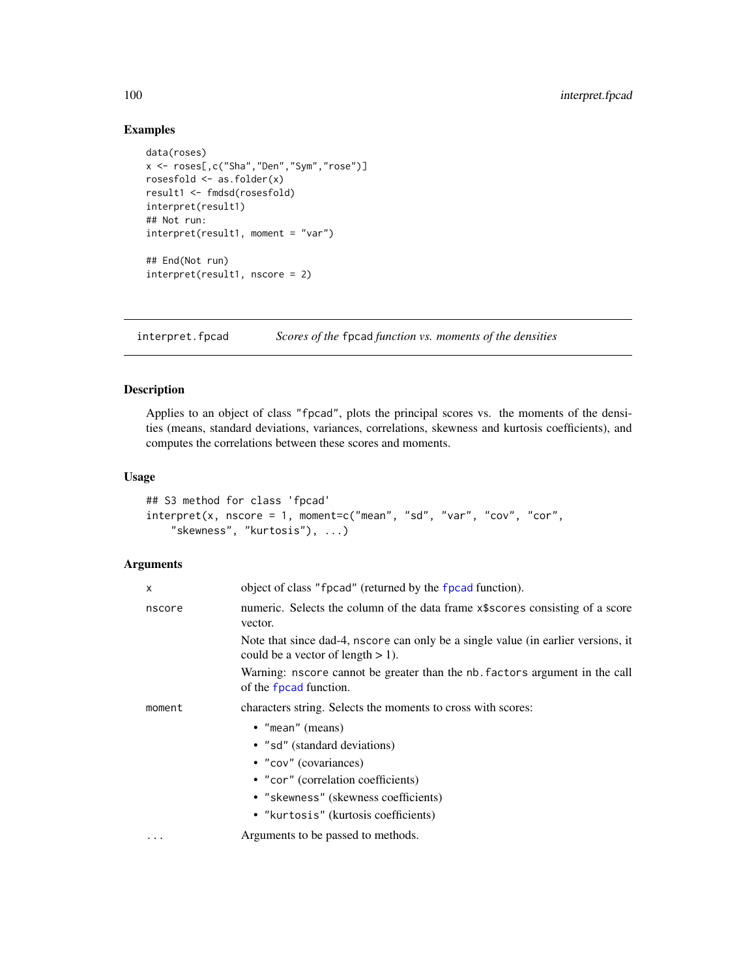# Examples

```
data(roses)
x <- roses[,c("Sha","Den","Sym","rose")]
rosesfold <- as.folder(x)
result1 <- fmdsd(rosesfold)
interpret(result1)
## Not run:
interpret(result1, moment = "var")
## End(Not run)
interpret(result1, nscore = 2)
```
<span id="page-99-0"></span>interpret.fpcad *Scores of the* fpcad *function vs. moments of the densities*

## Description

Applies to an object of class "fpcad", plots the principal scores vs. the moments of the densities (means, standard deviations, variances, correlations, skewness and kurtosis coefficients), and computes the correlations between these scores and moments.

# Usage

```
## S3 method for class 'fpcad'
interpret(x, nscore = 1, moment=c("mean", "sd", "var", "cov", "cor","skewness", "kurtosis"), ...)
```
# Arguments

| X      | object of class "fpcad" (returned by the fpcad function).                                                                                                                                               |
|--------|---------------------------------------------------------------------------------------------------------------------------------------------------------------------------------------------------------|
| nscore | numeric. Selects the column of the data frame x\$scores consisting of a score<br>vector.                                                                                                                |
|        | Note that since dad-4, nscore can only be a single value (in earlier versions, it<br>could be a vector of length $> 1$ ).                                                                               |
|        | Warning: nscore cannot be greater than the nb. factors argument in the call<br>of the fpcad function.                                                                                                   |
| moment | characters string. Selects the moments to cross with scores:                                                                                                                                            |
|        | $\bullet$ "mean" (means)<br>• "sd" (standard deviations)<br>• "cov" (covariances)<br>• "cor" (correlation coefficients)<br>· "skewness" (skewness coefficients)<br>• "kurtosis" (kurtosis coefficients) |
|        | Arguments to be passed to methods.                                                                                                                                                                      |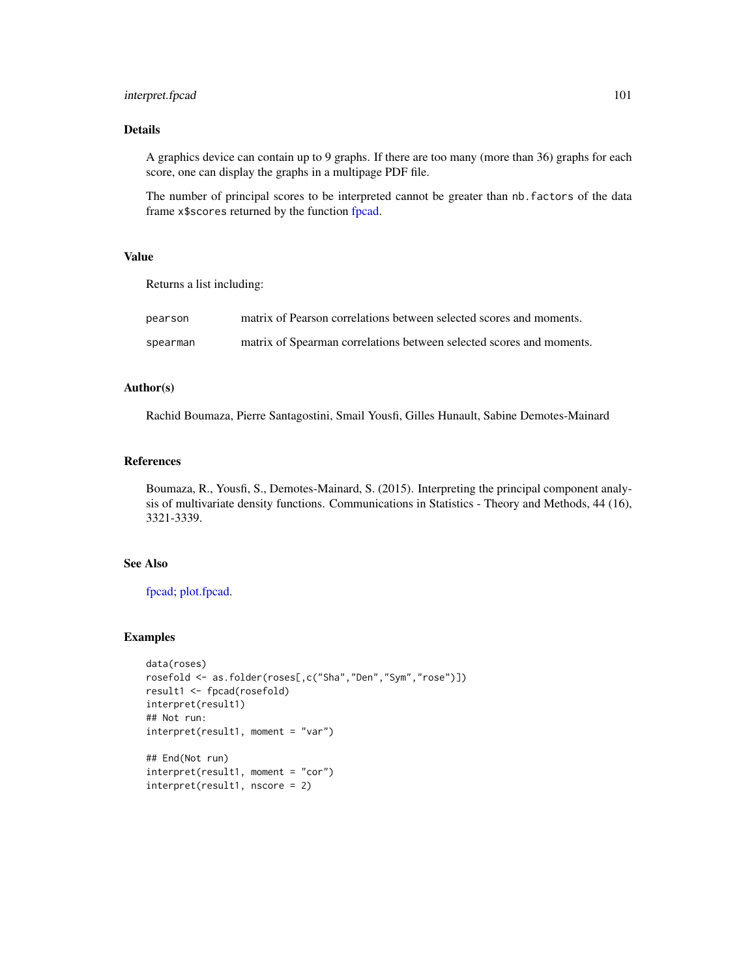# interpret.fpcad 101

## Details

A graphics device can contain up to 9 graphs. If there are too many (more than 36) graphs for each score, one can display the graphs in a multipage PDF file.

The number of principal scores to be interpreted cannot be greater than nb.factors of the data frame x\$scores returned by the function [fpcad.](#page-80-0)

# Value

Returns a list including:

| pearson  | matrix of Pearson correlations between selected scores and moments.  |
|----------|----------------------------------------------------------------------|
| spearman | matrix of Spearman correlations between selected scores and moments. |

# Author(s)

Rachid Boumaza, Pierre Santagostini, Smail Yousfi, Gilles Hunault, Sabine Demotes-Mainard

## References

Boumaza, R., Yousfi, S., Demotes-Mainard, S. (2015). Interpreting the principal component analysis of multivariate density functions. Communications in Statistics - Theory and Methods, 44 (16), 3321-3339.

# See Also

[fpcad;](#page-80-0) [plot.fpcad.](#page-159-0)

```
data(roses)
rosefold <- as.folder(roses[,c("Sha","Den","Sym","rose")])
result1 <- fpcad(rosefold)
interpret(result1)
## Not run:
interpret(result1, moment = "var")
## End(Not run)
interpret(result1, moment = "cor")
interpret(result1, nscore = 2)
```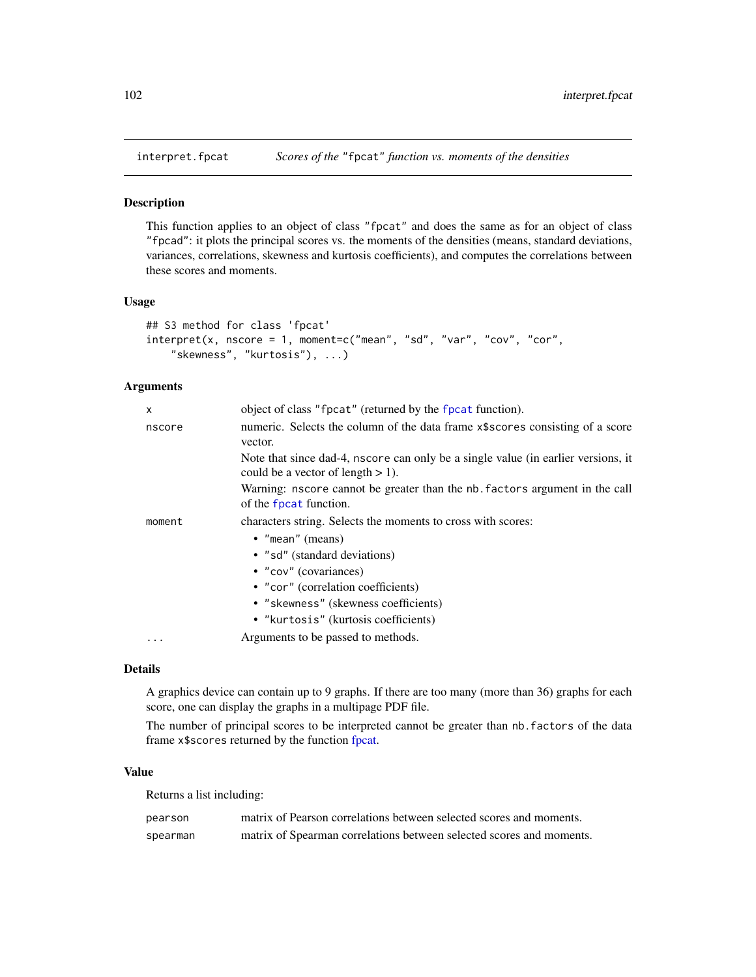<span id="page-101-0"></span>

## Description

This function applies to an object of class "fpcat" and does the same as for an object of class "fpcad": it plots the principal scores vs. the moments of the densities (means, standard deviations, variances, correlations, skewness and kurtosis coefficients), and computes the correlations between these scores and moments.

## Usage

```
## S3 method for class 'fpcat'
interpret(x, nscore = 1, moment=c("mean", "sd", "var", "cov", "cor","skewness", "kurtosis"), ...)
```
# Arguments

| x         | object of class "fpcat" (returned by the fpcat function).                                                                 |
|-----------|---------------------------------------------------------------------------------------------------------------------------|
| nscore    | numeric. Selects the column of the data frame x\$scores consisting of a score<br>vector.                                  |
|           | Note that since dad-4, nscore can only be a single value (in earlier versions, it<br>could be a vector of length $> 1$ ). |
|           | Warning: nscore cannot be greater than the nb. factors argument in the call<br>of the fpcat function.                     |
| moment    | characters string. Selects the moments to cross with scores:                                                              |
|           | • "mean" (means)                                                                                                          |
|           | • "sd" (standard deviations)                                                                                              |
|           | • "cov" (covariances)                                                                                                     |
|           | • "cor" (correlation coefficients)                                                                                        |
|           | • "skewness" (skewness coefficients)                                                                                      |
|           | • "kurtosis" (kurtosis coefficients)                                                                                      |
| $\ddotsc$ | Arguments to be passed to methods.                                                                                        |

#### Details

A graphics device can contain up to 9 graphs. If there are too many (more than 36) graphs for each score, one can display the graphs in a multipage PDF file.

The number of principal scores to be interpreted cannot be greater than nb.factors of the data frame x\$scores returned by the function [fpcat.](#page-83-0)

# Value

Returns a list including:

| pearson  | matrix of Pearson correlations between selected scores and moments.  |
|----------|----------------------------------------------------------------------|
| spearman | matrix of Spearman correlations between selected scores and moments. |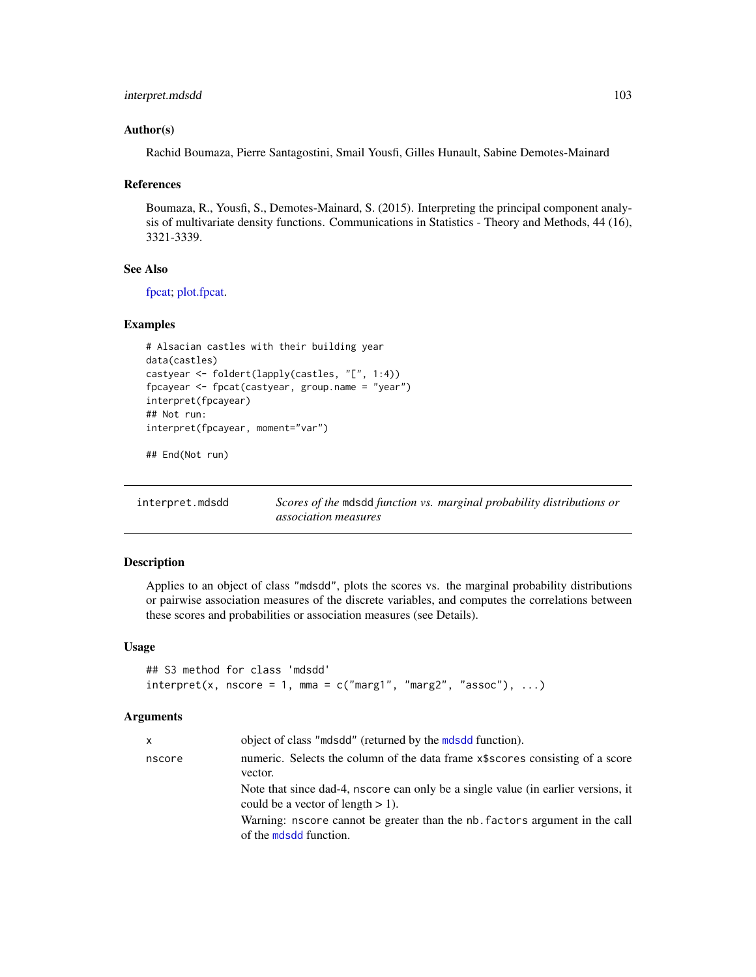#### Author(s)

Rachid Boumaza, Pierre Santagostini, Smail Yousfi, Gilles Hunault, Sabine Demotes-Mainard

#### References

Boumaza, R., Yousfi, S., Demotes-Mainard, S. (2015). Interpreting the principal component analysis of multivariate density functions. Communications in Statistics - Theory and Methods, 44 (16), 3321-3339.

# See Also

[fpcat;](#page-83-0) [plot.fpcat.](#page-161-0)

## Examples

```
# Alsacian castles with their building year
data(castles)
castyear <- foldert(lapply(castles, "[", 1:4))
fpcayear <- fpcat(castyear, group.name = "year")
interpret(fpcayear)
## Not run:
interpret(fpcayear, moment="var")
```
## End(Not run)

<span id="page-102-0"></span>

| interpret.mdsdd | Scores of the mdsdd function vs. marginal probability distributions or |  |
|-----------------|------------------------------------------------------------------------|--|
|                 | <i>association measures</i>                                            |  |

# Description

Applies to an object of class "mdsdd", plots the scores vs. the marginal probability distributions or pairwise association measures of the discrete variables, and computes the correlations between these scores and probabilities or association measures (see Details).

#### Usage

```
## S3 method for class 'mdsdd'
interpret(x, nscore = 1, mma = c("marg1", "marg2", "assoc"), ...
```
#### Arguments

| x      | object of class "mdsdd" (returned by the mdsdd function).                                                                 |
|--------|---------------------------------------------------------------------------------------------------------------------------|
| nscore | numeric. Selects the column of the data frame x\$scores consisting of a score                                             |
|        | vector.                                                                                                                   |
|        | Note that since dad-4, nscore can only be a single value (in earlier versions, it<br>could be a vector of length $> 1$ ). |
|        | Warning: nscore cannot be greater than the nb. factors argument in the call<br>of the moled function.                     |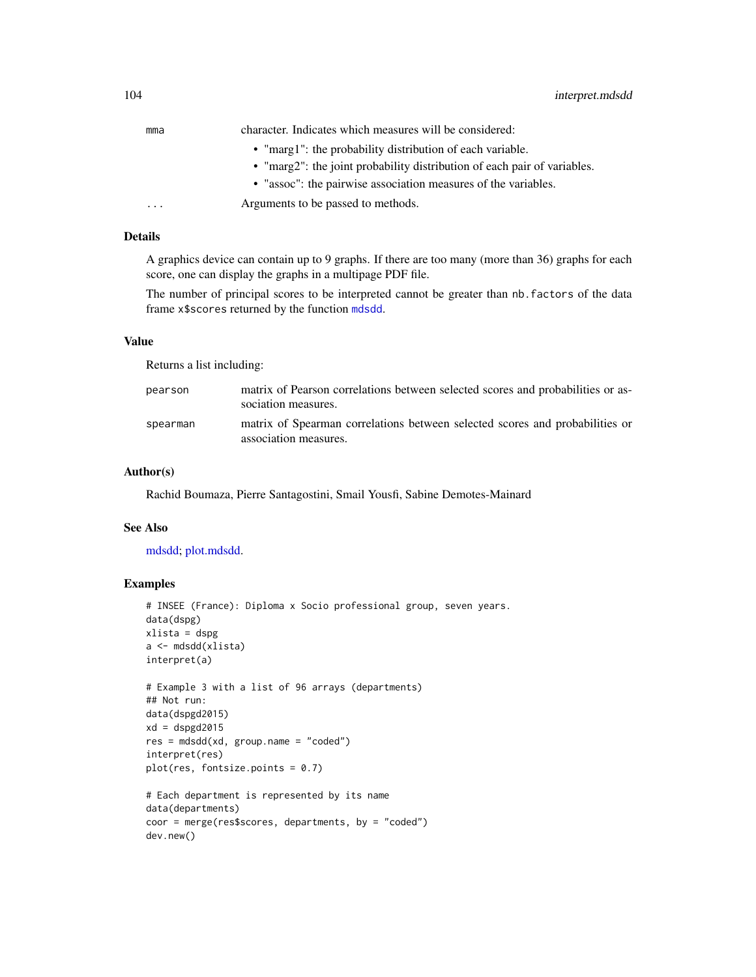| mma | character. Indicates which measures will be considered:                  |
|-----|--------------------------------------------------------------------------|
|     | • "marg1": the probability distribution of each variable.                |
|     | • "marg2": the joint probability distribution of each pair of variables. |
|     | • "assoc": the pairwise association measures of the variables.           |
| .   | Arguments to be passed to methods.                                       |

# Details

A graphics device can contain up to 9 graphs. If there are too many (more than 36) graphs for each score, one can display the graphs in a multipage PDF file.

The number of principal scores to be interpreted cannot be greater than nb.factors of the data frame x\$scores returned by the function [mdsdd](#page-144-0).

#### Value

Returns a list including:

| pearson  | matrix of Pearson correlations between selected scores and probabilities or as-<br>sociation measures. |
|----------|--------------------------------------------------------------------------------------------------------|
| spearman | matrix of Spearman correlations between selected scores and probabilities or<br>association measures.  |

#### Author(s)

Rachid Boumaza, Pierre Santagostini, Smail Yousfi, Sabine Demotes-Mainard

## See Also

[mdsdd;](#page-144-0) [plot.mdsdd.](#page-163-0)

```
# INSEE (France): Diploma x Socio professional group, seven years.
data(dspg)
xlista = dspg
a <- mdsdd(xlista)
interpret(a)
# Example 3 with a list of 96 arrays (departments)
## Not run:
data(dspgd2015)
xd = dspgd2015
res = mdsdd(xd, group.name = "coded")
interpret(res)
plot(res, fontsize.points = 0.7)# Each department is represented by its name
data(departments)
coor = merge(res$scores, departments, by = "coded")
dev.new()
```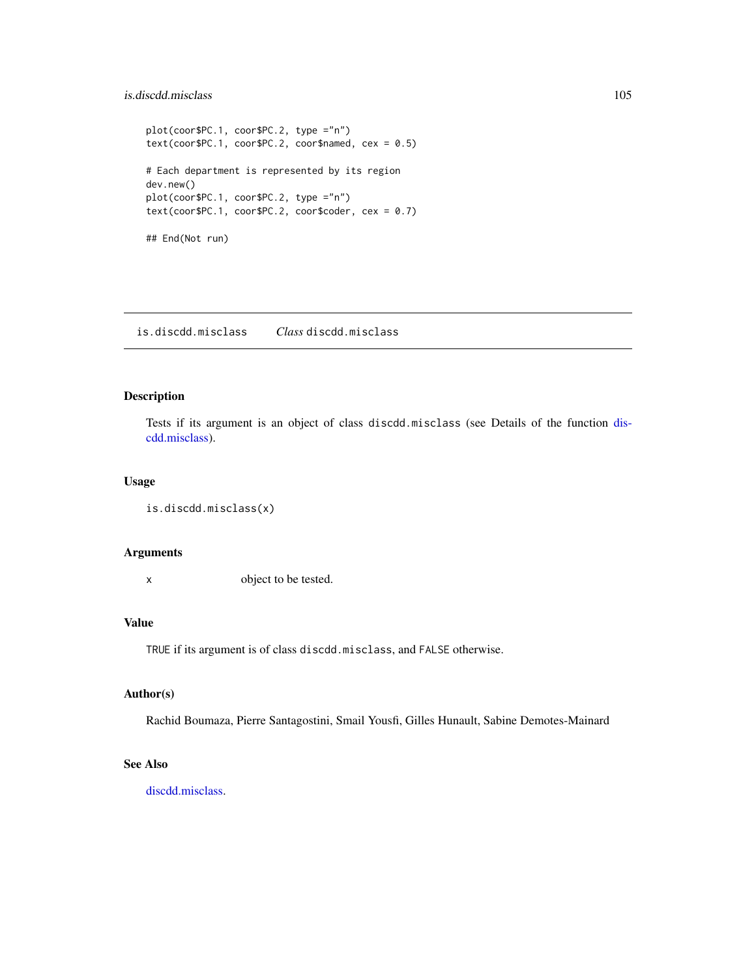# is.discdd.misclass 105

```
plot(coor$PC.1, coor$PC.2, type ="n")
text(coor$PC.1, coor$PC.2, coor$named, cex = <math>0.5</math>)# Each department is represented by its region
dev.new()
plot(coor$PC.1, coor$PC.2, type ="n")
text(coor$PC.1, coor$PC.2, coor$code, cex = <math>0.7</math>)## End(Not run)
```
is.discdd.misclass *Class* discdd.misclass

# Description

Tests if its argument is an object of class discdd.misclass (see Details of the function [dis](#page-44-0)[cdd.misclass\)](#page-44-0).

# Usage

```
is.discdd.misclass(x)
```
#### Arguments

x object to be tested.

## Value

TRUE if its argument is of class discdd.misclass, and FALSE otherwise.

## Author(s)

Rachid Boumaza, Pierre Santagostini, Smail Yousfi, Gilles Hunault, Sabine Demotes-Mainard

# See Also

[discdd.misclass.](#page-44-0)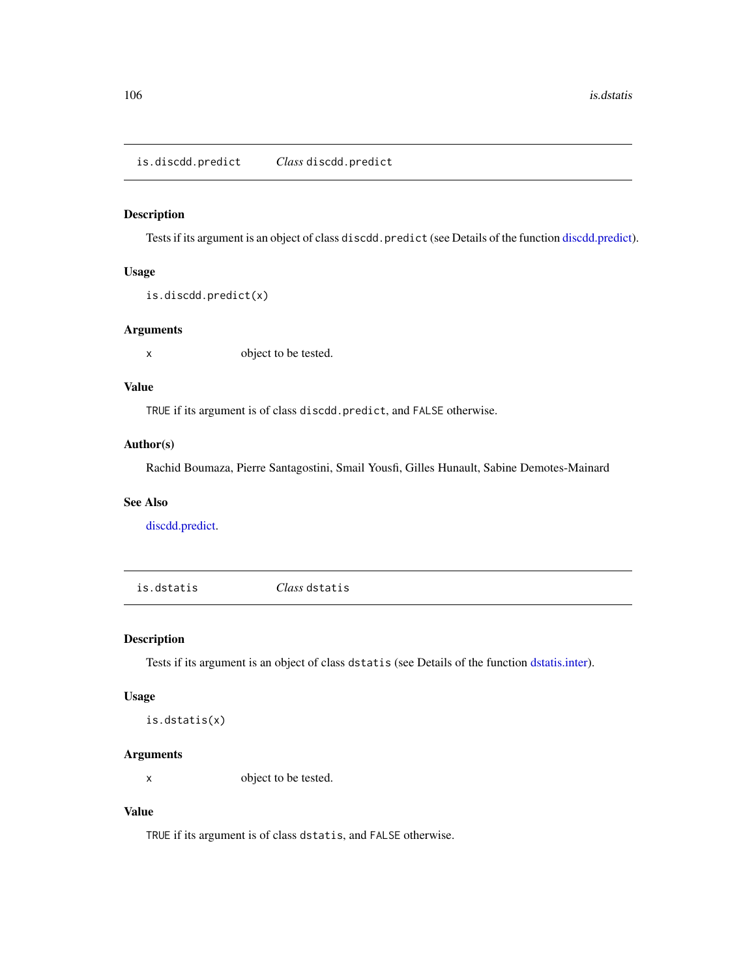is.discdd.predict *Class* discdd.predict

## Description

Tests if its argument is an object of class discdd.predict (see Details of the function [discdd.predict\)](#page-47-0).

# Usage

is.discdd.predict(x)

## Arguments

x object to be tested.

## Value

TRUE if its argument is of class discdd.predict, and FALSE otherwise.

# Author(s)

Rachid Boumaza, Pierre Santagostini, Smail Yousfi, Gilles Hunault, Sabine Demotes-Mainard

# See Also

[discdd.predict.](#page-47-0)

is.dstatis *Class* dstatis

## Description

Tests if its argument is an object of class dstatis (see Details of the function [dstatis.inter\)](#page-57-0).

#### Usage

is.dstatis(x)

# Arguments

x object to be tested.

# Value

TRUE if its argument is of class dstatis, and FALSE otherwise.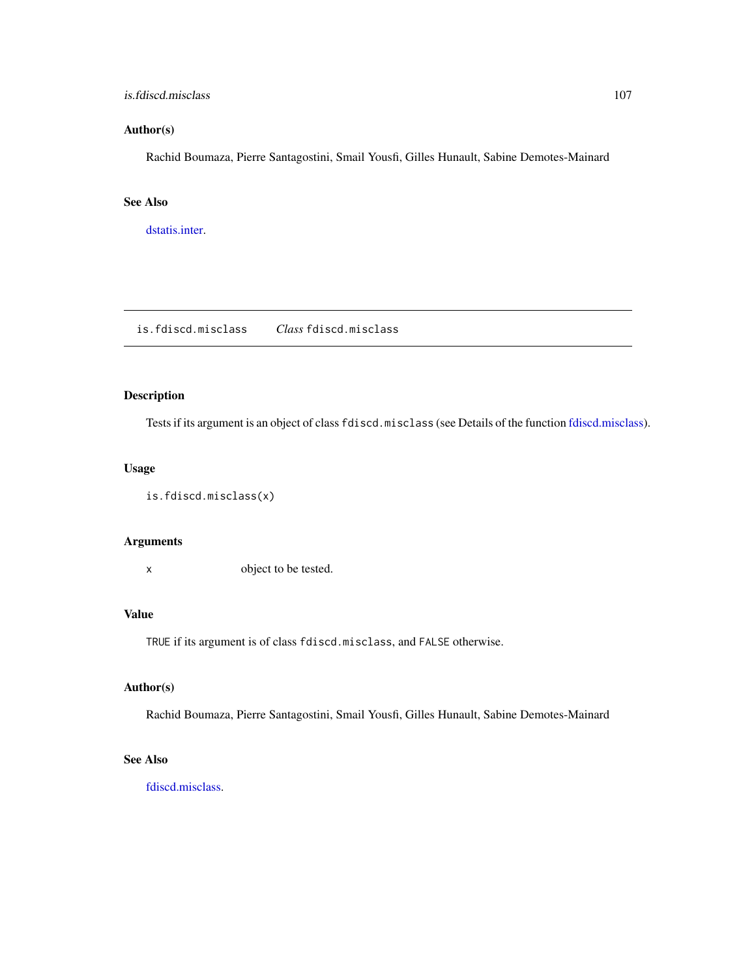## is.fdiscd.misclass 107

# Author(s)

Rachid Boumaza, Pierre Santagostini, Smail Yousfi, Gilles Hunault, Sabine Demotes-Mainard

## See Also

[dstatis.inter.](#page-57-0)

is.fdiscd.misclass *Class* fdiscd.misclass

# Description

Tests if its argument is an object of class fdiscd.misclass (see Details of the function [fdiscd.misclass\)](#page-59-0).

# Usage

```
is.fdiscd.misclass(x)
```
# Arguments

x object to be tested.

# Value

TRUE if its argument is of class fdiscd.misclass, and FALSE otherwise.

# Author(s)

Rachid Boumaza, Pierre Santagostini, Smail Yousfi, Gilles Hunault, Sabine Demotes-Mainard

# See Also

[fdiscd.misclass.](#page-59-0)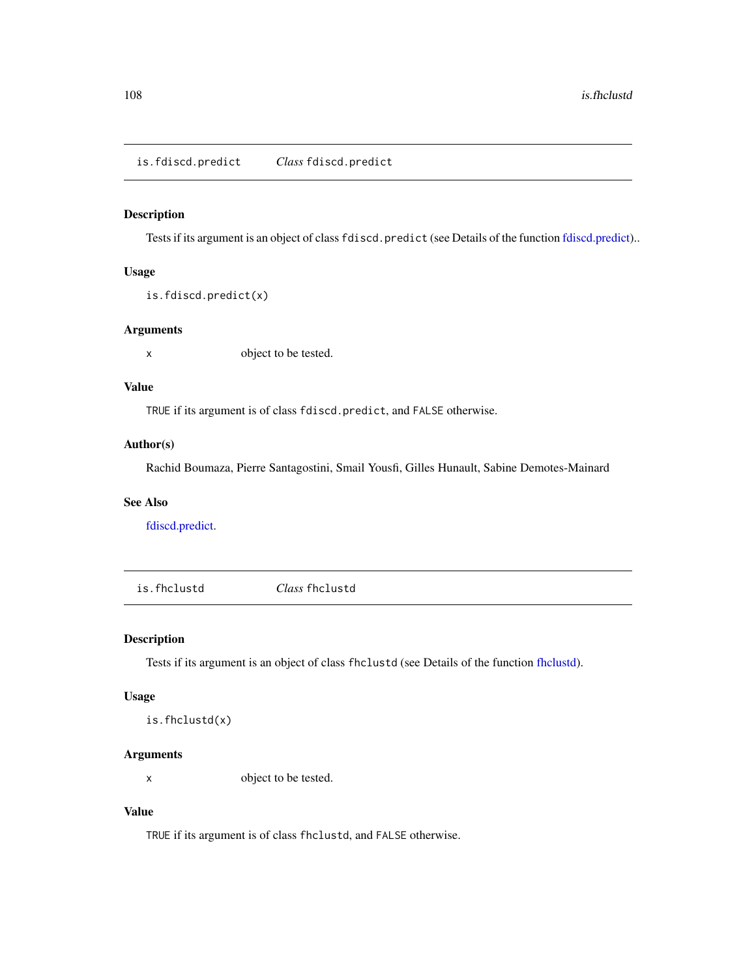## Description

Tests if its argument is an object of class fdiscd.predict (see Details of the function [fdiscd.predict\)](#page-62-0)..

# Usage

is.fdiscd.predict(x)

## Arguments

x object to be tested.

## Value

TRUE if its argument is of class fdiscd.predict, and FALSE otherwise.

# Author(s)

Rachid Boumaza, Pierre Santagostini, Smail Yousfi, Gilles Hunault, Sabine Demotes-Mainard

# See Also

[fdiscd.predict.](#page-62-0)

is.fhclustd *Class* fhclustd

## Description

Tests if its argument is an object of class fhclustd (see Details of the function [fhclustd\)](#page-65-0).

## Usage

is.fhclustd(x)

# Arguments

x object to be tested.

# Value

TRUE if its argument is of class fhclustd, and FALSE otherwise.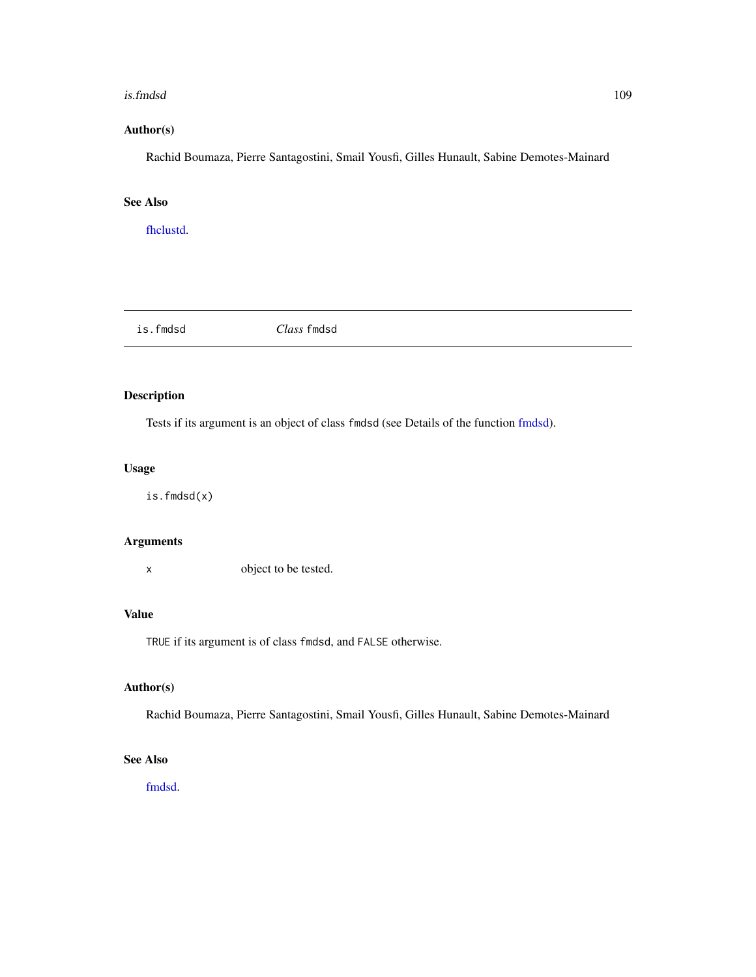#### is.fmdsd 109

# Author(s)

Rachid Boumaza, Pierre Santagostini, Smail Yousfi, Gilles Hunault, Sabine Demotes-Mainard

# See Also

[fhclustd.](#page-65-0)

| fmdsa<br>1 <sup>2</sup> | Class<br>tmdsa |
|-------------------------|----------------|
|                         |                |

# Description

Tests if its argument is an object of class fmdsd (see Details of the function [fmdsd\)](#page-69-0).

# Usage

is.fmdsd(x)

# Arguments

x object to be tested.

# Value

TRUE if its argument is of class fmdsd, and FALSE otherwise.

# Author(s)

Rachid Boumaza, Pierre Santagostini, Smail Yousfi, Gilles Hunault, Sabine Demotes-Mainard

# See Also

[fmdsd.](#page-69-0)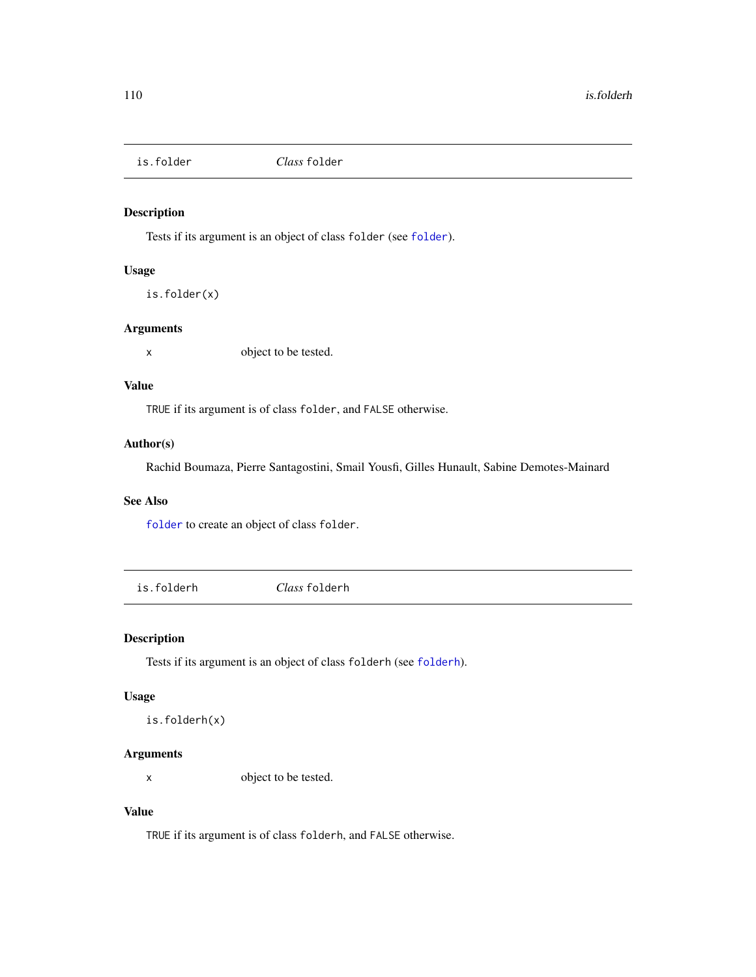Tests if its argument is an object of class folder (see [folder](#page-73-0)).

# Usage

is.folder(x)

# Arguments

x object to be tested.

## Value

TRUE if its argument is of class folder, and FALSE otherwise.

# Author(s)

Rachid Boumaza, Pierre Santagostini, Smail Yousfi, Gilles Hunault, Sabine Demotes-Mainard

# See Also

[folder](#page-73-0) to create an object of class folder.

is.folderh *Class* folderh

# Description

Tests if its argument is an object of class folderh (see [folderh](#page-75-0)).

#### Usage

is.folderh(x)

# Arguments

x object to be tested.

# Value

TRUE if its argument is of class folderh, and FALSE otherwise.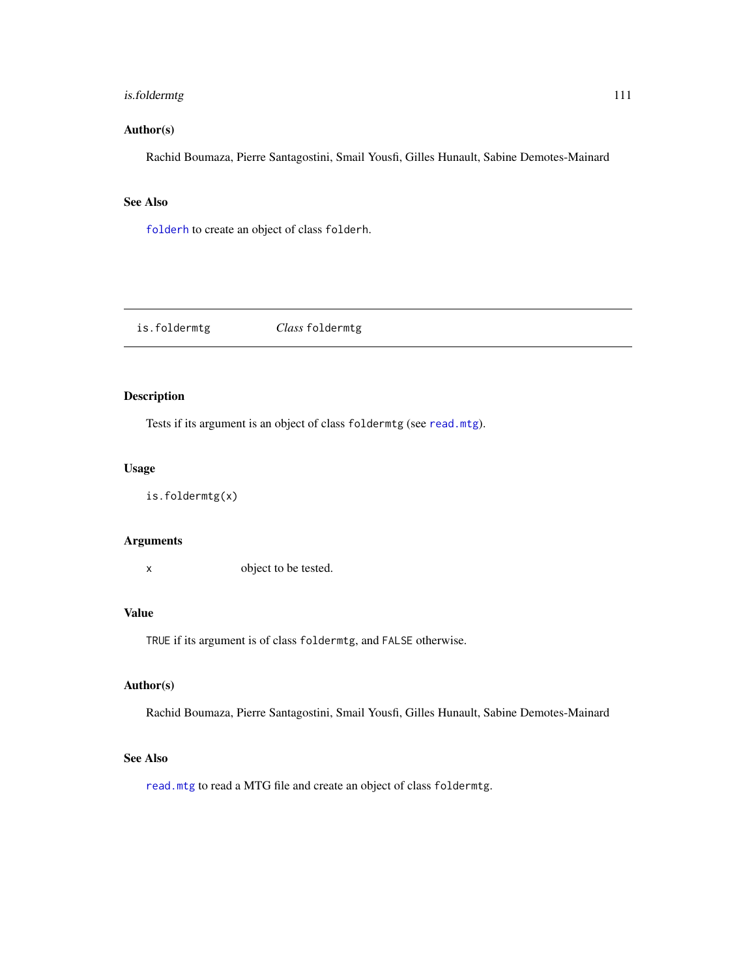# is.foldermtg 111

# Author(s)

Rachid Boumaza, Pierre Santagostini, Smail Yousfi, Gilles Hunault, Sabine Demotes-Mainard

# See Also

[folderh](#page-75-0) to create an object of class folderh.

| is.foldermtg | Class foldermtg |
|--------------|-----------------|
|              |                 |

# Description

Tests if its argument is an object of class foldermtg (see [read.mtg](#page-180-0)).

# Usage

is.foldermtg(x)

#### Arguments

x object to be tested.

# Value

TRUE if its argument is of class foldermtg, and FALSE otherwise.

# Author(s)

Rachid Boumaza, Pierre Santagostini, Smail Yousfi, Gilles Hunault, Sabine Demotes-Mainard

## See Also

[read.mtg](#page-180-0) to read a MTG file and create an object of class foldermtg.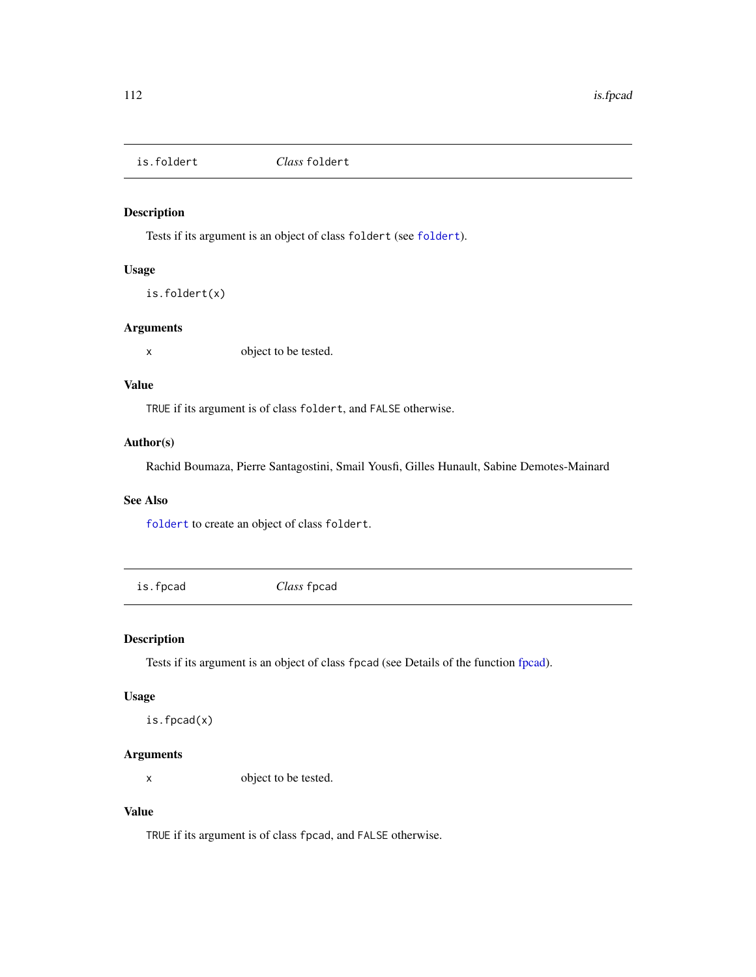is.foldert *Class* foldert

# Description

Tests if its argument is an object of class foldert (see [foldert](#page-77-0)).

# Usage

is.foldert(x)

# Arguments

x object to be tested.

## Value

TRUE if its argument is of class foldert, and FALSE otherwise.

# Author(s)

Rachid Boumaza, Pierre Santagostini, Smail Yousfi, Gilles Hunault, Sabine Demotes-Mainard

# See Also

[foldert](#page-77-0) to create an object of class foldert.

is.fpcad *Class* fpcad

# Description

Tests if its argument is an object of class fpcad (see Details of the function [fpcad\)](#page-80-0).

## Usage

is.fpcad(x)

# Arguments

x object to be tested.

# Value

TRUE if its argument is of class fpcad, and FALSE otherwise.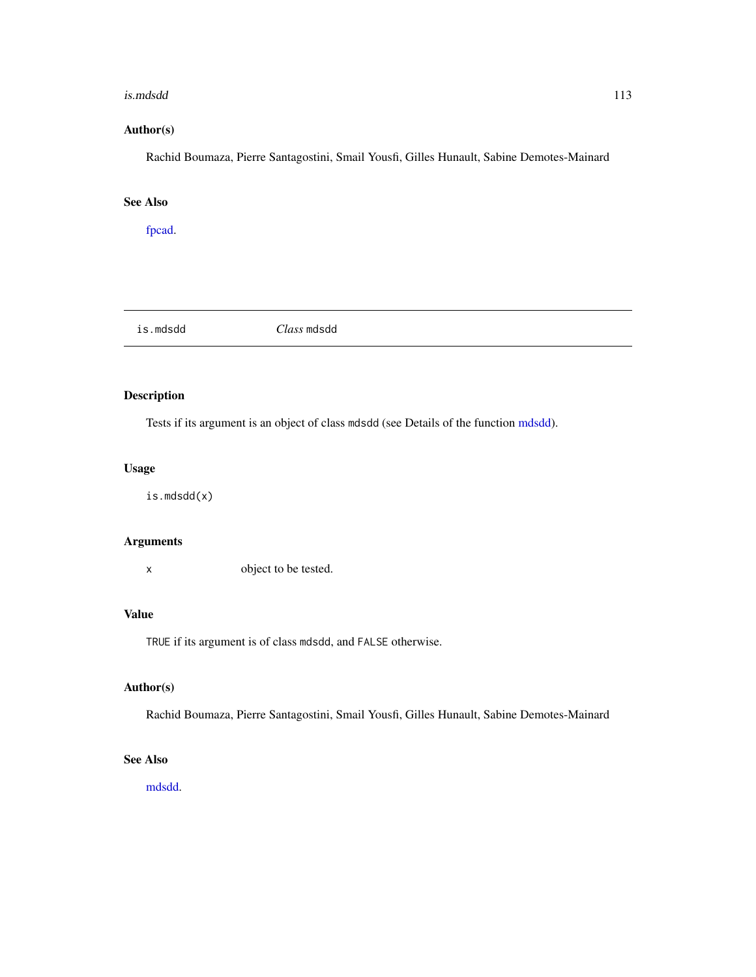#### is.mdsdd 113

# Author(s)

Rachid Boumaza, Pierre Santagostini, Smail Yousfi, Gilles Hunault, Sabine Demotes-Mainard

# See Also

[fpcad.](#page-80-0)

| .mdsdd<br>1 S. | <i>Class</i> mdsdd |  |  |
|----------------|--------------------|--|--|
|----------------|--------------------|--|--|

# Description

Tests if its argument is an object of class mdsdd (see Details of the function [mdsdd\)](#page-144-0).

# Usage

is.mdsdd(x)

# Arguments

x object to be tested.

# Value

TRUE if its argument is of class mdsdd, and FALSE otherwise.

# Author(s)

Rachid Boumaza, Pierre Santagostini, Smail Yousfi, Gilles Hunault, Sabine Demotes-Mainard

# See Also

[mdsdd.](#page-144-0)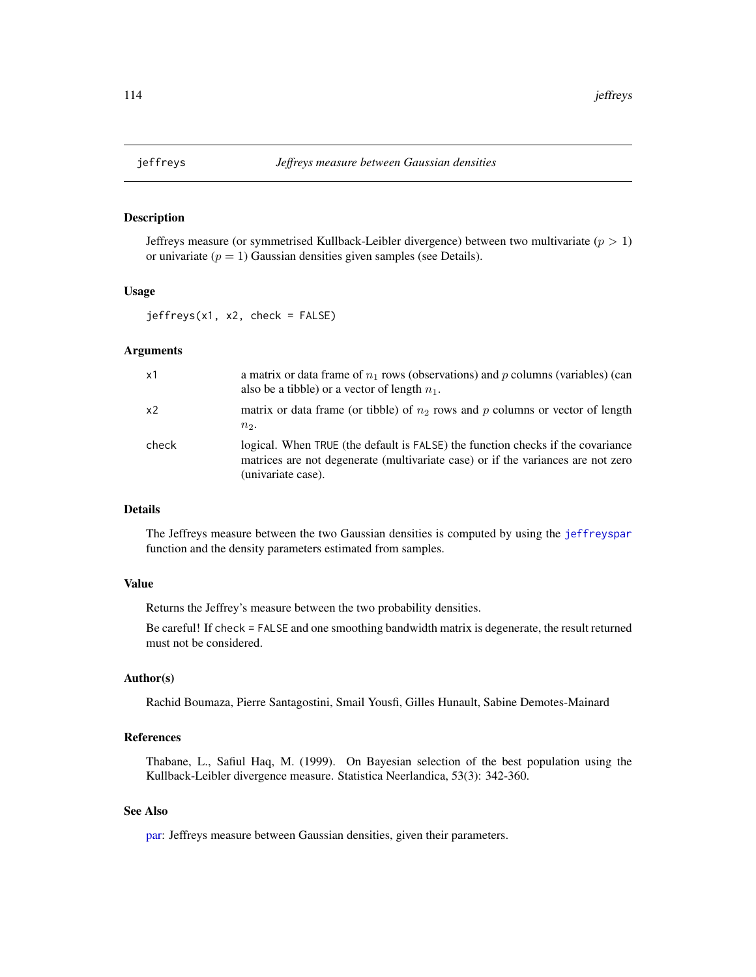<span id="page-113-0"></span>

Jeffreys measure (or symmetrised Kullback-Leibler divergence) between two multivariate ( $p > 1$ ) or univariate ( $p = 1$ ) Gaussian densities given samples (see Details).

# Usage

jeffreys(x1, x2, check = FALSE)

## Arguments

| x1             | a matrix or data frame of $n_1$ rows (observations) and p columns (variables) (can<br>also be a tibble) or a vector of length $n_1$ .                                                     |
|----------------|-------------------------------------------------------------------------------------------------------------------------------------------------------------------------------------------|
| x <sub>2</sub> | matrix or data frame (or tibble) of $n_2$ rows and p columns or vector of length<br>$n2$ .                                                                                                |
| check          | logical. When TRUE (the default is FALSE) the function checks if the covariance<br>matrices are not degenerate (multivariate case) or if the variances are not zero<br>(univariate case). |

# Details

The Jeffreys measure between the two Gaussian densities is computed by using the [jeffreyspar](#page-114-0) function and the density parameters estimated from samples.

# Value

Returns the Jeffrey's measure between the two probability densities.

Be careful! If check = FALSE and one smoothing bandwidth matrix is degenerate, the result returned must not be considered.

# Author(s)

Rachid Boumaza, Pierre Santagostini, Smail Yousfi, Gilles Hunault, Sabine Demotes-Mainard

# References

Thabane, L., Safiul Haq, M. (1999). On Bayesian selection of the best population using the Kullback-Leibler divergence measure. Statistica Neerlandica, 53(3): 342-360.

## See Also

[par:](#page-0-0) Jeffreys measure between Gaussian densities, given their parameters.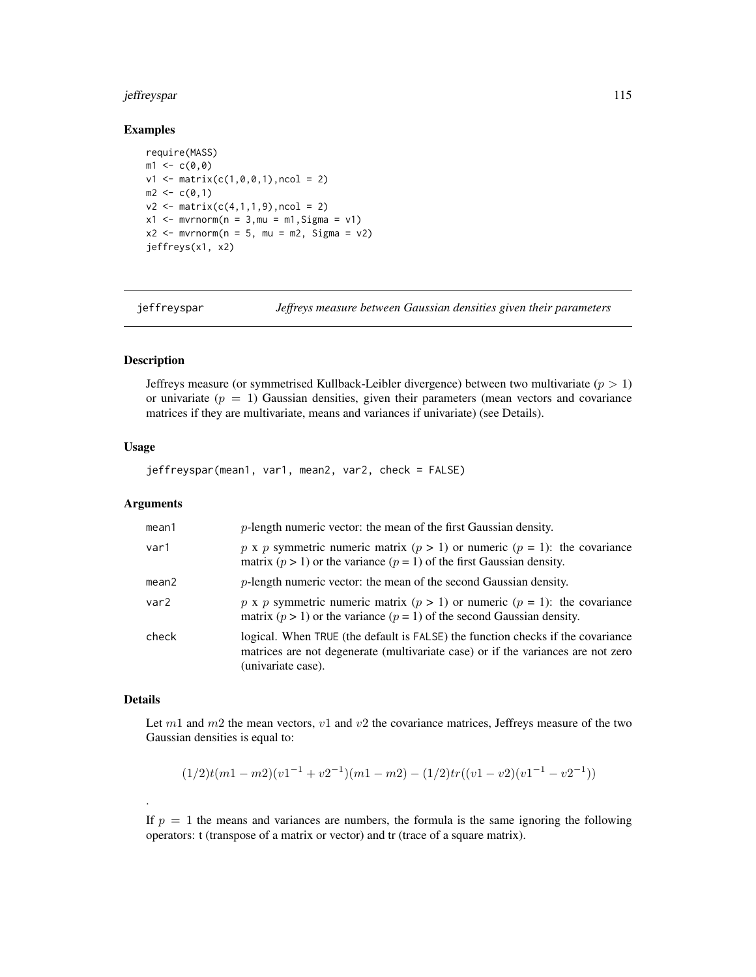# jeffreyspar 115

## Examples

```
require(MASS)
m1 < -c(0, 0)v1 \le matrix(c(1,0,0,1), ncol = 2)
m2 < -c(0,1)v2 \le matrix(c(4,1,1,9), ncol = 2)
x1 \le - mvrnorm(n = 3, mu = m1, Sigma = v1)
x2 \le - mvrnorm(n = 5, mu = m2, Sigma = v2)
jeffreys(x1, x2)
```
<span id="page-114-0"></span>

jeffreyspar *Jeffreys measure between Gaussian densities given their parameters*

# Description

Jeffreys measure (or symmetrised Kullback-Leibler divergence) between two multivariate ( $p > 1$ ) or univariate  $(p = 1)$  Gaussian densities, given their parameters (mean vectors and covariance matrices if they are multivariate, means and variances if univariate) (see Details).

# Usage

jeffreyspar(mean1, var1, mean2, var2, check = FALSE)

#### Arguments

| mean1             | $p$ -length numeric vector: the mean of the first Gaussian density.                                                                                                                       |
|-------------------|-------------------------------------------------------------------------------------------------------------------------------------------------------------------------------------------|
| var1              | p x p symmetric numeric matrix $(p > 1)$ or numeric $(p = 1)$ : the covariance<br>matrix ( $p > 1$ ) or the variance ( $p = 1$ ) of the first Gaussian density.                           |
| mean <sub>2</sub> | $p$ -length numeric vector: the mean of the second Gaussian density.                                                                                                                      |
| var2              | p x p symmetric numeric matrix $(p > 1)$ or numeric $(p = 1)$ : the covariance<br>matrix $(p > 1)$ or the variance $(p = 1)$ of the second Gaussian density.                              |
| check             | logical. When TRUE (the default is FALSE) the function checks if the covariance<br>matrices are not degenerate (multivariate case) or if the variances are not zero<br>(univariate case). |

# Details

.

Let  $m1$  and  $m2$  the mean vectors,  $v1$  and  $v2$  the covariance matrices, Jeffreys measure of the two Gaussian densities is equal to:

$$
(1/2)t(m1 - m2)(v1^{-1} + v2^{-1})(m1 - m2) - (1/2)tr((v1 - v2)(v1^{-1} - v2^{-1}))
$$

If  $p = 1$  the means and variances are numbers, the formula is the same ignoring the following operators: t (transpose of a matrix or vector) and tr (trace of a square matrix).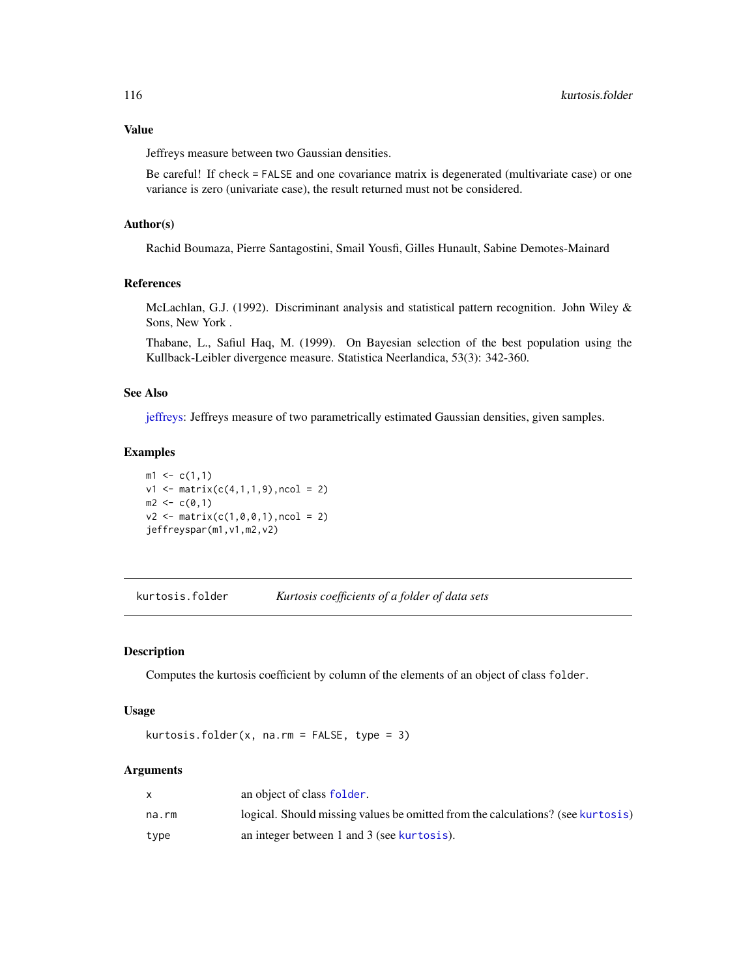# Value

Jeffreys measure between two Gaussian densities.

Be careful! If check = FALSE and one covariance matrix is degenerated (multivariate case) or one variance is zero (univariate case), the result returned must not be considered.

#### Author(s)

Rachid Boumaza, Pierre Santagostini, Smail Yousfi, Gilles Hunault, Sabine Demotes-Mainard

# References

McLachlan, G.J. (1992). Discriminant analysis and statistical pattern recognition. John Wiley & Sons, New York .

Thabane, L., Safiul Haq, M. (1999). On Bayesian selection of the best population using the Kullback-Leibler divergence measure. Statistica Neerlandica, 53(3): 342-360.

## See Also

[jeffreys:](#page-113-0) Jeffreys measure of two parametrically estimated Gaussian densities, given samples.

## Examples

 $m1 \leq c(1,1)$  $v1 \leq -$  matrix( $c(4,1,1,9)$ , ncol = 2)  $m2 < -c(0,1)$  $v2 \le$  matrix(c(1,0,0,1), ncol = 2) jeffreyspar(m1,v1,m2,v2)

kurtosis.folder *Kurtosis coefficients of a folder of data sets*

# Description

Computes the kurtosis coefficient by column of the elements of an object of class folder.

#### Usage

kurtosis.folder(x, na.rm = FALSE, type =  $3$ )

#### Arguments

|       | an object of class folder.                                                      |
|-------|---------------------------------------------------------------------------------|
| na.rm | logical. Should missing values be omitted from the calculations? (see kurtosis) |
| type  | an integer between 1 and 3 (see kurtosis).                                      |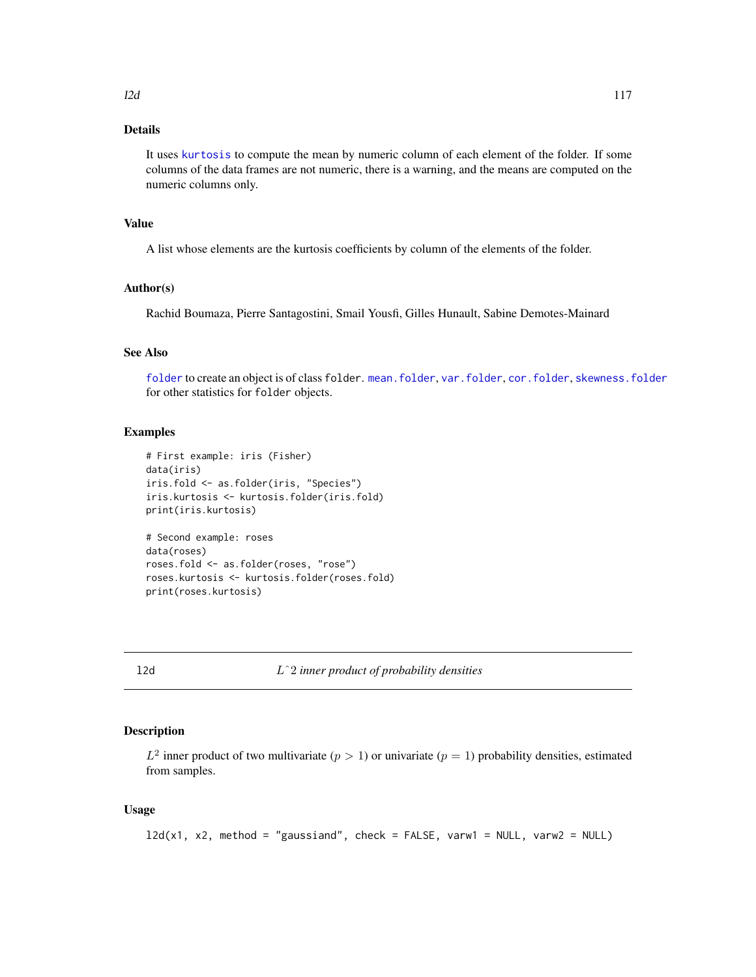# Details

It uses [kurtosis](#page-0-0) to compute the mean by numeric column of each element of the folder. If some columns of the data frames are not numeric, there is a warning, and the means are computed on the numeric columns only.

# Value

A list whose elements are the kurtosis coefficients by column of the elements of the folder.

## Author(s)

Rachid Boumaza, Pierre Santagostini, Smail Yousfi, Gilles Hunault, Sabine Demotes-Mainard

# See Also

[folder](#page-73-0) to create an object is of class folder. [mean.folder](#page-147-0), [var.folder](#page-195-0), [cor.folder](#page-27-0), [skewness.folder](#page-189-0) for other statistics for folder objects.

## Examples

```
# First example: iris (Fisher)
data(iris)
iris.fold <- as.folder(iris, "Species")
iris.kurtosis <- kurtosis.folder(iris.fold)
print(iris.kurtosis)
# Second example: roses
data(roses)
roses.fold <- as.folder(roses, "rose")
roses.kurtosis <- kurtosis.folder(roses.fold)
print(roses.kurtosis)
```
<span id="page-116-0"></span>

l2d Lˆ2 *inner product of probability densities*

## Description

 $L^2$  inner product of two multivariate  $(p > 1)$  or univariate  $(p = 1)$  probability densities, estimated from samples.

# Usage

l2d(x1, x2, method = "gaussiand", check = FALSE, varw1 = NULL, varw2 = NULL)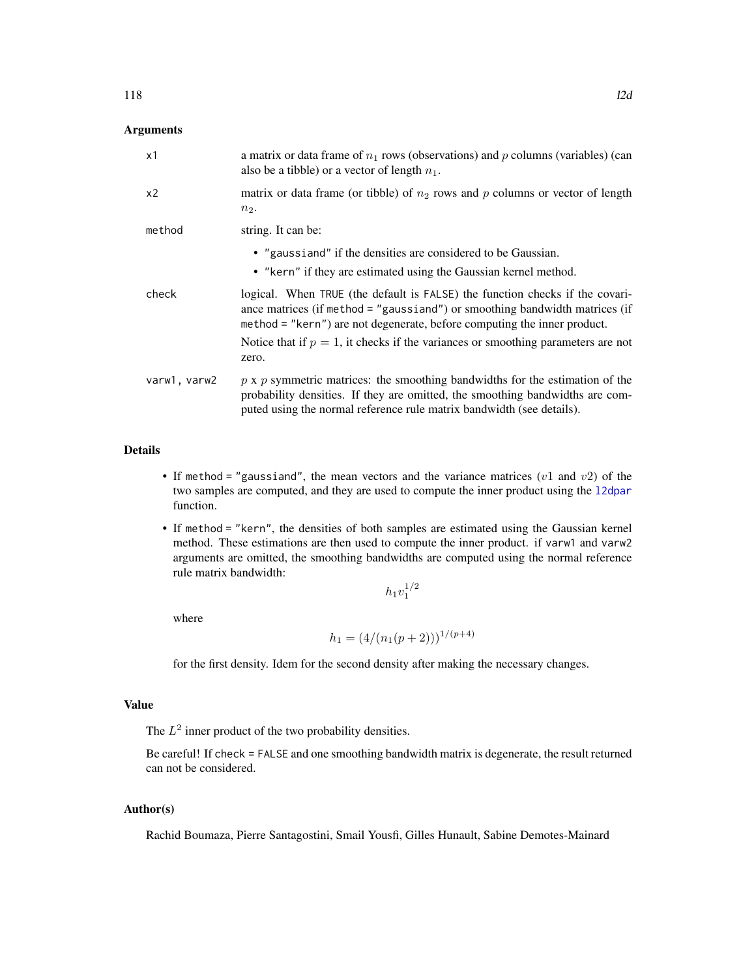# Arguments

| x1             | a matrix or data frame of $n_1$ rows (observations) and p columns (variables) (can<br>also be a tibble) or a vector of length $n_1$ .                                                                                                         |
|----------------|-----------------------------------------------------------------------------------------------------------------------------------------------------------------------------------------------------------------------------------------------|
| x <sub>2</sub> | matrix or data frame (or tibble) of $n_2$ rows and p columns or vector of length<br>$n_2$ .                                                                                                                                                   |
| method         | string. It can be:                                                                                                                                                                                                                            |
|                | • "gaussiand" if the densities are considered to be Gaussian.                                                                                                                                                                                 |
|                | • "kern" if they are estimated using the Gaussian kernel method.                                                                                                                                                                              |
| check          | logical. When TRUE (the default is FALSE) the function checks if the covari-<br>ance matrices (if method = "gaussiand") or smoothing bandwidth matrices (if<br>method = "kern") are not degenerate, before computing the inner product.       |
|                | Notice that if $p = 1$ , it checks if the variances or smoothing parameters are not<br>zero.                                                                                                                                                  |
| varw1, varw2   | $p \times p$ symmetric matrices: the smoothing bandwidths for the estimation of the<br>probability densities. If they are omitted, the smoothing bandwidths are com-<br>puted using the normal reference rule matrix bandwidth (see details). |

# Details

- If method = "gaussiand", the mean vectors and the variance matrices ( $v1$  and  $v2$ ) of the two samples are computed, and they are used to compute the inner product using the [l2dpar](#page-118-0) function.
- If method = "kern", the densities of both samples are estimated using the Gaussian kernel method. These estimations are then used to compute the inner product. if varw1 and varw2 arguments are omitted, the smoothing bandwidths are computed using the normal reference rule matrix bandwidth:

$$
h_1v_1^{1/2}
$$

where

$$
h_1 = (4/(n_1(p+2)))^{1/(p+4)}
$$

for the first density. Idem for the second density after making the necessary changes.

# Value

The  $L^2$  inner product of the two probability densities.

Be careful! If check = FALSE and one smoothing bandwidth matrix is degenerate, the result returned can not be considered.

# Author(s)

Rachid Boumaza, Pierre Santagostini, Smail Yousfi, Gilles Hunault, Sabine Demotes-Mainard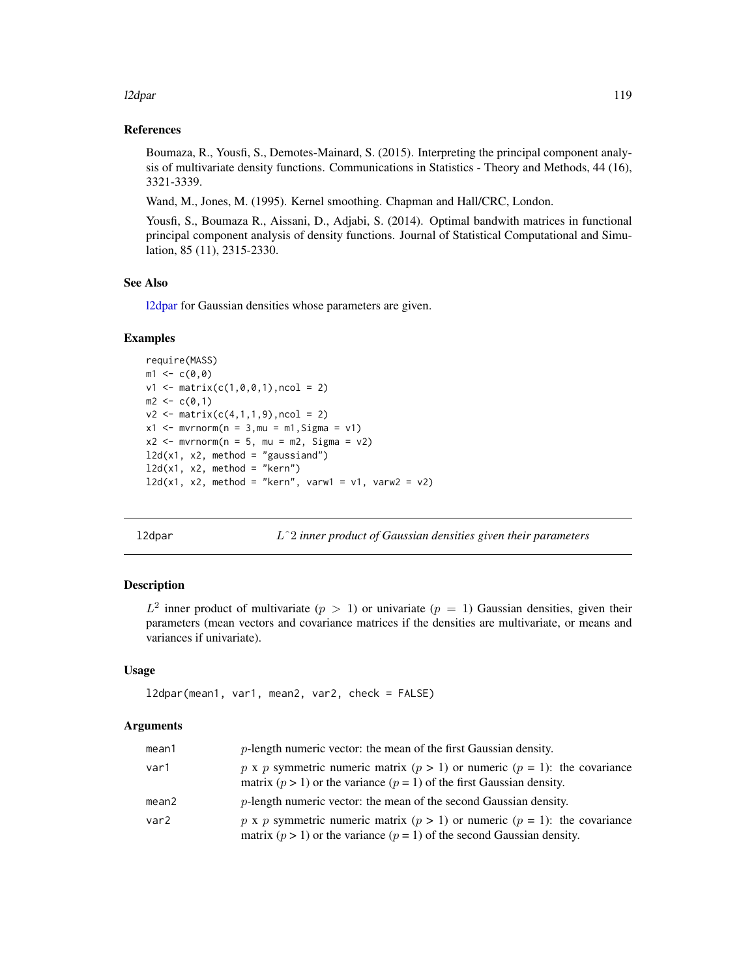## l2dpar 119

# References

Boumaza, R., Yousfi, S., Demotes-Mainard, S. (2015). Interpreting the principal component analysis of multivariate density functions. Communications in Statistics - Theory and Methods, 44 (16), 3321-3339.

Wand, M., Jones, M. (1995). Kernel smoothing. Chapman and Hall/CRC, London.

Yousfi, S., Boumaza R., Aissani, D., Adjabi, S. (2014). Optimal bandwith matrices in functional principal component analysis of density functions. Journal of Statistical Computational and Simulation, 85 (11), 2315-2330.

## See Also

[l2dpar](#page-118-0) for Gaussian densities whose parameters are given.

## Examples

```
require(MASS)
m1 < -c(0, 0)v1 \le matrix(c(1,0,0,1), ncol = 2)
m2 < -c(0,1)v2 \le matrix(c(4,1,1,9), ncol = 2)
x1 \le - mvrnorm(n = 3, mu = m1, Sigma = v1)
x2 \le - mvrnorm(n = 5, mu = m2, Sigma = v2)
12d(x1, x2, method = "gaussian")12d(x1, x2, method = "kern")12d(x1, x2, method = "kern", varw1 = v1, varw2 = v2)
```
<span id="page-118-0"></span>l2dpar Lˆ2 *inner product of Gaussian densities given their parameters*

## **Description**

 $L^2$  inner product of multivariate  $(p > 1)$  or univariate  $(p = 1)$  Gaussian densities, given their parameters (mean vectors and covariance matrices if the densities are multivariate, or means and variances if univariate).

## Usage

```
l2dpar(mean1, var1, mean2, var2, check = FALSE)
```
# Arguments

| mean1 | $p$ -length numeric vector: the mean of the first Gaussian density.                                                                                             |
|-------|-----------------------------------------------------------------------------------------------------------------------------------------------------------------|
| var1  | p x p symmetric numeric matrix $(p > 1)$ or numeric $(p = 1)$ : the covariance<br>matrix ( $p > 1$ ) or the variance ( $p = 1$ ) of the first Gaussian density. |
| mean2 | <i>p</i> -length numeric vector: the mean of the second Gaussian density.                                                                                       |
| var2  | p x p symmetric numeric matrix $(p > 1)$ or numeric $(p = 1)$ : the covariance<br>matrix $(p > 1)$ or the variance $(p = 1)$ of the second Gaussian density.    |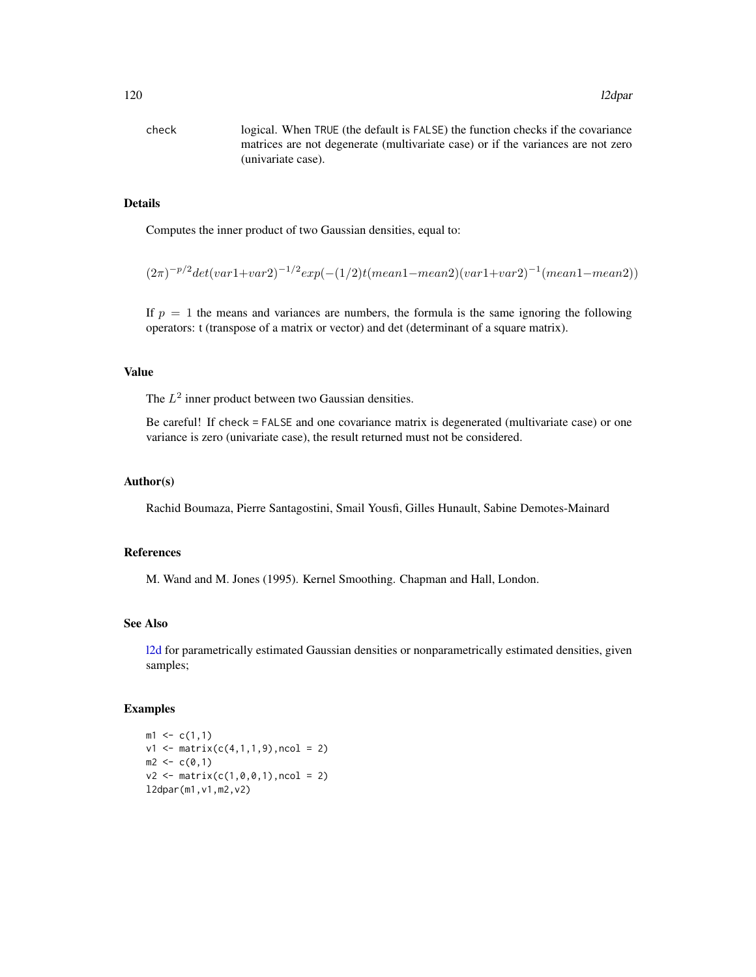check logical. When TRUE (the default is FALSE) the function checks if the covariance matrices are not degenerate (multivariate case) or if the variances are not zero (univariate case).

# Details

Computes the inner product of two Gaussian densities, equal to:

 $(2\pi)^{-p/2} det(var1+var2)^{-1/2} exp(-(1/2)t(mean1-mean2)(var1+var2)^{-1}(mean1-mean2))$ 

If  $p = 1$  the means and variances are numbers, the formula is the same ignoring the following operators: t (transpose of a matrix or vector) and det (determinant of a square matrix).

#### Value

The  $L^2$  inner product between two Gaussian densities.

Be careful! If check = FALSE and one covariance matrix is degenerated (multivariate case) or one variance is zero (univariate case), the result returned must not be considered.

#### Author(s)

Rachid Boumaza, Pierre Santagostini, Smail Yousfi, Gilles Hunault, Sabine Demotes-Mainard

# References

M. Wand and M. Jones (1995). Kernel Smoothing. Chapman and Hall, London.

# See Also

[l2d](#page-116-0) for parametrically estimated Gaussian densities or nonparametrically estimated densities, given samples;

```
m1 \leq c(1,1)v1 \leq - matrix(c(4,1,1,9), ncol = 2)
m2 < -c(0,1)v2 \le - matrix(c(1,0,0,1),ncol = 2)
l2dpar(m1,v1,m2,v2)
```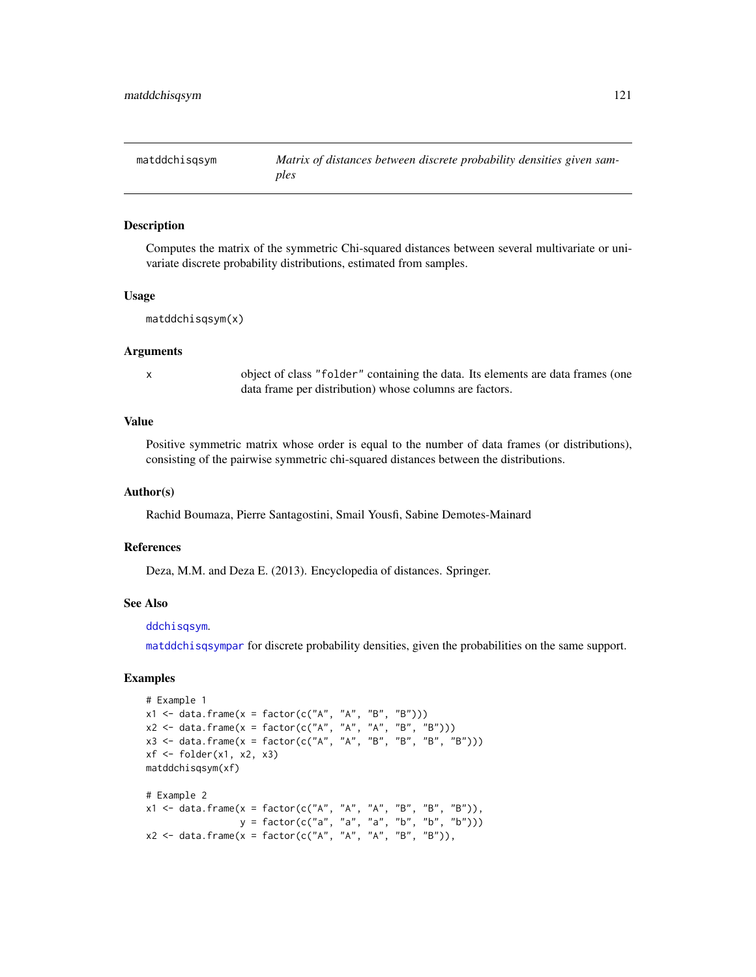<span id="page-120-0"></span>

Computes the matrix of the symmetric Chi-squared distances between several multivariate or univariate discrete probability distributions, estimated from samples.

#### Usage

```
matddchisqsym(x)
```
#### Arguments

x object of class "folder" containing the data. Its elements are data frames (one data frame per distribution) whose columns are factors.

# Value

Positive symmetric matrix whose order is equal to the number of data frames (or distributions), consisting of the pairwise symmetric chi-squared distances between the distributions.

## Author(s)

Rachid Boumaza, Pierre Santagostini, Smail Yousfi, Sabine Demotes-Mainard

## References

Deza, M.M. and Deza E. (2013). Encyclopedia of distances. Springer.

# See Also

## [ddchisqsym](#page-31-0).

[matddchisqsympar](#page-121-0) for discrete probability densities, given the probabilities on the same support.

```
# Example 1
x1 \leq - data.frame(x = factor(c("A", "A", "B", "B")))
x2 \leq - data.frame(x = factor(c("A", "A", "A", "B", "B")))
x3 \le - data.frame(x = factor(c("A", "A", "B", "B", "B", "B")))
xf \leftarrow folder(x1, x2, x3)matddchisqsym(xf)
# Example 2
x1 <- data.frame(x = factor(c("A", "A", "A", "B", "B", "B")),
                  y = factor(c("a", "a", "a", "b", "b", "b")))
x2 \leq data.frame(x = factor(c("A", "A", "A", "B", "B")),
```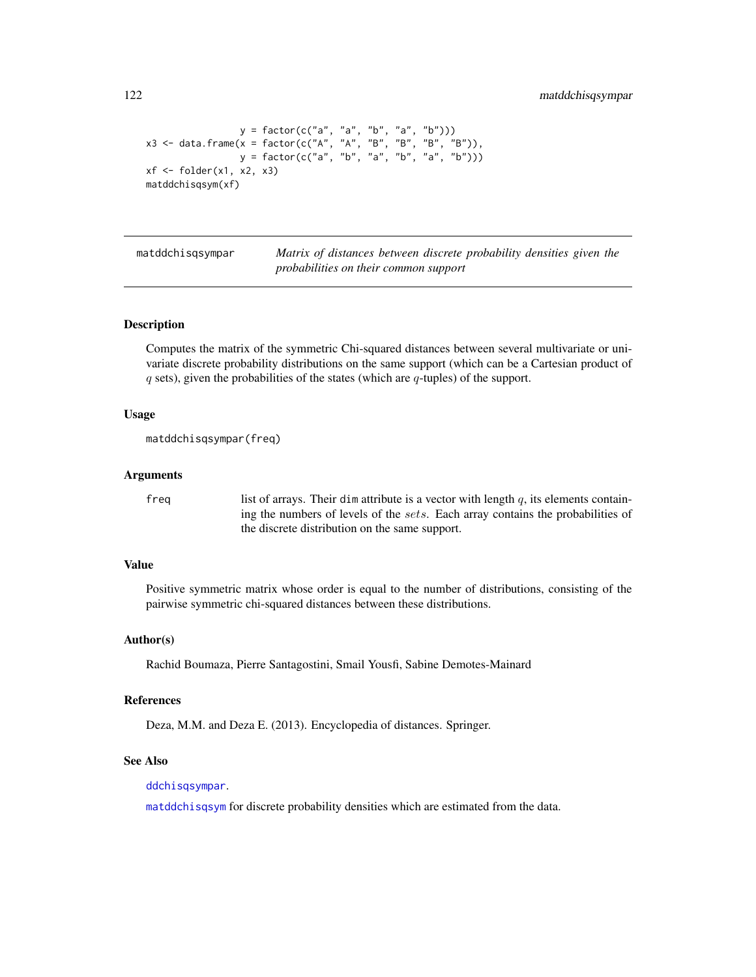```
y = factor(c("a", "a", "b", "a", "b"))x3 <- data.frame(x = factor(c("A", "A", "B", "B", "B", "B")),
                 y = factor(c("a", "b", "a", "b", "a", "b")))
xf \leftarrow folder(x1, x2, x3)matddchisqsym(xf)
```
<span id="page-121-0"></span>

matddchisqsympar *Matrix of distances between discrete probability densities given the probabilities on their common support*

# **Description**

Computes the matrix of the symmetric Chi-squared distances between several multivariate or univariate discrete probability distributions on the same support (which can be a Cartesian product of  $q$  sets), given the probabilities of the states (which are  $q$ -tuples) of the support.

# Usage

```
matddchisqsympar(freq)
```
# Arguments

freq list of arrays. Their dim attribute is a vector with length  $q$ , its elements containing the numbers of levels of the sets. Each array contains the probabilities of the discrete distribution on the same support.

## Value

Positive symmetric matrix whose order is equal to the number of distributions, consisting of the pairwise symmetric chi-squared distances between these distributions.

#### Author(s)

Rachid Boumaza, Pierre Santagostini, Smail Yousfi, Sabine Demotes-Mainard

#### References

Deza, M.M. and Deza E. (2013). Encyclopedia of distances. Springer.

# See Also

[ddchisqsympar](#page-32-0).

[matddchisqsym](#page-120-0) for discrete probability densities which are estimated from the data.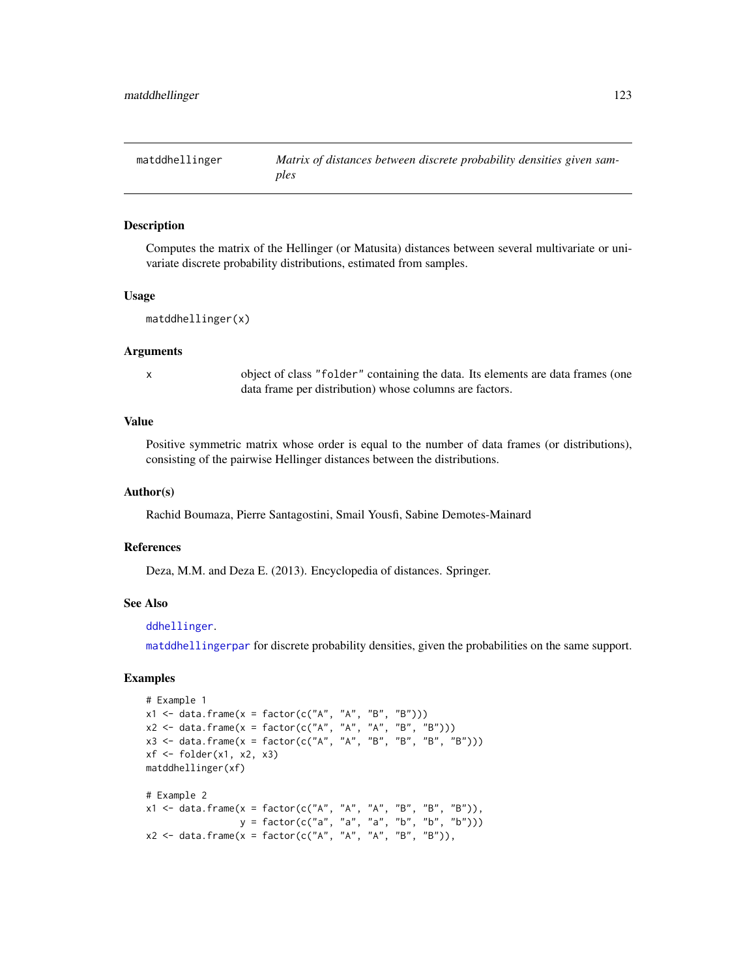<span id="page-122-0"></span>

Computes the matrix of the Hellinger (or Matusita) distances between several multivariate or univariate discrete probability distributions, estimated from samples.

#### Usage

```
matddhellinger(x)
```
#### Arguments

x object of class "folder" containing the data. Its elements are data frames (one data frame per distribution) whose columns are factors.

# Value

Positive symmetric matrix whose order is equal to the number of data frames (or distributions), consisting of the pairwise Hellinger distances between the distributions.

## Author(s)

Rachid Boumaza, Pierre Santagostini, Smail Yousfi, Sabine Demotes-Mainard

## References

Deza, M.M. and Deza E. (2013). Encyclopedia of distances. Springer.

# See Also

[ddhellinger](#page-33-0).

[matddhellingerpar](#page-123-0) for discrete probability densities, given the probabilities on the same support.

```
# Example 1
x1 \leq - data.frame(x = factor(c("A", "A", "B", "B")))
x2 \leq - data.frame(x = factor(c("A", "A", "A", "B", "B")))
x3 \le - data.frame(x = factor(c("A", "A", "B", "B", "B", "B")))
xf \leftarrow folder(x1, x2, x3)matddhellinger(xf)
# Example 2
x1 <- data.frame(x = factor(c("A", "A", "A", "B", "B", "B")),
                  y = factor(c("a", "a", "a", "b", "b", "b")))
x2 \leq data.frame(x = factor(c("A", "A", "A", "B", "B")),
```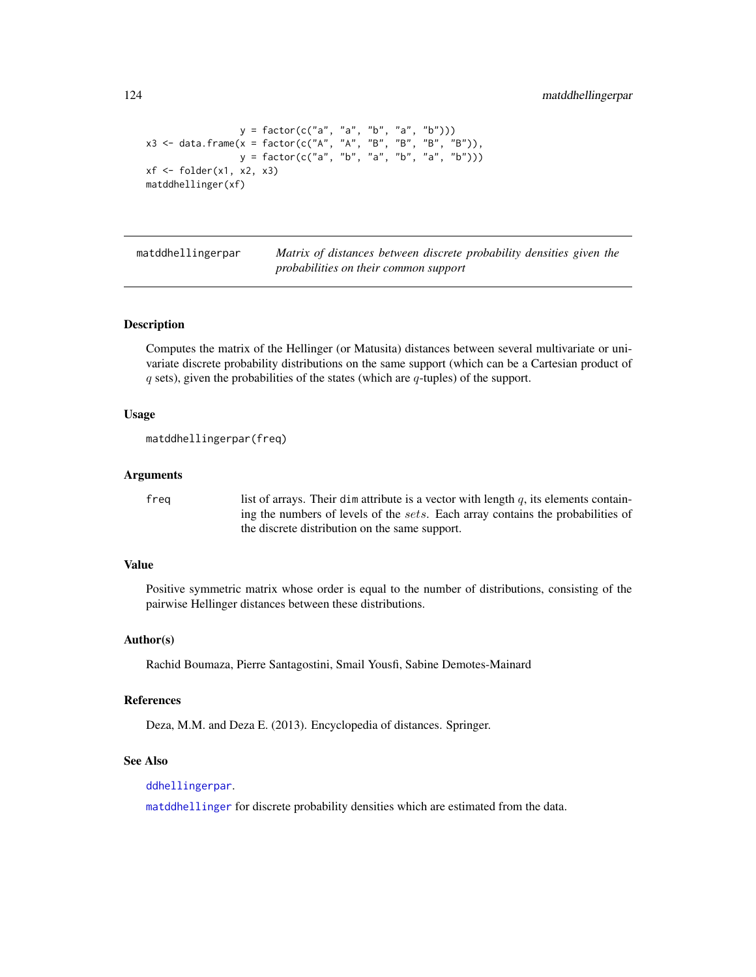```
y = factor(c("a", 'a", 'b", 'a", 'b"))x3 <- data.frame(x = factor(c("A", "A", "B", "B", "B", "B")),
                 y = factor(c("a", "b", "a", "b", "a", "b")))
xf \leftarrow folder(x1, x2, x3)matddhellinger(xf)
```
<span id="page-123-0"></span>matddhellingerpar *Matrix of distances between discrete probability densities given the probabilities on their common support*

# **Description**

Computes the matrix of the Hellinger (or Matusita) distances between several multivariate or univariate discrete probability distributions on the same support (which can be a Cartesian product of  $q$  sets), given the probabilities of the states (which are  $q$ -tuples) of the support.

# Usage

```
matddhellingerpar(freq)
```
## Arguments

freq list of arrays. Their dim attribute is a vector with length  $q$ , its elements containing the numbers of levels of the sets. Each array contains the probabilities of the discrete distribution on the same support.

## Value

Positive symmetric matrix whose order is equal to the number of distributions, consisting of the pairwise Hellinger distances between these distributions.

#### Author(s)

Rachid Boumaza, Pierre Santagostini, Smail Yousfi, Sabine Demotes-Mainard

#### References

Deza, M.M. and Deza E. (2013). Encyclopedia of distances. Springer.

# See Also

[ddhellingerpar](#page-34-0).

[matddhellinger](#page-122-0) for discrete probability densities which are estimated from the data.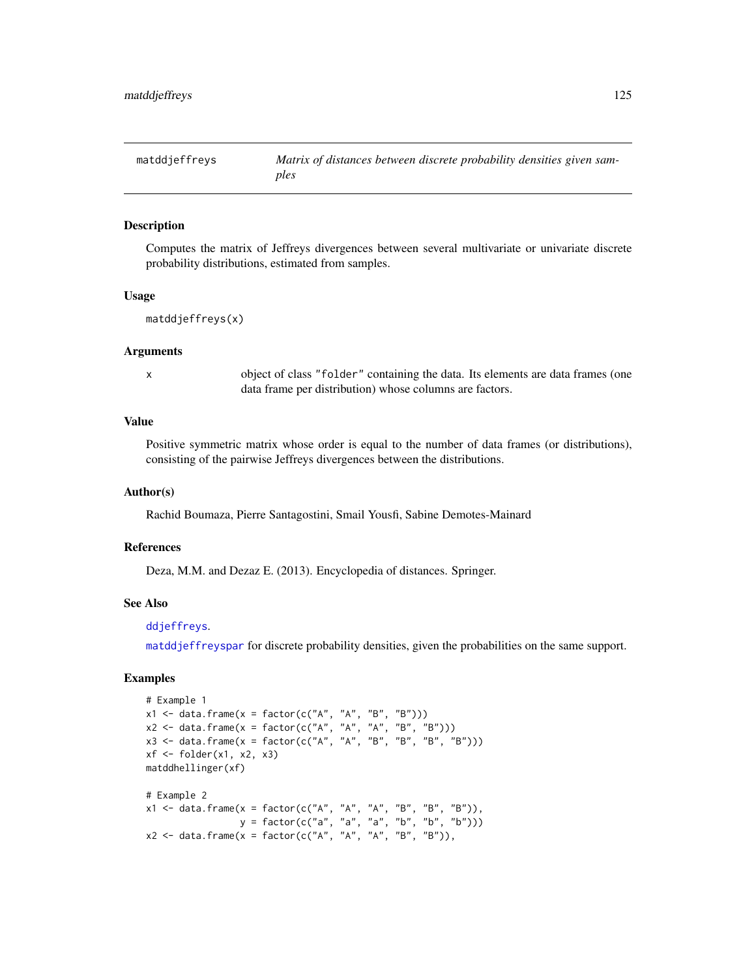<span id="page-124-0"></span>

Computes the matrix of Jeffreys divergences between several multivariate or univariate discrete probability distributions, estimated from samples.

#### Usage

```
matddjeffreys(x)
```
#### Arguments

x object of class "folder" containing the data. Its elements are data frames (one data frame per distribution) whose columns are factors.

# Value

Positive symmetric matrix whose order is equal to the number of data frames (or distributions), consisting of the pairwise Jeffreys divergences between the distributions.

## Author(s)

Rachid Boumaza, Pierre Santagostini, Smail Yousfi, Sabine Demotes-Mainard

## References

Deza, M.M. and Dezaz E. (2013). Encyclopedia of distances. Springer.

# See Also

# [ddjeffreys](#page-36-0).

[matddjeffreyspar](#page-125-0) for discrete probability densities, given the probabilities on the same support.

```
# Example 1
x1 \leq - data.frame(x = factor(c("A", "A", "B", "B")))
x2 \leq - data.frame(x = factor(c("A", "A", "A", "B", "B")))
x3 \le - data.frame(x = factor(c("A", "A", "B", "B", "B", "B")))
xf \leftarrow folder(x1, x2, x3)matddhellinger(xf)
# Example 2
x1 <- data.frame(x = factor(c("A", "A", "A", "B", "B", "B")),
                  y = factor(c("a", "a", "a", "b", "b", "b")))
x2 \le data.frame(x = factor(c("A", "A", "A", "B", "B")),
```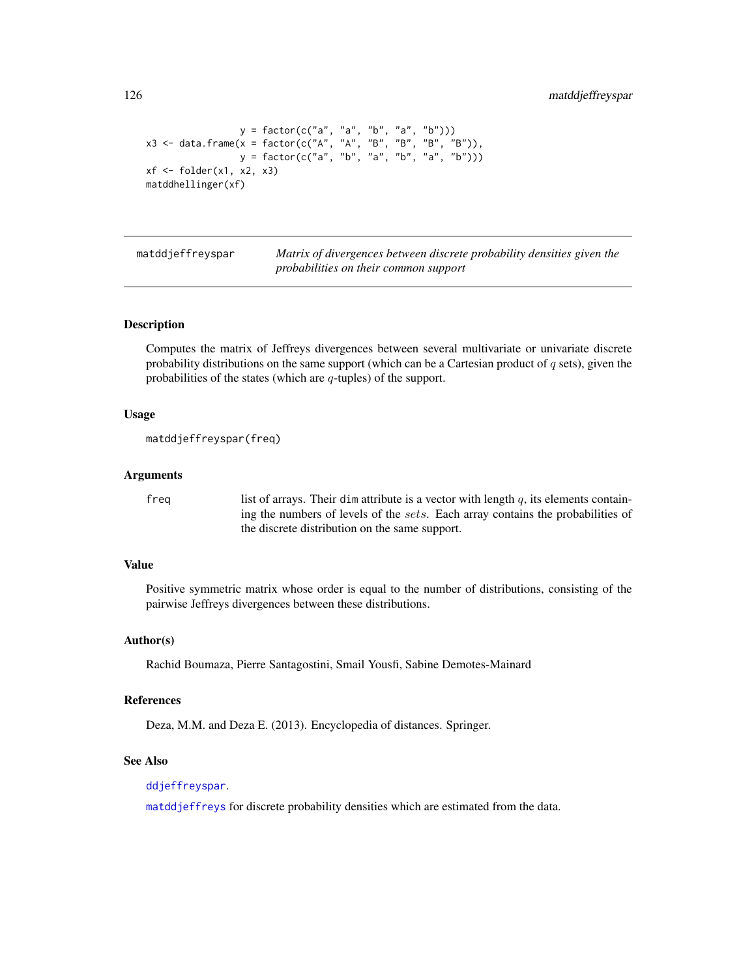```
y = factor(c("a", "a", "b", "a", "b"))x3 <- data.frame(x = factor(c("A", "A", "B", "B", "B", "B")),
                 y = factor(c("a", "b", "a", "b", "a", "b")))
xf \leftarrow folder(x1, x2, x3)matddhellinger(xf)
```
<span id="page-125-0"></span>matddjeffreyspar *Matrix of divergences between discrete probability densities given the probabilities on their common support*

# **Description**

Computes the matrix of Jeffreys divergences between several multivariate or univariate discrete probability distributions on the same support (which can be a Cartesian product of  $q$  sets), given the probabilities of the states (which are  $q$ -tuples) of the support.

# Usage

```
matddjeffreyspar(freq)
```
# Arguments

freq list of arrays. Their dim attribute is a vector with length  $q$ , its elements containing the numbers of levels of the sets. Each array contains the probabilities of the discrete distribution on the same support.

# Value

Positive symmetric matrix whose order is equal to the number of distributions, consisting of the pairwise Jeffreys divergences between these distributions.

#### Author(s)

Rachid Boumaza, Pierre Santagostini, Smail Yousfi, Sabine Demotes-Mainard

#### References

Deza, M.M. and Deza E. (2013). Encyclopedia of distances. Springer.

# See Also

[ddjeffreyspar](#page-37-0).

[matddjeffreys](#page-124-0) for discrete probability densities which are estimated from the data.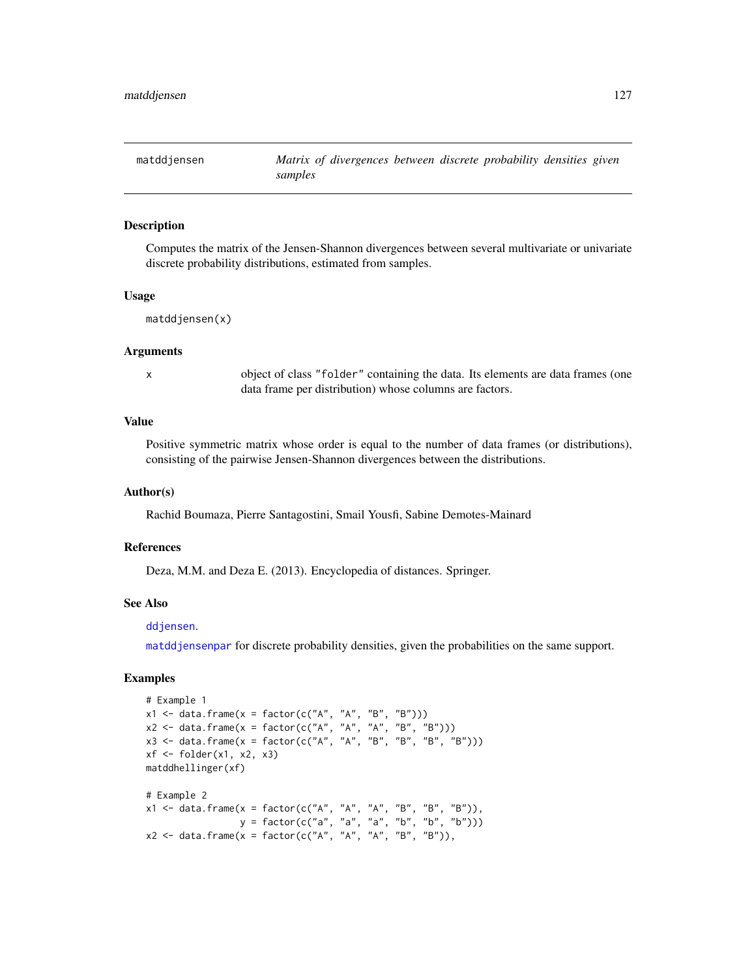<span id="page-126-0"></span>

Computes the matrix of the Jensen-Shannon divergences between several multivariate or univariate discrete probability distributions, estimated from samples.

#### Usage

```
matddjensen(x)
```
#### Arguments

x object of class "folder" containing the data. Its elements are data frames (one data frame per distribution) whose columns are factors.

# Value

Positive symmetric matrix whose order is equal to the number of data frames (or distributions), consisting of the pairwise Jensen-Shannon divergences between the distributions.

## Author(s)

Rachid Boumaza, Pierre Santagostini, Smail Yousfi, Sabine Demotes-Mainard

## References

Deza, M.M. and Deza E. (2013). Encyclopedia of distances. Springer.

# See Also

## [ddjensen](#page-38-0).

[matddjensenpar](#page-127-0) for discrete probability densities, given the probabilities on the same support.

```
# Example 1
x1 \leq - data.frame(x = factor(c("A", "A", "B", "B")))
x2 \leq - data.frame(x = factor(c("A", "A", "A", "B", "B")))
x3 \le - data.frame(x = factor(c("A", "A", "B", "B", "B", "B")))
xf \leftarrow folder(x1, x2, x3)matddhellinger(xf)
# Example 2
x1 <- data.frame(x = factor(c("A", "A", "A", "B", "B", "B")),
                  y = factor(c("a", "a", "a", "b", "b", "b")))
x2 \leq data.frame(x = factor(c("A", "A", "A", "B", "B")),
```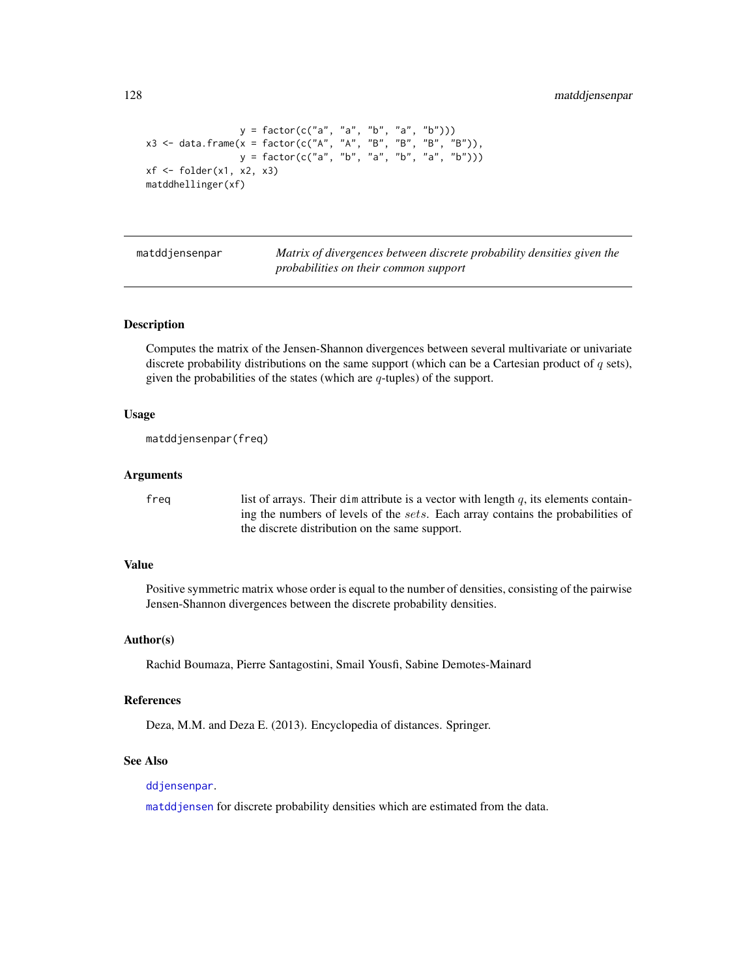```
y = factor(c("a", 'a", 'b", 'a", 'b"))x3 <- data.frame(x = factor(c("A", "A", "B", "B", "B", "B")),
                 y = factor(c("a", "b", "a", "b", "a", "b")))
xf \leftarrow folder(x1, x2, x3)matddhellinger(xf)
```
<span id="page-127-0"></span>

matddjensenpar *Matrix of divergences between discrete probability densities given the probabilities on their common support*

# **Description**

Computes the matrix of the Jensen-Shannon divergences between several multivariate or univariate discrete probability distributions on the same support (which can be a Cartesian product of  $q$  sets), given the probabilities of the states (which are  $q$ -tuples) of the support.

## Usage

```
matddjensenpar(freq)
```
## Arguments

freq list of arrays. Their dim attribute is a vector with length  $q$ , its elements containing the numbers of levels of the sets. Each array contains the probabilities of the discrete distribution on the same support.

## Value

Positive symmetric matrix whose order is equal to the number of densities, consisting of the pairwise Jensen-Shannon divergences between the discrete probability densities.

#### Author(s)

Rachid Boumaza, Pierre Santagostini, Smail Yousfi, Sabine Demotes-Mainard

#### References

Deza, M.M. and Deza E. (2013). Encyclopedia of distances. Springer.

# See Also

[ddjensenpar](#page-39-0).

[matddjensen](#page-126-0) for discrete probability densities which are estimated from the data.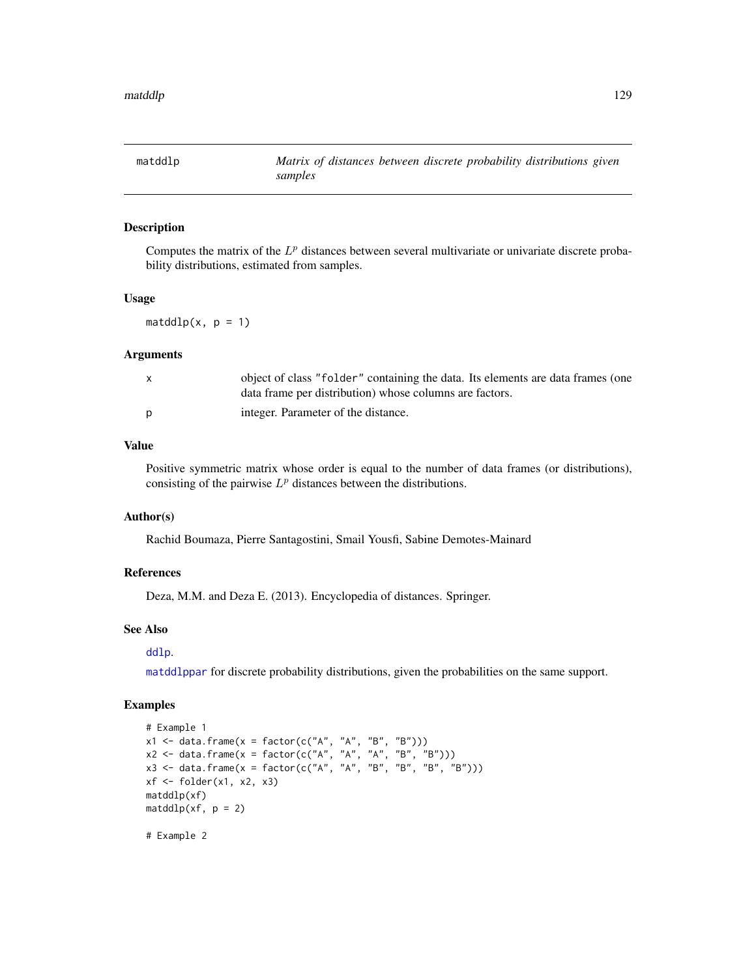<span id="page-128-0"></span>

Computes the matrix of the  $L^p$  distances between several multivariate or univariate discrete probability distributions, estimated from samples.

# Usage

 $matalog(x, p = 1)$ 

#### Arguments

| object of class "folder" containing the data. Its elements are data frames (one<br>data frame per distribution) whose columns are factors. |
|--------------------------------------------------------------------------------------------------------------------------------------------|
| integer. Parameter of the distance.                                                                                                        |

# Value

Positive symmetric matrix whose order is equal to the number of data frames (or distributions), consisting of the pairwise  $L^p$  distances between the distributions.

# Author(s)

Rachid Boumaza, Pierre Santagostini, Smail Yousfi, Sabine Demotes-Mainard

# References

Deza, M.M. and Deza E. (2013). Encyclopedia of distances. Springer.

## See Also

#### [ddlp](#page-41-0).

[matddlppar](#page-129-0) for discrete probability distributions, given the probabilities on the same support.

```
# Example 1
x1 \leq - data.frame(x = factor(c("A", "A", "B", "B")))
x2 \le - data.frame(x = factor(c("A", "A", "A", "B", "B")))
x3 \le - data.frame(x = factor(c("A", "A", "B", "B", "B", "B")))
xf \leftarrow folder(x1, x2, x3)matddlp(xf)
matalog(xf, p = 2)# Example 2
```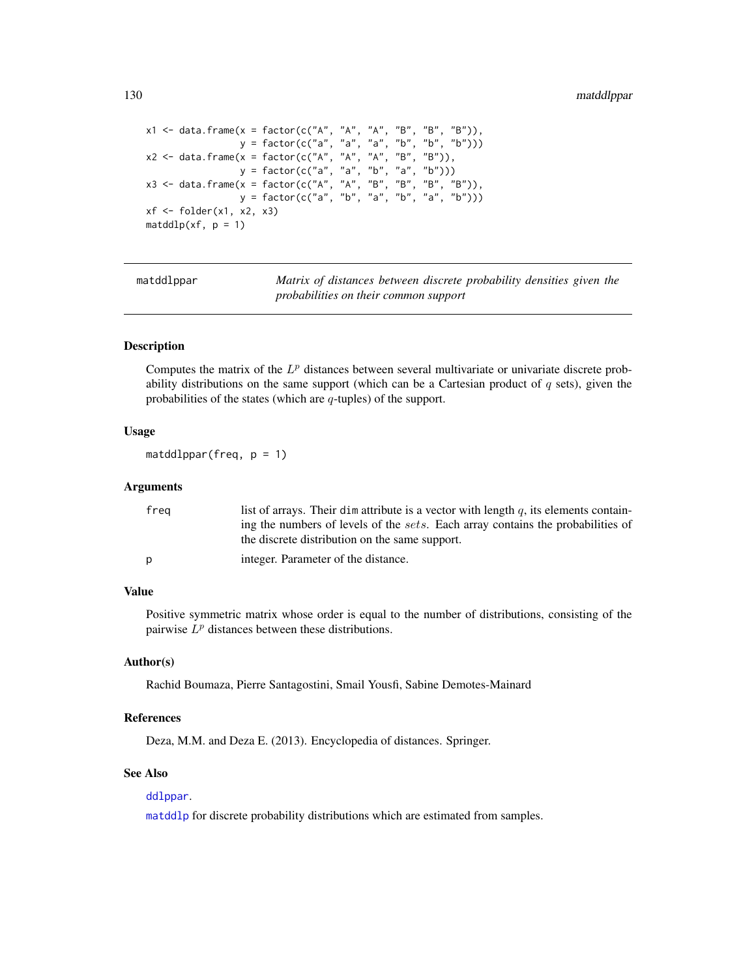```
x1 <- data.frame(x = factor(c("A", "A", "A", "B", "B", "B")),
                 y = factor(c("a", "a", "a", "b", "b", "b")))
x2 <- data.frame(x = factor(c("A", "A", "A", "B", "B")),
                 y = factor(c("a", "a", "b", "a", "b")))
x3 <- data.frame(x = factor(c("A", "A", "B", "B", "B", "B")),
                 y = factor(c("a", "b", "a", "b", "a", "b")))
xf \leftarrow folder(x1, x2, x3)matalog(xf, p = 1)
```
matddlppar *Matrix of distances between discrete probability densities given the probabilities on their common support*

# Description

Computes the matrix of the  $L^p$  distances between several multivariate or univariate discrete probability distributions on the same support (which can be a Cartesian product of  $q$  sets), given the probabilities of the states (which are  $q$ -tuples) of the support.

# Usage

```
matalogpar(freq, p = 1)
```
## Arguments

| frea | list of arrays. Their dim attribute is a vector with length q, its elements contain-    |
|------|-----------------------------------------------------------------------------------------|
|      | ing the numbers of levels of the <i>sets</i> . Each array contains the probabilities of |
|      | the discrete distribution on the same support.                                          |
| D    | integer. Parameter of the distance.                                                     |
|      |                                                                                         |

# Value

Positive symmetric matrix whose order is equal to the number of distributions, consisting of the pairwise  $L^p$  distances between these distributions.

## Author(s)

Rachid Boumaza, Pierre Santagostini, Smail Yousfi, Sabine Demotes-Mainard

# References

Deza, M.M. and Deza E. (2013). Encyclopedia of distances. Springer.

# See Also

# [ddlppar](#page-42-0).

[matddlp](#page-128-0) for discrete probability distributions which are estimated from samples.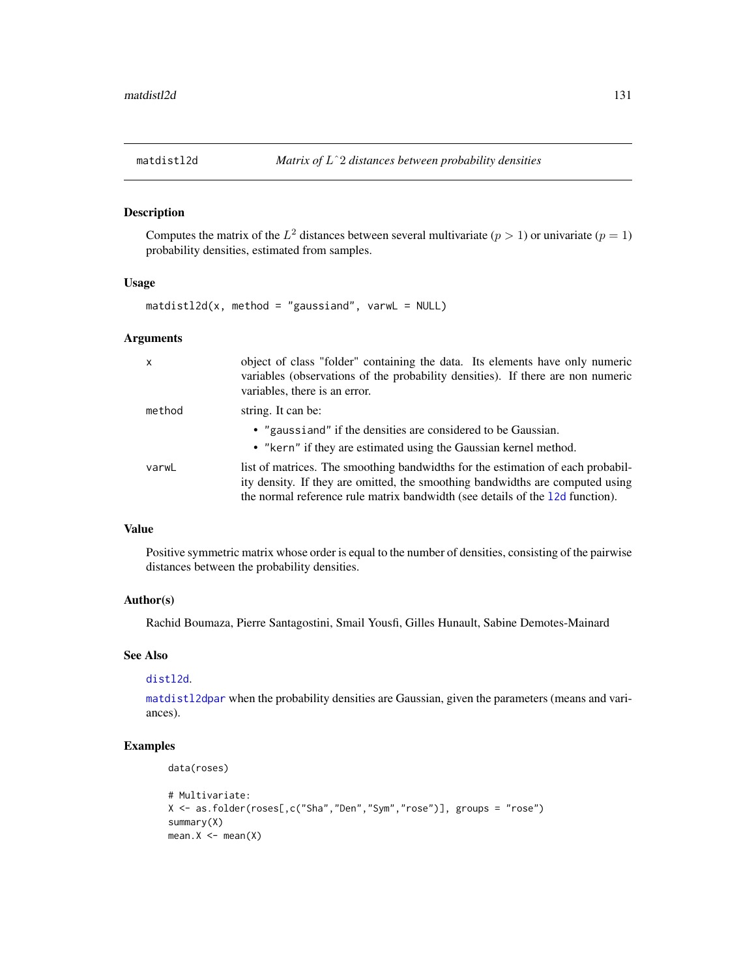<span id="page-130-0"></span>

Computes the matrix of the  $L^2$  distances between several multivariate  $(p > 1)$  or univariate  $(p = 1)$ probability densities, estimated from samples.

# Usage

 $matically d(x, method = "gaussian", varwL = NULL)$ 

# Arguments

| $\mathsf{x}$ | object of class "folder" containing the data. Its elements have only numeric<br>variables (observations of the probability densities). If there are non numeric<br>variables, there is an error.                                                  |
|--------------|---------------------------------------------------------------------------------------------------------------------------------------------------------------------------------------------------------------------------------------------------|
| method       | string. It can be:                                                                                                                                                                                                                                |
|              | • "gaussiand" if the densities are considered to be Gaussian.<br>• "kern" if they are estimated using the Gaussian kernel method.                                                                                                                 |
| varwL        | list of matrices. The smoothing bandwidths for the estimation of each probabil-<br>ity density. If they are omitted, the smoothing bandwidths are computed using<br>the normal reference rule matrix bandwidth (see details of the 12d function). |

# Value

Positive symmetric matrix whose order is equal to the number of densities, consisting of the pairwise distances between the probability densities.

# Author(s)

Rachid Boumaza, Pierre Santagostini, Smail Yousfi, Gilles Hunault, Sabine Demotes-Mainard

# See Also

## [distl2d](#page-50-0).

[matdistl2dpar](#page-134-0) when the probability densities are Gaussian, given the parameters (means and variances).

```
data(roses)
```

```
# Multivariate:
X <- as.folder(roses[,c("Sha","Den","Sym","rose")], groups = "rose")
summary(X)
mean.X \leq -mean(X)
```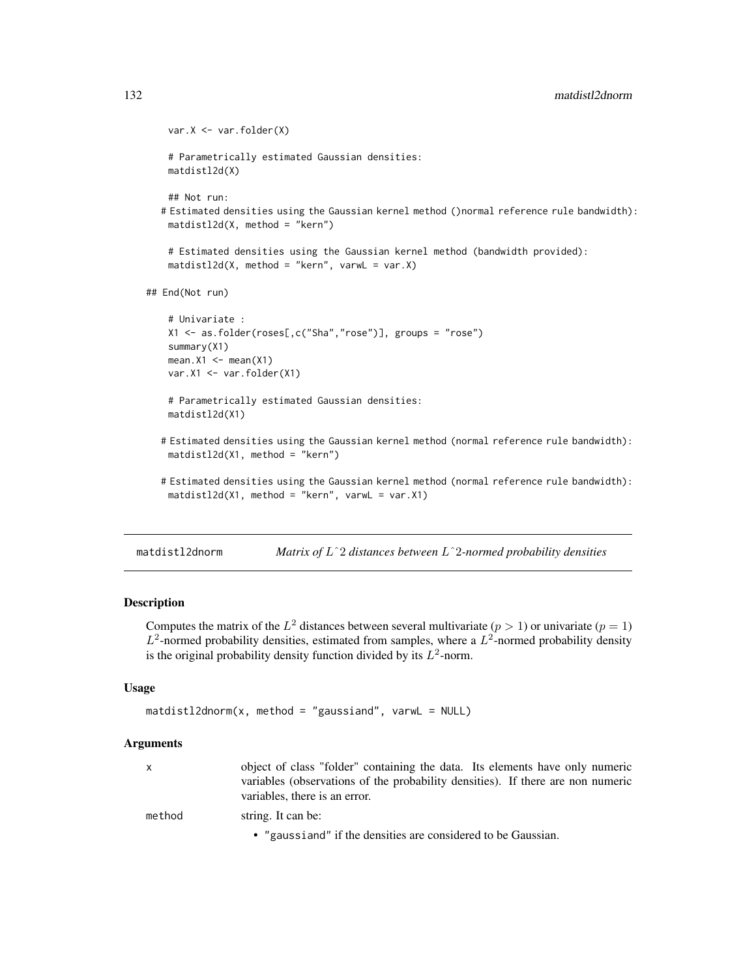```
var.X <- var.folder(X)
   # Parametrically estimated Gaussian densities:
   matdistl2d(X)
   ## Not run:
  # Estimated densities using the Gaussian kernel method ()normal reference rule bandwidth):
   matdistl2d(X, method = "kern")
   # Estimated densities using the Gaussian kernel method (bandwidth provided):
   matdistl2d(X, method = "kern", varwL = var.X)
## End(Not run)
   # Univariate :
   X1 <- as.folder(roses[,c("Sha","rose")], groups = "rose")
   summary(X1)
   mean.X1 \leq - mean(X1)var.X1 <- var.folder(X1)
   # Parametrically estimated Gaussian densities:
   matdistl2d(X1)
  # Estimated densities using the Gaussian kernel method (normal reference rule bandwidth):
   matdistl2d(X1, method = "kern")
```
# Estimated densities using the Gaussian kernel method (normal reference rule bandwidth): matdistl2d(X1, method = "kern", varwL = var.X1)

<span id="page-131-0"></span>matdistl2dnorm *Matrix of* Lˆ2 *distances between* Lˆ2*-normed probability densities*

# **Description**

Computes the matrix of the  $L^2$  distances between several multivariate  $(p > 1)$  or univariate  $(p = 1)$  $L^2$ -normed probability densities, estimated from samples, where a  $L^2$ -normed probability density is the original probability density function divided by its  $L^2$ -norm.

# Usage

```
matal2dnorm(x, method = "gaussiand", varwL = NULL)
```
#### Arguments

| x.     | object of class "folder" containing the data. Its elements have only numeric<br>variables (observations of the probability densities). If there are non numeric<br>variables, there is an error. |
|--------|--------------------------------------------------------------------------------------------------------------------------------------------------------------------------------------------------|
| method | string. It can be:                                                                                                                                                                               |
|        | • "gaussiand" if the densities are considered to be Gaussian.                                                                                                                                    |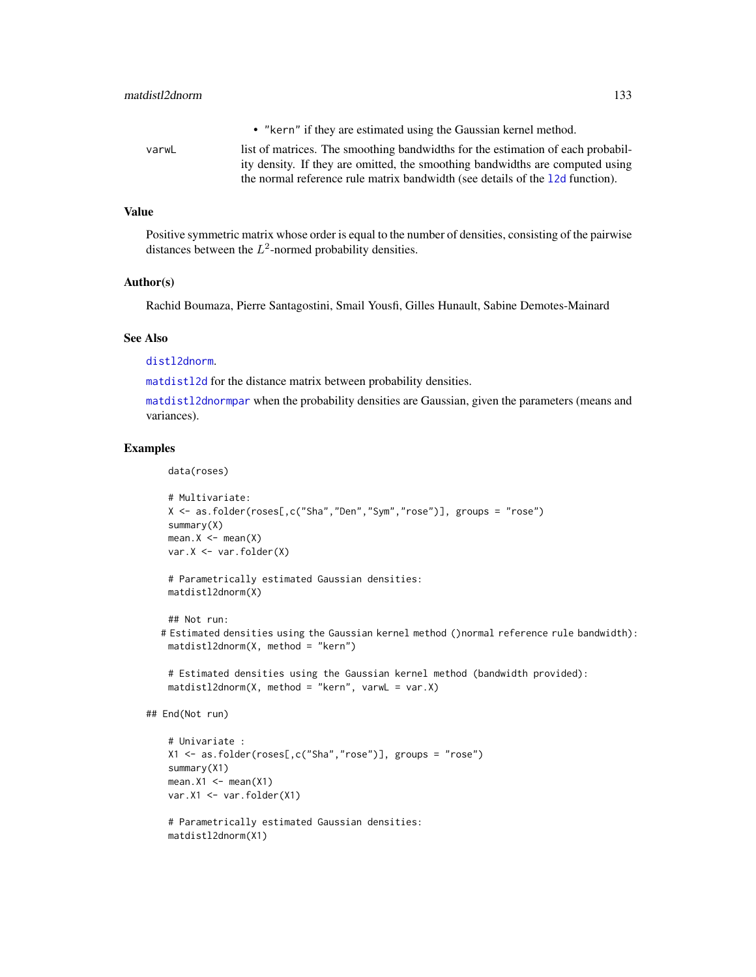| • "kern" if they are estimated using the Gaussian kernel method. |
|------------------------------------------------------------------|

varwL list of matrices. The smoothing bandwidths for the estimation of each probability density. If they are omitted, the smoothing bandwidths are computed using the normal reference rule matrix bandwidth (see details of the [l2d](#page-116-0) function).

## Value

Positive symmetric matrix whose order is equal to the number of densities, consisting of the pairwise distances between the  $L^2$ -normed probability densities.

## Author(s)

Rachid Boumaza, Pierre Santagostini, Smail Yousfi, Gilles Hunault, Sabine Demotes-Mainard

#### See Also

[distl2dnorm](#page-51-0).

[matdistl2d](#page-130-0) for the distance matrix between probability densities.

[matdistl2dnormpar](#page-133-0) when the probability densities are Gaussian, given the parameters (means and variances).

# Examples

data(roses)

```
# Multivariate:
X <- as.folder(roses[,c("Sha","Den","Sym","rose")], groups = "rose")
summary(X)
mean.X \leq -mean(X)var.X <- var.folder(X)
```
# Parametrically estimated Gaussian densities: matdistl2dnorm(X)

## Not run:

```
# Estimated densities using the Gaussian kernel method ()normal reference rule bandwidth):
 matdistl2dnorm(X, method = "kern")
```

```
# Estimated densities using the Gaussian kernel method (bandwidth provided):
matically down(x, method = "kern", varwL = var.X)
```

```
## End(Not run)
```

```
# Univariate :
X1 <- as.folder(roses[,c("Sha","rose")], groups = "rose")
summary(X1)
mean.X1 \leq -mean(X1)var.X1 <- var.folder(X1)
```

```
# Parametrically estimated Gaussian densities:
matdistl2dnorm(X1)
```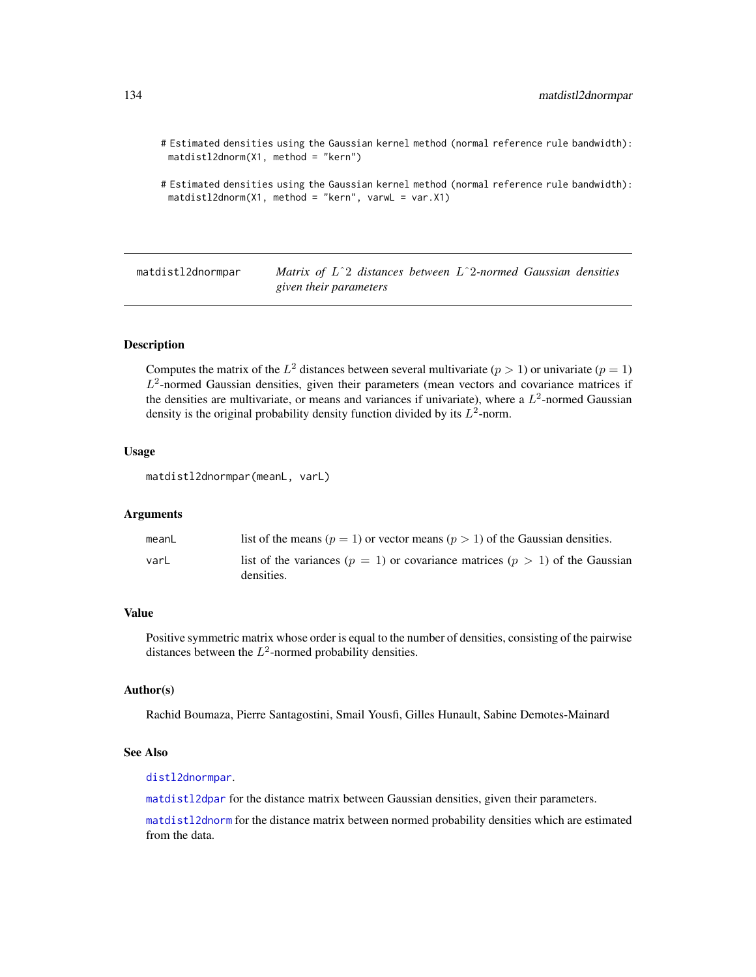# Estimated densities using the Gaussian kernel method (normal reference rule bandwidth): matdistl2dnorm(X1, method = "kern")

```
# Estimated densities using the Gaussian kernel method (normal reference rule bandwidth):
 matdistl2dnorm(X1, method = "kern", varwL = var.X1)
```
<span id="page-133-0"></span>matdistl2dnormpar *Matrix of* Lˆ2 *distances between* Lˆ2*-normed Gaussian densities given their parameters*

# **Description**

Computes the matrix of the  $L^2$  distances between several multivariate  $(p > 1)$  or univariate  $(p = 1)$  $L^2$ -normed Gaussian densities, given their parameters (mean vectors and covariance matrices if the densities are multivariate, or means and variances if univariate), where a  $L^2$ -normed Gaussian density is the original probability density function divided by its  $L^2$ -norm.

#### Usage

```
matdistl2dnormpar(meanL, varL)
```
## Arguments

| meanL | list of the means ( $p = 1$ ) or vector means ( $p > 1$ ) of the Gaussian densities.               |
|-------|----------------------------------------------------------------------------------------------------|
| varL  | list of the variances ( $p = 1$ ) or covariance matrices ( $p > 1$ ) of the Gaussian<br>densities. |

# Value

Positive symmetric matrix whose order is equal to the number of densities, consisting of the pairwise distances between the  $L^2$ -normed probability densities.

## Author(s)

Rachid Boumaza, Pierre Santagostini, Smail Yousfi, Gilles Hunault, Sabine Demotes-Mainard

# See Also

[distl2dnormpar](#page-53-0).

[matdistl2dpar](#page-134-0) for the distance matrix between Gaussian densities, given their parameters.

[matdistl2dnorm](#page-131-0) for the distance matrix between normed probability densities which are estimated from the data.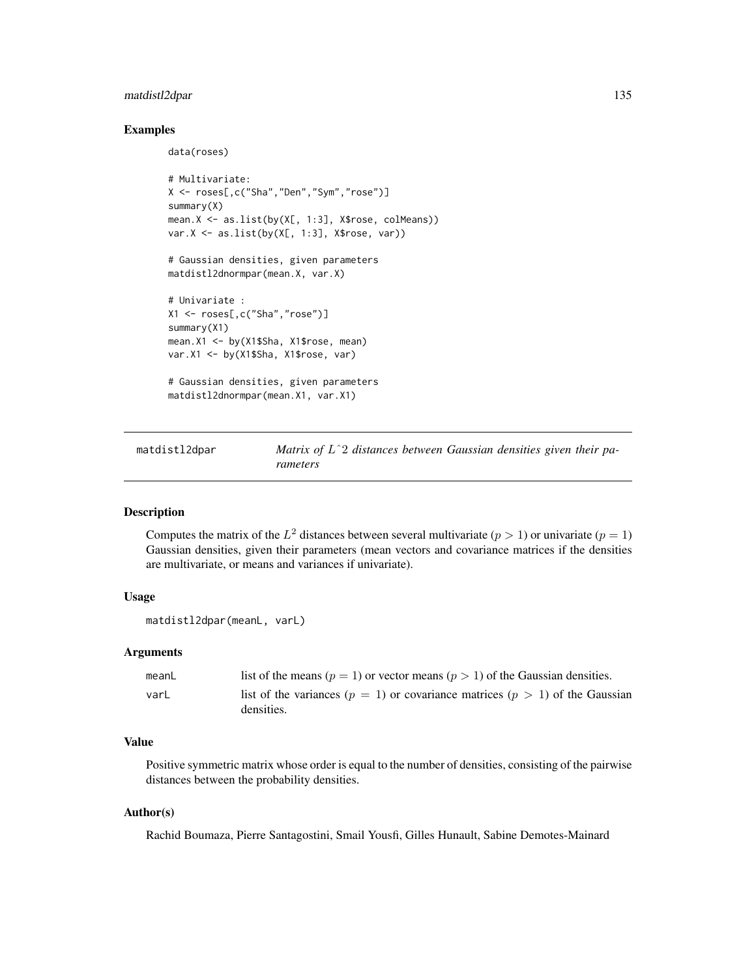# matdistl2dpar 135

## Examples

```
data(roses)
# Multivariate:
X <- roses[,c("Sha","Den","Sym","rose")]
summary(X)
mean.X <- as.list(by(X[, 1:3], X$rose, colMeans))
var.X <- as.list(by(X[, 1:3], X$rose, var))
# Gaussian densities, given parameters
matdistl2dnormpar(mean.X, var.X)
# Univariate :
X1 <- roses[,c("Sha","rose")]
summary(X1)
mean.X1 <- by(X1$Sha, X1$rose, mean)
var.X1 <- by(X1$Sha, X1$rose, var)
# Gaussian densities, given parameters
matdistl2dnormpar(mean.X1, var.X1)
```
<span id="page-134-0"></span>matdistl2dpar *Matrix of* Lˆ2 *distances between Gaussian densities given their parameters*

#### Description

Computes the matrix of the  $L^2$  distances between several multivariate  $(p > 1)$  or univariate  $(p = 1)$ Gaussian densities, given their parameters (mean vectors and covariance matrices if the densities are multivariate, or means and variances if univariate).

# Usage

```
matdistl2dpar(meanL, varL)
```
#### Arguments

| meanL | list of the means ( $p = 1$ ) or vector means ( $p > 1$ ) of the Gaussian densities. |
|-------|--------------------------------------------------------------------------------------|
| varL  | list of the variances ( $p = 1$ ) or covariance matrices ( $p > 1$ ) of the Gaussian |
|       | densities.                                                                           |

#### Value

Positive symmetric matrix whose order is equal to the number of densities, consisting of the pairwise distances between the probability densities.

# Author(s)

Rachid Boumaza, Pierre Santagostini, Smail Yousfi, Gilles Hunault, Sabine Demotes-Mainard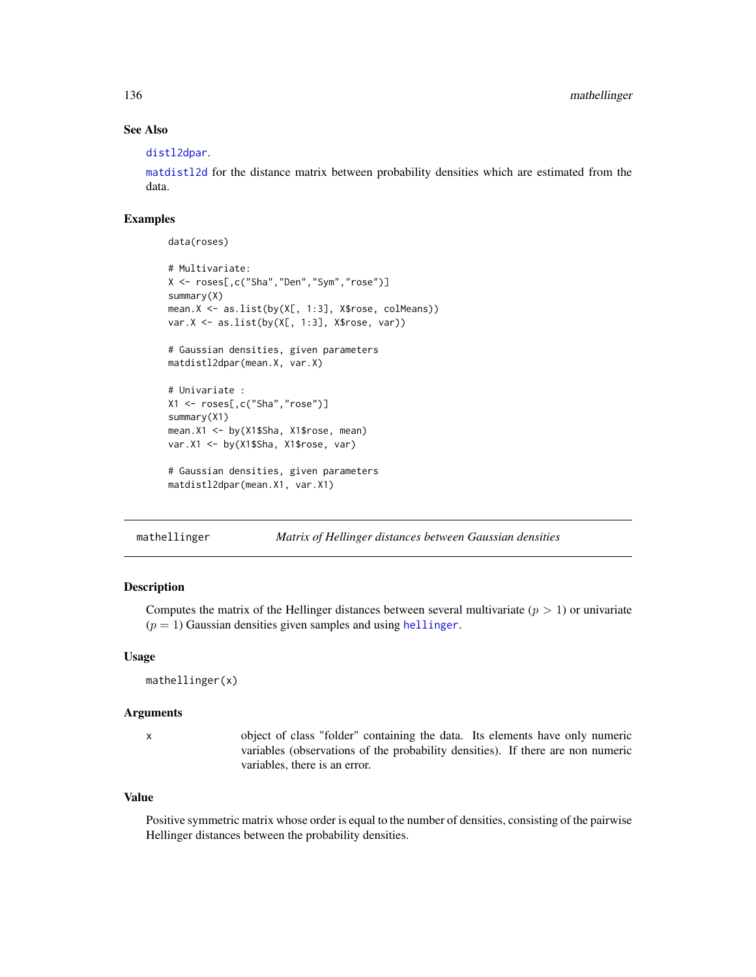# See Also

#### [distl2dpar](#page-54-0).

[matdistl2d](#page-130-0) for the distance matrix between probability densities which are estimated from the data.

# Examples

data(roses)

```
# Multivariate:
X <- roses[,c("Sha","Den","Sym","rose")]
summary(X)
mean.X <- as.list(by(X[, 1:3], X$rose, colMeans))
var.X \leftarrow as.list(by(X[, 1:3], X$rose, var))# Gaussian densities, given parameters
matdistl2dpar(mean.X, var.X)
# Univariate :
X1 <- roses[,c("Sha","rose")]
summary(X1)
mean.X1 <- by(X1$Sha, X1$rose, mean)
var.X1 <- by(X1$Sha, X1$rose, var)
# Gaussian densities, given parameters
matdistl2dpar(mean.X1, var.X1)
```
<span id="page-135-0"></span>mathellinger *Matrix of Hellinger distances between Gaussian densities*

## Description

Computes the matrix of the Hellinger distances between several multivariate  $(p > 1)$  or univariate  $(p = 1)$  Gaussian densities given samples and using [hellinger](#page-92-0).

## Usage

mathellinger(x)

# Arguments

x object of class "folder" containing the data. Its elements have only numeric variables (observations of the probability densities). If there are non numeric variables, there is an error.

#### Value

Positive symmetric matrix whose order is equal to the number of densities, consisting of the pairwise Hellinger distances between the probability densities.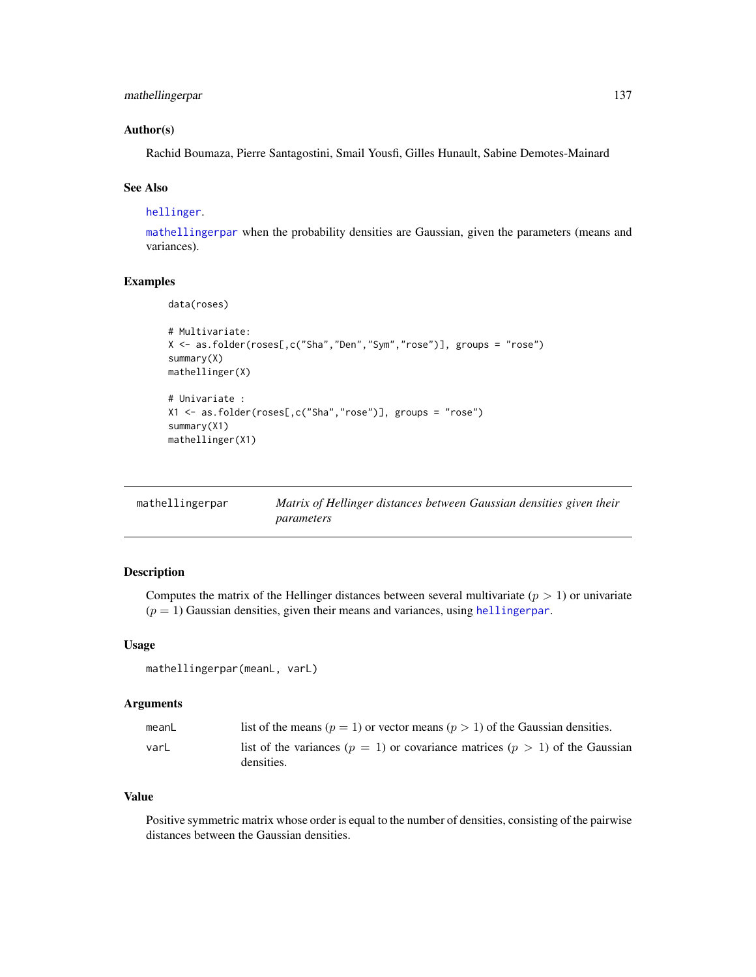```
mathellingerpar 137
```
## Author(s)

Rachid Boumaza, Pierre Santagostini, Smail Yousfi, Gilles Hunault, Sabine Demotes-Mainard

# See Also

[hellinger](#page-92-0).

[mathellingerpar](#page-136-0) when the probability densities are Gaussian, given the parameters (means and variances).

# Examples

```
data(roses)
# Multivariate:
X <- as.folder(roses[,c("Sha","Den","Sym","rose")], groups = "rose")
summary(X)
mathellinger(X)
# Univariate :
X1 <- as.folder(roses[,c("Sha","rose")], groups = "rose")
summary(X1)
mathellinger(X1)
```
<span id="page-136-0"></span>

| mathellingerpar | Matrix of Hellinger distances between Gaussian densities given their |
|-----------------|----------------------------------------------------------------------|
|                 | parameters                                                           |

## Description

Computes the matrix of the Hellinger distances between several multivariate ( $p > 1$ ) or univariate  $(p = 1)$  Gaussian densities, given their means and variances, using [hellingerpar](#page-93-0).

## Usage

```
mathellingerpar(meanL, varL)
```
#### Arguments

| meanL | list of the means ( $p = 1$ ) or vector means ( $p > 1$ ) of the Gaussian densities.               |
|-------|----------------------------------------------------------------------------------------------------|
| varL  | list of the variances ( $p = 1$ ) or covariance matrices ( $p > 1$ ) of the Gaussian<br>densities. |

# Value

Positive symmetric matrix whose order is equal to the number of densities, consisting of the pairwise distances between the Gaussian densities.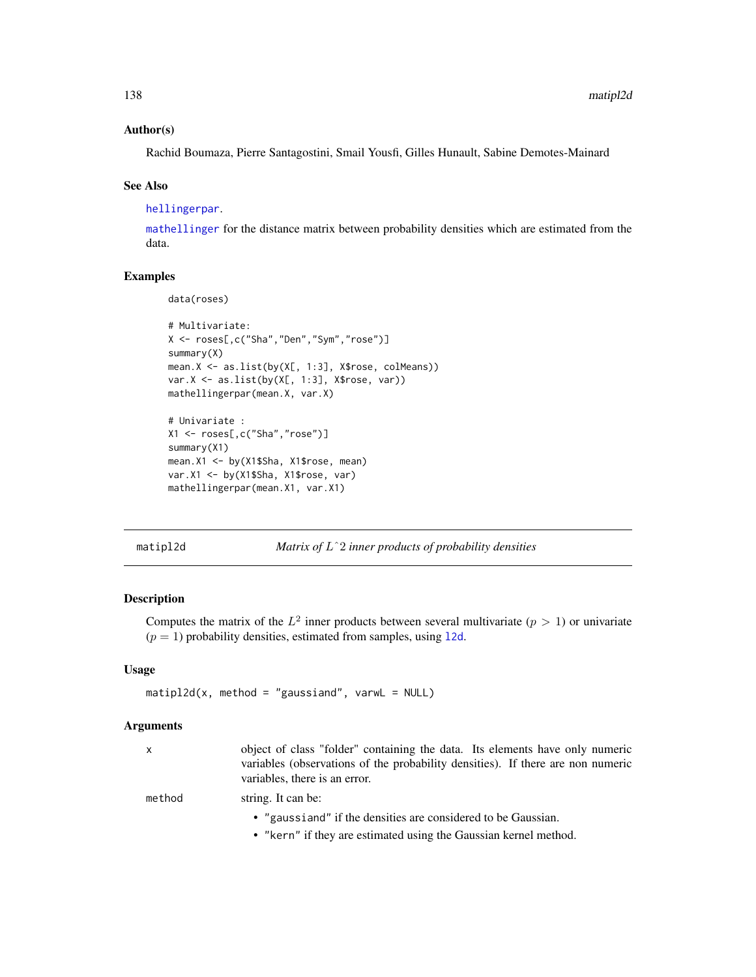# Author(s)

Rachid Boumaza, Pierre Santagostini, Smail Yousfi, Gilles Hunault, Sabine Demotes-Mainard

#### See Also

[hellingerpar](#page-93-0).

[mathellinger](#page-135-0) for the distance matrix between probability densities which are estimated from the data.

## Examples

data(roses)

```
# Multivariate:
X <- roses[,c("Sha","Den","Sym","rose")]
summary(X)
mean.X <- as.list(by(X[, 1:3], X$rose, colMeans))
var.X <- as.list(by(X[, 1:3], X$rose, var))
mathellingerpar(mean.X, var.X)
# Univariate :
```

```
X1 <- roses[,c("Sha","rose")]
summary(X1)
mean.X1 <- by(X1$Sha, X1$rose, mean)
var.X1 <- by(X1$Sha, X1$rose, var)
mathellingerpar(mean.X1, var.X1)
```
<span id="page-137-0"></span>matipl2d *Matrix of* Lˆ2 *inner products of probability densities*

# Description

Computes the matrix of the  $L^2$  inner products between several multivariate  $(p > 1)$  or univariate  $(p = 1)$  probability densities, estimated from samples, using 12d.

# Usage

```
matipl2d(x, method = "gaussiand", varwL = NULL)
```
#### Arguments

| x      | object of class "folder" containing the data. Its elements have only numeric<br>variables (observations of the probability densities). If there are non numeric<br>variables, there is an error. |
|--------|--------------------------------------------------------------------------------------------------------------------------------------------------------------------------------------------------|
| method | string. It can be:                                                                                                                                                                               |
|        | • "gaussiand" if the densities are considered to be Gaussian.                                                                                                                                    |
|        | • "kern" if they are estimated using the Gaussian kernel method.                                                                                                                                 |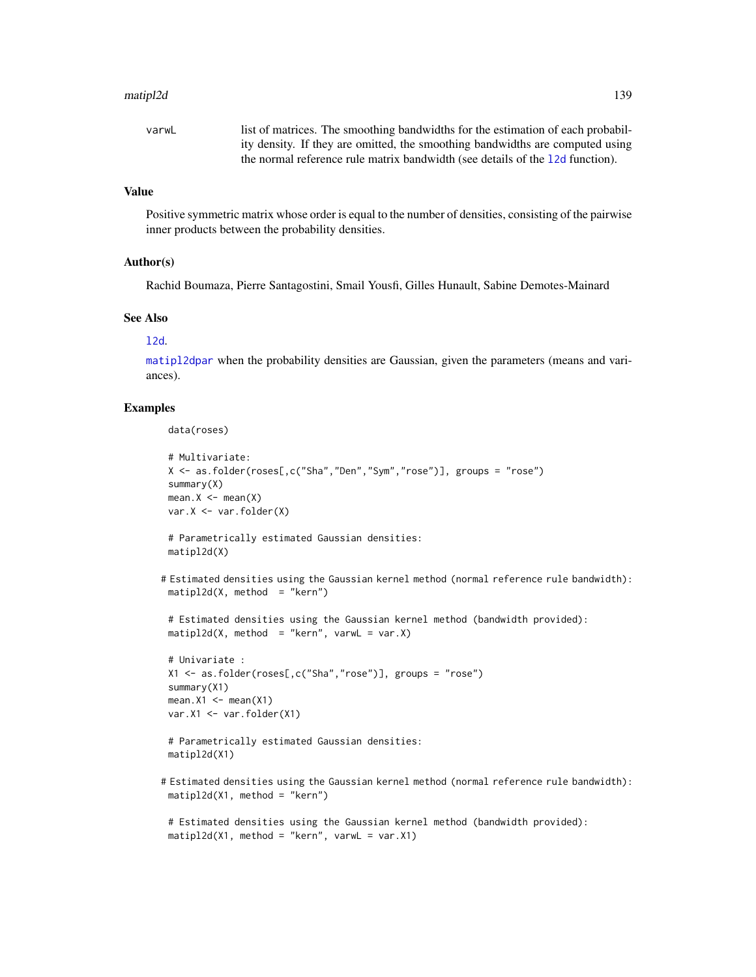#### matipl2d 139

# Value

Positive symmetric matrix whose order is equal to the number of densities, consisting of the pairwise inner products between the probability densities.

## Author(s)

Rachid Boumaza, Pierre Santagostini, Smail Yousfi, Gilles Hunault, Sabine Demotes-Mainard

# See Also

#### [l2d](#page-116-0).

[matipl2dpar](#page-139-0) when the probability densities are Gaussian, given the parameters (means and variances).

# Examples

data(roses)

```
# Multivariate:
 X <- as.folder(roses[,c("Sha","Den","Sym","rose")], groups = "rose")
 summary(X)
 mean.X \leq -mean(X)var.X <- var.folder(X)
 # Parametrically estimated Gaussian densities:
 matipl2d(X)
# Estimated densities using the Gaussian kernel method (normal reference rule bandwidth):
 matip12d(X, method = "kern")# Estimated densities using the Gaussian kernel method (bandwidth provided):
 \text{matipl2d}(X, \text{ method } = "kern", \text{varwL} = \text{var.X})# Univariate :
 X1 <- as.folder(roses[,c("Sha","rose")], groups = "rose")
 summary(X1)
 mean.X1 \leq - mean(X1)var.X1 <- var.folder(X1)
 # Parametrically estimated Gaussian densities:
 matipl2d(X1)
# Estimated densities using the Gaussian kernel method (normal reference rule bandwidth):
 \text{matipl2d}(X1, \text{ method} = "kern")# Estimated densities using the Gaussian kernel method (bandwidth provided):
```

```
\text{matipl2d}(X1, \text{ method} = "kern", \text{varwL} = \text{var.X1})
```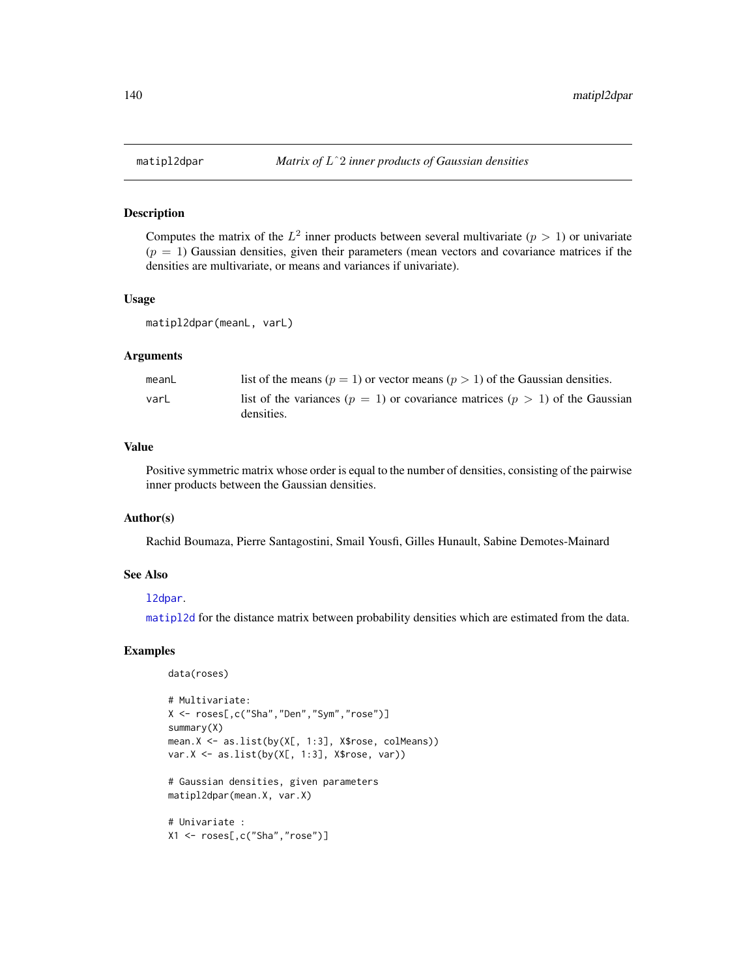<span id="page-139-0"></span>Computes the matrix of the  $L^2$  inner products between several multivariate  $(p > 1)$  or univariate  $(p = 1)$  Gaussian densities, given their parameters (mean vectors and covariance matrices if the densities are multivariate, or means and variances if univariate).

## Usage

```
matipl2dpar(meanL, varL)
```
## Arguments

| meanL | list of the means ( $p = 1$ ) or vector means ( $p > 1$ ) of the Gaussian densities.               |
|-------|----------------------------------------------------------------------------------------------------|
| varL  | list of the variances ( $p = 1$ ) or covariance matrices ( $p > 1$ ) of the Gaussian<br>densities. |

# Value

Positive symmetric matrix whose order is equal to the number of densities, consisting of the pairwise inner products between the Gaussian densities.

## Author(s)

Rachid Boumaza, Pierre Santagostini, Smail Yousfi, Gilles Hunault, Sabine Demotes-Mainard

#### See Also

#### [l2dpar](#page-118-0).

[matipl2d](#page-137-0) for the distance matrix between probability densities which are estimated from the data.

```
data(roses)
```

```
# Multivariate:
X <- roses[,c("Sha","Den","Sym","rose")]
summary(X)
mean.X <- as.list(by(X[, 1:3], X$rose, colMeans))
var.X \leftarrow as.list(by(X[, 1:3], X$rose, var))# Gaussian densities, given parameters
matipl2dpar(mean.X, var.X)
# Univariate :
X1 <- roses[,c("Sha","rose")]
```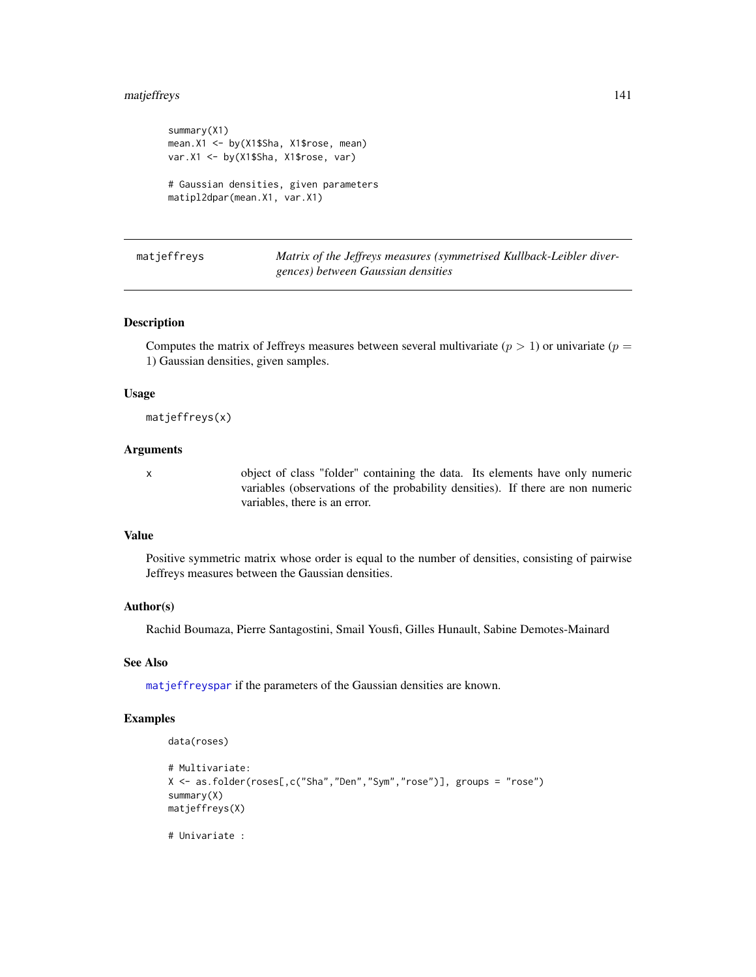# matjeffreys 141

```
summary(X1)
mean.X1 <- by(X1$Sha, X1$rose, mean)
var.X1 <- by(X1$Sha, X1$rose, var)
# Gaussian densities, given parameters
matipl2dpar(mean.X1, var.X1)
```
<span id="page-140-0"></span>

matjeffreys *Matrix of the Jeffreys measures (symmetrised Kullback-Leibler divergences) between Gaussian densities*

## Description

Computes the matrix of Jeffreys measures between several multivariate ( $p > 1$ ) or univariate ( $p =$ 1) Gaussian densities, given samples.

## Usage

matjeffreys(x)

#### Arguments

x object of class "folder" containing the data. Its elements have only numeric variables (observations of the probability densities). If there are non numeric variables, there is an error.

# Value

Positive symmetric matrix whose order is equal to the number of densities, consisting of pairwise Jeffreys measures between the Gaussian densities.

# Author(s)

Rachid Boumaza, Pierre Santagostini, Smail Yousfi, Gilles Hunault, Sabine Demotes-Mainard

# See Also

[matjeffreyspar](#page-141-0) if the parameters of the Gaussian densities are known.

# Examples

data(roses)

```
# Multivariate:
X <- as.folder(roses[,c("Sha","Den","Sym","rose")], groups = "rose")
summary(X)
matjeffreys(X)
```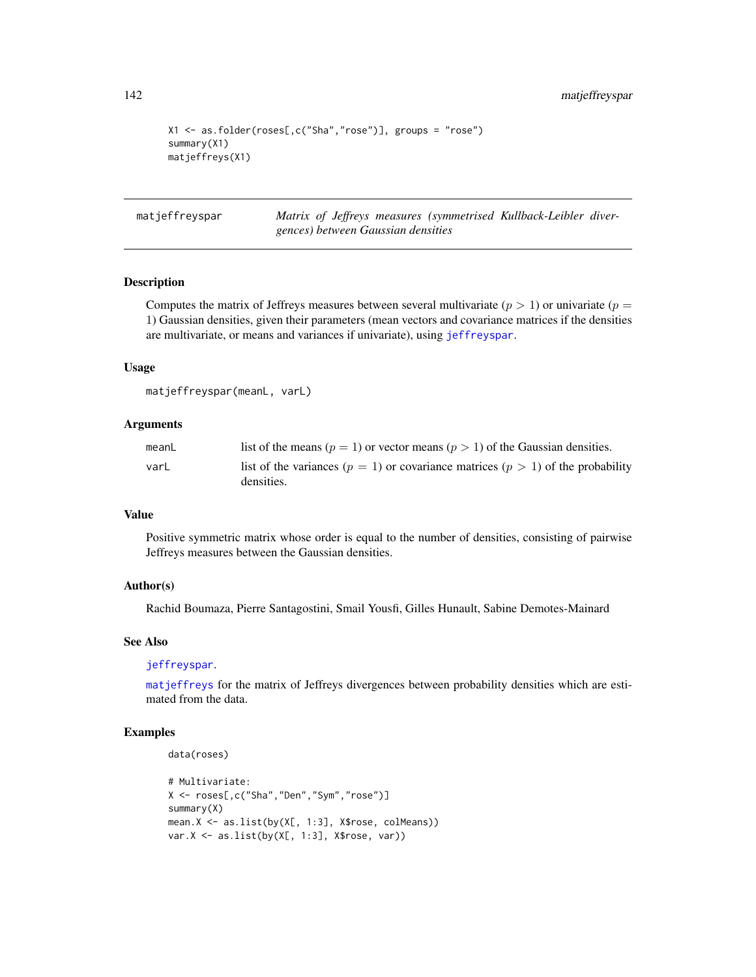```
X1 <- as.folder(roses[,c("Sha","rose")], groups = "rose")
summary(X1)
matjeffreys(X1)
```
<span id="page-141-0"></span>matjeffreyspar *Matrix of Jeffreys measures (symmetrised Kullback-Leibler divergences) between Gaussian densities*

## Description

Computes the matrix of Jeffreys measures between several multivariate ( $p > 1$ ) or univariate ( $p =$ 1) Gaussian densities, given their parameters (mean vectors and covariance matrices if the densities are multivariate, or means and variances if univariate), using [jeffreyspar](#page-114-0).

#### Usage

```
matjeffreyspar(meanL, varL)
```
# Arguments

| meanL | list of the means ( $p = 1$ ) or vector means ( $p > 1$ ) of the Gaussian densities.    |
|-------|-----------------------------------------------------------------------------------------|
| varL  | list of the variances ( $p = 1$ ) or covariance matrices ( $p > 1$ ) of the probability |
|       | densities.                                                                              |

# Value

Positive symmetric matrix whose order is equal to the number of densities, consisting of pairwise Jeffreys measures between the Gaussian densities.

## Author(s)

Rachid Boumaza, Pierre Santagostini, Smail Yousfi, Gilles Hunault, Sabine Demotes-Mainard

#### See Also

[jeffreyspar](#page-114-0).

[matjeffreys](#page-140-0) for the matrix of Jeffreys divergences between probability densities which are estimated from the data.

```
data(roses)
```

```
# Multivariate:
X <- roses[,c("Sha","Den","Sym","rose")]
summary(X)
mean.X <- as.list(by(X[, 1:3], X$rose, colMeans))
var.X \leftarrow as.list(by(X[, 1:3], X$rose, var))
```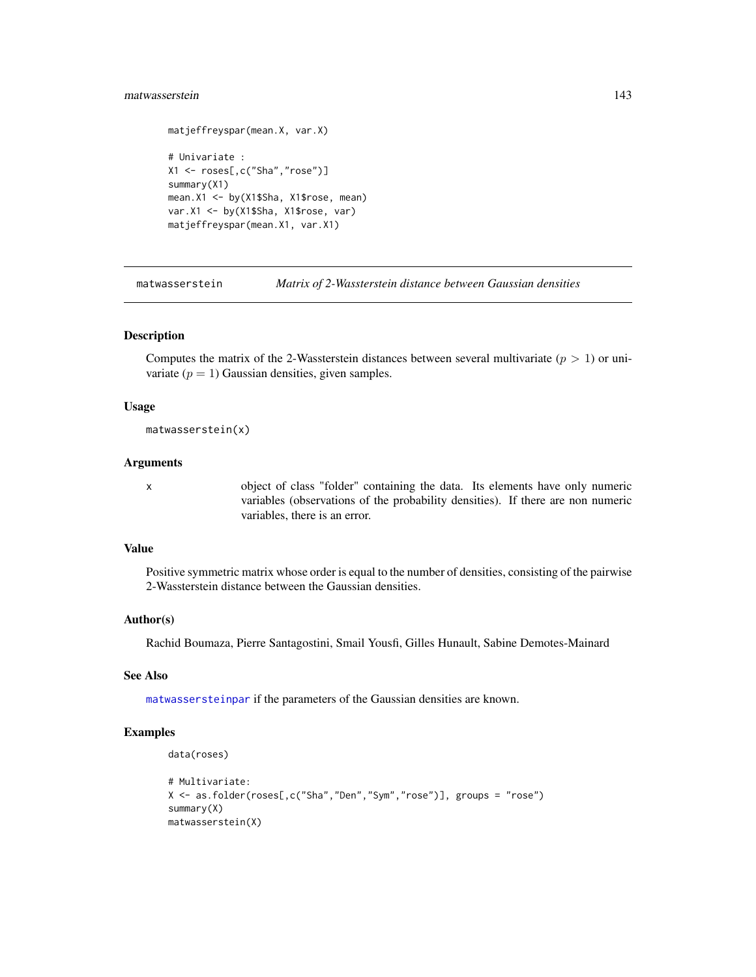# matwasserstein 143

```
matjeffreyspar(mean.X, var.X)
# Univariate :
X1 <- roses[,c("Sha","rose")]
summary(X1)
mean.X1 <- by(X1$Sha, X1$rose, mean)
var.X1 <- by(X1$Sha, X1$rose, var)
matjeffreyspar(mean.X1, var.X1)
```
<span id="page-142-0"></span>matwasserstein *Matrix of 2-Wassterstein distance between Gaussian densities*

## Description

Computes the matrix of the 2-Wassterstein distances between several multivariate ( $p > 1$ ) or univariate  $(p = 1)$  Gaussian densities, given samples.

# Usage

matwasserstein(x)

## Arguments

x object of class "folder" containing the data. Its elements have only numeric variables (observations of the probability densities). If there are non numeric variables, there is an error.

# Value

Positive symmetric matrix whose order is equal to the number of densities, consisting of the pairwise 2-Wassterstein distance between the Gaussian densities.

#### Author(s)

Rachid Boumaza, Pierre Santagostini, Smail Yousfi, Gilles Hunault, Sabine Demotes-Mainard

## See Also

[matwassersteinpar](#page-143-0) if the parameters of the Gaussian densities are known.

```
data(roses)
```

```
# Multivariate:
X <- as.folder(roses[,c("Sha","Den","Sym","rose")], groups = "rose")
summary(X)
matwasserstein(X)
```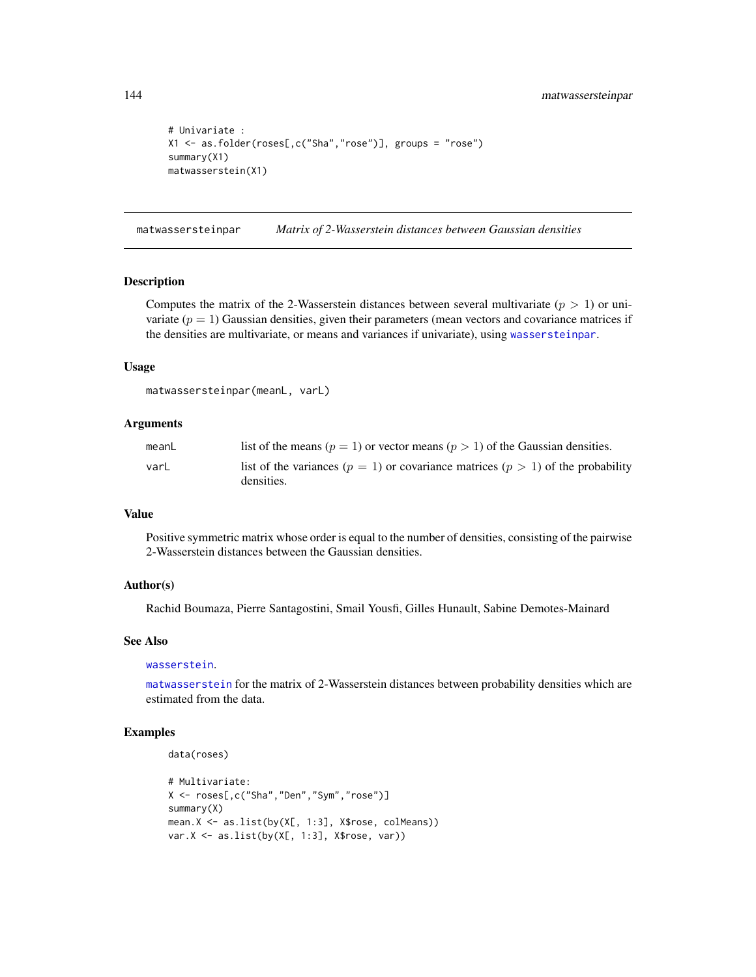```
# Univariate :
X1 <- as.folder(roses[,c("Sha","rose")], groups = "rose")
summary(X1)
matwasserstein(X1)
```
<span id="page-143-0"></span>matwassersteinpar *Matrix of 2-Wasserstein distances between Gaussian densities*

#### Description

Computes the matrix of the 2-Wasserstein distances between several multivariate ( $p > 1$ ) or univariate  $(p = 1)$  Gaussian densities, given their parameters (mean vectors and covariance matrices if the densities are multivariate, or means and variances if univariate), using [wassersteinpar](#page-198-0).

#### Usage

```
matwassersteinpar(meanL, varL)
```
# Arguments

| meanL | list of the means ( $p = 1$ ) or vector means ( $p > 1$ ) of the Gaussian densities.    |
|-------|-----------------------------------------------------------------------------------------|
| varL  | list of the variances ( $p = 1$ ) or covariance matrices ( $p > 1$ ) of the probability |
|       | densities.                                                                              |

#### Value

Positive symmetric matrix whose order is equal to the number of densities, consisting of the pairwise 2-Wasserstein distances between the Gaussian densities.

## Author(s)

Rachid Boumaza, Pierre Santagostini, Smail Yousfi, Gilles Hunault, Sabine Demotes-Mainard

#### See Also

#### [wasserstein](#page-196-0).

[matwasserstein](#page-142-0) for the matrix of 2-Wasserstein distances between probability densities which are estimated from the data.

```
data(roses)
```

```
# Multivariate:
X <- roses[,c("Sha","Den","Sym","rose")]
summary(X)
mean.X <- as.list(by(X[, 1:3], X$rose, colMeans))
var.X \leftarrow as.list(by(X[, 1:3], X$rose, var))
```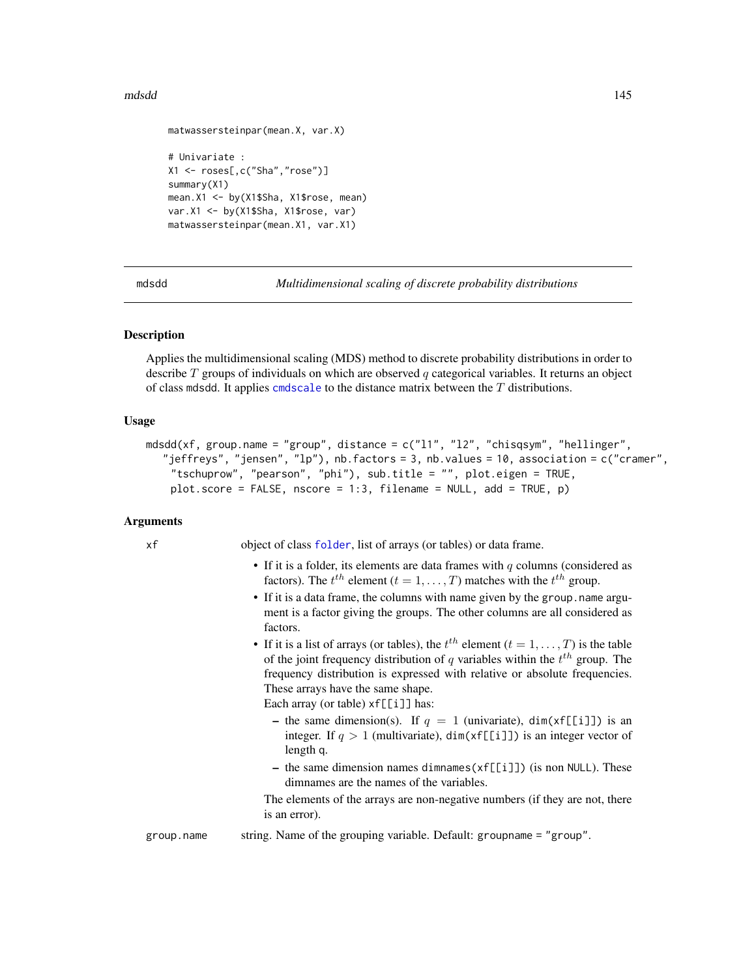#### mdsdd 145

```
matwassersteinpar(mean.X, var.X)
# Univariate :
X1 <- roses[,c("Sha","rose")]
summary(X1)
mean.X1 <- by(X1$Sha, X1$rose, mean)
var.X1 <- by(X1$Sha, X1$rose, var)
matwassersteinpar(mean.X1, var.X1)
```
mdsdd *Multidimensional scaling of discrete probability distributions*

## **Description**

Applies the multidimensional scaling (MDS) method to discrete probability distributions in order to describe  $T$  groups of individuals on which are observed  $q$  categorical variables. It returns an object of class mdsdd. It applies [cmdscale](#page-0-0) to the distance matrix between the  $T$  distributions.

## Usage

```
mdsdd(xf, group.name = "group", distance = c("l1", "l2", "chisqsym", "hellinger",
  "jeffreys", "jensen", "lp"), nb.factors = 3, nb.values = 10, association = c("cramer",
    "tschuprow", "pearson", "phi"), sub.title = "", plot.eigen = TRUE,
    plot.score = FALSE, nscore = 1:3, filename = NULL, add = TRUE, p)
```
## Arguments

xf object of class [folder](#page-73-0), list of arrays (or tables) or data frame.

- If it is a folder, its elements are data frames with  $q$  columns (considered as factors). The  $t^{th}$  element  $(t = 1, ..., T)$  matches with the  $t^{th}$  group.
- If it is a data frame, the columns with name given by the group. name argument is a factor giving the groups. The other columns are all considered as factors.
- If it is a list of arrays (or tables), the  $t^{th}$  element  $(t = 1, \ldots, T)$  is the table of the joint frequency distribution of q variables within the  $t^{th}$  group. The frequency distribution is expressed with relative or absolute frequencies. These arrays have the same shape.

Each array (or table)  $xf[[i]]$  has:

- the same dimension(s). If  $q = 1$  (univariate), dim(xf[[i]]) is an integer. If  $q > 1$  (multivariate), dim(xf[[i]]) is an integer vector of length q.
- the same dimension names dimnames(xf[[i]]) (is non NULL). These dimnames are the names of the variables.

The elements of the arrays are non-negative numbers (if they are not, there is an error).

group.name string. Name of the grouping variable. Default: groupname = "group".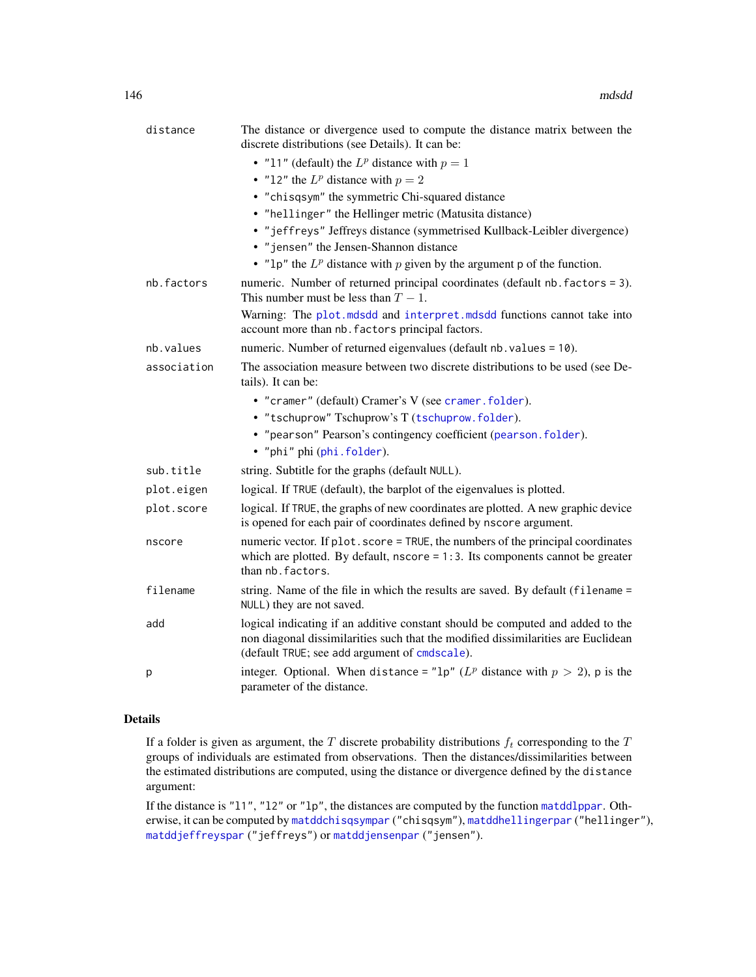| distance    | The distance or divergence used to compute the distance matrix between the<br>discrete distributions (see Details). It can be:                                                                                       |
|-------------|----------------------------------------------------------------------------------------------------------------------------------------------------------------------------------------------------------------------|
|             | • "11" (default) the $L^p$ distance with $p = 1$                                                                                                                                                                     |
|             | • "12" the $L^p$ distance with $p = 2$                                                                                                                                                                               |
|             | • "chisqsym" the symmetric Chi-squared distance                                                                                                                                                                      |
|             | • "hellinger" the Hellinger metric (Matusita distance)                                                                                                                                                               |
|             | • "jeffreys" Jeffreys distance (symmetrised Kullback-Leibler divergence)                                                                                                                                             |
|             | • "jensen" the Jensen-Shannon distance                                                                                                                                                                               |
|             | • "1p" the $L^p$ distance with p given by the argument p of the function.                                                                                                                                            |
| nb.factors  | numeric. Number of returned principal coordinates (default nb. factors = 3).<br>This number must be less than $T-1$ .                                                                                                |
|             | Warning: The plot mdsdd and interpret mdsdd functions cannot take into<br>account more than nb. factors principal factors.                                                                                           |
| nb.values   | numeric. Number of returned eigenvalues (default nb. values = 10).                                                                                                                                                   |
| association | The association measure between two discrete distributions to be used (see De-<br>tails). It can be:                                                                                                                 |
|             | • "cramer" (default) Cramer's V (see cramer. folder).                                                                                                                                                                |
|             | • "tschuprow" Tschuprow's T (tschuprow.folder).                                                                                                                                                                      |
|             | • "pearson" Pearson's contingency coefficient (pearson. folder).                                                                                                                                                     |
|             | • "phi" phi (phi.folder).                                                                                                                                                                                            |
| sub.title   | string. Subtitle for the graphs (default NULL).                                                                                                                                                                      |
| plot.eigen  | logical. If TRUE (default), the barplot of the eigenvalues is plotted.                                                                                                                                               |
| plot.score  | logical. If TRUE, the graphs of new coordinates are plotted. A new graphic device<br>is opened for each pair of coordinates defined by nscore argument.                                                              |
| nscore      | numeric vector. If plot. score = TRUE, the numbers of the principal coordinates<br>which are plotted. By default, $nscore = 1:3$ . Its components cannot be greater<br>than nb. factors.                             |
| filename    | string. Name of the file in which the results are saved. By default (filename =<br>NULL) they are not saved.                                                                                                         |
| add         | logical indicating if an additive constant should be computed and added to the<br>non diagonal dissimilarities such that the modified dissimilarities are Euclidean<br>(default TRUE; see add argument of cmdscale). |
| p           | integer. Optional. When distance = "1p" ( $L^p$ distance with $p > 2$ ), p is the<br>parameter of the distance.                                                                                                      |

## Details

If a folder is given as argument, the  $T$  discrete probability distributions  $f_t$  corresponding to the  $T$ groups of individuals are estimated from observations. Then the distances/dissimilarities between the estimated distributions are computed, using the distance or divergence defined by the distance argument:

If the distance is "l1", "l2" or "lp", the distances are computed by the function [matddlppar](#page-129-0). Otherwise, it can be computed by [matddchisqsympar](#page-121-0) ("chisqsym"), [matddhellingerpar](#page-123-0) ("hellinger"), [matddjeffreyspar](#page-125-0) ("jeffreys") or [matddjensenpar](#page-127-0) ("jensen").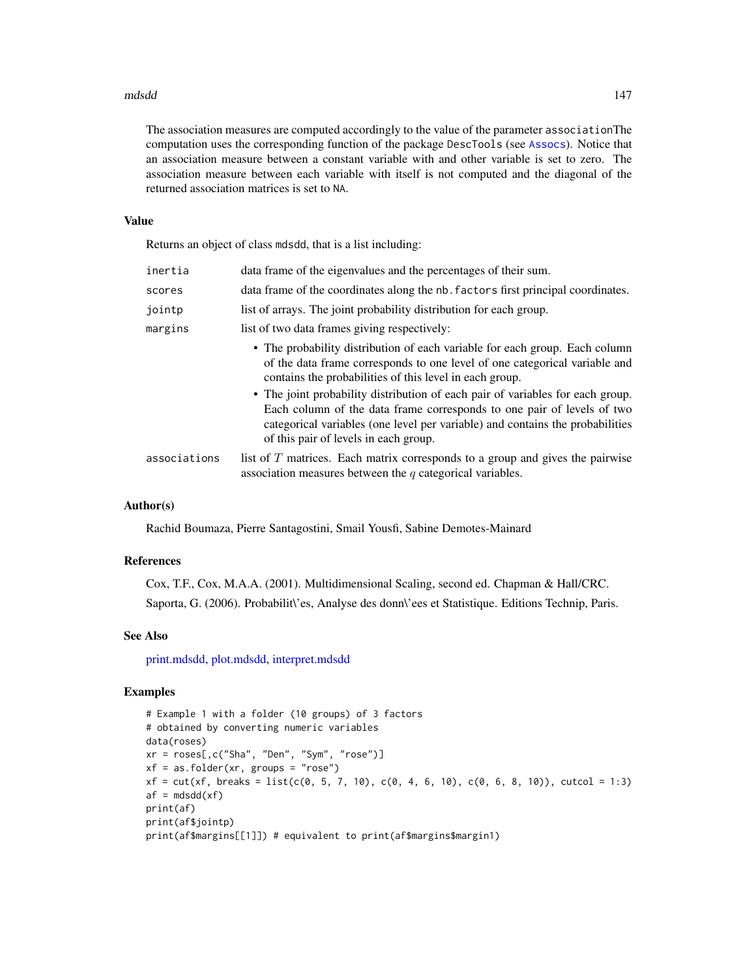#### mdsdd 147

The association measures are computed accordingly to the value of the parameter associationThe computation uses the corresponding function of the package DescTools (see [Assocs](#page-0-0)). Notice that an association measure between a constant variable with and other variable is set to zero. The association measure between each variable with itself is not computed and the diagonal of the returned association matrices is set to NA.

### Value

Returns an object of class mdsdd, that is a list including:

| inertia      | data frame of the eigenvalues and the percentages of their sum.                                                                                                                                                                                                                                                                                                                                                                                                   |
|--------------|-------------------------------------------------------------------------------------------------------------------------------------------------------------------------------------------------------------------------------------------------------------------------------------------------------------------------------------------------------------------------------------------------------------------------------------------------------------------|
| scores       | data frame of the coordinates along the nb. factors first principal coordinates.                                                                                                                                                                                                                                                                                                                                                                                  |
| jointp       | list of arrays. The joint probability distribution for each group.                                                                                                                                                                                                                                                                                                                                                                                                |
| margins      | list of two data frames giving respectively:                                                                                                                                                                                                                                                                                                                                                                                                                      |
|              | • The probability distribution of each variable for each group. Each column<br>of the data frame corresponds to one level of one categorical variable and<br>contains the probabilities of this level in each group.<br>• The joint probability distribution of each pair of variables for each group.<br>Each column of the data frame corresponds to one pair of levels of two<br>categorical variables (one level per variable) and contains the probabilities |
|              | of this pair of levels in each group.                                                                                                                                                                                                                                                                                                                                                                                                                             |
| associations | list of $T$ matrices. Each matrix corresponds to a group and gives the pairwise<br>association measures between the $q$ categorical variables.                                                                                                                                                                                                                                                                                                                    |

# Author(s)

Rachid Boumaza, Pierre Santagostini, Smail Yousfi, Sabine Demotes-Mainard

#### References

Cox, T.F., Cox, M.A.A. (2001). Multidimensional Scaling, second ed. Chapman & Hall/CRC. Saporta, G. (2006). Probabilit\'es, Analyse des donn\'ees et Statistique. Editions Technip, Paris.

# See Also

[print.mdsdd,](#page-179-0) [plot.mdsdd,](#page-163-0) [interpret.mdsdd](#page-102-0)

## Examples

```
# Example 1 with a folder (10 groups) of 3 factors
# obtained by converting numeric variables
data(roses)
xr = roses[,c("Sha", "Den", "Sym", "rose")]
xf = as.floatder(xr, groups = "rose")xf = cut(xf, breaks = list(c(0, 5, 7, 10), c(0, 4, 6, 10), c(0, 6, 8, 10)), cutcol = 1:3)af = mdsdd(xf)print(af)
print(af$jointp)
print(af$margins[[1]]) # equivalent to print(af$margins$margin1)
```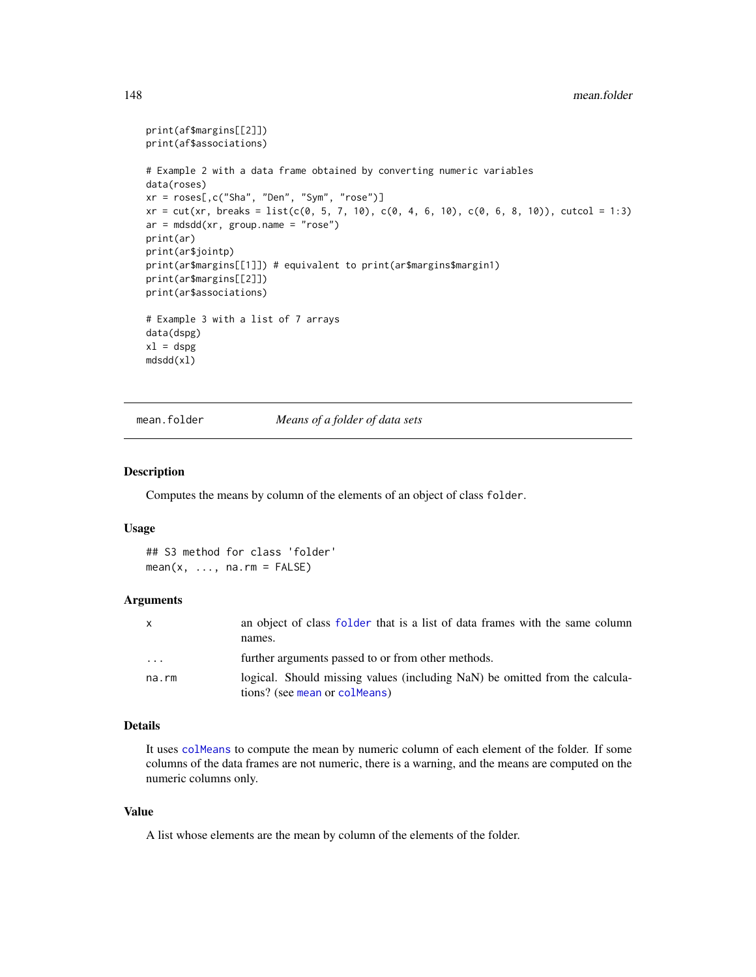```
print(af$margins[[2]])
print(af$associations)
# Example 2 with a data frame obtained by converting numeric variables
data(roses)
xr = roses[,c("Sha", "Den", "Sym", "rose")]
xr = cut(xr, breaks = list(c(0, 5, 7, 10), c(0, 4, 6, 10), c(0, 6, 8, 10)), cutcol = 1:3)ar = mdsdd(xr, group.name = "rose")print(ar)
print(ar$jointp)
print(ar$margins[[1]]) # equivalent to print(ar$margins$margin1)
print(ar$margins[[2]])
print(ar$associations)
# Example 3 with a list of 7 arrays
data(dspg)
x1 = dspgmdsdd(xl)
```
mean.folder *Means of a folder of data sets*

#### Description

Computes the means by column of the elements of an object of class folder.

## Usage

```
## S3 method for class 'folder'
mean(x, ..., na.rm = FALSE)
```
#### Arguments

| X       | an object of class folder that is a list of data frames with the same column<br>names.                       |
|---------|--------------------------------------------------------------------------------------------------------------|
| $\cdot$ | further arguments passed to or from other methods.                                                           |
| na.rm   | logical. Should missing values (including NaN) be omitted from the calcula-<br>tions? (see mean or colmeans) |

#### Details

It uses [colMeans](#page-0-0) to compute the mean by numeric column of each element of the folder. If some columns of the data frames are not numeric, there is a warning, and the means are computed on the numeric columns only.

#### Value

A list whose elements are the mean by column of the elements of the folder.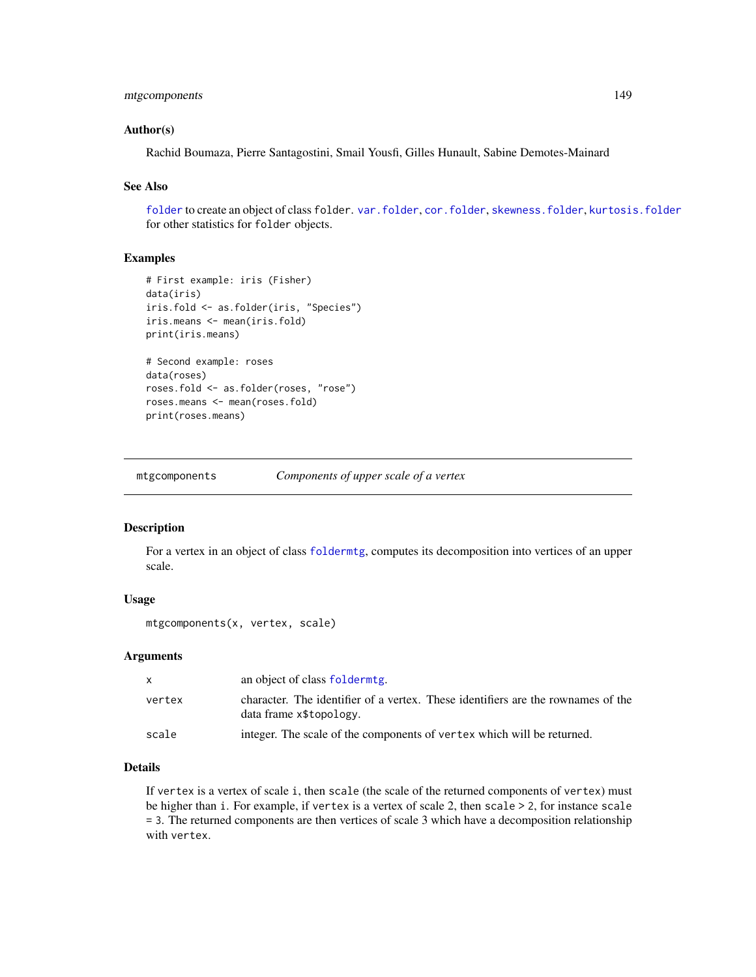# mtgcomponents 149

### Author(s)

Rachid Boumaza, Pierre Santagostini, Smail Yousfi, Gilles Hunault, Sabine Demotes-Mainard

## See Also

[folder](#page-73-0) to create an object of class folder. [var.folder](#page-195-0), [cor.folder](#page-27-0), [skewness.folder](#page-189-0), [kurtosis.folder](#page-115-0) for other statistics for folder objects.

# Examples

```
# First example: iris (Fisher)
data(iris)
iris.fold <- as.folder(iris, "Species")
iris.means <- mean(iris.fold)
print(iris.means)
# Second example: roses
data(roses)
roses.fold <- as.folder(roses, "rose")
roses.means <- mean(roses.fold)
print(roses.means)
```
mtgcomponents *Components of upper scale of a vertex*

## Description

For a vertex in an object of class [foldermtg](#page-76-0), computes its decomposition into vertices of an upper scale.

## Usage

```
mtgcomponents(x, vertex, scale)
```
## Arguments

| X      | an object of class folderming.                                                                              |
|--------|-------------------------------------------------------------------------------------------------------------|
| vertex | character. The identifier of a vertex. These identifiers are the rownames of the<br>data frame x\$topology. |
| scale  | integer. The scale of the components of vertex which will be returned.                                      |

# Details

If vertex is a vertex of scale i, then scale (the scale of the returned components of vertex) must be higher than i. For example, if vertex is a vertex of scale 2, then scale > 2, for instance scale = 3. The returned components are then vertices of scale 3 which have a decomposition relationship with vertex.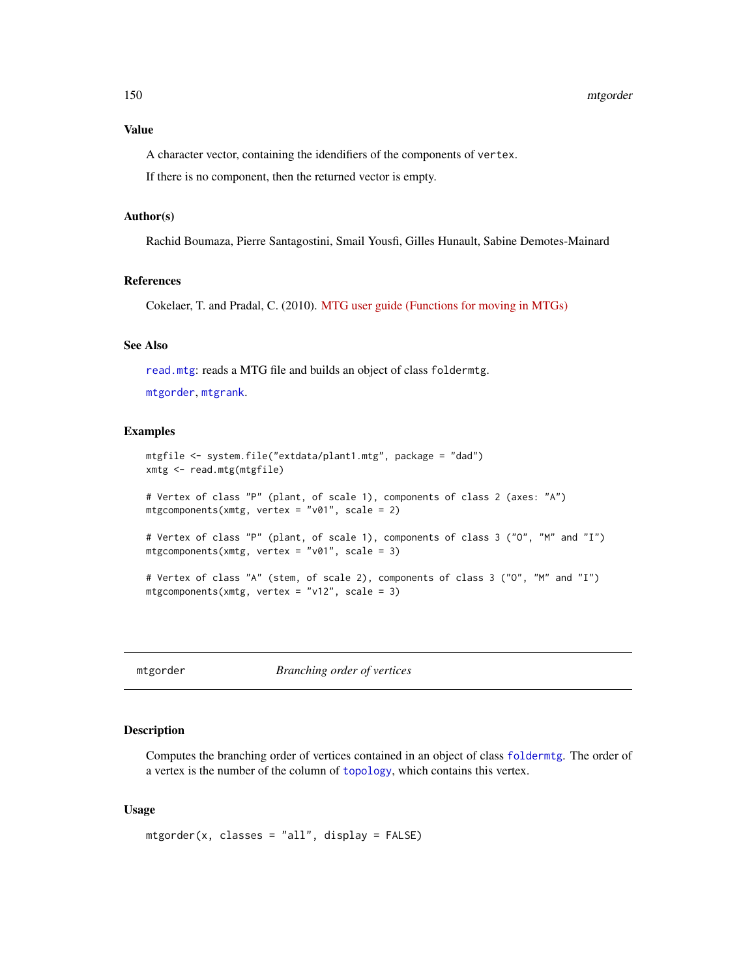A character vector, containing the idendifiers of the components of vertex.

If there is no component, then the returned vector is empty.

# Author(s)

Rachid Boumaza, Pierre Santagostini, Smail Yousfi, Gilles Hunault, Sabine Demotes-Mainard

## References

Cokelaer, T. and Pradal, C. (2010). [MTG user guide \(Functions for moving in MTGs\)](http://openalea.gforge.inria.fr/doc/vplants/newmtg/doc/_build/html/user/tutorial_mtg_aml.html#components)

## See Also

[read.mtg](#page-180-0): reads a MTG file and builds an object of class foldermtg.

[mtgorder](#page-149-0), [mtgrank](#page-153-0).

## Examples

```
mtgfile <- system.file("extdata/plant1.mtg", package = "dad")
xmtg <- read.mtg(mtgfile)
# Vertex of class "P" (plant, of scale 1), components of class 2 (axes: "A")
mtgcomponents(xmtg, vertex = "v01", scale = 2)
# Vertex of class "P" (plant, of scale 1), components of class 3 ("O", "M" and "I")
mtgcomponents(xmtg, vertex = "v01", scale = 3)
# Vertex of class "A" (stem, of scale 2), components of class 3 ("O", "M" and "I")
mtgcomponents(xmtg, vertex = "v12", scale = 3)
```
<span id="page-149-0"></span>mtgorder *Branching order of vertices*

#### Description

Computes the branching order of vertices contained in an object of class [foldermtg](#page-76-0). The order of a vertex is the number of the column of [topology](#page-180-1), which contains this vertex.

#### Usage

mtgorder(x, classes = "all", display = FALSE)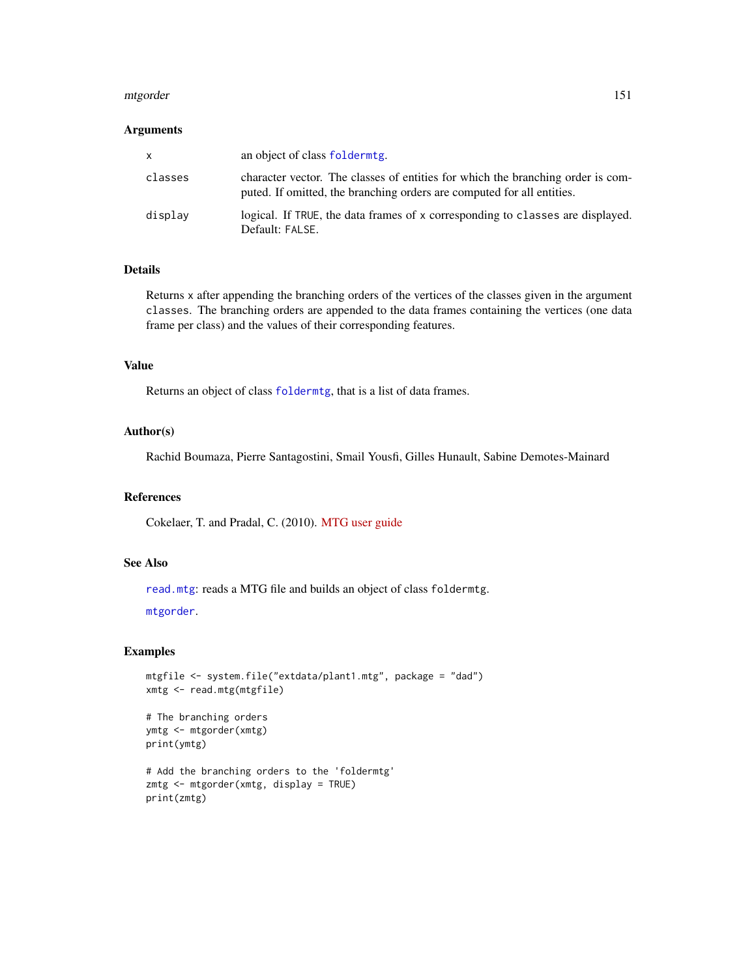#### mtgorder 151

## Arguments

| x       | an object of class folderming.                                                                                                                            |
|---------|-----------------------------------------------------------------------------------------------------------------------------------------------------------|
| classes | character vector. The classes of entities for which the branching order is com-<br>puted. If omitted, the branching orders are computed for all entities. |
| display | logical. If TRUE, the data frames of x corresponding to classes are displayed.<br>Default: FALSE.                                                         |

## Details

Returns x after appending the branching orders of the vertices of the classes given in the argument classes. The branching orders are appended to the data frames containing the vertices (one data frame per class) and the values of their corresponding features.

## Value

Returns an object of class [foldermtg](#page-76-0), that is a list of data frames.

# Author(s)

Rachid Boumaza, Pierre Santagostini, Smail Yousfi, Gilles Hunault, Sabine Demotes-Mainard

## References

Cokelaer, T. and Pradal, C. (2010). [MTG user guide](http://openalea.gforge.inria.fr/doc/vplants/newmtg/doc/_build/html/user/syntax.html)

# See Also

[read.mtg](#page-180-0): reads a MTG file and builds an object of class foldermtg.

[mtgorder](#page-149-0).

## Examples

```
mtgfile <- system.file("extdata/plant1.mtg", package = "dad")
xmtg <- read.mtg(mtgfile)
# The branching orders
ymtg <- mtgorder(xmtg)
print(ymtg)
```

```
# Add the branching orders to the 'foldermtg'
zmtg <- mtgorder(xmtg, display = TRUE)
print(zmtg)
```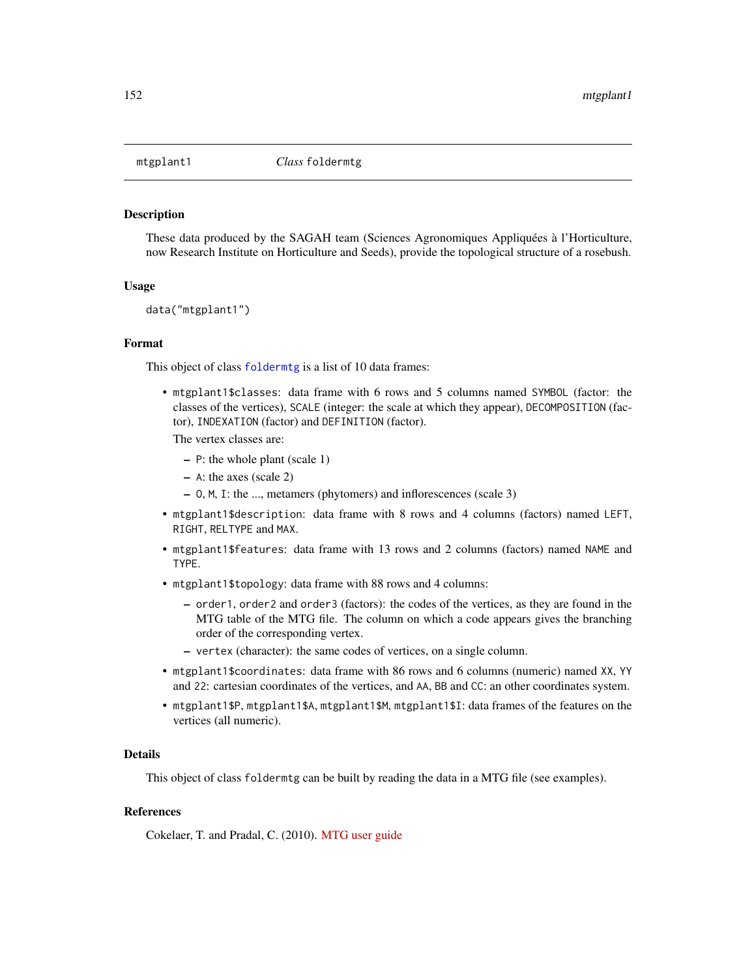<span id="page-151-0"></span>

#### Description

These data produced by the SAGAH team (Sciences Agronomiques Appliquées à l'Horticulture, now Research Institute on Horticulture and Seeds), provide the topological structure of a rosebush.

## Usage

data("mtgplant1")

## Format

This object of class [foldermtg](#page-76-0) is a list of 10 data frames:

• mtgplant1\$classes: data frame with 6 rows and 5 columns named SYMBOL (factor: the classes of the vertices), SCALE (integer: the scale at which they appear), DECOMPOSITION (factor), INDEXATION (factor) and DEFINITION (factor).

The vertex classes are:

- P: the whole plant (scale 1)
- A: the axes (scale 2)
- O, M, I: the ..., metamers (phytomers) and inflorescences (scale 3)
- mtgplant1\$description: data frame with 8 rows and 4 columns (factors) named LEFT, RIGHT, RELTYPE and MAX.
- mtgplant1\$features: data frame with 13 rows and 2 columns (factors) named NAME and TYPE.
- mtgplant1\$topology: data frame with 88 rows and 4 columns:
	- order1, order2 and order3 (factors): the codes of the vertices, as they are found in the MTG table of the MTG file. The column on which a code appears gives the branching order of the corresponding vertex.
	- vertex (character): the same codes of vertices, on a single column.
- mtgplant1\$coordinates: data frame with 86 rows and 6 columns (numeric) named XX, YY and 22: cartesian coordinates of the vertices, and AA, BB and CC: an other coordinates system.
- mtgplant1\$P, mtgplant1\$A, mtgplant1\$M, mtgplant1\$I: data frames of the features on the vertices (all numeric).

#### Details

This object of class foldermtg can be built by reading the data in a MTG file (see examples).

## References

Cokelaer, T. and Pradal, C. (2010). [MTG user guide](http://openalea.gforge.inria.fr/doc/vplants/newmtg/doc/_build/html/user/syntax.html)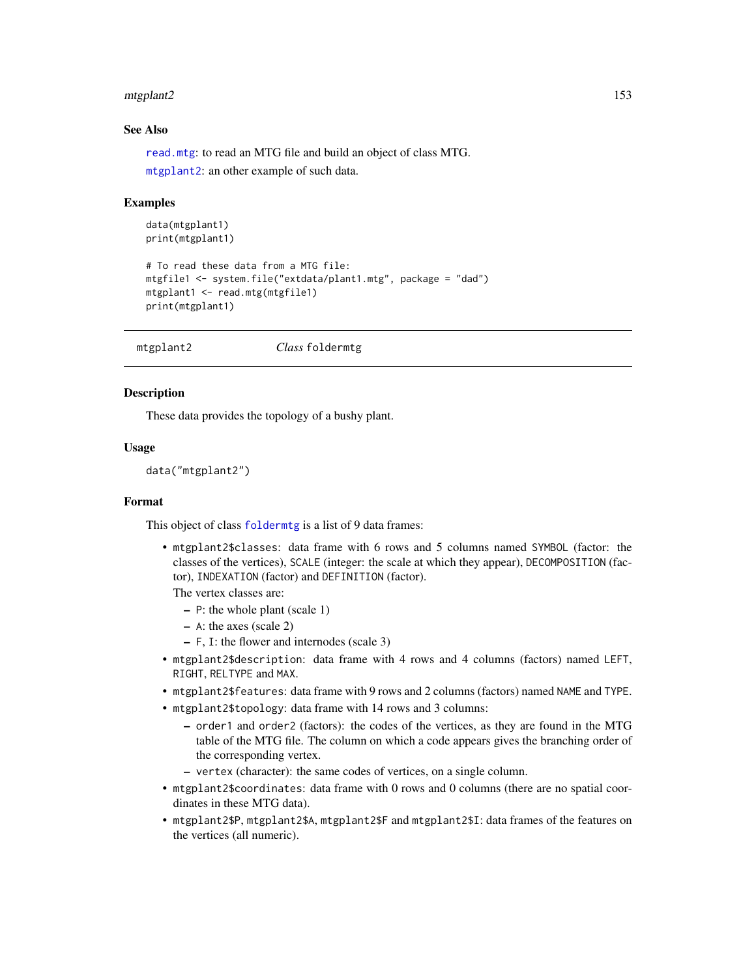#### mtgplant2 153

# See Also

[read.mtg](#page-180-0): to read an MTG file and build an object of class MTG.

[mtgplant2](#page-152-0): an other example of such data.

# Examples

```
data(mtgplant1)
print(mtgplant1)
# To read these data from a MTG file:
mtgfile1 <- system.file("extdata/plant1.mtg", package = "dad")
mtgplant1 <- read.mtg(mtgfile1)
print(mtgplant1)
```
<span id="page-152-0"></span>mtgplant2 *Class* foldermtg

#### Description

These data provides the topology of a bushy plant.

## Usage

data("mtgplant2")

# Format

This object of class [foldermtg](#page-76-0) is a list of 9 data frames:

• mtgplant2\$classes: data frame with 6 rows and 5 columns named SYMBOL (factor: the classes of the vertices), SCALE (integer: the scale at which they appear), DECOMPOSITION (factor), INDEXATION (factor) and DEFINITION (factor).

The vertex classes are:

- P: the whole plant (scale 1)
- A: the axes (scale 2)
- F, I: the flower and internodes (scale 3)
- mtgplant2\$description: data frame with 4 rows and 4 columns (factors) named LEFT, RIGHT, RELTYPE and MAX.
- mtgplant2\$features: data frame with 9 rows and 2 columns (factors) named NAME and TYPE.
- mtgplant2\$topology: data frame with 14 rows and 3 columns:
	- order1 and order2 (factors): the codes of the vertices, as they are found in the MTG table of the MTG file. The column on which a code appears gives the branching order of the corresponding vertex.
	- vertex (character): the same codes of vertices, on a single column.
- mtgplant2\$coordinates: data frame with 0 rows and 0 columns (there are no spatial coordinates in these MTG data).
- mtgplant2\$P, mtgplant2\$A, mtgplant2\$F and mtgplant2\$I: data frames of the features on the vertices (all numeric).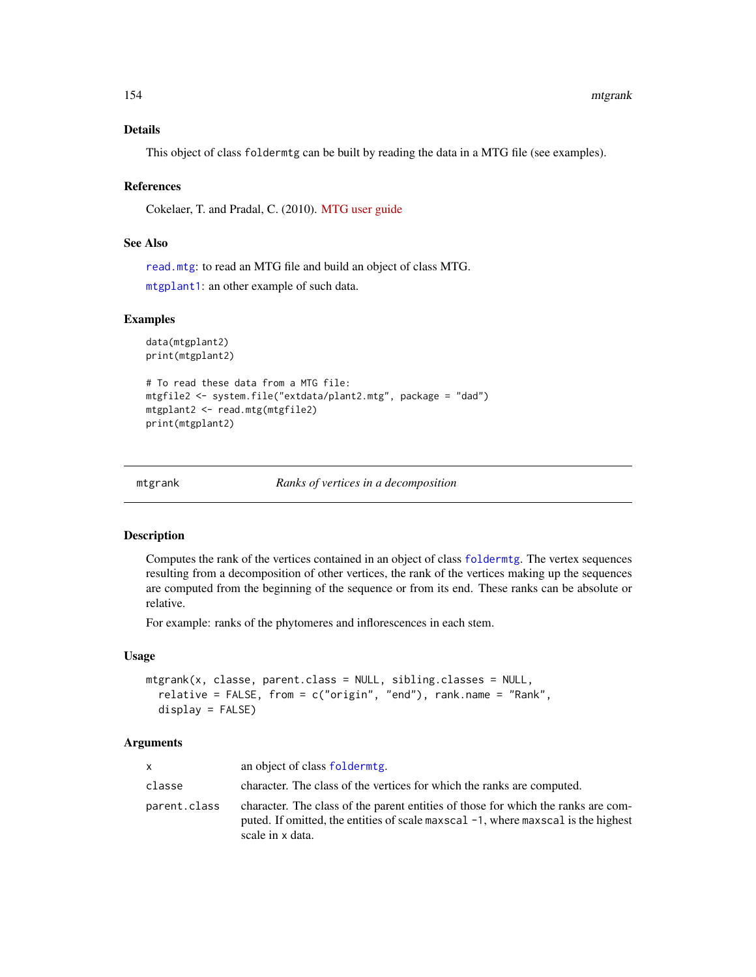## Details

This object of class foldermtg can be built by reading the data in a MTG file (see examples).

#### References

Cokelaer, T. and Pradal, C. (2010). [MTG user guide](http://openalea.gforge.inria.fr/doc/vplants/newmtg/doc/_build/html/user/syntax.html)

# See Also

[read.mtg](#page-180-0): to read an MTG file and build an object of class MTG.

[mtgplant1](#page-151-0): an other example of such data.

# Examples

```
data(mtgplant2)
print(mtgplant2)
```

```
# To read these data from a MTG file:
mtgfile2 <- system.file("extdata/plant2.mtg", package = "dad")
mtgplant2 <- read.mtg(mtgfile2)
print(mtgplant2)
```
<span id="page-153-0"></span>mtgrank *Ranks of vertices in a decomposition*

## Description

Computes the rank of the vertices contained in an object of class [foldermtg](#page-76-0). The vertex sequences resulting from a decomposition of other vertices, the rank of the vertices making up the sequences are computed from the beginning of the sequence or from its end. These ranks can be absolute or relative.

For example: ranks of the phytomeres and inflorescences in each stem.

## Usage

```
mtgrank(x, classe, parent.class = NULL, sibling.classes = NULL,
 relative = FALSE, from = c("origin", "end"), rank.name = "Rank",
 display = FALSE)
```
#### Arguments

| $\mathsf{x}$ | an object of class folderming.                                                                                                                                                             |
|--------------|--------------------------------------------------------------------------------------------------------------------------------------------------------------------------------------------|
| classe       | character. The class of the vertices for which the ranks are computed.                                                                                                                     |
| parent.class | character. The class of the parent entities of those for which the ranks are com-<br>puted. If omitted, the entities of scale maxscal -1, where maxscal is the highest<br>scale in x data. |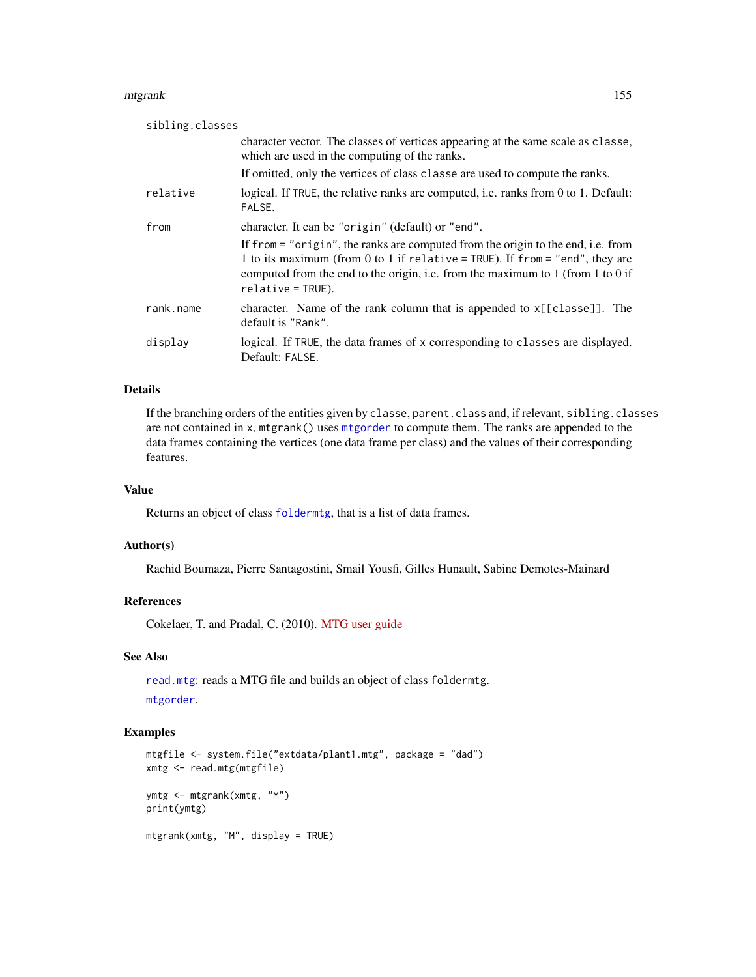#### mtgrank 155

| sibling.classes |                                                                                                                                                                                                                                                                             |  |
|-----------------|-----------------------------------------------------------------------------------------------------------------------------------------------------------------------------------------------------------------------------------------------------------------------------|--|
|                 | character vector. The classes of vertices appearing at the same scale as classe,<br>which are used in the computing of the ranks.                                                                                                                                           |  |
|                 | If omitted, only the vertices of class classe are used to compute the ranks.                                                                                                                                                                                                |  |
| relative        | logical. If TRUE, the relative ranks are computed, i.e. ranks from 0 to 1. Default:<br>FALSE.                                                                                                                                                                               |  |
| from            | character. It can be "origin" (default) or "end".                                                                                                                                                                                                                           |  |
|                 | If from = "origin", the ranks are computed from the origin to the end, i.e. from<br>1 to its maximum (from 0 to 1 if relative = TRUE). If from = "end", they are<br>computed from the end to the origin, i.e. from the maximum to 1 (from 1 to 0 if<br>$relative = TRUE$ ). |  |
| rank.name       | character. Name of the rank column that is appended to x[[classe]]. The<br>default is "Rank".                                                                                                                                                                               |  |
| display         | logical. If TRUE, the data frames of x corresponding to classes are displayed.<br>Default: FALSE.                                                                                                                                                                           |  |

## Details

If the branching orders of the entities given by classe, parent.class and, if relevant, sibling.classes are not contained in x, mtgrank() uses [mtgorder](#page-149-0) to compute them. The ranks are appended to the data frames containing the vertices (one data frame per class) and the values of their corresponding features.

# Value

Returns an object of class [foldermtg](#page-76-0), that is a list of data frames.

#### Author(s)

Rachid Boumaza, Pierre Santagostini, Smail Yousfi, Gilles Hunault, Sabine Demotes-Mainard

## References

Cokelaer, T. and Pradal, C. (2010). [MTG user guide](http://openalea.gforge.inria.fr/doc/vplants/newmtg/doc/_build/html/user/syntax.html)

# See Also

[read.mtg](#page-180-0): reads a MTG file and builds an object of class foldermtg.

[mtgorder](#page-149-0).

# Examples

```
mtgfile <- system.file("extdata/plant1.mtg", package = "dad")
xmtg <- read.mtg(mtgfile)
ymtg <- mtgrank(xmtg, "M")
print(ymtg)
mtgrank(xmtg, "M", display = TRUE)
```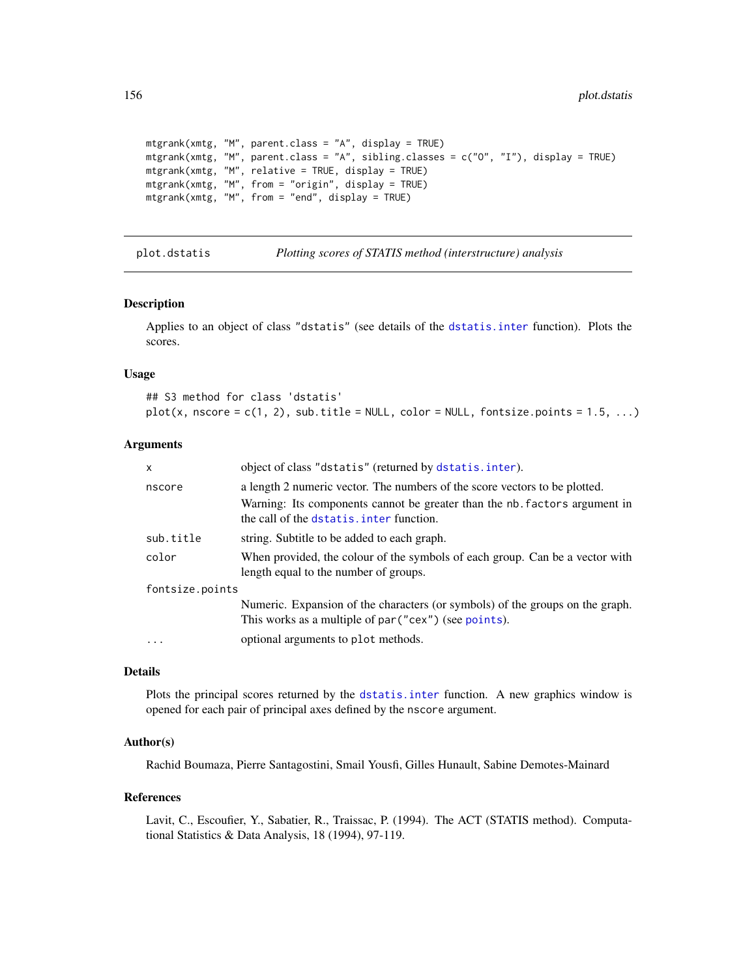```
mtgrank(xmtg, "M", parent.class = "A", display = TRUE)
mtgrank(xmtg, "M", parent.class = "A", sibling.classes = c("O", "I"), display = TRUE)
mtgrank(xmtg, "M", relative = TRUE, display = TRUE)
mtgrank(xmtg, "M", from = "origin", display = TRUE)
mtgrank(xmtg, "M", from = "end", display = TRUE)
```
<span id="page-155-0"></span>plot.dstatis *Plotting scores of STATIS method (interstructure) analysis*

| <i>Plotting scores of STATIS method (interstructure) analysis</i> |  |
|-------------------------------------------------------------------|--|
|-------------------------------------------------------------------|--|

## Description

Applies to an object of class "dstatis" (see details of the [dstatis.inter](#page-57-0) function). Plots the scores.

#### Usage

## S3 method for class 'dstatis'  $plot(x, nscore = c(1, 2), sub.title = NULL, color = NULL, fontsize.points = 1.5, ...)$ 

## Arguments

| X               | object of class "dstatis" (returned by dstatis.inter).                                                                                 |  |
|-----------------|----------------------------------------------------------------------------------------------------------------------------------------|--|
| nscore          | a length 2 numeric vector. The numbers of the score vectors to be plotted.                                                             |  |
|                 | Warning: Its components cannot be greater than the nb. factors argument in<br>the call of the dstatis, inter function.                 |  |
| sub.title       | string. Subtitle to be added to each graph.                                                                                            |  |
| color           | When provided, the colour of the symbols of each group. Can be a vector with<br>length equal to the number of groups.                  |  |
| fontsize.points |                                                                                                                                        |  |
|                 | Numeric. Expansion of the characters (or symbols) of the groups on the graph.<br>This works as a multiple of par ("cex") (see points). |  |
| $\cdot$         | optional arguments to plot methods.                                                                                                    |  |
|                 |                                                                                                                                        |  |

## Details

Plots the principal scores returned by the [dstatis.inter](#page-57-0) function. A new graphics window is opened for each pair of principal axes defined by the nscore argument.

#### Author(s)

Rachid Boumaza, Pierre Santagostini, Smail Yousfi, Gilles Hunault, Sabine Demotes-Mainard

#### References

Lavit, C., Escoufier, Y., Sabatier, R., Traissac, P. (1994). The ACT (STATIS method). Computational Statistics & Data Analysis, 18 (1994), 97-119.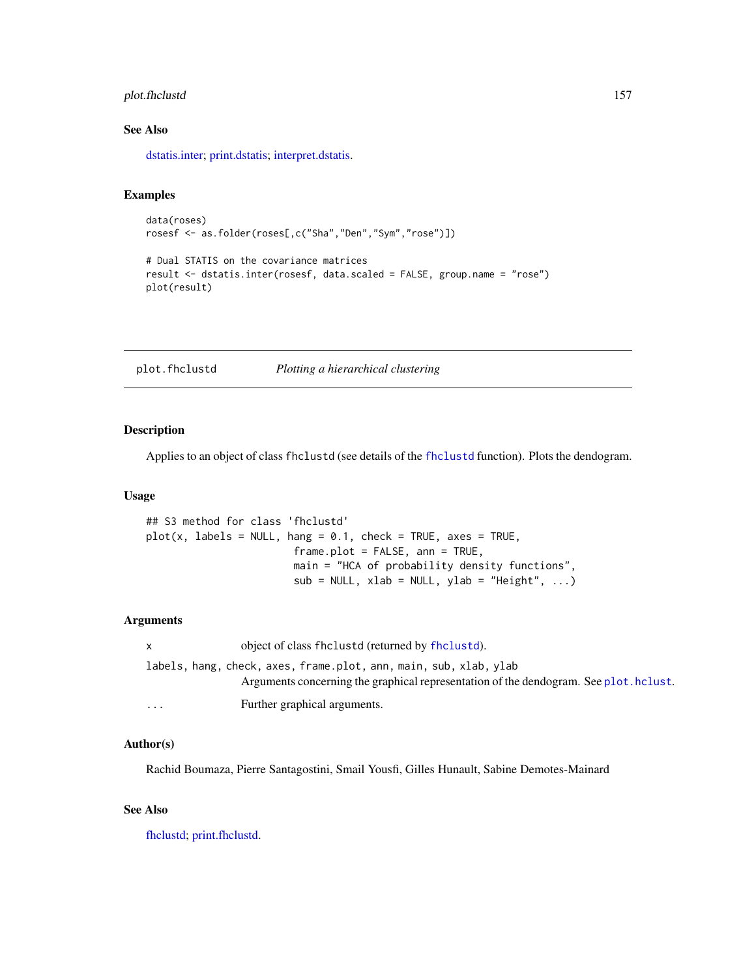# plot.fhclustd 157

# See Also

[dstatis.inter;](#page-57-0) [print.dstatis;](#page-168-0) [interpret.dstatis.](#page-96-0)

## Examples

```
data(roses)
rosesf <- as.folder(roses[,c("Sha","Den","Sym","rose")])
```

```
# Dual STATIS on the covariance matrices
result <- dstatis.inter(rosesf, data.scaled = FALSE, group.name = "rose")
plot(result)
```
plot.fhclustd *Plotting a hierarchical clustering*

# Description

Applies to an object of class fhclustd (see details of the [fhclustd](#page-65-0) function). Plots the dendogram.

# Usage

```
## S3 method for class 'fhclustd'
plot(x, labels = NULL, hang = 0.1, check = TRUE, axes = TRUE,frame.plot = FALSE, ann = TRUE,
                       main = "HCA of probability density functions",
                       sub = NULL, xlab = NULL, ylab = "Height", ...)
```
## Arguments

| $\mathsf{X}$                                                      | object of class fhclustd (returned by fhclustd).                                      |  |
|-------------------------------------------------------------------|---------------------------------------------------------------------------------------|--|
| labels, hang, check, axes, frame.plot, ann, main, sub, xlab, ylab |                                                                                       |  |
|                                                                   | Arguments concerning the graphical representation of the dendogram. See plot. hclust. |  |
| $\cdots$                                                          | Further graphical arguments.                                                          |  |

## Author(s)

Rachid Boumaza, Pierre Santagostini, Smail Yousfi, Gilles Hunault, Sabine Demotes-Mainard

# See Also

[fhclustd;](#page-65-0) [print.fhclustd.](#page-171-0)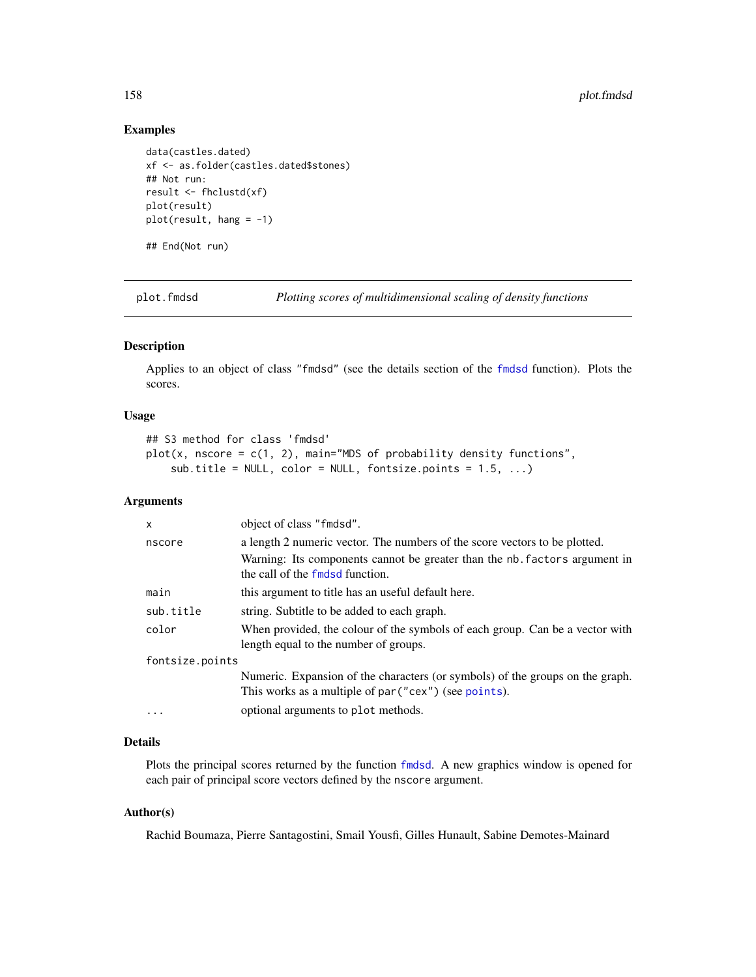## Examples

```
data(castles.dated)
xf <- as.folder(castles.dated$stones)
## Not run:
result <- fhclustd(xf)
plot(result)
plot(result, hang = -1)
```
## End(Not run)

<span id="page-157-0"></span>plot.fmdsd *Plotting scores of multidimensional scaling of density functions*

# Description

Applies to an object of class "fmdsd" (see the details section of the [fmdsd](#page-69-0) function). Plots the scores.

#### Usage

```
## S3 method for class 'fmdsd'
plot(x, nscore = c(1, 2), main="MDS of probability density functions",sub.title = NULL, color = NULL, fontsize.points = 1.5, ...)
```
#### Arguments

| X               | object of class "fmdsd".                                                                                                               |  |
|-----------------|----------------------------------------------------------------------------------------------------------------------------------------|--|
| nscore          | a length 2 numeric vector. The numbers of the score vectors to be plotted.                                                             |  |
|                 | Warning: Its components cannot be greater than the nb. factors argument in<br>the call of the fmdsd function.                          |  |
| main            | this argument to title has an useful default here.                                                                                     |  |
| sub.title       | string. Subtitle to be added to each graph.                                                                                            |  |
| color           | When provided, the colour of the symbols of each group. Can be a vector with<br>length equal to the number of groups.                  |  |
| fontsize.points |                                                                                                                                        |  |
|                 | Numeric. Expansion of the characters (or symbols) of the groups on the graph.<br>This works as a multiple of par ("cex") (see points). |  |
| $\cdots$        | optional arguments to plot methods.                                                                                                    |  |

# Details

Plots the principal scores returned by the function [fmdsd](#page-69-0). A new graphics window is opened for each pair of principal score vectors defined by the nscore argument.

## Author(s)

Rachid Boumaza, Pierre Santagostini, Smail Yousfi, Gilles Hunault, Sabine Demotes-Mainard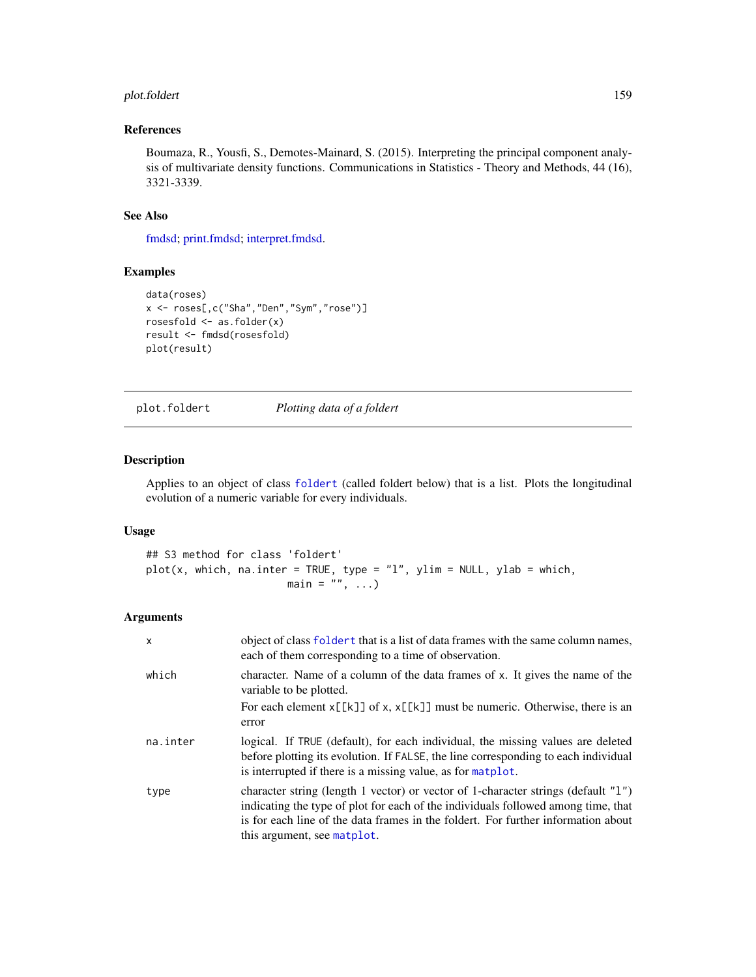# plot.foldert 159

# References

Boumaza, R., Yousfi, S., Demotes-Mainard, S. (2015). Interpreting the principal component analysis of multivariate density functions. Communications in Statistics - Theory and Methods, 44 (16), 3321-3339.

## See Also

[fmdsd;](#page-69-0) [print.fmdsd;](#page-172-0) [interpret.fmdsd.](#page-97-0)

# Examples

```
data(roses)
x <- roses[,c("Sha","Den","Sym","rose")]
rosesfold <- as.folder(x)
result <- fmdsd(rosesfold)
plot(result)
```
plot.foldert *Plotting data of a foldert*

# Description

Applies to an object of class [foldert](#page-77-0) (called foldert below) that is a list. Plots the longitudinal evolution of a numeric variable for every individuals.

# Usage

```
## S3 method for class 'foldert'
plot(x, which, na.inter = TRUE, type = "l", ylim = NULL, ylab = which,main = ", ...)
```
# Arguments

| $\mathsf{x}$ | object of class foldert that is a list of data frames with the same column names,<br>each of them corresponding to a time of observation.                                                                                                                                                  |
|--------------|--------------------------------------------------------------------------------------------------------------------------------------------------------------------------------------------------------------------------------------------------------------------------------------------|
| which        | character. Name of a column of the data frames of x. It gives the name of the<br>variable to be plotted.                                                                                                                                                                                   |
|              | For each element $x[[k]]$ of x, $x[[k]]$ must be numeric. Otherwise, there is an<br>error                                                                                                                                                                                                  |
| na.inter     | logical. If TRUE (default), for each individual, the missing values are deleted<br>before plotting its evolution. If FALSE, the line corresponding to each individual<br>is interrupted if there is a missing value, as for matplot.                                                       |
| type         | character string (length 1 vector) or vector of 1-character strings (default "1")<br>indicating the type of plot for each of the individuals followed among time, that<br>is for each line of the data frames in the foldert. For further information about<br>this argument, see matplot. |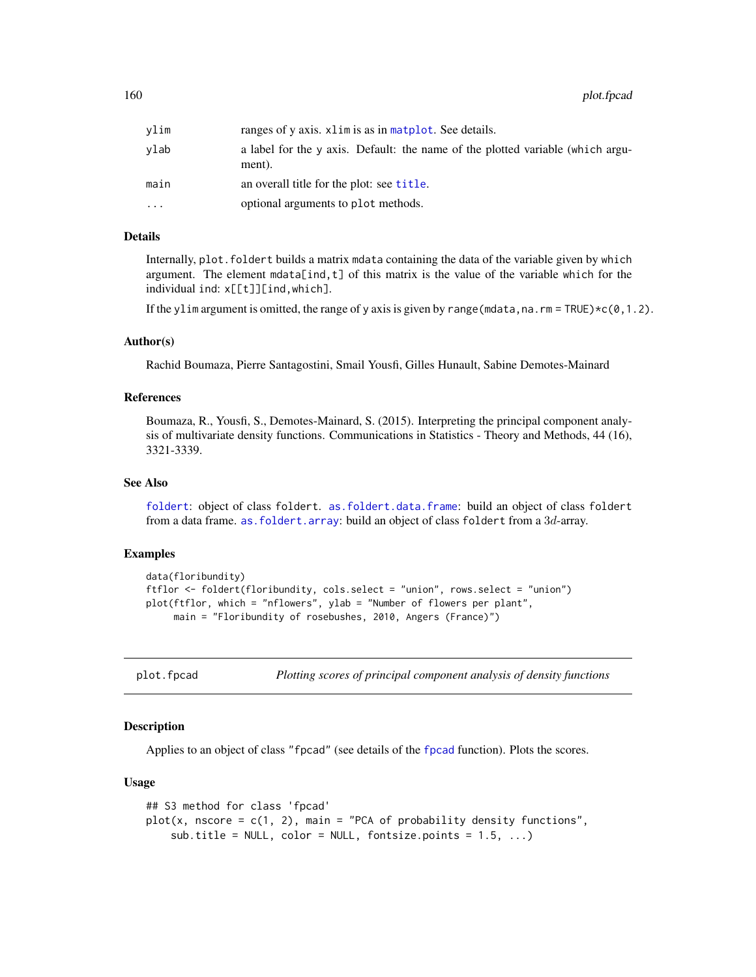160 plot.fpcad

| vlim | ranges of y axis, xlim is as in matplot. See details.                                    |
|------|------------------------------------------------------------------------------------------|
| vlab | a label for the y axis. Default: the name of the plotted variable (which argu-<br>ment). |
| main | an overall title for the plot: see title.                                                |
| .    | optional arguments to plot methods.                                                      |

# Details

Internally, plot.foldert builds a matrix mdata containing the data of the variable given by which argument. The element mdata[ind,t] of this matrix is the value of the variable which for the individual ind: x[[t]][ind,which].

If the ylim argument is omitted, the range of y axis is given by range (mdata, na. rm = TRUE) $\star$ c(0,1.2).

#### Author(s)

Rachid Boumaza, Pierre Santagostini, Smail Yousfi, Gilles Hunault, Sabine Demotes-Mainard

## References

Boumaza, R., Yousfi, S., Demotes-Mainard, S. (2015). Interpreting the principal component analysis of multivariate density functions. Communications in Statistics - Theory and Methods, 44 (16), 3321-3339.

## See Also

[foldert](#page-77-0): object of class foldert. [as.foldert.data.frame](#page-19-0): build an object of class foldert from a data frame. [as.foldert.array](#page-18-0): build an object of class foldert from a 3d-array.

## Examples

```
data(floribundity)
ftflor <- foldert(floribundity, cols.select = "union", rows.select = "union")
plot(ftflor, which = "nflowers", ylab = "Number of flowers per plant",
     main = "Floribundity of rosebushes, 2010, Angers (France)")
```
<span id="page-159-0"></span>

plot.fpcad *Plotting scores of principal component analysis of density functions*

#### Description

Applies to an object of class "fpcad" (see details of the [fpcad](#page-80-0) function). Plots the scores.

## Usage

```
## S3 method for class 'fpcad'
plot(x, nscore = c(1, 2), main = "PCA of probability density functions",
   sub.title = NULL, color = NULL, fontsize.points = 1.5, ...)
```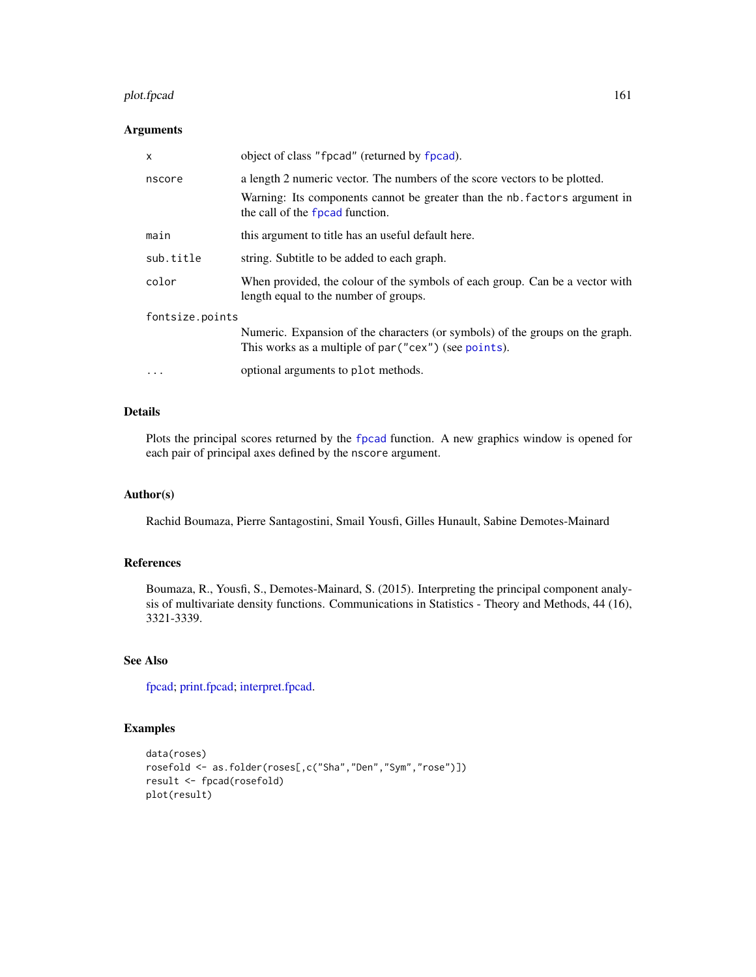#### plot.fpcad 161

# Arguments

| $\mathsf{x}$    | object of class "fpcad" (returned by fpcad).                                                                                           |
|-----------------|----------------------------------------------------------------------------------------------------------------------------------------|
| nscore          | a length 2 numeric vector. The numbers of the score vectors to be plotted.                                                             |
|                 | Warning: Its components cannot be greater than the nb. factors argument in<br>the call of the fpcad function.                          |
| main            | this argument to title has an useful default here.                                                                                     |
| sub.title       | string. Subtitle to be added to each graph.                                                                                            |
| color           | When provided, the colour of the symbols of each group. Can be a vector with<br>length equal to the number of groups.                  |
| fontsize.points |                                                                                                                                        |
|                 | Numeric. Expansion of the characters (or symbols) of the groups on the graph.<br>This works as a multiple of par ("cex") (see points). |
| $\cdots$        | optional arguments to plot methods.                                                                                                    |

# Details

Plots the principal scores returned by the [fpcad](#page-80-0) function. A new graphics window is opened for each pair of principal axes defined by the nscore argument.

# Author(s)

Rachid Boumaza, Pierre Santagostini, Smail Yousfi, Gilles Hunault, Sabine Demotes-Mainard

# References

Boumaza, R., Yousfi, S., Demotes-Mainard, S. (2015). Interpreting the principal component analysis of multivariate density functions. Communications in Statistics - Theory and Methods, 44 (16), 3321-3339.

# See Also

[fpcad;](#page-80-0) [print.fpcad;](#page-176-0) [interpret.fpcad.](#page-99-0)

# Examples

```
data(roses)
rosefold <- as.folder(roses[,c("Sha","Den","Sym","rose")])
result <- fpcad(rosefold)
plot(result)
```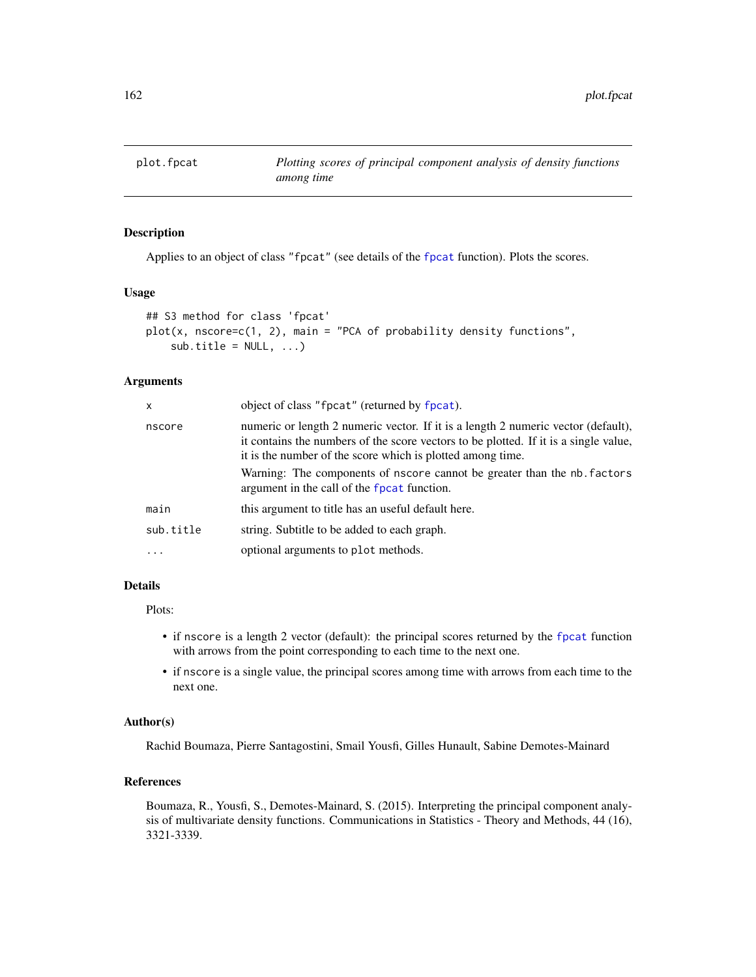<span id="page-161-0"></span>

## Description

Applies to an object of class "[fpcat](#page-83-0)" (see details of the fpcat function). Plots the scores.

## Usage

```
## S3 method for class 'fpcat'
plot(x, nscore=c(1, 2), main = "PCA of probability density functions",
    sub.title = NULL, ...)
```
# Arguments

| x         | object of class "fpcat" (returned by fpcat).                                                                                                                                                                                            |
|-----------|-----------------------------------------------------------------------------------------------------------------------------------------------------------------------------------------------------------------------------------------|
| nscore    | numeric or length 2 numeric vector. If it is a length 2 numeric vector (default),<br>it contains the numbers of the score vectors to be plotted. If it is a single value,<br>it is the number of the score which is plotted among time. |
|           | Warning: The components of nscore cannot be greater than the nb. factors<br>argument in the call of the fpcat function.                                                                                                                 |
| main      | this argument to title has an useful default here.                                                                                                                                                                                      |
| sub.title | string. Subtitle to be added to each graph.                                                                                                                                                                                             |
| $\cdot$   | optional arguments to plot methods.                                                                                                                                                                                                     |
|           |                                                                                                                                                                                                                                         |

# Details

#### Plots:

- if nscore is a length 2 vector (default): the principal scores returned by the [fpcat](#page-83-0) function with arrows from the point corresponding to each time to the next one.
- if nscore is a single value, the principal scores among time with arrows from each time to the next one.

## Author(s)

Rachid Boumaza, Pierre Santagostini, Smail Yousfi, Gilles Hunault, Sabine Demotes-Mainard

# References

Boumaza, R., Yousfi, S., Demotes-Mainard, S. (2015). Interpreting the principal component analysis of multivariate density functions. Communications in Statistics - Theory and Methods, 44 (16), 3321-3339.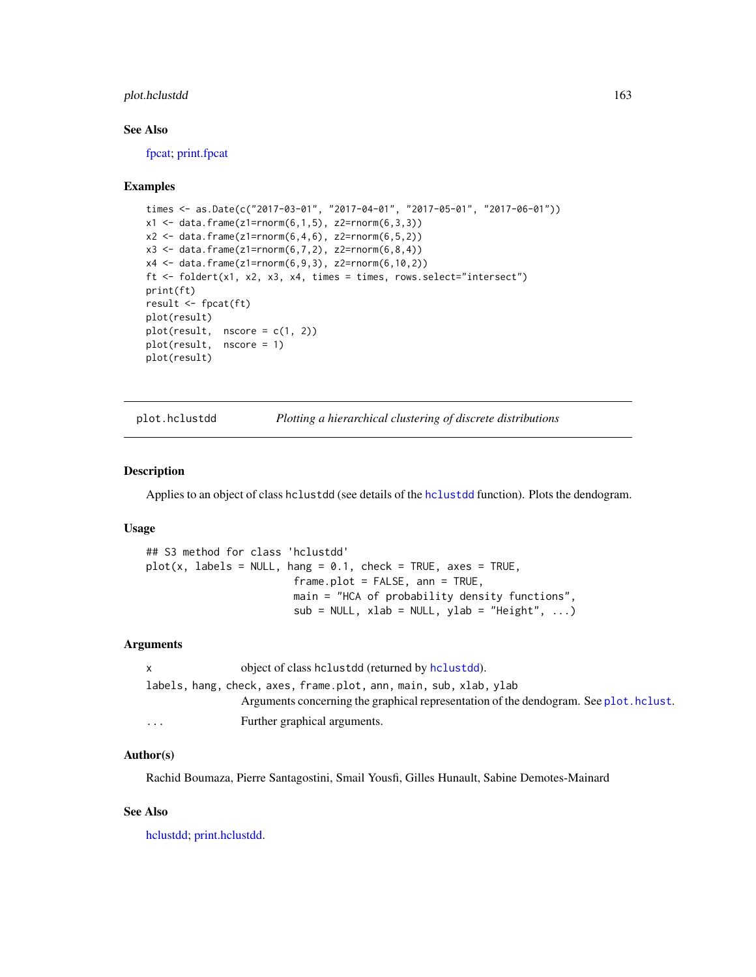# plot.hclustdd 163

### See Also

[fpcat;](#page-83-0) [print.fpcat](#page-177-0)

## Examples

```
times <- as.Date(c("2017-03-01", "2017-04-01", "2017-05-01", "2017-06-01"))
x1 \leq data. frame(z1=rnorm(6,1,5), z2=rnorm(6,3,3))
x2 \leq data. frame(z1=rnorm(6,4,6), z2=rnorm(6,5,2))
x3 \leq data.frame(z1=rnorm(6,7,2), z2=rnorm(6,8,4))
x4 \leq - data.frame(z1=rnorm(6,9,3), z2=rnorm(6,10,2))
ft <- foldert(x1, x2, x3, x4, times = times, rows.select="intersect")
print(ft)
result <- fpcat(ft)
plot(result)
plot(result, nscore = c(1, 2))
plot(result, nscore = 1)
plot(result)
```
<span id="page-162-0"></span>

plot.hclustdd *Plotting a hierarchical clustering of discrete distributions*

#### **Description**

Applies to an object of class hclustdd (see details of the [hclustdd](#page-90-0) function). Plots the dendogram.

## Usage

```
## S3 method for class 'hclustdd'
plot(x, labels = NULL, hang = 0.1, check = TRUE, axes = TRUE,frame.plot = FALSE, ann = TRUE,
                       main = "HCA of probability density functions",
                       sub = NULL, xlab = NULL, ylab = "Height", ...)
```
#### Arguments

| X        | object of class helustdd (returned by helustdd).                                      |
|----------|---------------------------------------------------------------------------------------|
|          | labels, hang, check, axes, frame.plot, ann, main, sub, xlab, ylab                     |
|          | Arguments concerning the graphical representation of the dendogram. See plot. hclust. |
| $\cdots$ | Further graphical arguments.                                                          |

## Author(s)

Rachid Boumaza, Pierre Santagostini, Smail Yousfi, Gilles Hunault, Sabine Demotes-Mainard

## See Also

[hclustdd;](#page-90-0) [print.hclustdd.](#page-178-0)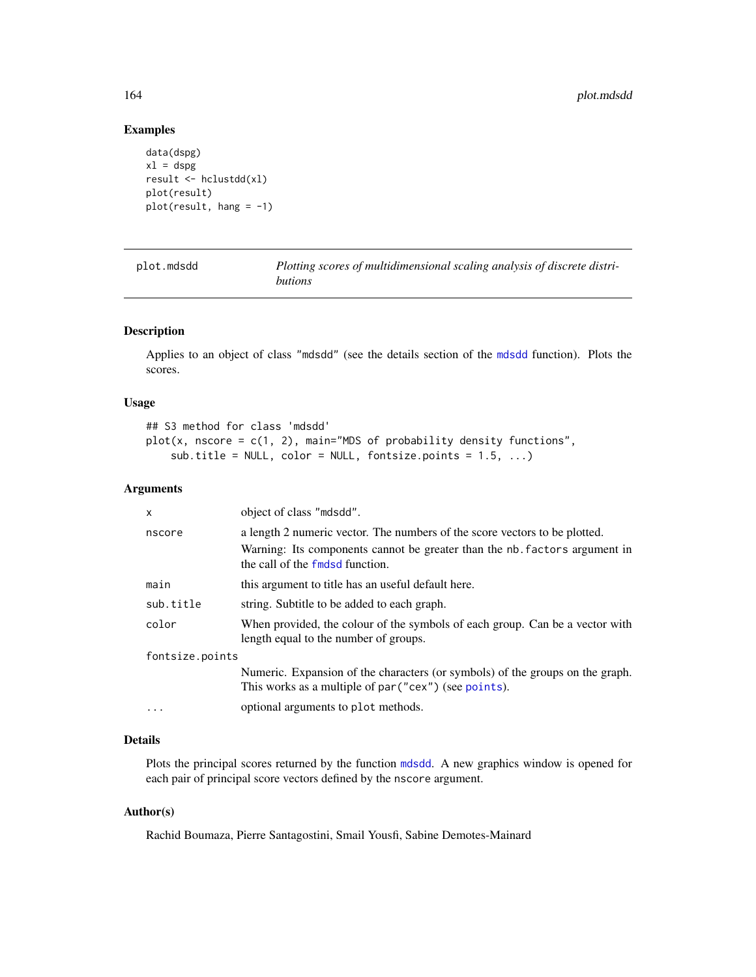# Examples

```
data(dspg)
x1 =dspg
result <- hclustdd(xl)
plot(result)
plot(result, hang = -1)
```
<span id="page-163-0"></span>

| plot.mdsdd | Plotting scores of multidimensional scaling analysis of discrete distri- |
|------------|--------------------------------------------------------------------------|
|            | butions                                                                  |

# Description

Applies to an object of class "mdsdd" (see the details section of the [mdsdd](#page-144-0) function). Plots the scores.

# Usage

```
## S3 method for class 'mdsdd'
plot(x, nscore = c(1, 2), main="MDS of probability density functions",
    sub.title = NULL, color = NULL, fontsize.points = 1.5, ...)
```
# Arguments

| $\mathsf{x}$    | object of class "mdsdd".                                                                                              |  |
|-----------------|-----------------------------------------------------------------------------------------------------------------------|--|
| nscore          | a length 2 numeric vector. The numbers of the score vectors to be plotted.                                            |  |
|                 | Warning: Its components cannot be greater than the nb. factors argument in<br>the call of the fmdsd function.         |  |
| main            | this argument to title has an useful default here.                                                                    |  |
| sub.title       | string. Subtitle to be added to each graph.                                                                           |  |
| color           | When provided, the colour of the symbols of each group. Can be a vector with<br>length equal to the number of groups. |  |
| fontsize.points |                                                                                                                       |  |
|                 | Numeric. Expansion of the characters (or symbols) of the groups on the graph.                                         |  |
|                 | This works as a multiple of par ("cex") (see points).                                                                 |  |
| $\cdot$         | optional arguments to plot methods.                                                                                   |  |

# Details

Plots the principal scores returned by the function [mdsdd](#page-144-0). A new graphics window is opened for each pair of principal score vectors defined by the nscore argument.

## Author(s)

Rachid Boumaza, Pierre Santagostini, Smail Yousfi, Sabine Demotes-Mainard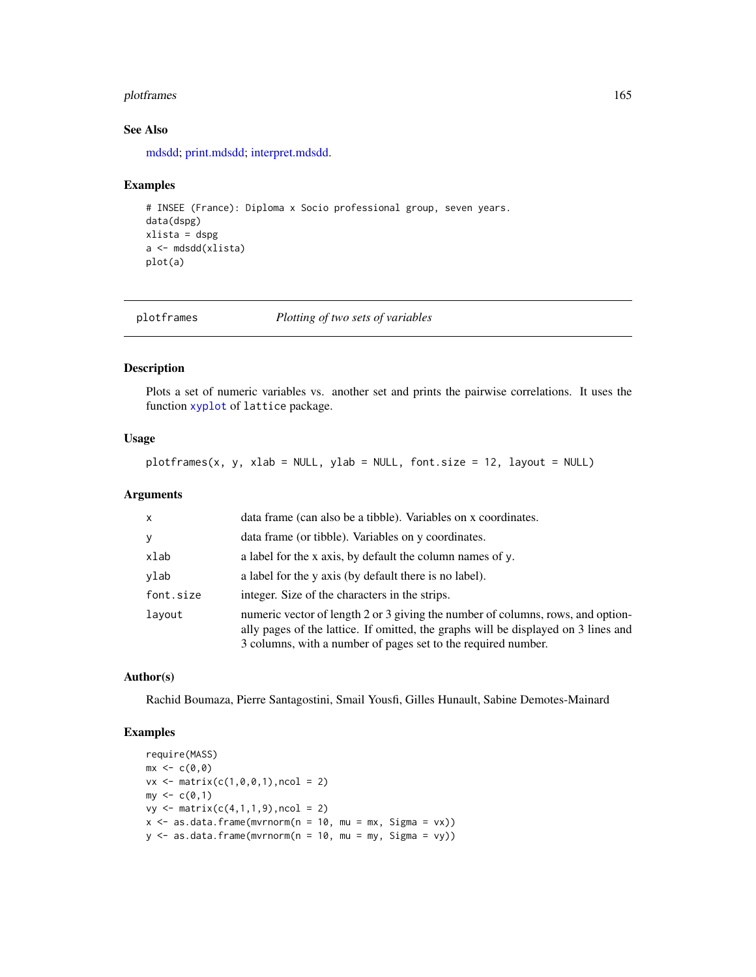# plotframes 165

# See Also

[mdsdd;](#page-144-0) [print.mdsdd;](#page-179-0) [interpret.mdsdd.](#page-102-0)

#### Examples

```
# INSEE (France): Diploma x Socio professional group, seven years.
data(dspg)
xlista = dspg
a <- mdsdd(xlista)
plot(a)
```
plotframes *Plotting of two sets of variables*

## Description

Plots a set of numeric variables vs. another set and prints the pairwise correlations. It uses the function [xyplot](#page-0-0) of lattice package.

#### Usage

plotframes(x, y, xlab = NULL, ylab = NULL, font.size = 12, layout = NULL)

# Arguments

| $\mathsf{x}$ | data frame (can also be a tibble). Variables on x coordinates.                                                                                                                                                                         |
|--------------|----------------------------------------------------------------------------------------------------------------------------------------------------------------------------------------------------------------------------------------|
| y            | data frame (or tibble). Variables on y coordinates.                                                                                                                                                                                    |
| xlab         | a label for the x axis, by default the column names of y.                                                                                                                                                                              |
| ylab         | a label for the y axis (by default there is no label).                                                                                                                                                                                 |
| font.size    | integer. Size of the characters in the strips.                                                                                                                                                                                         |
| layout       | numeric vector of length 2 or 3 giving the number of columns, rows, and option-<br>ally pages of the lattice. If omitted, the graphs will be displayed on 3 lines and<br>3 columns, with a number of pages set to the required number. |

## Author(s)

Rachid Boumaza, Pierre Santagostini, Smail Yousfi, Gilles Hunault, Sabine Demotes-Mainard

# Examples

```
require(MASS)
mx \leftarrow c(0,0)vx \le matrix(c(1, 0, 0, 1), ncol = 2)
my < -c(0,1)vy \le matrix(c(4,1,1,9), ncol = 2)
x \le - as.data.frame(mvrnorm(n = 10, mu = mx, Sigma = vx))
y \le - as.data.frame(mvrnorm(n = 10, mu = my, Sigma = vy))
```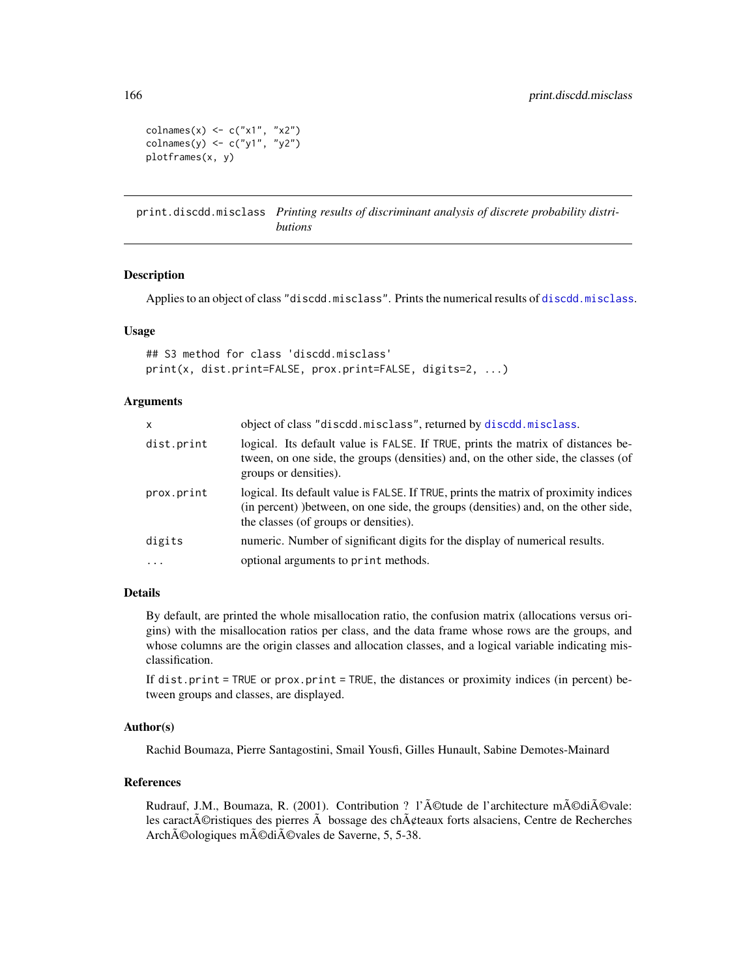colnames(x)  $\leq$  c("x1", "x2")  $\text{colnames}(y) \leftarrow c("y1", "y2")$ plotframes(x, y)

print.discdd.misclass *Printing results of discriminant analysis of discrete probability distributions*

#### Description

Applies to an object of class "discdd.misclass". Prints the numerical results of [discdd.misclass](#page-44-0).

## Usage

```
## S3 method for class 'discdd.misclass'
print(x, dist.print=FALSE, prox.print=FALSE, digits=2, ...)
```
# Arguments

| $\mathsf{x}$ | object of class "discdd.misclass", returned by discdd.misclass.                                                                                                                                                      |
|--------------|----------------------------------------------------------------------------------------------------------------------------------------------------------------------------------------------------------------------|
| dist.print   | logical. Its default value is FALSE. If TRUE, prints the matrix of distances be-<br>tween, on one side, the groups (densities) and, on the other side, the classes (of<br>groups or densities).                      |
| prox.print   | logical. Its default value is FALSE. If TRUE, prints the matrix of proximity indices<br>(in percent) ) between, on one side, the groups (densities) and, on the other side,<br>the classes (of groups or densities). |
| digits       | numeric. Number of significant digits for the display of numerical results.                                                                                                                                          |
| $\cdot$      | optional arguments to print methods.                                                                                                                                                                                 |

#### Details

By default, are printed the whole misallocation ratio, the confusion matrix (allocations versus origins) with the misallocation ratios per class, and the data frame whose rows are the groups, and whose columns are the origin classes and allocation classes, and a logical variable indicating misclassification.

If dist.print = TRUE or prox.print = TRUE, the distances or proximity indices (in percent) between groups and classes, are displayed.

## Author(s)

Rachid Boumaza, Pierre Santagostini, Smail Yousfi, Gilles Hunault, Sabine Demotes-Mainard

## References

Rudrauf, J.M., Boumaza, R. (2001). Contribution ? l'©tude de l'architecture m©di©vale: les caract $\tilde{A}$ ©ristiques des pierres  $\tilde{A}$  bossage des ch $\tilde{A}$ ¢teaux forts alsaciens, Centre de Recherches Archéologiques médiévales de Saverne, 5, 5-38.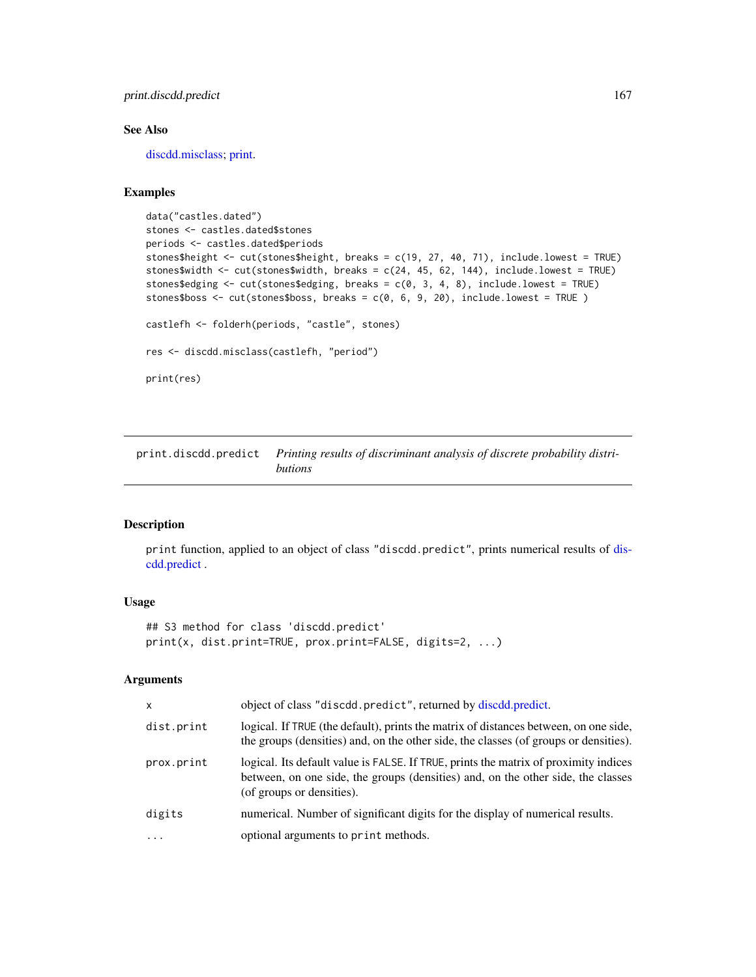print.discdd.predict 167

# See Also

[discdd.misclass;](#page-44-0) [print.](#page-0-0)

## Examples

```
data("castles.dated")
stones <- castles.dated$stones
periods <- castles.dated$periods
stones$height <- cut(stones$height, breaks = c(19, 27, 40, 71), include.lowest = TRUE)
stones$width <- cut(stones$width, breaks = c(24, 45, 62, 144), include.lowest = TRUE)
stones$edging <- cut(stones$edging, breaks = c(0, 3, 4, 8), include.lowest = TRUE)
stones$boss <- cut(stones$boss, breaks = c(0, 6, 9, 20), include.lowest = TRUE )
castlefh <- folderh(periods, "castle", stones)
res <- discdd.misclass(castlefh, "period")
print(res)
```
print.discdd.predict *Printing results of discriminant analysis of discrete probability distributions*

## Description

print function, applied to an object of class "discdd.predict", prints numerical results of [dis](#page-47-0)[cdd.predict](#page-47-0) .

## Usage

```
## S3 method for class 'discdd.predict'
print(x, dist.print=TRUE, prox.print=FALSE, digits=2, ...)
```
#### Arguments

| $\mathsf{x}$ | object of class "discdd.predict", returned by discdd.predict.                                                                                                                                         |
|--------------|-------------------------------------------------------------------------------------------------------------------------------------------------------------------------------------------------------|
| dist.print   | logical. If TRUE (the default), prints the matrix of distances between, on one side,<br>the groups (densities) and, on the other side, the classes (of groups or densities).                          |
| prox.print   | logical. Its default value is FALSE. If TRUE, prints the matrix of proximity indices<br>between, on one side, the groups (densities) and, on the other side, the classes<br>(of groups or densities). |
| digits       | numerical. Number of significant digits for the display of numerical results.                                                                                                                         |
| $\ddotsc$    | optional arguments to print methods.                                                                                                                                                                  |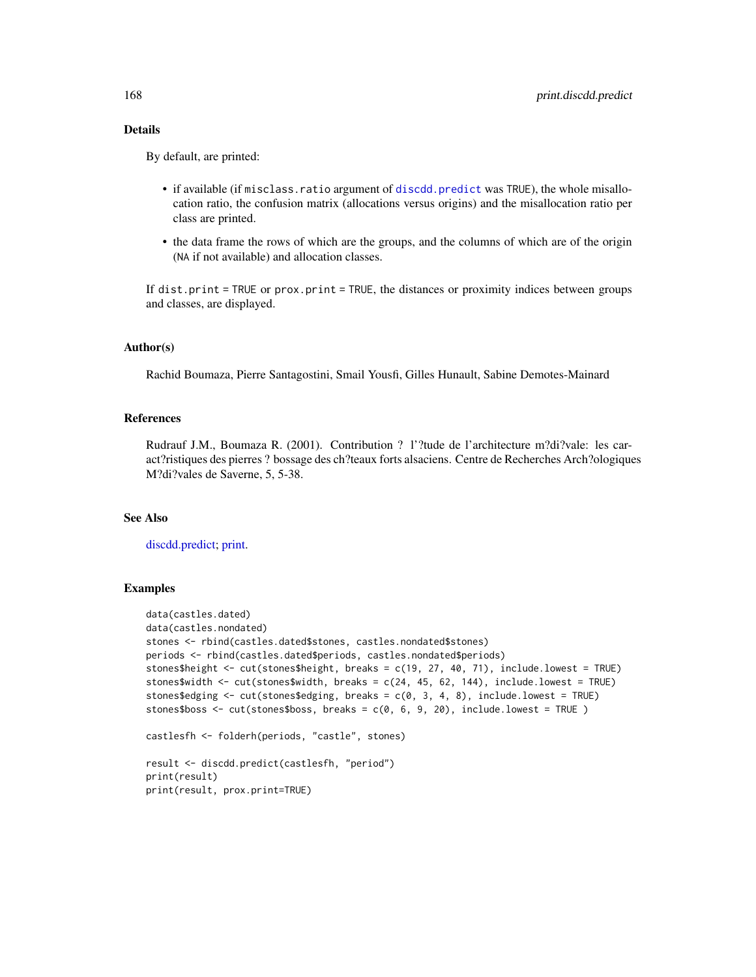## Details

By default, are printed:

- if available (if misclass.ratio argument of [discdd.predict](#page-47-0) was TRUE), the whole misallocation ratio, the confusion matrix (allocations versus origins) and the misallocation ratio per class are printed.
- the data frame the rows of which are the groups, and the columns of which are of the origin (NA if not available) and allocation classes.

If dist.print = TRUE or prox.print = TRUE, the distances or proximity indices between groups and classes, are displayed.

#### Author(s)

Rachid Boumaza, Pierre Santagostini, Smail Yousfi, Gilles Hunault, Sabine Demotes-Mainard

## References

Rudrauf J.M., Boumaza R. (2001). Contribution ? l'?tude de l'architecture m?di?vale: les caract?ristiques des pierres ? bossage des ch?teaux forts alsaciens. Centre de Recherches Arch?ologiques M?di?vales de Saverne, 5, 5-38.

### See Also

[discdd.predict;](#page-47-0) [print.](#page-0-0)

## Examples

```
data(castles.dated)
data(castles.nondated)
stones <- rbind(castles.dated$stones, castles.nondated$stones)
periods <- rbind(castles.dated$periods, castles.nondated$periods)
stones$height <- cut(stones$height, breaks = c(19, 27, 40, 71), include.lowest = TRUE)
stones$width <- cut(stones$width, breaks = c(24, 45, 62, 144), include.lower = TRUE)stones$edging <- cut(stones$edging, breaks = c(0, 3, 4, 8), include.lowest = TRUE)
stones$boss \leq cut(stones$boss, breaks = c(0, 6, 9, 20), include.lowest = TRUE)
castlesfh <- folderh(periods, "castle", stones)
result <- discdd.predict(castlesfh, "period")
print(result)
print(result, prox.print=TRUE)
```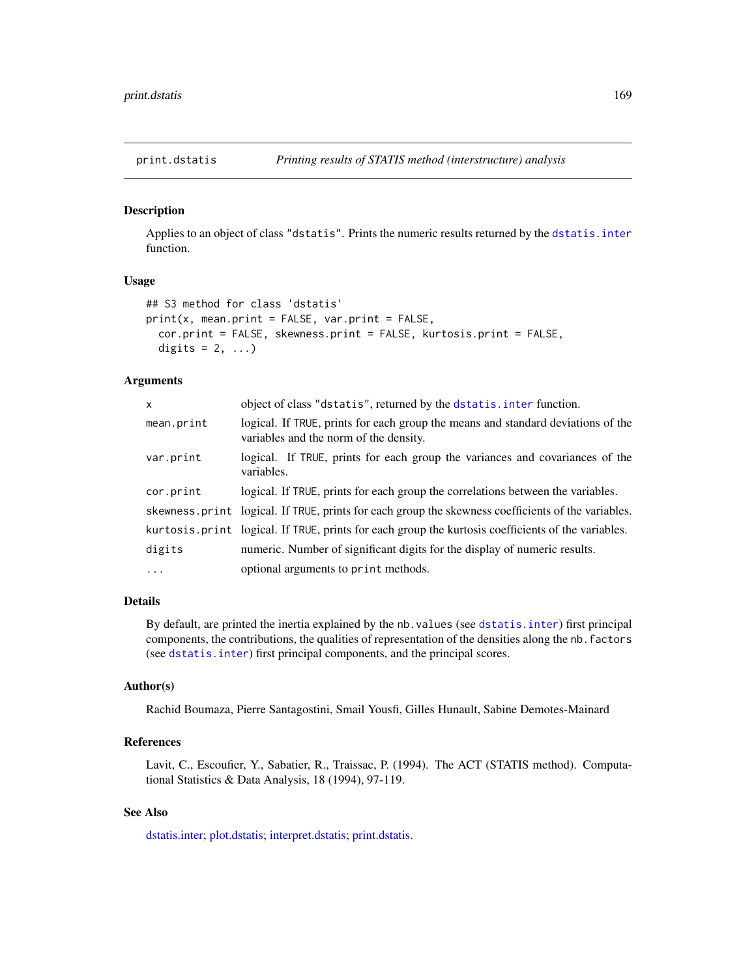<span id="page-168-0"></span>

## Description

Applies to an object of class "dstatis". Prints the numeric results returned by the [dstatis.inter](#page-57-0) function.

## Usage

```
## S3 method for class 'dstatis'
print(x, mean.print = FALSE, var.print = FALSE,
  cor.print = FALSE, skewness.print = FALSE, kurtosis.print = FALSE,
  digits = 2, ...)
```
### Arguments

| X          | object of class "dstatis", returned by the dstatis. inter function.                                                        |
|------------|----------------------------------------------------------------------------------------------------------------------------|
| mean.print | logical. If TRUE, prints for each group the means and standard deviations of the<br>variables and the norm of the density. |
| var.print  | logical. If TRUE, prints for each group the variances and covariances of the<br>variables.                                 |
| cor.print  | logical. If TRUE, prints for each group the correlations between the variables.                                            |
|            | skewness print logical. If TRUE, prints for each group the skewness coefficients of the variables.                         |
|            | kurtosis. print logical. If TRUE, prints for each group the kurtosis coefficients of the variables.                        |
| digits     | numeric. Number of significant digits for the display of numeric results.                                                  |
| $\ddots$ . | optional arguments to print methods.                                                                                       |

#### Details

By default, are printed the inertia explained by the nb.values (see [dstatis.inter](#page-57-0)) first principal components, the contributions, the qualities of representation of the densities along the nb.factors (see [dstatis.inter](#page-57-0)) first principal components, and the principal scores.

### Author(s)

Rachid Boumaza, Pierre Santagostini, Smail Yousfi, Gilles Hunault, Sabine Demotes-Mainard

#### References

Lavit, C., Escoufier, Y., Sabatier, R., Traissac, P. (1994). The ACT (STATIS method). Computational Statistics & Data Analysis, 18 (1994), 97-119.

# See Also

[dstatis.inter;](#page-57-0) [plot.dstatis;](#page-155-0) [interpret.dstatis;](#page-96-0) [print.dstatis.](#page-168-0)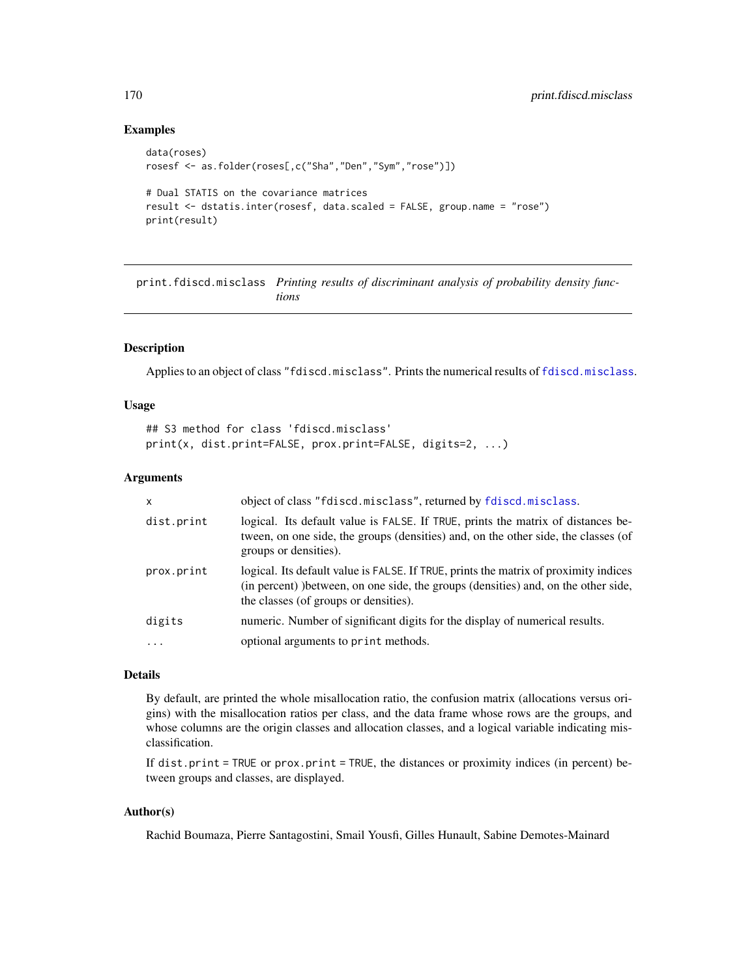## Examples

```
data(roses)
rosesf <- as.folder(roses[,c("Sha","Den","Sym","rose")])
# Dual STATIS on the covariance matrices
result <- dstatis.inter(rosesf, data.scaled = FALSE, group.name = "rose")
print(result)
```
print.fdiscd.misclass *Printing results of discriminant analysis of probability density functions*

## Description

Applies to an object of class "fdiscd.misclass". Prints the numerical results of [fdiscd.misclass](#page-59-0).

#### Usage

```
## S3 method for class 'fdiscd.misclass'
print(x, dist.print=FALSE, prox.print=FALSE, digits=2, ...)
```
## Arguments

| $\mathsf{x}$ | object of class "fdiscd.misclass", returned by fdiscd.misclass.                                                                                                                                                      |
|--------------|----------------------------------------------------------------------------------------------------------------------------------------------------------------------------------------------------------------------|
| dist.print   | logical. Its default value is FALSE. If TRUE, prints the matrix of distances be-<br>tween, on one side, the groups (densities) and, on the other side, the classes (of<br>groups or densities).                      |
| prox.print   | logical. Its default value is FALSE. If TRUE, prints the matrix of proximity indices<br>(in percent) ) between, on one side, the groups (densities) and, on the other side,<br>the classes (of groups or densities). |
| digits       | numeric. Number of significant digits for the display of numerical results.                                                                                                                                          |
| $\ddots$     | optional arguments to print methods.                                                                                                                                                                                 |

## Details

By default, are printed the whole misallocation ratio, the confusion matrix (allocations versus origins) with the misallocation ratios per class, and the data frame whose rows are the groups, and whose columns are the origin classes and allocation classes, and a logical variable indicating misclassification.

If dist.print = TRUE or prox.print = TRUE, the distances or proximity indices (in percent) between groups and classes, are displayed.

# Author(s)

Rachid Boumaza, Pierre Santagostini, Smail Yousfi, Gilles Hunault, Sabine Demotes-Mainard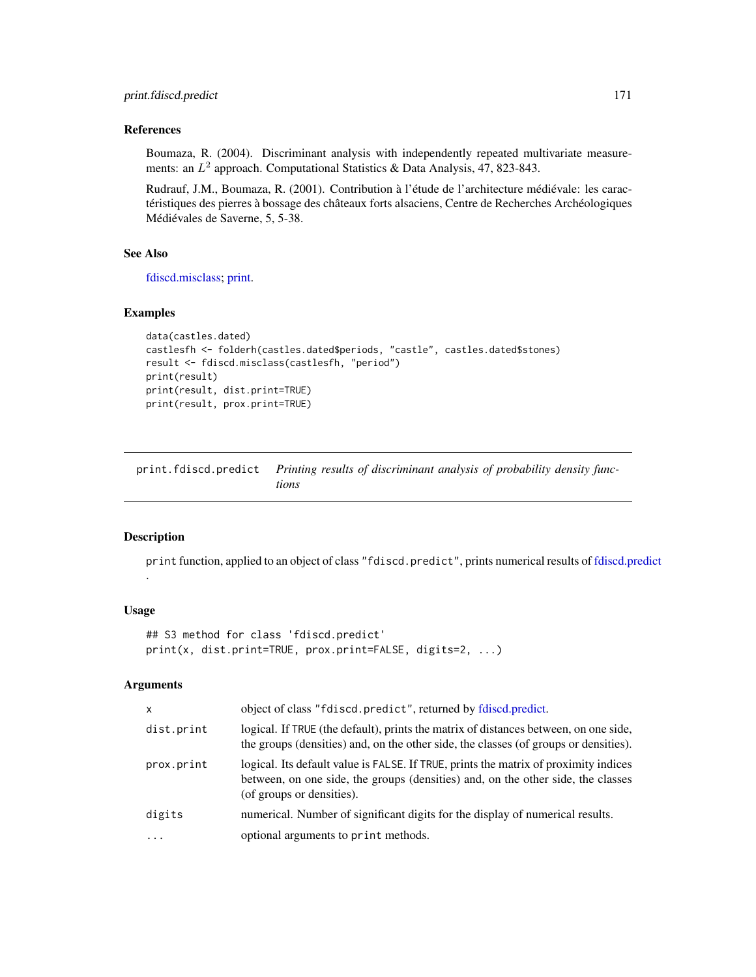# References

Boumaza, R. (2004). Discriminant analysis with independently repeated multivariate measurements: an  $L^2$  approach. Computational Statistics & Data Analysis, 47, 823-843.

Rudrauf, J.M., Boumaza, R. (2001). Contribution à l'étude de l'architecture médiévale: les caractéristiques des pierres à bossage des châteaux forts alsaciens, Centre de Recherches Archéologiques Médiévales de Saverne, 5, 5-38.

#### See Also

[fdiscd.misclass;](#page-59-0) [print.](#page-0-0)

## Examples

```
data(castles.dated)
castlesfh <- folderh(castles.dated$periods, "castle", castles.dated$stones)
result <- fdiscd.misclass(castlesfh, "period")
print(result)
print(result, dist.print=TRUE)
print(result, prox.print=TRUE)
```
print.fdiscd.predict *Printing results of discriminant analysis of probability density functions*

#### Description

print function, applied to an object of class "fdiscd.predict", prints numerical results of [fdiscd.predict](#page-62-0) .

## Usage

```
## S3 method for class 'fdiscd.predict'
print(x, dist.print=TRUE, prox.print=FALSE, digits=2, ...)
```
# Arguments

| $\mathsf{x}$ | object of class "fdiscd.predict", returned by fdiscd.predict.                                                                                                                                         |
|--------------|-------------------------------------------------------------------------------------------------------------------------------------------------------------------------------------------------------|
| dist.print   | logical. If TRUE (the default), prints the matrix of distances between, on one side,<br>the groups (densities) and, on the other side, the classes (of groups or densities).                          |
| prox.print   | logical. Its default value is FALSE. If TRUE, prints the matrix of proximity indices<br>between, on one side, the groups (densities) and, on the other side, the classes<br>(of groups or densities). |
| digits       | numerical. Number of significant digits for the display of numerical results.                                                                                                                         |
| $\ddotsc$    | optional arguments to print methods.                                                                                                                                                                  |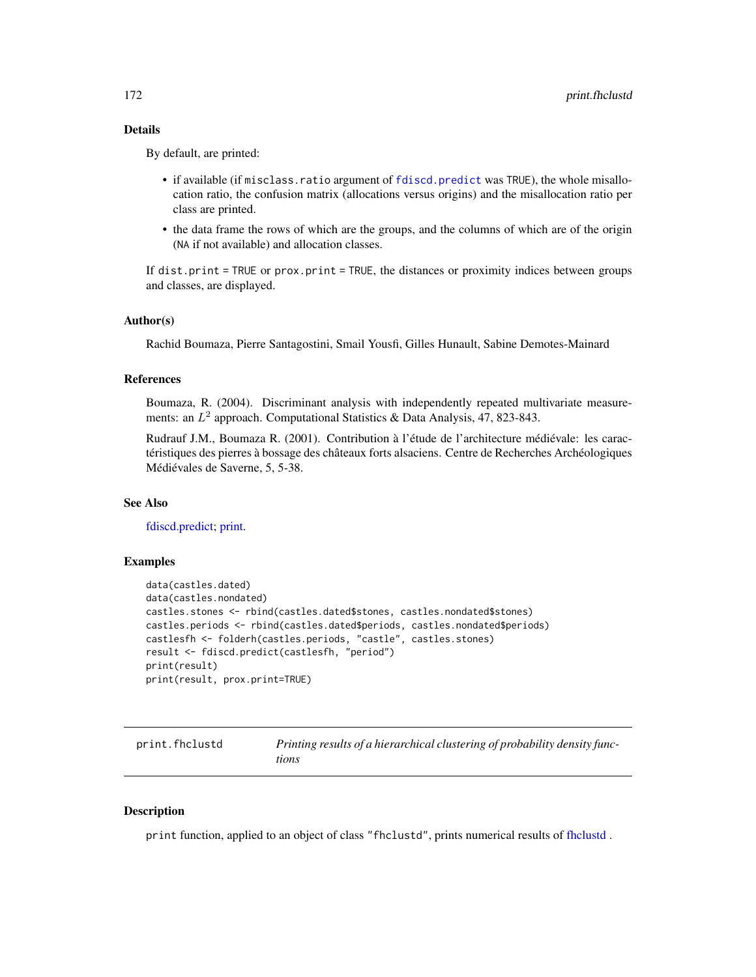# Details

By default, are printed:

- if available (if misclass.ratio argument of [fdiscd.predict](#page-62-0) was TRUE), the whole misallocation ratio, the confusion matrix (allocations versus origins) and the misallocation ratio per class are printed.
- the data frame the rows of which are the groups, and the columns of which are of the origin (NA if not available) and allocation classes.

If dist.print = TRUE or prox.print = TRUE, the distances or proximity indices between groups and classes, are displayed.

## Author(s)

Rachid Boumaza, Pierre Santagostini, Smail Yousfi, Gilles Hunault, Sabine Demotes-Mainard

# References

Boumaza, R. (2004). Discriminant analysis with independently repeated multivariate measurements: an  $L^2$  approach. Computational Statistics & Data Analysis, 47, 823-843.

Rudrauf J.M., Boumaza R. (2001). Contribution à l'étude de l'architecture médiévale: les caractéristiques des pierres à bossage des châteaux forts alsaciens. Centre de Recherches Archéologiques Médiévales de Saverne, 5, 5-38.

# See Also

[fdiscd.predict;](#page-62-0) [print.](#page-0-0)

#### Examples

```
data(castles.dated)
data(castles.nondated)
castles.stones <- rbind(castles.dated$stones, castles.nondated$stones)
castles.periods <- rbind(castles.dated$periods, castles.nondated$periods)
castlesfh <- folderh(castles.periods, "castle", castles.stones)
result <- fdiscd.predict(castlesfh, "period")
print(result)
print(result, prox.print=TRUE)
```
<span id="page-171-0"></span>

| print.fhclustd | Printing results of a hierarchical clustering of probability density func- |
|----------------|----------------------------------------------------------------------------|
|                | tions                                                                      |

#### **Description**

print function, applied to an object of class "fhclustd", prints numerical results of [fhclustd](#page-65-0) .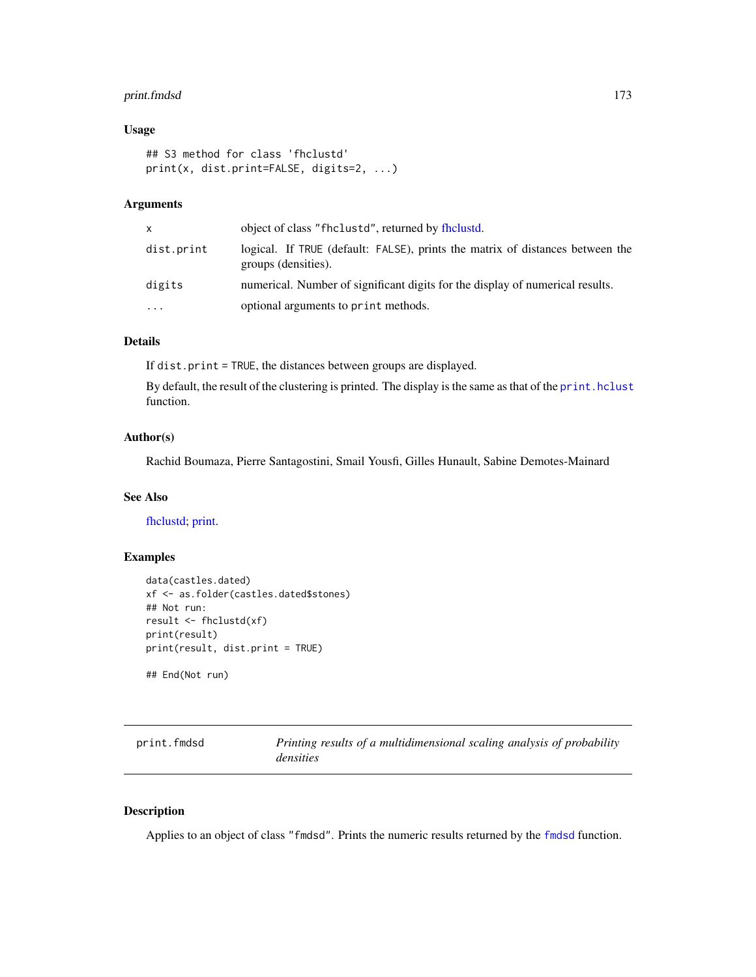# print.fmdsd 173

# Usage

```
## S3 method for class 'fhclustd'
print(x, dist.print=FALSE, digits=2, ...)
```
# Arguments

| x.         | object of class "fhclustd", returned by fhclustd.                                                    |
|------------|------------------------------------------------------------------------------------------------------|
| dist.print | logical. If TRUE (default: FALSE), prints the matrix of distances between the<br>groups (densities). |
| digits     | numerical. Number of significant digits for the display of numerical results.                        |
| $\ddots$   | optional arguments to print methods.                                                                 |

# Details

If dist.print = TRUE, the distances between groups are displayed.

By default, the result of the clustering is printed. The display is the same as that of the [print.hclust](#page-0-0) function.

# Author(s)

Rachid Boumaza, Pierre Santagostini, Smail Yousfi, Gilles Hunault, Sabine Demotes-Mainard

## See Also

[fhclustd;](#page-65-0) [print.](#page-0-0)

# Examples

```
data(castles.dated)
xf <- as.folder(castles.dated$stones)
## Not run:
result <- fhclustd(xf)
print(result)
print(result, dist.print = TRUE)
```
## End(Not run)

<span id="page-172-0"></span>

| print.fmdsd | Printing results of a multidimensional scaling analysis of probability |
|-------------|------------------------------------------------------------------------|
|             | densities                                                              |

## Description

Applies to an object of class "fmdsd". Prints the numeric results returned by the [fmdsd](#page-69-0) function.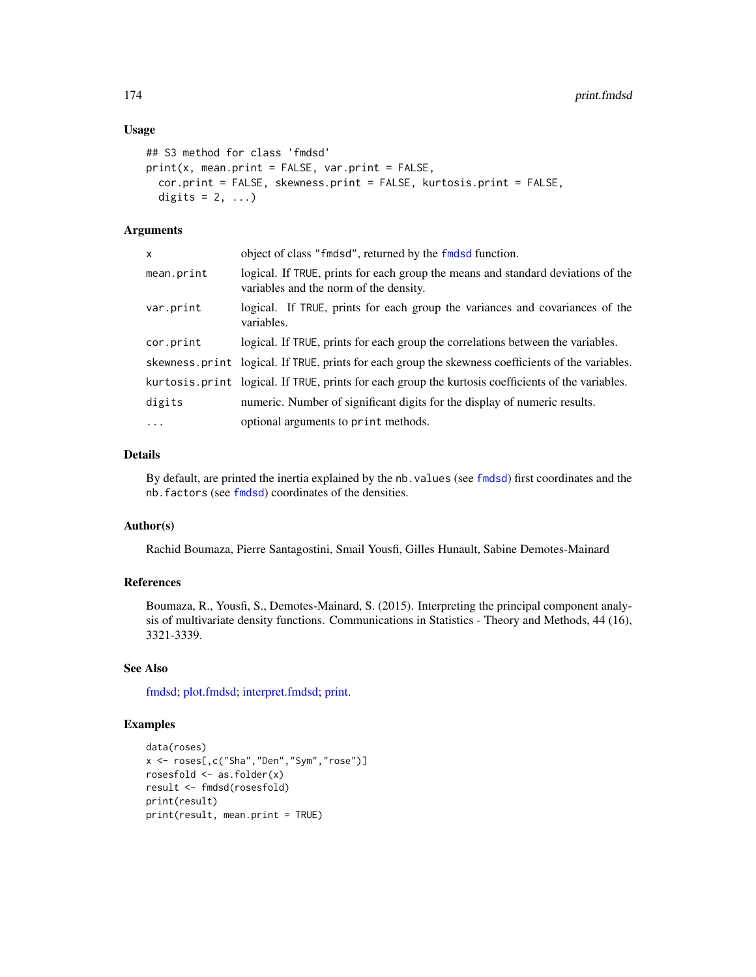# Usage

```
## S3 method for class 'fmdsd'
print(x, mean.print = FALSE, var.print = FALSE,cor.print = FALSE, skewness.print = FALSE, kurtosis.print = FALSE,
 digits = 2, ...)
```
# Arguments

| x          | object of class "findsd", returned by the findsd function.                                                                 |
|------------|----------------------------------------------------------------------------------------------------------------------------|
| mean.print | logical. If TRUE, prints for each group the means and standard deviations of the<br>variables and the norm of the density. |
| var.print  | logical. If TRUE, prints for each group the variances and covariances of the<br>variables.                                 |
| cor.print  | logical. If TRUE, prints for each group the correlations between the variables.                                            |
|            | skewness.print logical. If TRUE, prints for each group the skewness coefficients of the variables.                         |
|            | kurtosis.print logical. If TRUE, prints for each group the kurtosis coefficients of the variables.                         |
| digits     | numeric. Number of significant digits for the display of numeric results.                                                  |
| $\ddots$ . | optional arguments to print methods.                                                                                       |

# Details

By default, are printed the inertia explained by the nb.values (see [fmdsd](#page-69-0)) first coordinates and the nb.factors (see [fmdsd](#page-69-0)) coordinates of the densities.

## Author(s)

Rachid Boumaza, Pierre Santagostini, Smail Yousfi, Gilles Hunault, Sabine Demotes-Mainard

# References

Boumaza, R., Yousfi, S., Demotes-Mainard, S. (2015). Interpreting the principal component analysis of multivariate density functions. Communications in Statistics - Theory and Methods, 44 (16), 3321-3339.

## See Also

[fmdsd;](#page-69-0) [plot.fmdsd;](#page-157-0) [interpret.fmdsd;](#page-97-0) [print.](#page-0-0)

# Examples

```
data(roses)
x <- roses[,c("Sha","Den","Sym","rose")]
rosesfold <- as.folder(x)
result <- fmdsd(rosesfold)
print(result)
print(result, mean.print = TRUE)
```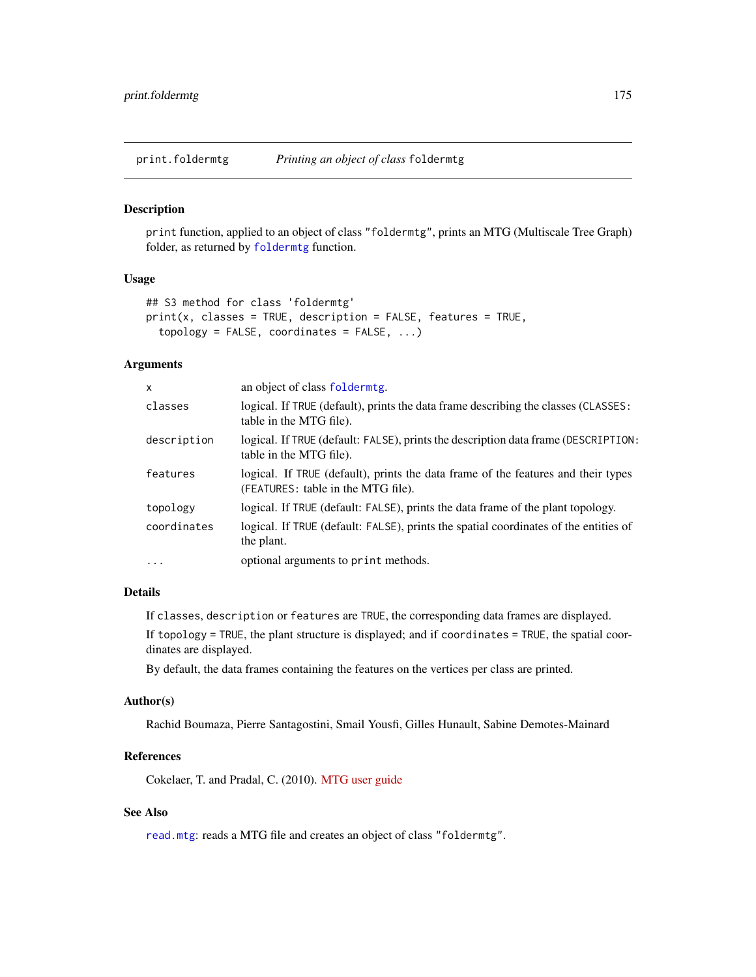print.foldermtg *Printing an object of class* foldermtg

#### Description

print function, applied to an object of class "foldermtg", prints an MTG (Multiscale Tree Graph) folder, as returned by [foldermtg](#page-76-0) function.

## Usage

```
## S3 method for class 'foldermtg'
print(x, classes = TRUE, description = FALSE, features = TRUE,topology = FALSE, coordinates = FALSE, ...)
```
#### Arguments

| x           | an object of class foldermtg.                                                                                           |
|-------------|-------------------------------------------------------------------------------------------------------------------------|
| classes     | logical. If TRUE (default), prints the data frame describing the classes (CLASSES:<br>table in the MTG file).           |
| description | logical. If TRUE (default: FALSE), prints the description data frame (DESCRIPTION:<br>table in the MTG file).           |
| features    | logical. If TRUE (default), prints the data frame of the features and their types<br>(FEATURES: table in the MTG file). |
| topology    | logical. If TRUE (default: FALSE), prints the data frame of the plant topology.                                         |
| coordinates | logical. If TRUE (default: FALSE), prints the spatial coordinates of the entities of<br>the plant.                      |
| $\cdots$    | optional arguments to print methods.                                                                                    |

#### Details

If classes, description or features are TRUE, the corresponding data frames are displayed.

If topology = TRUE, the plant structure is displayed; and if coordinates = TRUE, the spatial coordinates are displayed.

By default, the data frames containing the features on the vertices per class are printed.

#### Author(s)

Rachid Boumaza, Pierre Santagostini, Smail Yousfi, Gilles Hunault, Sabine Demotes-Mainard

## References

Cokelaer, T. and Pradal, C. (2010). [MTG user guide](http://openalea.gforge.inria.fr/doc/vplants/newmtg/doc/_build/html/user/syntax.html)

# See Also

[read.mtg](#page-180-0): reads a MTG file and creates an object of class "foldermtg".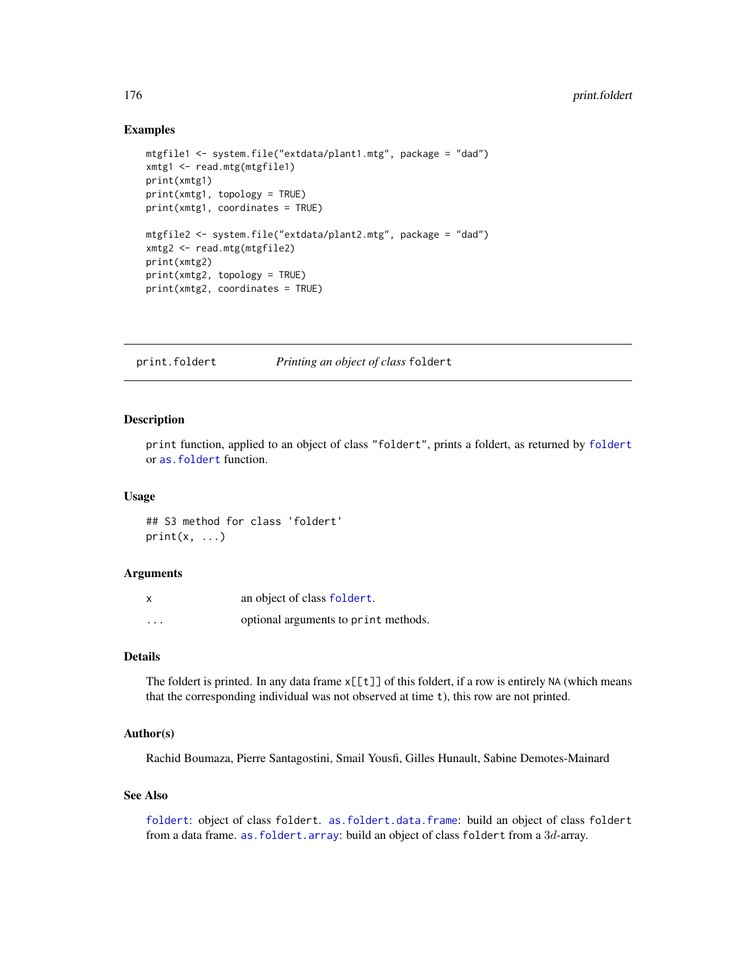## Examples

```
mtgfile1 <- system.file("extdata/plant1.mtg", package = "dad")
xmtg1 <- read.mtg(mtgfile1)
print(xmtg1)
print(xmtg1, topology = TRUE)
print(xmtg1, coordinates = TRUE)
mtgfile2 <- system.file("extdata/plant2.mtg", package = "dad")
xmtg2 <- read.mtg(mtgfile2)
print(xmtg2)
print(xmtg2, topology = TRUE)
print(xmtg2, coordinates = TRUE)
```
print.foldert *Printing an object of class* foldert

#### Description

print function, applied to an object of class "foldert", prints a foldert, as returned by [foldert](#page-77-0) or [as.foldert](#page-17-0) function.

## Usage

## S3 method for class 'foldert'  $print(x, \ldots)$ 

#### Arguments

| x       | an object of class foldert.          |
|---------|--------------------------------------|
| $\cdot$ | optional arguments to print methods. |

# Details

The foldert is printed. In any data frame  $x[[t]]$  of this foldert, if a row is entirely NA (which means that the corresponding individual was not observed at time t), this row are not printed.

# Author(s)

Rachid Boumaza, Pierre Santagostini, Smail Yousfi, Gilles Hunault, Sabine Demotes-Mainard

# See Also

[foldert](#page-77-0): object of class foldert. [as.foldert.data.frame](#page-19-0): build an object of class foldert from a data frame. as. foldert.array: build an object of class foldert from a 3d-array.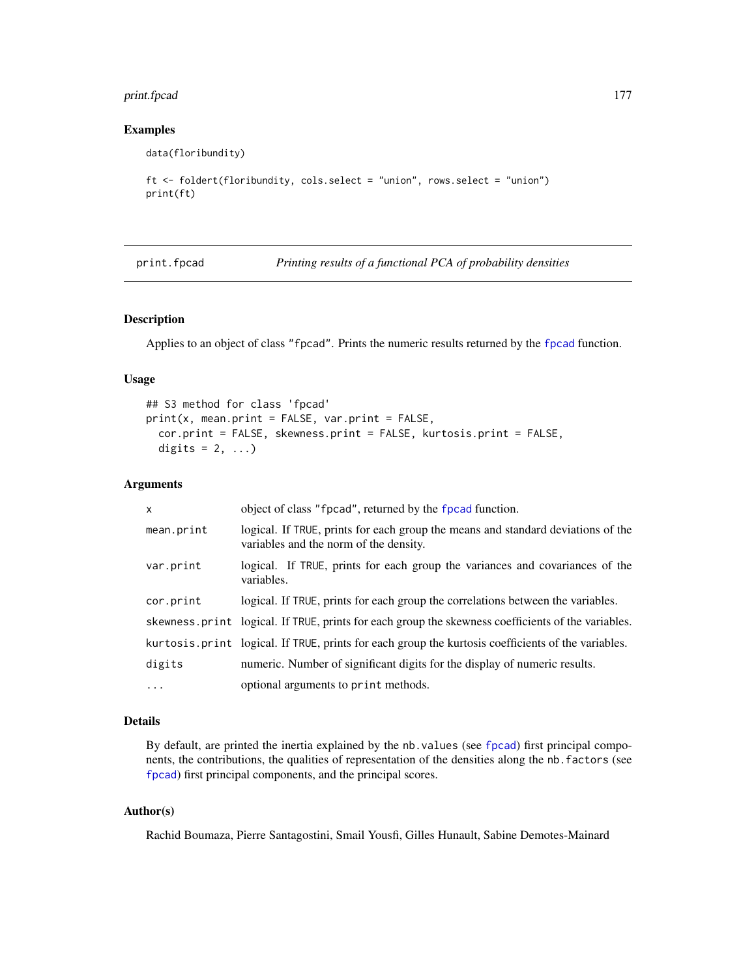# print.fpcad 177

# Examples

data(floribundity)

```
ft <- foldert(floribundity, cols.select = "union", rows.select = "union")
print(ft)
```
<span id="page-176-0"></span>print.fpcad *Printing results of a functional PCA of probability densities*

# Description

Applies to an object of class "fpcad". Prints the numeric results returned by the [fpcad](#page-80-0) function.

# Usage

```
## S3 method for class 'fpcad'
print(x, mean.print = FALSE, var.print = FALSE,cor.print = FALSE, skewness.print = FALSE, kurtosis.print = FALSE,
  digits = 2, ...)
```
## Arguments

| $\mathsf{x}$ | object of class "fpcad", returned by the fpcad function.                                                                   |
|--------------|----------------------------------------------------------------------------------------------------------------------------|
| mean.print   | logical. If TRUE, prints for each group the means and standard deviations of the<br>variables and the norm of the density. |
| var.print    | logical. If TRUE, prints for each group the variances and covariances of the<br>variables.                                 |
| cor.print    | logical. If TRUE, prints for each group the correlations between the variables.                                            |
|              | skewness print logical. If TRUE, prints for each group the skewness coefficients of the variables.                         |
|              | kurtosis.print logical. If TRUE, prints for each group the kurtosis coefficients of the variables.                         |
| digits       | numeric. Number of significant digits for the display of numeric results.                                                  |
| $\cdots$     | optional arguments to print methods.                                                                                       |

# Details

By default, are printed the inertia explained by the nb.values (see [fpcad](#page-80-0)) first principal components, the contributions, the qualities of representation of the densities along the nb.factors (see [fpcad](#page-80-0)) first principal components, and the principal scores.

# Author(s)

Rachid Boumaza, Pierre Santagostini, Smail Yousfi, Gilles Hunault, Sabine Demotes-Mainard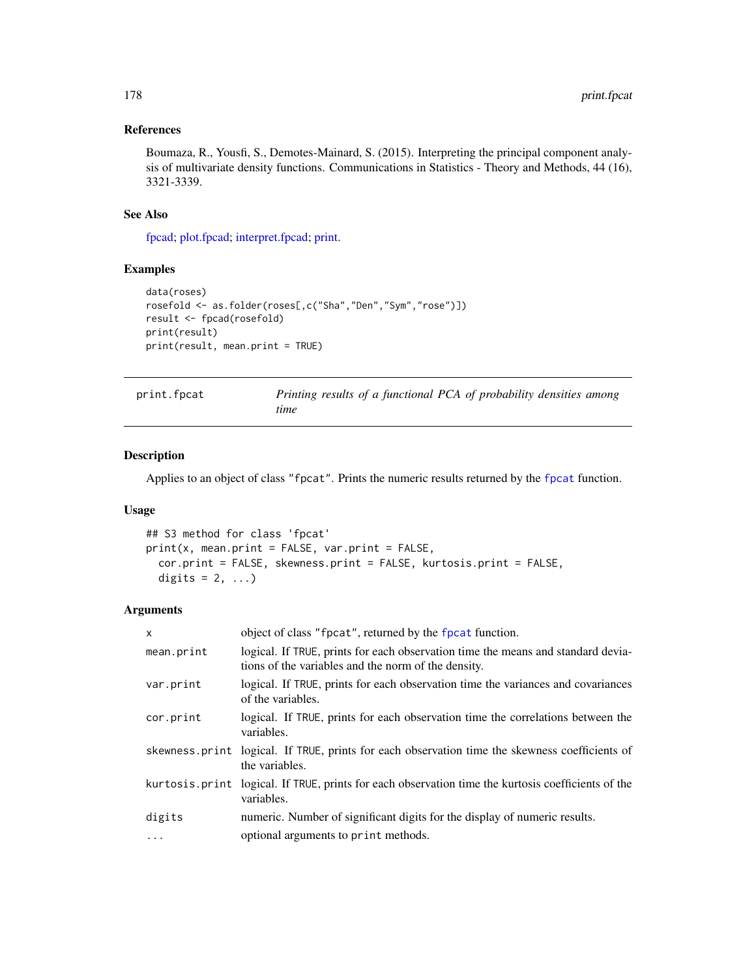# References

Boumaza, R., Yousfi, S., Demotes-Mainard, S. (2015). Interpreting the principal component analysis of multivariate density functions. Communications in Statistics - Theory and Methods, 44 (16), 3321-3339.

## See Also

[fpcad;](#page-80-0) [plot.fpcad;](#page-159-0) [interpret.fpcad;](#page-99-0) [print.](#page-0-0)

# Examples

```
data(roses)
rosefold <- as.folder(roses[,c("Sha","Den","Sym","rose")])
result <- fpcad(rosefold)
print(result)
print(result, mean.print = TRUE)
```
<span id="page-177-0"></span>

| print.fpcat | Printing results of a functional PCA of probability densities among |  |
|-------------|---------------------------------------------------------------------|--|
|             | time                                                                |  |

# Description

Applies to an object of class "fpcat". Prints the numeric results returned by the [fpcat](#page-83-0) function.

## Usage

```
## S3 method for class 'fpcat'
print(x, mean.print = FALSE, var.print = FALSE,
 cor.print = FALSE, skewness.print = FALSE, kurtosis.print = FALSE,
 digits = 2, ...)
```
# Arguments

| $\mathsf{x}$ | object of class "fpcat", returned by the fpcat function.                                                                                |
|--------------|-----------------------------------------------------------------------------------------------------------------------------------------|
| mean.print   | logical. If TRUE, prints for each observation time the means and standard devia-<br>tions of the variables and the norm of the density. |
| var.print    | logical. If TRUE, prints for each observation time the variances and covariances<br>of the variables.                                   |
| cor.print    | logical. If TRUE, prints for each observation time the correlations between the<br>variables.                                           |
|              | skewness print logical. If TRUE, prints for each observation time the skewness coefficients of<br>the variables.                        |
|              | kurtosis. print logical. If TRUE, prints for each observation time the kurtosis coefficients of the<br>variables.                       |
| digits       | numeric. Number of significant digits for the display of numeric results.                                                               |
| .            | optional arguments to print methods.                                                                                                    |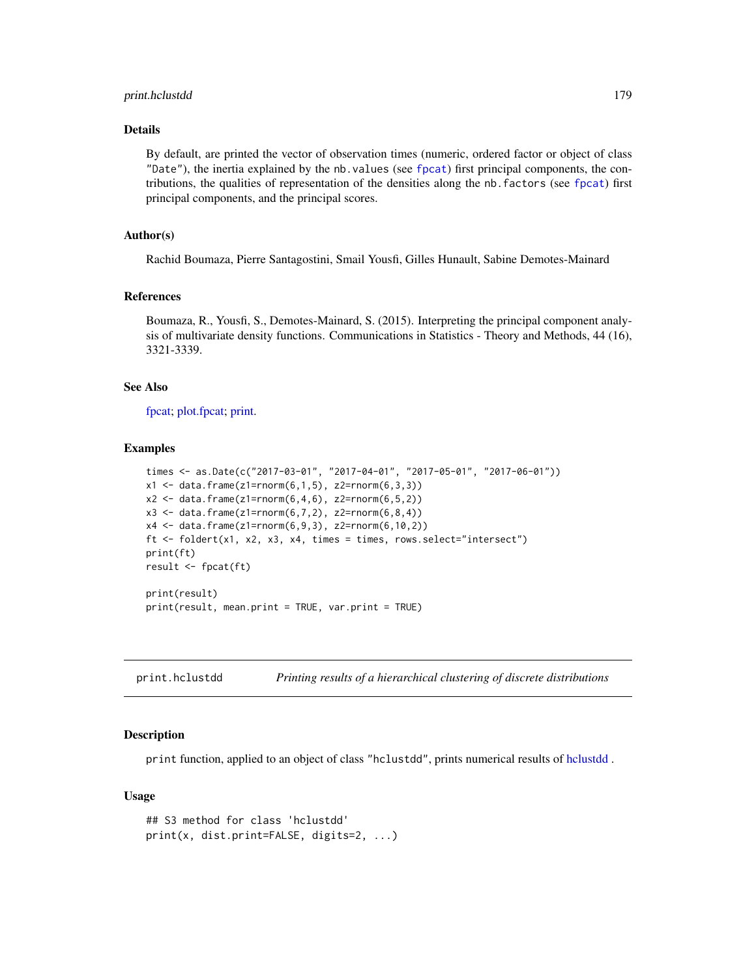## print.hclustdd 179

# Details

By default, are printed the vector of observation times (numeric, ordered factor or object of class "Date"), the inertia explained by the nb.values (see [fpcat](#page-83-0)) first principal components, the contributions, the qualities of representation of the densities along the nb.factors (see [fpcat](#page-83-0)) first principal components, and the principal scores.

## Author(s)

Rachid Boumaza, Pierre Santagostini, Smail Yousfi, Gilles Hunault, Sabine Demotes-Mainard

#### References

Boumaza, R., Yousfi, S., Demotes-Mainard, S. (2015). Interpreting the principal component analysis of multivariate density functions. Communications in Statistics - Theory and Methods, 44 (16), 3321-3339.

#### See Also

[fpcat;](#page-83-0) [plot.fpcat;](#page-161-0) [print.](#page-0-0)

#### Examples

```
times <- as.Date(c("2017-03-01", "2017-04-01", "2017-05-01", "2017-06-01"))
x1 \le - data.frame(z1=rnorm(6,1,5), z2=rnorm(6,3,3))
x2 \le data.frame(z1=rnorm(6,4,6), z2=rnorm(6,5,2))
x3 \leq data.frame(z1=rnorm(6,7,2), z2=rnorm(6,8,4))
x4 \leq - data.frame(z1=rnorm(6,9,3), z2=rnorm(6,10,2))
ft \le foldert(x1, x2, x3, x4, times = times, rows.select="intersect")
print(ft)
result <- fpcat(ft)
print(result)
print(result, mean.print = TRUE, var.print = TRUE)
```
<span id="page-178-0"></span>print.hclustdd *Printing results of a hierarchical clustering of discrete distributions*

## Description

print function, applied to an object of class "hclustdd", prints numerical results of [hclustdd](#page-90-0) .

#### Usage

```
## S3 method for class 'hclustdd'
print(x, dist.print=FALSE, digits=2, ...)
```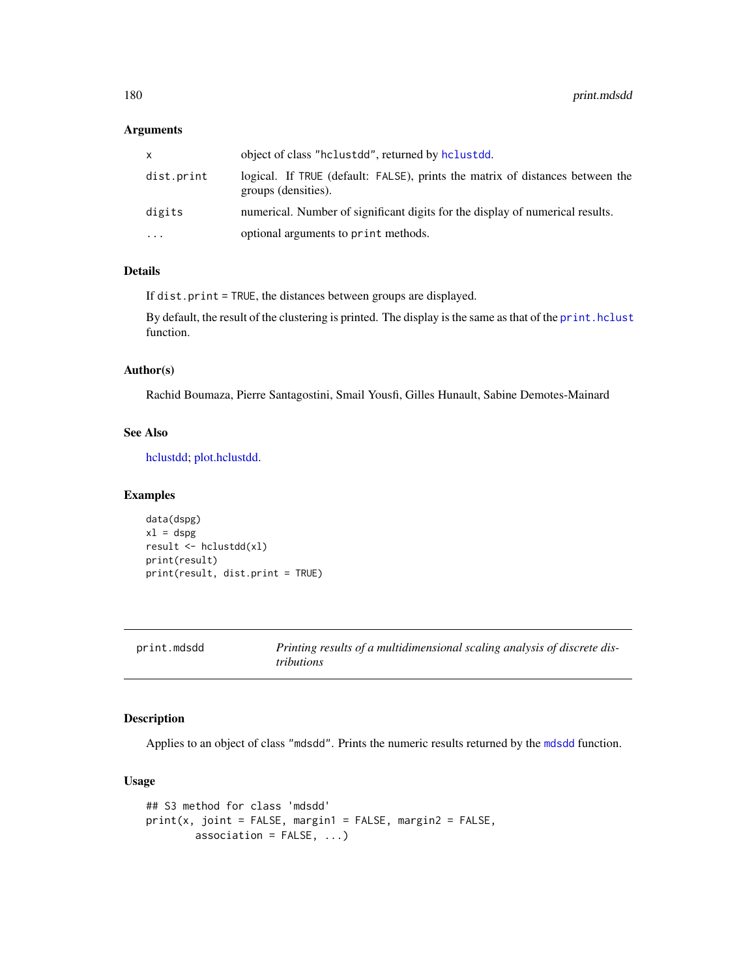# Arguments

| x.         | object of class "hclustdd", returned by hclustdd.                                                    |
|------------|------------------------------------------------------------------------------------------------------|
| dist.print | logical. If TRUE (default: FALSE), prints the matrix of distances between the<br>groups (densities). |
| digits     | numerical. Number of significant digits for the display of numerical results.                        |
| .          | optional arguments to print methods.                                                                 |

# Details

If dist.print = TRUE, the distances between groups are displayed.

By default, the result of the clustering is printed. The display is the same as that of the [print.hclust](#page-0-0) function.

#### Author(s)

Rachid Boumaza, Pierre Santagostini, Smail Yousfi, Gilles Hunault, Sabine Demotes-Mainard

#### See Also

[hclustdd;](#page-90-0) [plot.hclustdd.](#page-162-0)

## Examples

```
data(dspg)
x1 =dspg
result <- hclustdd(xl)
print(result)
print(result, dist.print = TRUE)
```
<span id="page-179-0"></span>

| print.mdsdd |  |
|-------------|--|
|-------------|--|

Printing results of a multidimensional scaling analysis of discrete dis*tributions*

# Description

Applies to an object of class "mdsdd". Prints the numeric results returned by the [mdsdd](#page-144-0) function.

# Usage

```
## S3 method for class 'mdsdd'
print(x, joint = FALSE, margin1 = FALSE, margin2 = FALSE,
       association = FALSE, ...)
```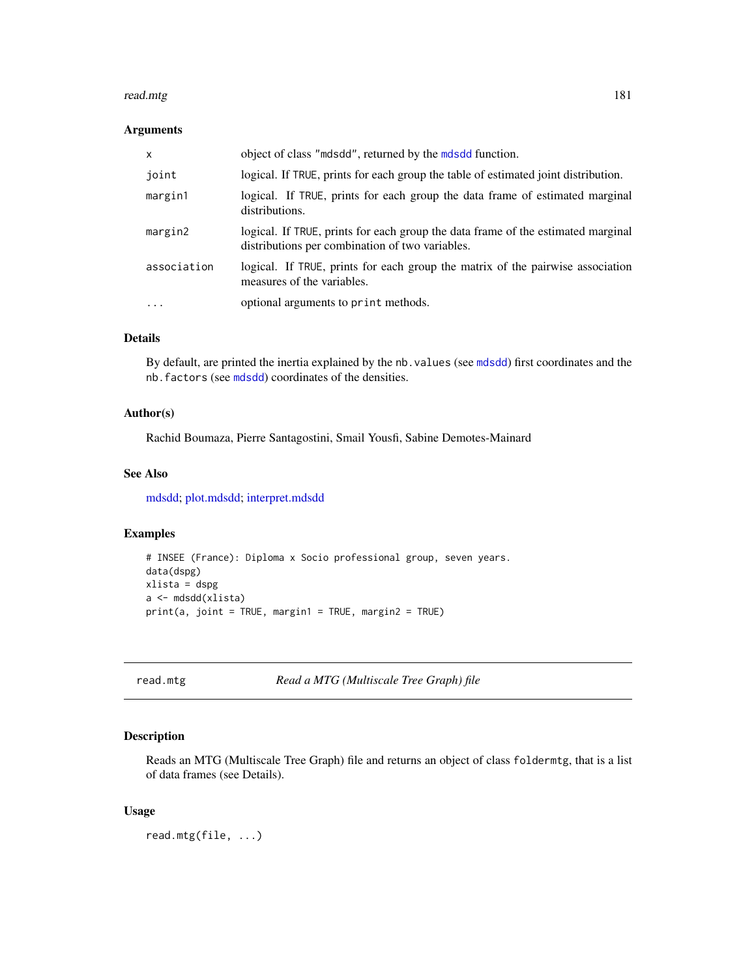#### <span id="page-180-1"></span>read.mtg 181

## Arguments

| X           | object of class "mdsdd", returned by the mdsdd function.                                                                            |
|-------------|-------------------------------------------------------------------------------------------------------------------------------------|
| joint       | logical. If TRUE, prints for each group the table of estimated joint distribution.                                                  |
| margin1     | logical. If TRUE, prints for each group the data frame of estimated marginal<br>distributions.                                      |
| margin2     | logical. If TRUE, prints for each group the data frame of the estimated marginal<br>distributions per combination of two variables. |
| association | logical. If TRUE, prints for each group the matrix of the pairwise association<br>measures of the variables.                        |
| .           | optional arguments to print methods.                                                                                                |

# Details

By default, are printed the inertia explained by the nb. values (see [mdsdd](#page-144-0)) first coordinates and the nb.factors (see [mdsdd](#page-144-0)) coordinates of the densities.

# Author(s)

Rachid Boumaza, Pierre Santagostini, Smail Yousfi, Sabine Demotes-Mainard

## See Also

[mdsdd;](#page-144-0) [plot.mdsdd;](#page-163-0) [interpret.mdsdd](#page-102-0)

## Examples

```
# INSEE (France): Diploma x Socio professional group, seven years.
data(dspg)
xlista = dspg
a <- mdsdd(xlista)
print(a, joint = TRUE, margin1 = TRUE, margin2 = TRUE)
```
<span id="page-180-0"></span>read.mtg *Read a MTG (Multiscale Tree Graph) file*

## Description

Reads an MTG (Multiscale Tree Graph) file and returns an object of class foldermtg, that is a list of data frames (see Details).

#### Usage

read.mtg(file, ...)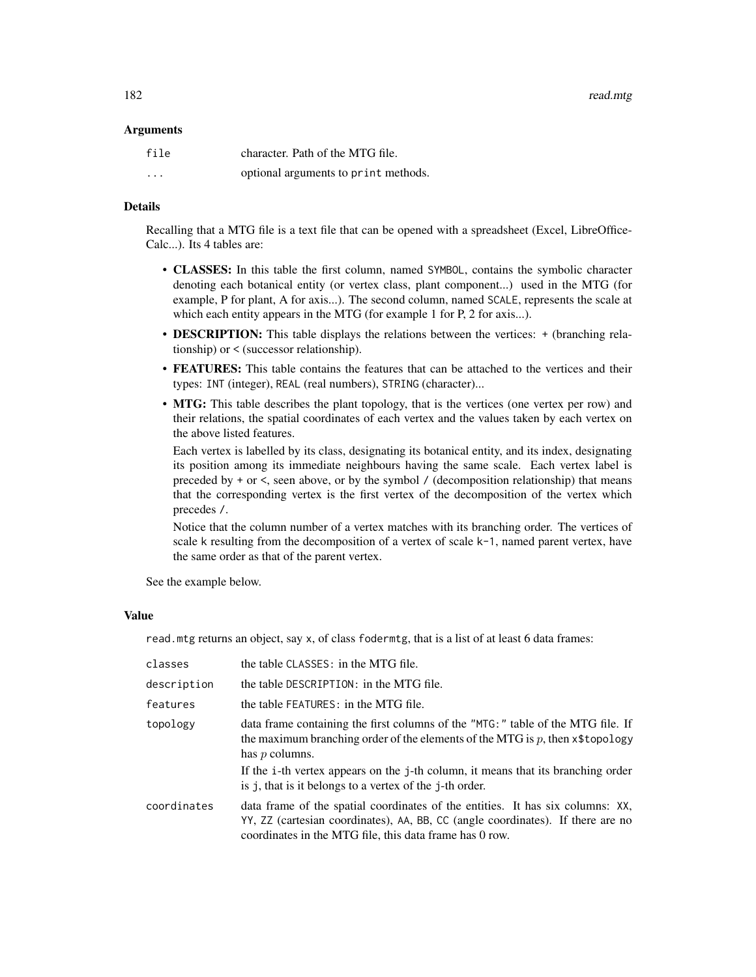#### **Arguments**

| file     | character. Path of the MTG file.     |
|----------|--------------------------------------|
| $\cdots$ | optional arguments to print methods. |

## Details

Recalling that a MTG file is a text file that can be opened with a spreadsheet (Excel, LibreOffice-Calc...). Its 4 tables are:

- CLASSES: In this table the first column, named SYMBOL, contains the symbolic character denoting each botanical entity (or vertex class, plant component...) used in the MTG (for example, P for plant, A for axis...). The second column, named SCALE, represents the scale at which each entity appears in the MTG (for example 1 for P, 2 for axis...).
- **DESCRIPTION:** This table displays the relations between the vertices:  $+$  (branching relationship) or < (successor relationship).
- FEATURES: This table contains the features that can be attached to the vertices and their types: INT (integer), REAL (real numbers), STRING (character)...
- MTG: This table describes the plant topology, that is the vertices (one vertex per row) and their relations, the spatial coordinates of each vertex and the values taken by each vertex on the above listed features.

Each vertex is labelled by its class, designating its botanical entity, and its index, designating its position among its immediate neighbours having the same scale. Each vertex label is preceded by  $+$  or  $\lt$ , seen above, or by the symbol / (decomposition relationship) that means that the corresponding vertex is the first vertex of the decomposition of the vertex which precedes /.

Notice that the column number of a vertex matches with its branching order. The vertices of scale k resulting from the decomposition of a vertex of scale k-1, named parent vertex, have the same order as that of the parent vertex.

See the example below.

#### Value

read.mtg returns an object, say x, of class fodermtg, that is a list of at least 6 data frames:

| classes     | the table CLASSES: in the MTG file.                                                                                                                                                                                                                                                                                                       |
|-------------|-------------------------------------------------------------------------------------------------------------------------------------------------------------------------------------------------------------------------------------------------------------------------------------------------------------------------------------------|
| description | the table DESCRIPTION: in the MTG file.                                                                                                                                                                                                                                                                                                   |
| features    | the table FEATURES: in the MTG file.                                                                                                                                                                                                                                                                                                      |
| topology    | data frame containing the first columns of the "MTG:" table of the MTG file. If<br>the maximum branching order of the elements of the MTG is $p$ , then $x$ \$topology<br>has $p$ columns.<br>If the i-th vertex appears on the j-th column, it means that its branching order<br>is j, that is it belongs to a vertex of the j-th order. |
| coordinates | data frame of the spatial coordinates of the entities. It has six columns: XX,<br>YY, ZZ (cartesian coordinates), AA, BB, CC (angle coordinates). If there are no<br>coordinates in the MTG file, this data frame has 0 row.                                                                                                              |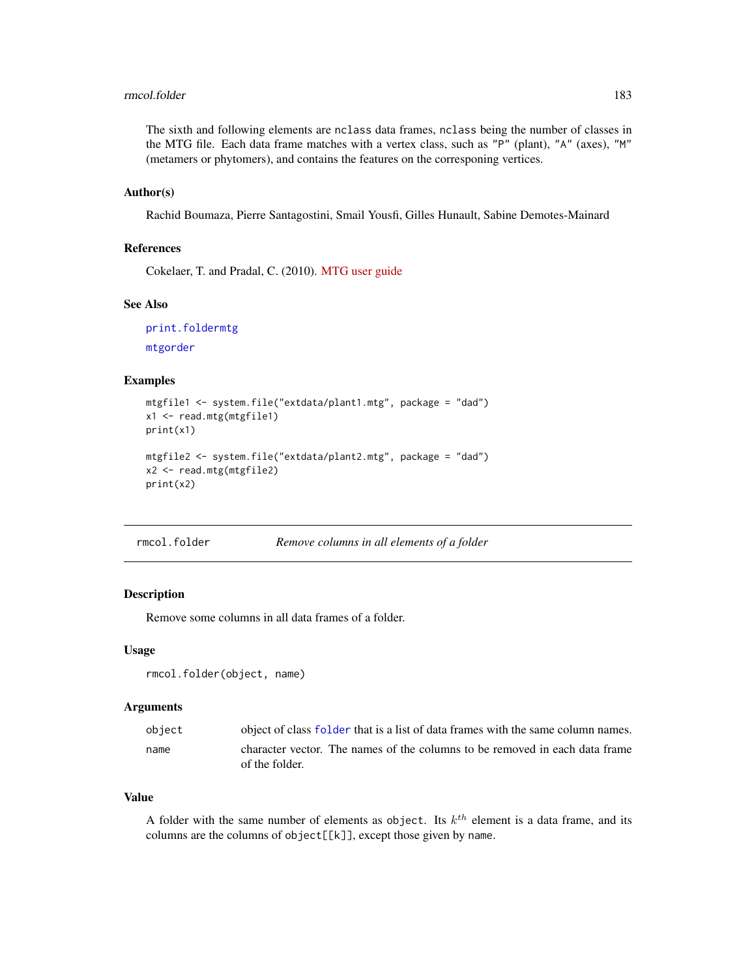#### <span id="page-182-1"></span>rmcol.folder 183

The sixth and following elements are nclass data frames, nclass being the number of classes in the MTG file. Each data frame matches with a vertex class, such as "P" (plant), "A" (axes), "M" (metamers or phytomers), and contains the features on the corresponing vertices.

## Author(s)

Rachid Boumaza, Pierre Santagostini, Smail Yousfi, Gilles Hunault, Sabine Demotes-Mainard

## References

Cokelaer, T. and Pradal, C. (2010). [MTG user guide](http://openalea.gforge.inria.fr/doc/vplants/newmtg/doc/_build/html/user/syntax.html)

## See Also

[print.foldermtg](#page-174-0) [mtgorder](#page-149-0)

## Examples

```
mtgfile1 <- system.file("extdata/plant1.mtg", package = "dad")
x1 <- read.mtg(mtgfile1)
print(x1)
mtgfile2 <- system.file("extdata/plant2.mtg", package = "dad")
x2 <- read.mtg(mtgfile2)
print(x2)
```
<span id="page-182-0"></span>

## Description

Remove some columns in all data frames of a folder.

#### Usage

```
rmcol.folder(object, name)
```
#### Arguments

| object | object of class folder that is a list of data frames with the same column names.              |
|--------|-----------------------------------------------------------------------------------------------|
| name   | character vector. The names of the columns to be removed in each data frame<br>of the folder. |

#### Value

A folder with the same number of elements as object. Its  $k^{th}$  element is a data frame, and its columns are the columns of object[[k]], except those given by name.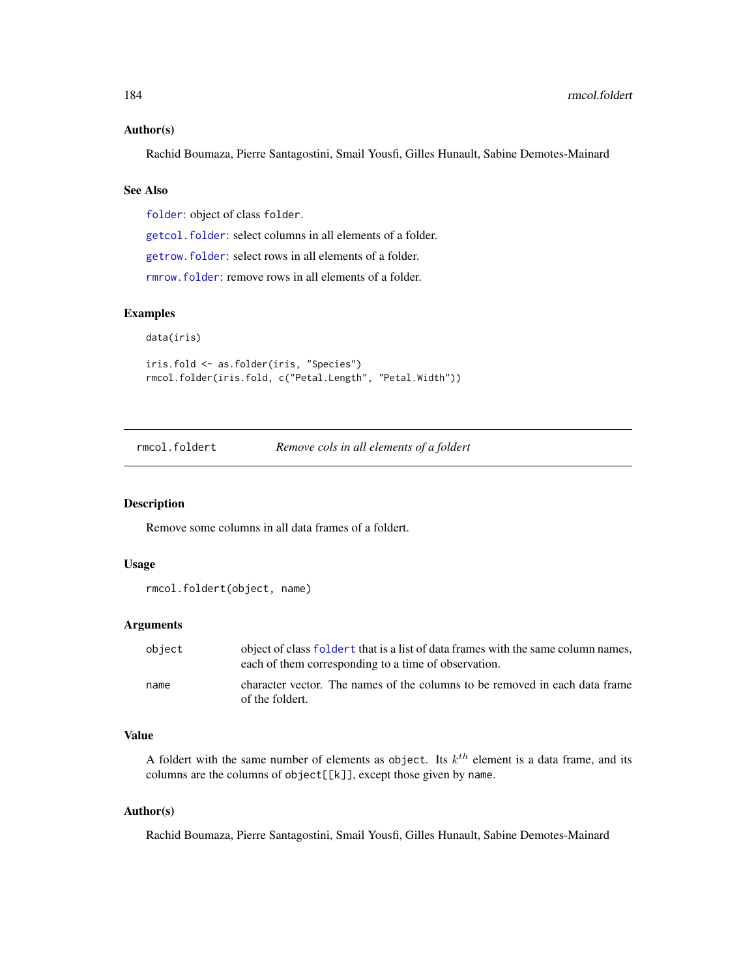#### <span id="page-183-1"></span>Author(s)

Rachid Boumaza, Pierre Santagostini, Smail Yousfi, Gilles Hunault, Sabine Demotes-Mainard

# See Also

[folder](#page-73-0): object of class folder.

[getcol.folder](#page-86-0): select columns in all elements of a folder.

[getrow.folder](#page-88-0): select rows in all elements of a folder.

[rmrow.folder](#page-184-0): remove rows in all elements of a folder.

# Examples

data(iris)

```
iris.fold <- as.folder(iris, "Species")
rmcol.folder(iris.fold, c("Petal.Length", "Petal.Width"))
```
<span id="page-183-0"></span>rmcol.foldert *Remove cols in all elements of a foldert*

# Description

Remove some columns in all data frames of a foldert.

#### Usage

```
rmcol.foldert(object, name)
```
## Arguments

| obiect | object of class foldert that is a list of data frames with the same column names,<br>each of them corresponding to a time of observation. |
|--------|-------------------------------------------------------------------------------------------------------------------------------------------|
| name   | character vector. The names of the columns to be removed in each data frame<br>of the foldert.                                            |

## Value

A foldert with the same number of elements as object. Its  $k^{th}$  element is a data frame, and its columns are the columns of object[[k]], except those given by name.

#### Author(s)

Rachid Boumaza, Pierre Santagostini, Smail Yousfi, Gilles Hunault, Sabine Demotes-Mainard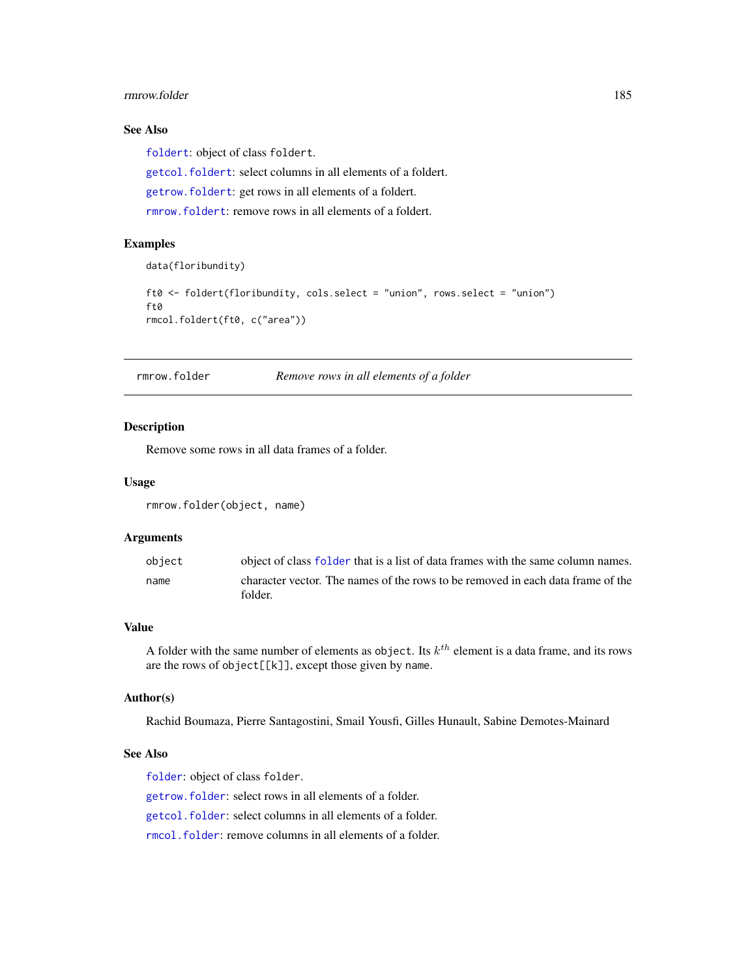#### <span id="page-184-1"></span>rmrow.folder 185

# See Also

[foldert](#page-77-0): object of class foldert.

[getcol.foldert](#page-87-0): select columns in all elements of a foldert.

[getrow.foldert](#page-89-0): get rows in all elements of a foldert.

[rmrow.foldert](#page-185-0): remove rows in all elements of a foldert.

# Examples

```
data(floribundity)
```

```
ft0 <- foldert(floribundity, cols.select = "union", rows.select = "union")
ft0
rmcol.foldert(ft0, c("area"))
```
<span id="page-184-0"></span>rmrow.folder *Remove rows in all elements of a folder*

## Description

Remove some rows in all data frames of a folder.

## Usage

```
rmrow.folder(object, name)
```
## Arguments

| object | object of class folder that is a list of data frames with the same column names. |
|--------|----------------------------------------------------------------------------------|
| name   | character vector. The names of the rows to be removed in each data frame of the  |
|        | folder.                                                                          |

#### Value

A folder with the same number of elements as object. Its  $k^{th}$  element is a data frame, and its rows are the rows of object[[k]], except those given by name.

# Author(s)

Rachid Boumaza, Pierre Santagostini, Smail Yousfi, Gilles Hunault, Sabine Demotes-Mainard

## See Also

[folder](#page-73-0): object of class folder.

[getrow.folder](#page-88-0): select rows in all elements of a folder.

[getcol.folder](#page-86-0): select columns in all elements of a folder.

[rmcol.folder](#page-182-0): remove columns in all elements of a folder.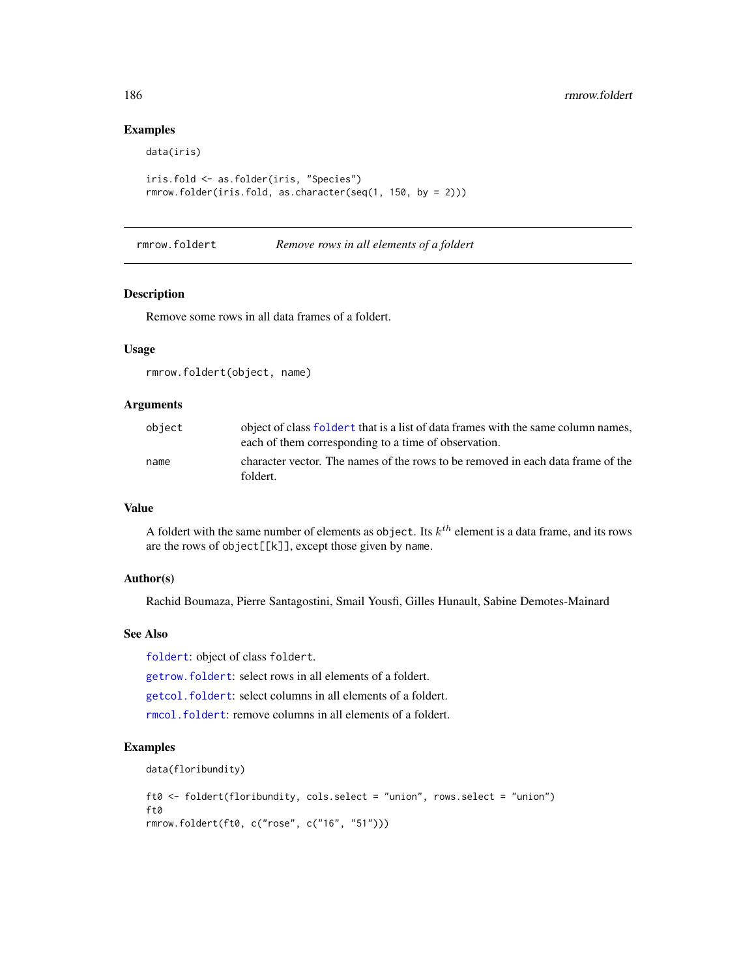# Examples

data(iris)

```
iris.fold <- as.folder(iris, "Species")
rmrow.folder(iris.fold, as.character(seq(1, 150, by = 2)))
```
<span id="page-185-0"></span>rmrow.foldert *Remove rows in all elements of a foldert*

# Description

Remove some rows in all data frames of a foldert.

# Usage

rmrow.foldert(object, name)

#### Arguments

| object | object of class foldert that is a list of data frames with the same column names,<br>each of them corresponding to a time of observation. |
|--------|-------------------------------------------------------------------------------------------------------------------------------------------|
| name   | character vector. The names of the rows to be removed in each data frame of the<br>foldert.                                               |

### Value

A foldert with the same number of elements as object. Its  $k^{th}$  element is a data frame, and its rows are the rows of object[[k]], except those given by name.

#### Author(s)

Rachid Boumaza, Pierre Santagostini, Smail Yousfi, Gilles Hunault, Sabine Demotes-Mainard

## See Also

[foldert](#page-77-0): object of class foldert.

[getrow.foldert](#page-89-0): select rows in all elements of a foldert.

[getcol.foldert](#page-87-0): select columns in all elements of a foldert.

[rmcol.foldert](#page-183-0): remove columns in all elements of a foldert.

```
data(floribundity)
```

```
ft0 <- foldert(floribundity, cols.select = "union", rows.select = "union")
ft0
rmrow.foldert(ft0, c("rose", c("16", "51")))
```
<span id="page-185-1"></span>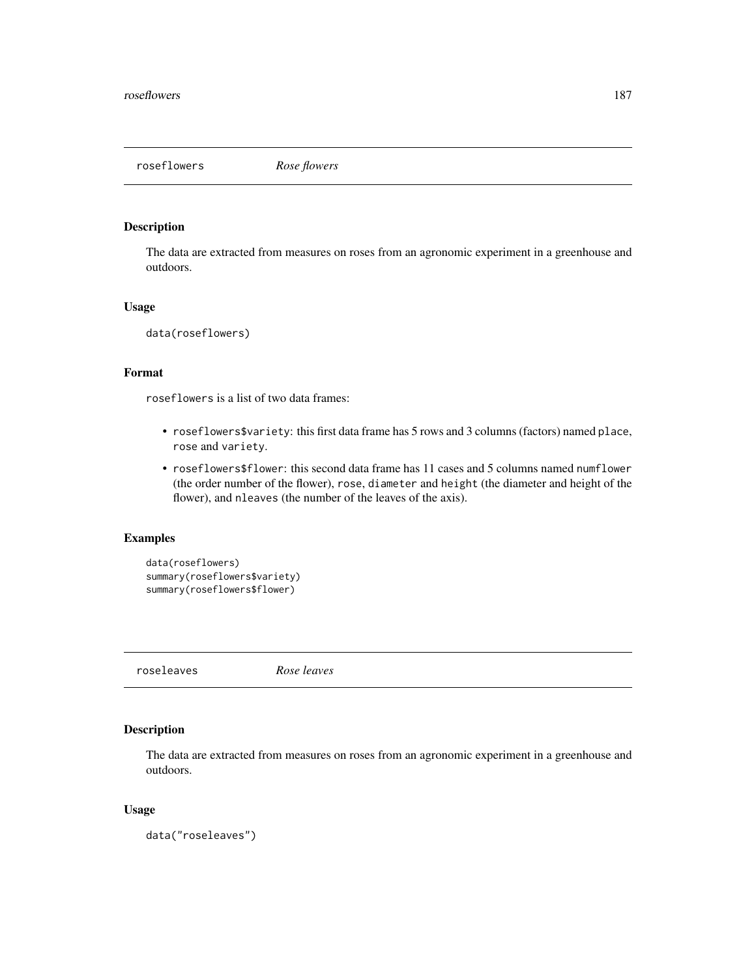<span id="page-186-0"></span>roseflowers *Rose flowers*

# Description

The data are extracted from measures on roses from an agronomic experiment in a greenhouse and outdoors.

## Usage

data(roseflowers)

# Format

roseflowers is a list of two data frames:

- roseflowers\$variety: this first data frame has 5 rows and 3 columns (factors) named place, rose and variety.
- roseflowers\$flower: this second data frame has 11 cases and 5 columns named numflower (the order number of the flower), rose, diameter and height (the diameter and height of the flower), and nleaves (the number of the leaves of the axis).

## Examples

```
data(roseflowers)
summary(roseflowers$variety)
summary(roseflowers$flower)
```
roseleaves *Rose leaves*

# Description

The data are extracted from measures on roses from an agronomic experiment in a greenhouse and outdoors.

# Usage

data("roseleaves")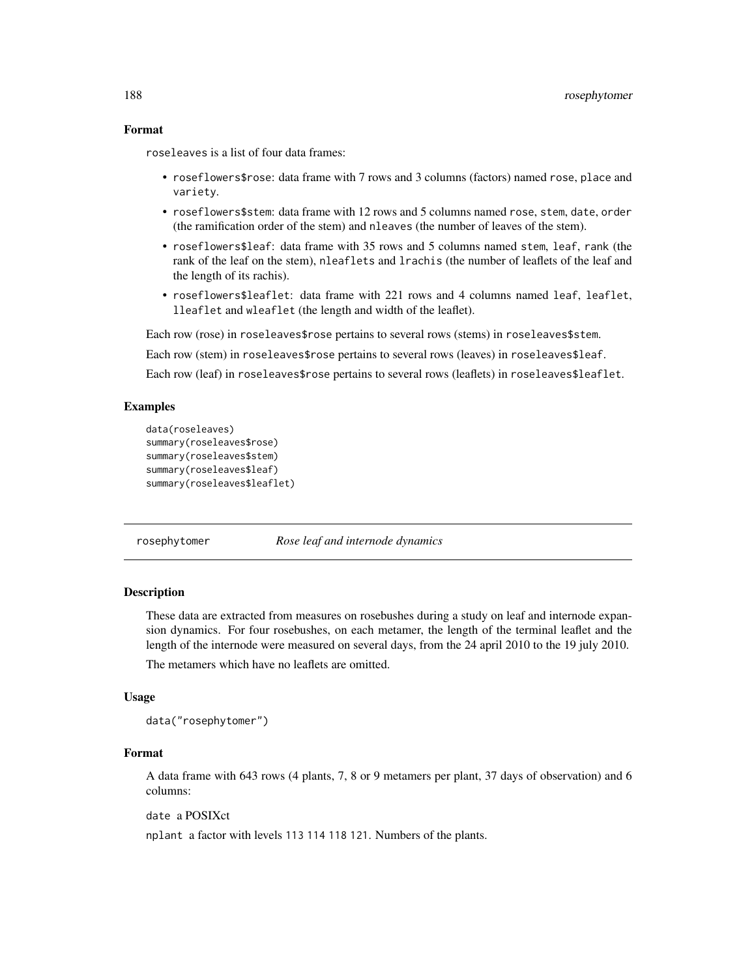# <span id="page-187-0"></span>Format

roseleaves is a list of four data frames:

- roseflowers\$rose: data frame with 7 rows and 3 columns (factors) named rose, place and variety.
- roseflowers\$stem: data frame with 12 rows and 5 columns named rose, stem, date, order (the ramification order of the stem) and nleaves (the number of leaves of the stem).
- roseflowers\$leaf: data frame with 35 rows and 5 columns named stem, leaf, rank (the rank of the leaf on the stem), nleaflets and lrachis (the number of leaflets of the leaf and the length of its rachis).
- roseflowers\$leaflet: data frame with 221 rows and 4 columns named leaf, leaflet, lleaflet and wleaflet (the length and width of the leaflet).

Each row (rose) in roseleaves\$rose pertains to several rows (stems) in roseleaves\$stem.

Each row (stem) in roseleaves\$rose pertains to several rows (leaves) in roseleaves\$leaf.

Each row (leaf) in roseleaves\$rose pertains to several rows (leaflets) in roseleaves\$leaflet.

# Examples

```
data(roseleaves)
summary(roseleaves$rose)
summary(roseleaves$stem)
summary(roseleaves$leaf)
summary(roseleaves$leaflet)
```
rosephytomer *Rose leaf and internode dynamics*

#### Description

These data are extracted from measures on rosebushes during a study on leaf and internode expansion dynamics. For four rosebushes, on each metamer, the length of the terminal leaflet and the length of the internode were measured on several days, from the 24 april 2010 to the 19 july 2010.

The metamers which have no leaflets are omitted.

#### Usage

```
data("rosephytomer")
```
## Format

A data frame with 643 rows (4 plants, 7, 8 or 9 metamers per plant, 37 days of observation) and 6 columns:

date a POSIXct

nplant a factor with levels 113 114 118 121. Numbers of the plants.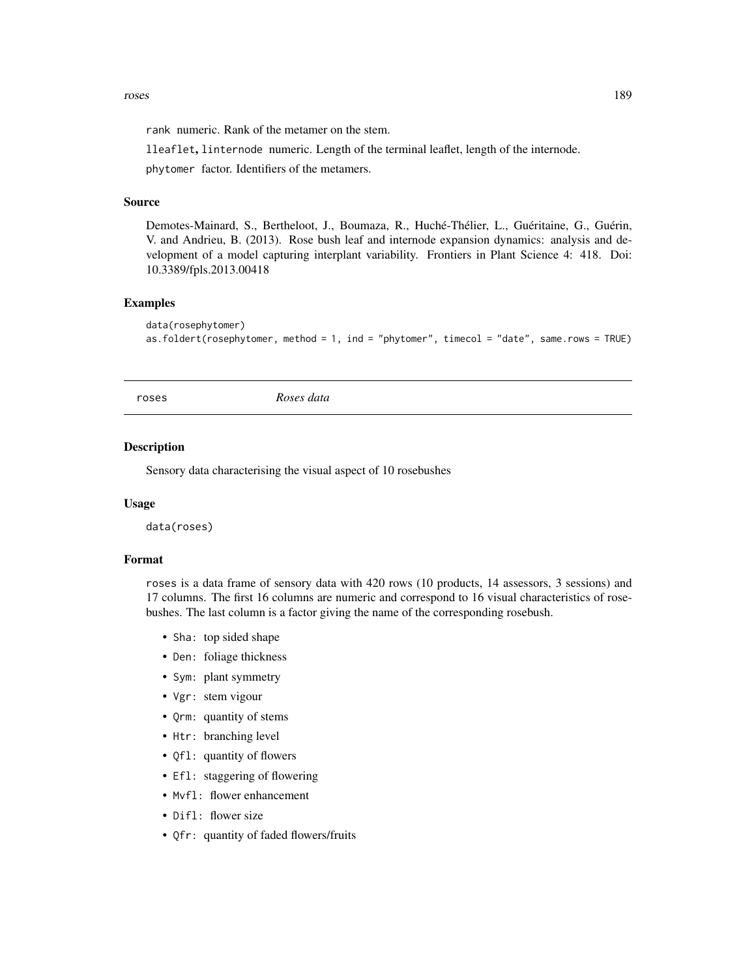<span id="page-188-0"></span>rank numeric. Rank of the metamer on the stem.

lleaflet, linternode numeric. Length of the terminal leaflet, length of the internode.

phytomer factor. Identifiers of the metamers.

# Source

Demotes-Mainard, S., Bertheloot, J., Boumaza, R., Huché-Thélier, L., Guéritaine, G., Guérin, V. and Andrieu, B. (2013). Rose bush leaf and internode expansion dynamics: analysis and development of a model capturing interplant variability. Frontiers in Plant Science 4: 418. Doi: 10.3389/fpls.2013.00418

#### Examples

```
data(rosephytomer)
as.foldert(rosephytomer, method = 1, ind = "phytomer", timecol = "date", same.rows = TRUE)
```
roses *Roses data*

# Description

Sensory data characterising the visual aspect of 10 rosebushes

#### Usage

data(roses)

#### Format

roses is a data frame of sensory data with 420 rows (10 products, 14 assessors, 3 sessions) and 17 columns. The first 16 columns are numeric and correspond to 16 visual characteristics of rosebushes. The last column is a factor giving the name of the corresponding rosebush.

- Sha: top sided shape
- Den: foliage thickness
- Sym: plant symmetry
- Vgr: stem vigour
- Qrm: quantity of stems
- Htr: branching level
- Of 1: quantity of flowers
- Efl: staggering of flowering
- Mvfl: flower enhancement
- Difl: flower size
- Qfr: quantity of faded flowers/fruits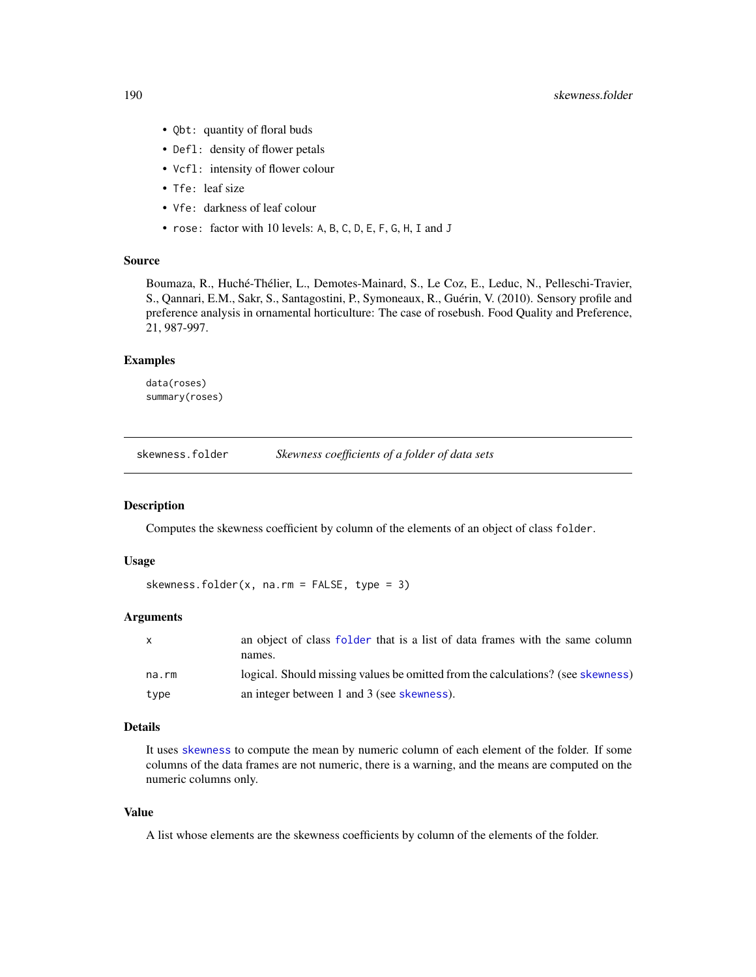- <span id="page-189-1"></span>• Qbt: quantity of floral buds
- Defl: density of flower petals
- Vcfl: intensity of flower colour
- Tfe: leaf size
- Vfe: darkness of leaf colour
- rose: factor with 10 levels: A, B, C, D, E, F, G, H, I and J

#### Source

Boumaza, R., Huché-Thélier, L., Demotes-Mainard, S., Le Coz, E., Leduc, N., Pelleschi-Travier, S., Qannari, E.M., Sakr, S., Santagostini, P., Symoneaux, R., Guérin, V. (2010). Sensory profile and preference analysis in ornamental horticulture: The case of rosebush. Food Quality and Preference, 21, 987-997.

# Examples

data(roses) summary(roses)

<span id="page-189-0"></span>skewness.folder *Skewness coefficients of a folder of data sets*

#### Description

Computes the skewness coefficient by column of the elements of an object of class folder.

#### Usage

```
skewness.folder(x, na.rm = FALSE, type = 3)
```
# Arguments

| $\mathsf{x}$ | an object of class folder that is a list of data frames with the same column    |
|--------------|---------------------------------------------------------------------------------|
|              | names.                                                                          |
| na.rm        | logical. Should missing values be omitted from the calculations? (see skewness) |
| type         | an integer between 1 and 3 (see skewness).                                      |

## Details

It uses [skewness](#page-0-0) to compute the mean by numeric column of each element of the folder. If some columns of the data frames are not numeric, there is a warning, and the means are computed on the numeric columns only.

#### Value

A list whose elements are the skewness coefficients by column of the elements of the folder.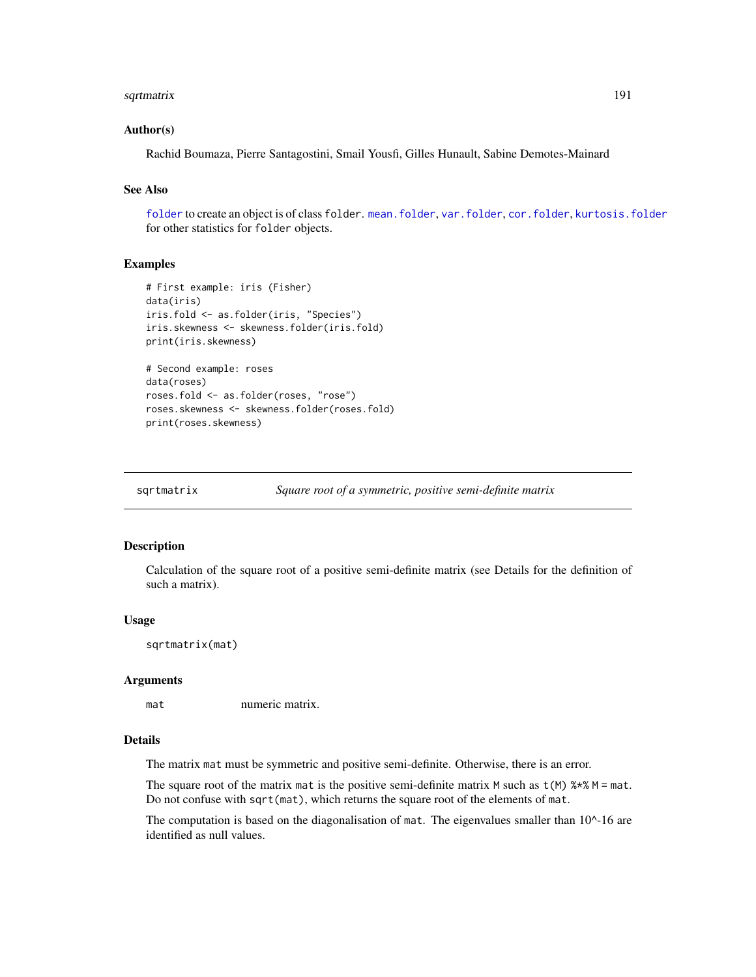#### <span id="page-190-0"></span>sqrtmatrix 191

#### Author(s)

Rachid Boumaza, Pierre Santagostini, Smail Yousfi, Gilles Hunault, Sabine Demotes-Mainard

# See Also

[folder](#page-73-0) to create an object is of class folder. [mean.folder](#page-147-0), [var.folder](#page-195-0), [cor.folder](#page-27-0), [kurtosis.folder](#page-115-0) for other statistics for folder objects.

# Examples

```
# First example: iris (Fisher)
data(iris)
iris.fold <- as.folder(iris, "Species")
iris.skewness <- skewness.folder(iris.fold)
print(iris.skewness)
# Second example: roses
data(roses)
roses.fold <- as.folder(roses, "rose")
roses.skewness <- skewness.folder(roses.fold)
print(roses.skewness)
```
sqrtmatrix *Square root of a symmetric, positive semi-definite matrix*

#### Description

Calculation of the square root of a positive semi-definite matrix (see Details for the definition of such a matrix).

#### Usage

sqrtmatrix(mat)

#### Arguments

mat numeric matrix.

## Details

The matrix mat must be symmetric and positive semi-definite. Otherwise, there is an error.

The square root of the matrix mat is the positive semi-definite matrix M such as  $t(M)$  %\*% M = mat. Do not confuse with sqrt(mat), which returns the square root of the elements of mat.

The computation is based on the diagonalisation of mat. The eigenvalues smaller than  $10^{\circ}$ -16 are identified as null values.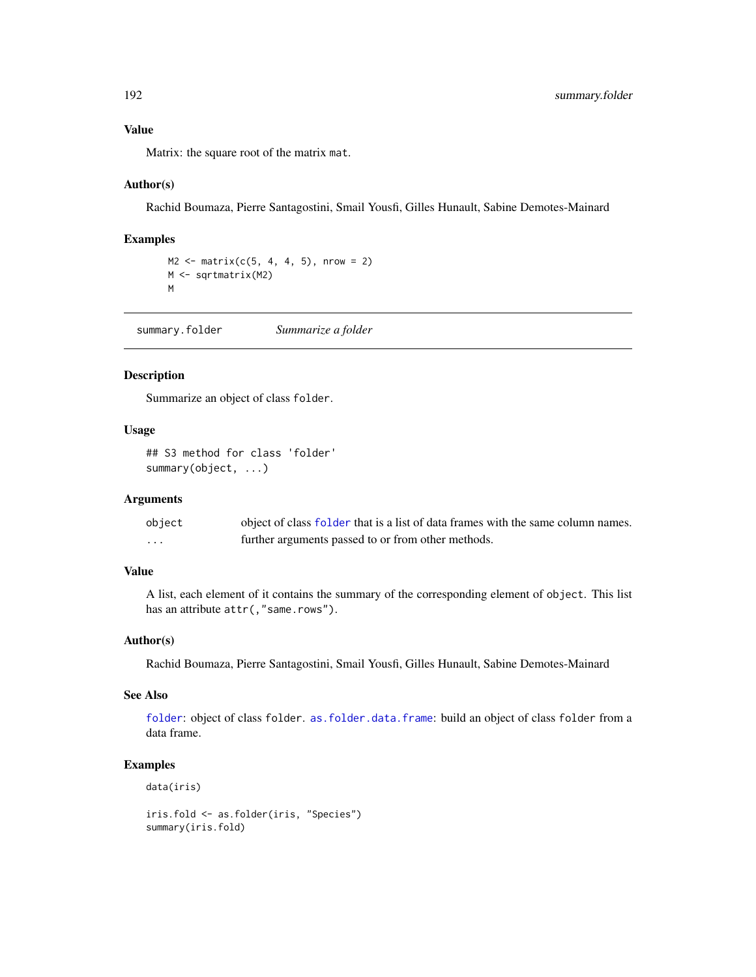<span id="page-191-0"></span>Value

Matrix: the square root of the matrix mat.

## Author(s)

Rachid Boumaza, Pierre Santagostini, Smail Yousfi, Gilles Hunault, Sabine Demotes-Mainard

# Examples

```
M2 \le - matrix(c(5, 4, 4, 5), nrow = 2)
M <- sqrtmatrix(M2)
M
```
summary.folder *Summarize a folder*

# Description

Summarize an object of class folder.

#### Usage

## S3 method for class 'folder' summary(object, ...)

## Arguments

| object | object of class folder that is a list of data frames with the same column names. |
|--------|----------------------------------------------------------------------------------|
| .      | further arguments passed to or from other methods.                               |

# Value

A list, each element of it contains the summary of the corresponding element of object. This list has an attribute  $attr($ , "same.rows").

#### Author(s)

Rachid Boumaza, Pierre Santagostini, Smail Yousfi, Gilles Hunault, Sabine Demotes-Mainard

#### See Also

[folder](#page-73-0): object of class folder. [as.folder.data.frame](#page-12-0): build an object of class folder from a data frame.

```
data(iris)
```

```
iris.fold <- as.folder(iris, "Species")
summary(iris.fold)
```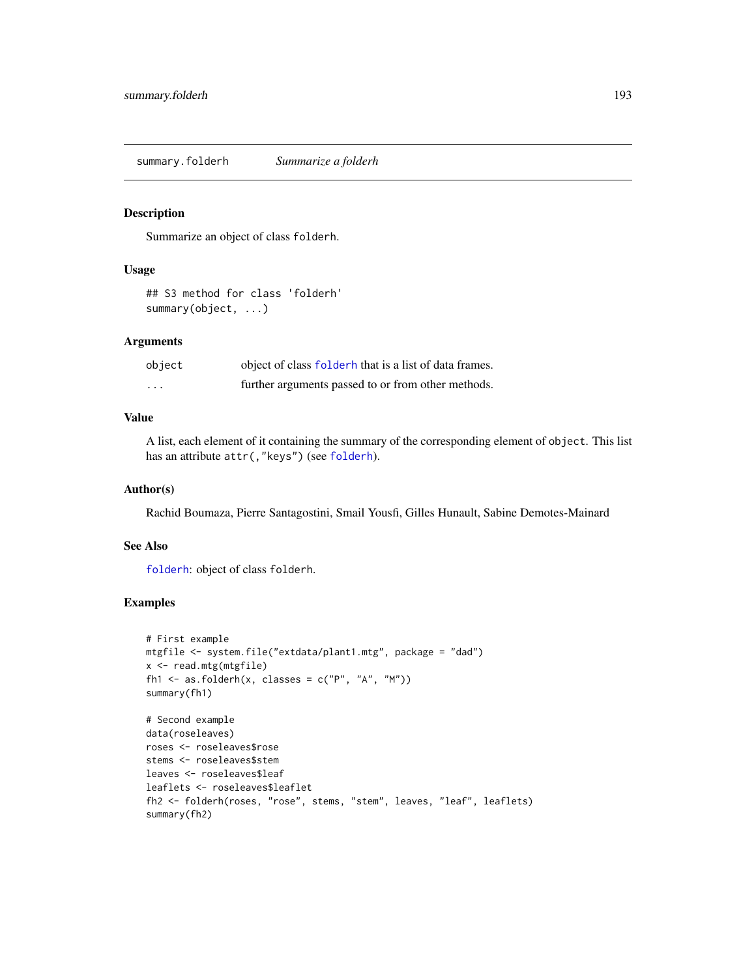<span id="page-192-0"></span>summary.folderh *Summarize a folderh*

#### Description

Summarize an object of class folderh.

#### Usage

## S3 method for class 'folderh' summary(object, ...)

#### **Arguments**

| object  | object of class folderh that is a list of data frames. |
|---------|--------------------------------------------------------|
| $\cdot$ | further arguments passed to or from other methods.     |

# Value

A list, each element of it containing the summary of the corresponding element of object. This list has an attribute  $attr(, "keys")$  (see [folderh](#page-75-0)).

# Author(s)

Rachid Boumaza, Pierre Santagostini, Smail Yousfi, Gilles Hunault, Sabine Demotes-Mainard

## See Also

[folderh](#page-75-0): object of class folderh.

## Examples

```
# First example
mtgfile <- system.file("extdata/plant1.mtg", package = "dad")
x <- read.mtg(mtgfile)
fh1 <- as.folderh(x, classes = c("P", "A", "M")))
summary(fh1)
# Second example
data(roseleaves)
roses <- roseleaves$rose
stems <- roseleaves$stem
leaves <- roseleaves$leaf
leaflets <- roseleaves$leaflet
```
fh2 <- folderh(roses, "rose", stems, "stem", leaves, "leaf", leaflets) summary(fh2)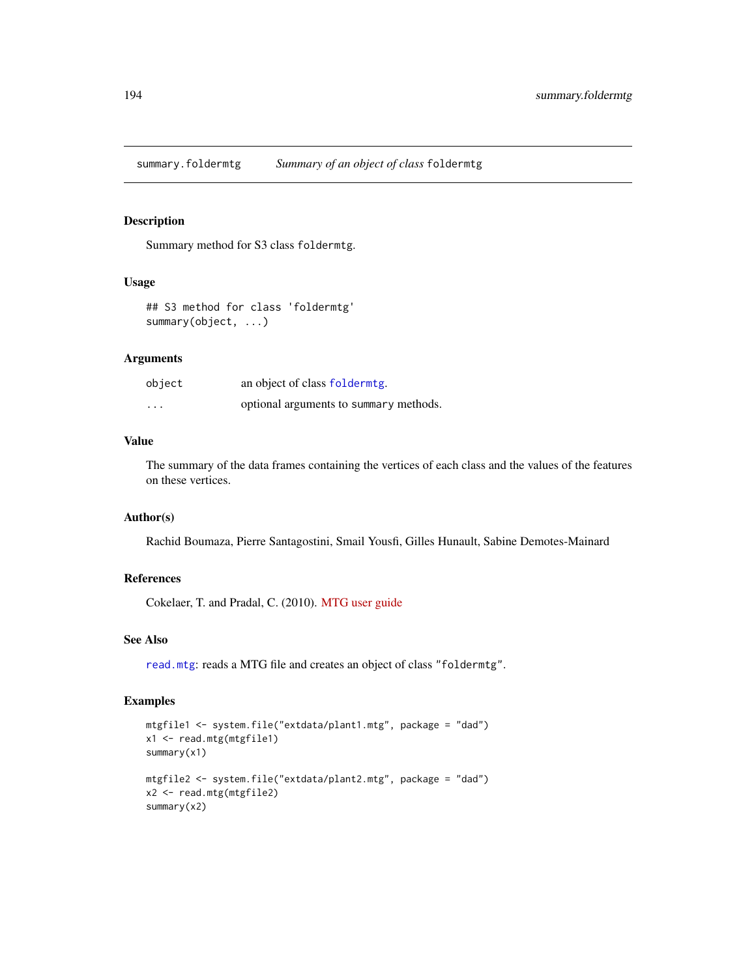<span id="page-193-0"></span>summary.foldermtg *Summary of an object of class* foldermtg

#### Description

Summary method for S3 class foldermtg.

## Usage

```
## S3 method for class 'foldermtg'
summary(object, ...)
```
# Arguments

| object  | an object of class folderming.         |
|---------|----------------------------------------|
| $\cdot$ | optional arguments to summary methods. |

# Value

The summary of the data frames containing the vertices of each class and the values of the features on these vertices.

#### Author(s)

Rachid Boumaza, Pierre Santagostini, Smail Yousfi, Gilles Hunault, Sabine Demotes-Mainard

# References

Cokelaer, T. and Pradal, C. (2010). [MTG user guide](http://openalea.gforge.inria.fr/doc/vplants/newmtg/doc/_build/html/user/syntax.html)

## See Also

[read.mtg](#page-180-0): reads a MTG file and creates an object of class "foldermtg".

```
mtgfile1 <- system.file("extdata/plant1.mtg", package = "dad")
x1 <- read.mtg(mtgfile1)
summary(x1)
mtgfile2 <- system.file("extdata/plant2.mtg", package = "dad")
x2 <- read.mtg(mtgfile2)
summary(x2)
```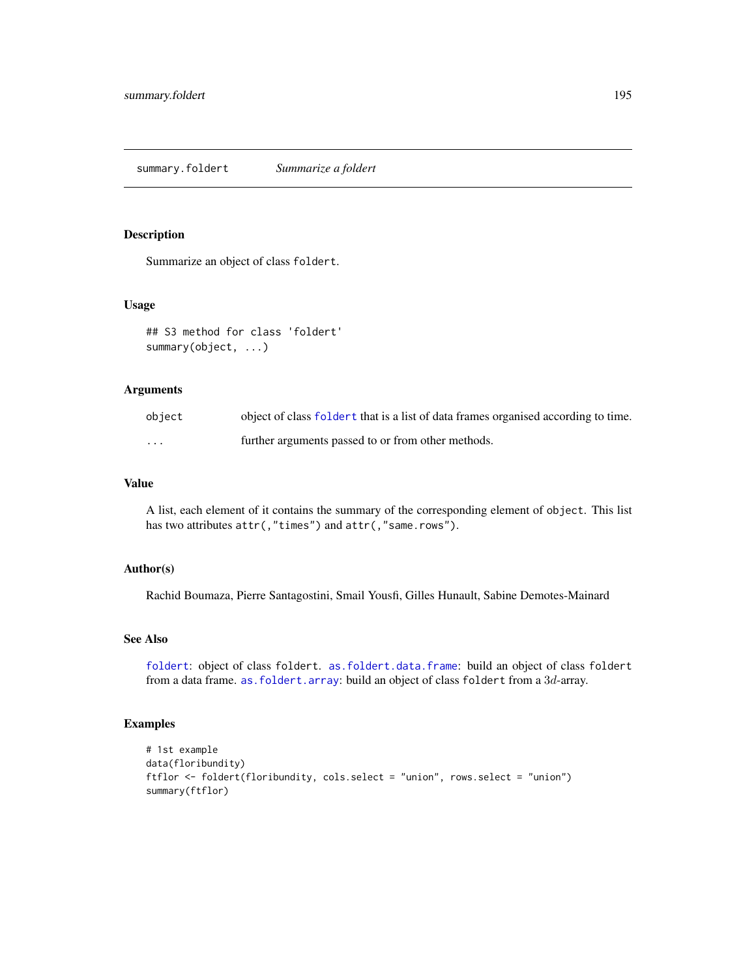#### <span id="page-194-0"></span>Description

Summarize an object of class foldert.

## Usage

```
## S3 method for class 'foldert'
summary(object, ...)
```
#### Arguments

| object | object of class foldert that is a list of data frames organised according to time. |
|--------|------------------------------------------------------------------------------------|
| .      | further arguments passed to or from other methods.                                 |

# Value

A list, each element of it contains the summary of the corresponding element of object. This list has two attributes  $attr($ , "times") and  $attr($ , "same.rows").

# Author(s)

Rachid Boumaza, Pierre Santagostini, Smail Yousfi, Gilles Hunault, Sabine Demotes-Mainard

# See Also

[foldert](#page-77-0): object of class foldert. [as.foldert.data.frame](#page-19-0): build an object of class foldert from a data frame. as. foldert.array: build an object of class foldert from a 3d-array.

```
# 1st example
data(floribundity)
ftflor <- foldert(floribundity, cols.select = "union", rows.select = "union")
summary(ftflor)
```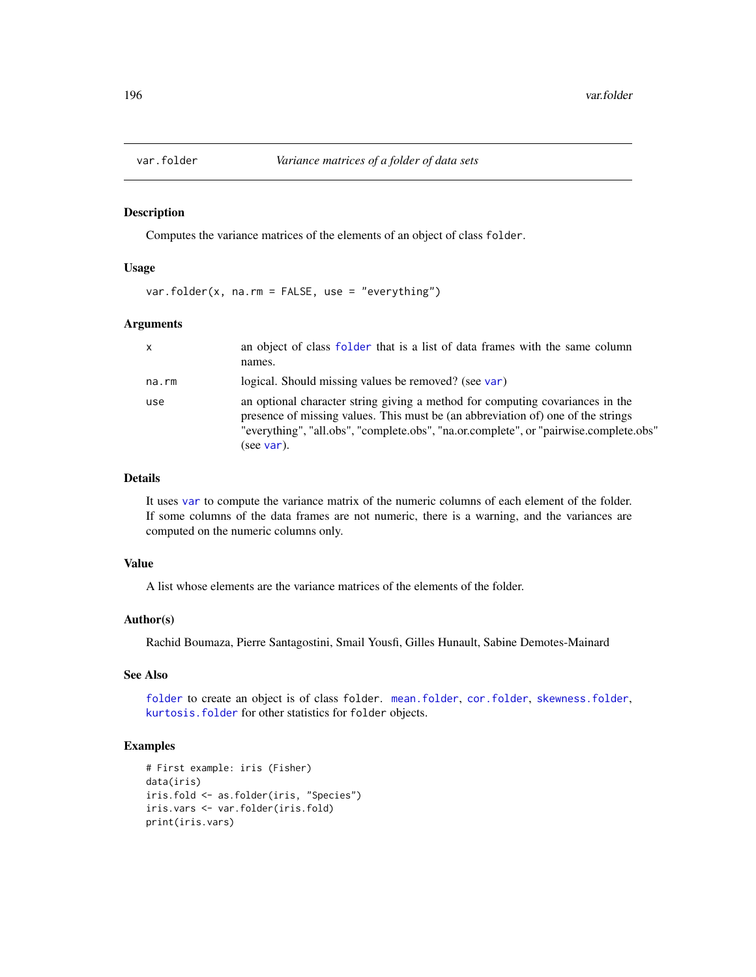<span id="page-195-1"></span><span id="page-195-0"></span>

#### Description

Computes the variance matrices of the elements of an object of class folder.

#### Usage

var.folder(x, na.rm = FALSE, use = "everything")

## Arguments

| $\mathsf{x}$ | an object of class folder that is a list of data frames with the same column<br>names.                                                                                                                                                                                   |
|--------------|--------------------------------------------------------------------------------------------------------------------------------------------------------------------------------------------------------------------------------------------------------------------------|
| na.rm        | logical. Should missing values be removed? (see var)                                                                                                                                                                                                                     |
| use          | an optional character string giving a method for computing covariances in the<br>presence of missing values. This must be (an abbreviation of) one of the strings<br>"everything", "all.obs", "complete.obs", "na.or.complete", or "pairwise.complete.obs"<br>(see var). |

### Details

It uses [var](#page-0-0) to compute the variance matrix of the numeric columns of each element of the folder. If some columns of the data frames are not numeric, there is a warning, and the variances are computed on the numeric columns only.

#### Value

A list whose elements are the variance matrices of the elements of the folder.

#### Author(s)

Rachid Boumaza, Pierre Santagostini, Smail Yousfi, Gilles Hunault, Sabine Demotes-Mainard

## See Also

[folder](#page-73-0) to create an object is of class folder. [mean.folder](#page-147-0), [cor.folder](#page-27-0), [skewness.folder](#page-189-0), [kurtosis.folder](#page-115-0) for other statistics for folder objects.

```
# First example: iris (Fisher)
data(iris)
iris.fold <- as.folder(iris, "Species")
iris.vars <- var.folder(iris.fold)
print(iris.vars)
```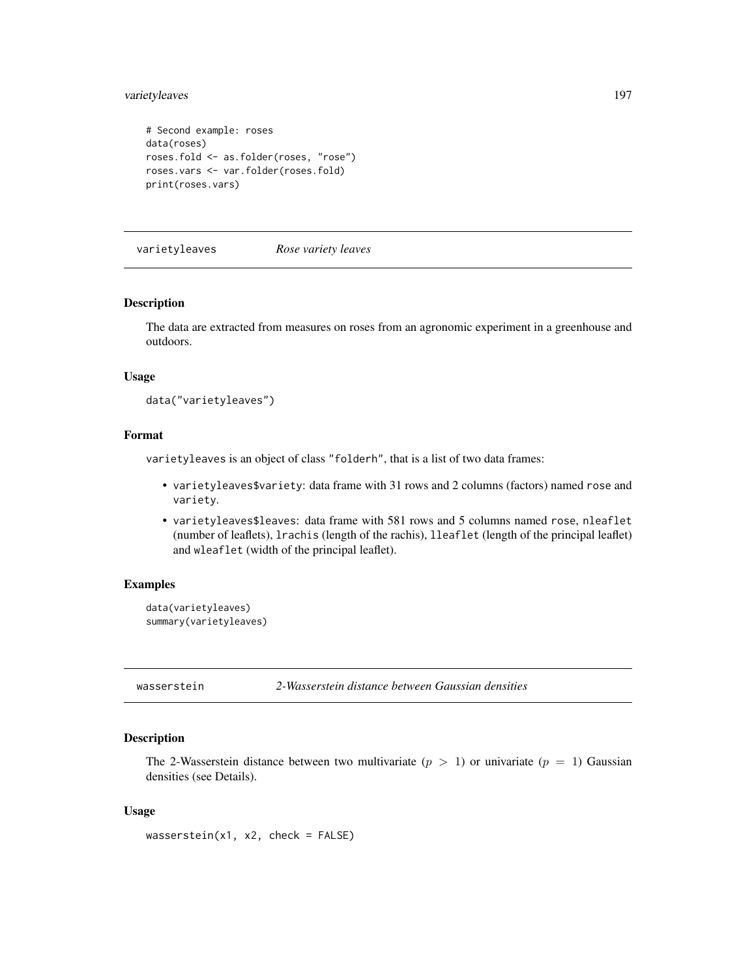## <span id="page-196-1"></span>varietyleaves 197

```
# Second example: roses
data(roses)
roses.fold <- as.folder(roses, "rose")
roses.vars <- var.folder(roses.fold)
print(roses.vars)
```
varietyleaves *Rose variety leaves*

#### Description

The data are extracted from measures on roses from an agronomic experiment in a greenhouse and outdoors.

## Usage

```
data("varietyleaves")
```
# Format

varietyleaves is an object of class "folderh", that is a list of two data frames:

- varietyleaves\$variety: data frame with 31 rows and 2 columns (factors) named rose and variety.
- varietyleaves\$leaves: data frame with 581 rows and 5 columns named rose, nleaflet (number of leaflets), lrachis (length of the rachis), lleaflet (length of the principal leaflet) and wleaflet (width of the principal leaflet).

# Examples

```
data(varietyleaves)
summary(varietyleaves)
```
<span id="page-196-0"></span>

wasserstein *2-Wasserstein distance between Gaussian densities*

## Description

The 2-Wasserstein distance between two multivariate  $(p > 1)$  or univariate  $(p = 1)$  Gaussian densities (see Details).

#### Usage

 $wasserstein(x1, x2, check = FALSE)$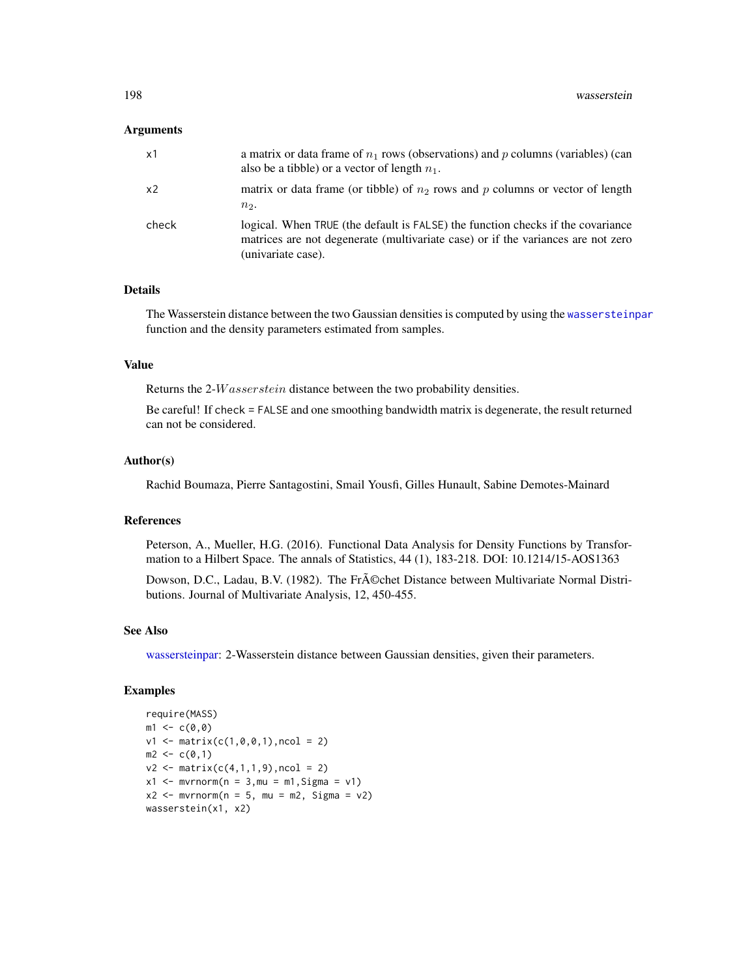#### <span id="page-197-0"></span>Arguments

| x1             | a matrix or data frame of $n_1$ rows (observations) and p columns (variables) (can<br>also be a tibble) or a vector of length $n_1$ .                                                     |
|----------------|-------------------------------------------------------------------------------------------------------------------------------------------------------------------------------------------|
| x <sub>2</sub> | matrix or data frame (or tibble) of $n_2$ rows and p columns or vector of length<br>$n2$ .                                                                                                |
| check          | logical. When TRUE (the default is FALSE) the function checks if the covariance<br>matrices are not degenerate (multivariate case) or if the variances are not zero<br>(univariate case). |

## Details

The Wasserstein distance between the two Gaussian densities is computed by using the [wassersteinpar](#page-198-0) function and the density parameters estimated from samples.

## Value

Returns the 2-*W* asserstein distance between the two probability densities.

Be careful! If check = FALSE and one smoothing bandwidth matrix is degenerate, the result returned can not be considered.

# Author(s)

Rachid Boumaza, Pierre Santagostini, Smail Yousfi, Gilles Hunault, Sabine Demotes-Mainard

#### References

Peterson, A., Mueller, H.G. (2016). Functional Data Analysis for Density Functions by Transformation to a Hilbert Space. The annals of Statistics, 44 (1), 183-218. DOI: 10.1214/15-AOS1363

Dowson, D.C., Ladau, B.V. (1982). The Fr $\tilde{A}$ ©chet Distance between Multivariate Normal Distributions. Journal of Multivariate Analysis, 12, 450-455.

## See Also

[wassersteinpar:](#page-198-0) 2-Wasserstein distance between Gaussian densities, given their parameters.

```
require(MASS)
m1 < -c(0, 0)v1 \le matrix(c(1,0,0,1), ncol = 2)
m2 < -c(0,1)v2 \le matrix(c(4,1,1,9), ncol = 2)
x1 \le - mvrnorm(n = 3, mu = m1, Sigma = v1)
x2 \le - mvrnorm(n = 5, mu = m2, Sigma = v2)
wasserstein(x1, x2)
```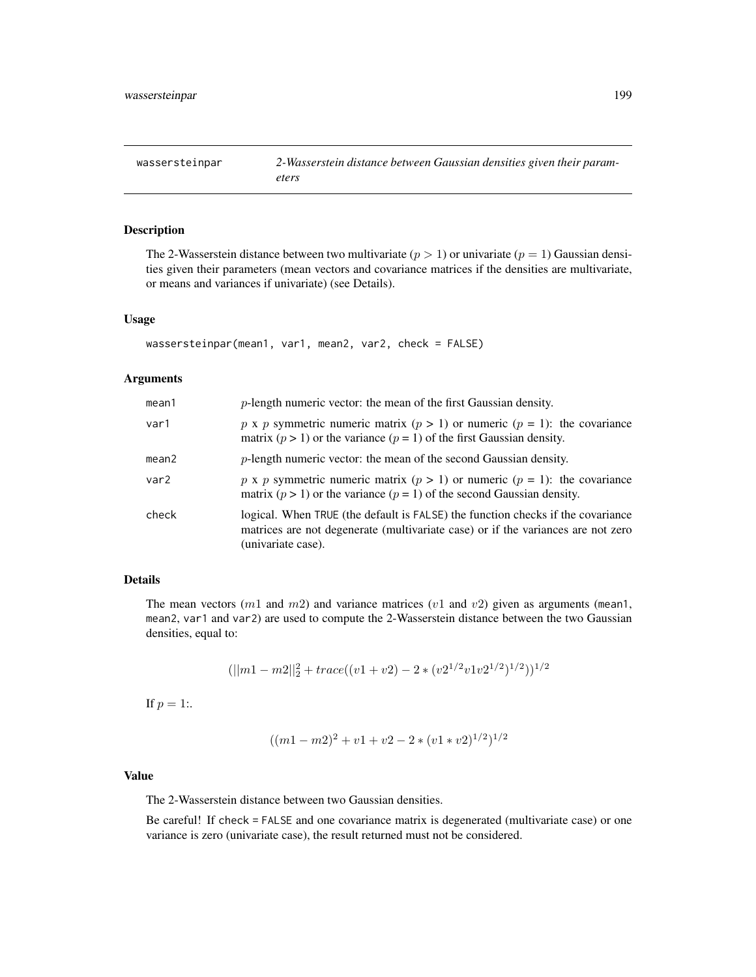<span id="page-198-1"></span><span id="page-198-0"></span>wassersteinpar *2-Wasserstein distance between Gaussian densities given their parameters*

# Description

The 2-Wasserstein distance between two multivariate  $(p > 1)$  or univariate  $(p = 1)$  Gaussian densities given their parameters (mean vectors and covariance matrices if the densities are multivariate, or means and variances if univariate) (see Details).

#### Usage

```
wassersteinpar(mean1, var1, mean2, var2, check = FALSE)
```
## Arguments

| mean1 | $p$ -length numeric vector: the mean of the first Gaussian density.                                                                                                                       |
|-------|-------------------------------------------------------------------------------------------------------------------------------------------------------------------------------------------|
| var1  | p x p symmetric numeric matrix $(p > 1)$ or numeric $(p = 1)$ : the covariance<br>matrix ( $p > 1$ ) or the variance ( $p = 1$ ) of the first Gaussian density.                           |
| mean2 | $p$ -length numeric vector: the mean of the second Gaussian density.                                                                                                                      |
| var2  | p x p symmetric numeric matrix $(p > 1)$ or numeric $(p = 1)$ : the covariance<br>matrix ( $p > 1$ ) or the variance ( $p = 1$ ) of the second Gaussian density.                          |
| check | logical. When TRUE (the default is FALSE) the function checks if the covariance<br>matrices are not degenerate (multivariate case) or if the variances are not zero<br>(univariate case). |

## Details

The mean vectors  $(m1$  and  $m2)$  and variance matrices  $(v1$  and  $v2)$  given as arguments (mean1, mean2, var1 and var2) are used to compute the 2-Wasserstein distance between the two Gaussian densities, equal to:

$$
(||m1 - m2||_2^2 + trace((v1 + v2) - 2 * (v2^{1/2}v1v2^{1/2})^{1/2}))^{1/2}
$$

If  $p = 1$ :.

$$
((m1 - m2)^2 + v1 + v2 - 2 * (v1 * v2)^{1/2})^{1/2}
$$

# Value

The 2-Wasserstein distance between two Gaussian densities.

Be careful! If check = FALSE and one covariance matrix is degenerated (multivariate case) or one variance is zero (univariate case), the result returned must not be considered.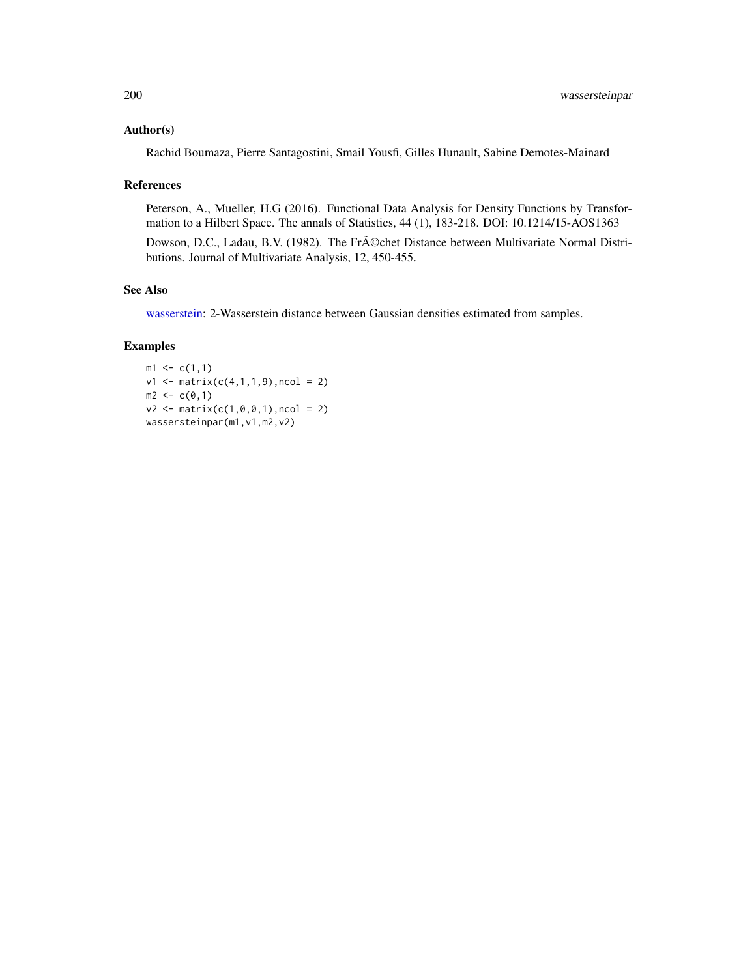#### <span id="page-199-0"></span>Author(s)

Rachid Boumaza, Pierre Santagostini, Smail Yousfi, Gilles Hunault, Sabine Demotes-Mainard

#### References

Peterson, A., Mueller, H.G (2016). Functional Data Analysis for Density Functions by Transformation to a Hilbert Space. The annals of Statistics, 44 (1), 183-218. DOI: 10.1214/15-AOS1363

Dowson, D.C., Ladau, B.V. (1982). The Fr $\tilde{A}$ ©chet Distance between Multivariate Normal Distributions. Journal of Multivariate Analysis, 12, 450-455.

#### See Also

[wasserstein:](#page-196-0) 2-Wasserstein distance between Gaussian densities estimated from samples.

```
m1 \leq c(1,1)v1 \le matrix(c(4,1,1,9), ncol = 2)
m2 < -c(0,1)v2 \le matrix(c(1,0,0,1), ncol = 2)
wassersteinpar(m1, v1, m2, v2)
```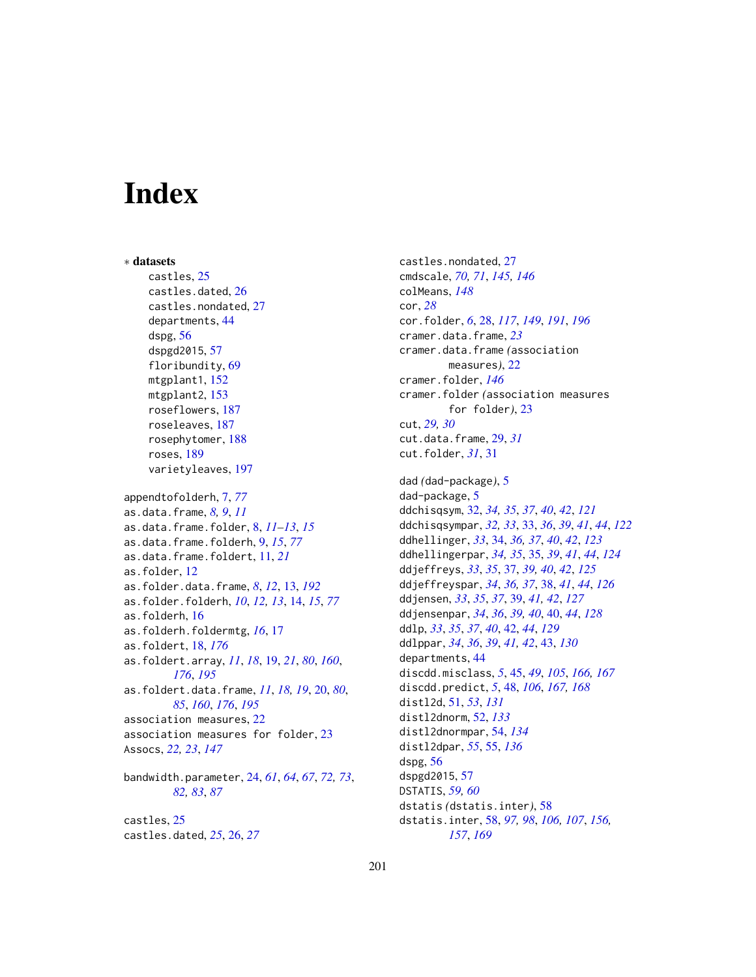# **Index**

∗ datasets castles, [25](#page-24-0) castles.dated, [26](#page-25-0) castles.nondated, [27](#page-26-0) departments, [44](#page-43-0) dspg, [56](#page-55-0) dspgd2015, [57](#page-56-0) floribundity, [69](#page-68-0) mtgplant1, [152](#page-151-0) mtgplant2, [153](#page-152-0) roseflowers, [187](#page-186-0) roseleaves, [187](#page-186-0) rosephytomer, [188](#page-187-0) roses, [189](#page-188-0) varietyleaves, [197](#page-196-1) appendtofolderh, [7,](#page-6-0) *[77](#page-76-1)* as.data.frame, *[8,](#page-7-0) [9](#page-8-0)*, *[11](#page-10-0)* as.data.frame.folder, [8,](#page-7-0) *[11–](#page-10-0)[13](#page-12-1)*, *[15](#page-14-0)* as.data.frame.folderh, [9,](#page-8-0) *[15](#page-14-0)*, *[77](#page-76-1)* as.data.frame.foldert, [11,](#page-10-0) *[21](#page-20-0)* as.folder, [12](#page-11-0) as.folder.data.frame, *[8](#page-7-0)*, *[12](#page-11-0)*, [13,](#page-12-1) *[192](#page-191-0)* as.folder.folderh, *[10](#page-9-0)*, *[12,](#page-11-0) [13](#page-12-1)*, [14,](#page-13-0) *[15](#page-14-0)*, *[77](#page-76-1)* as.folderh, [16](#page-15-0) as.folderh.foldermtg, *[16](#page-15-0)*, [17](#page-16-0) as.foldert, [18,](#page-17-0) *[176](#page-175-0)* as.foldert.array, *[11](#page-10-0)*, *[18](#page-17-0)*, [19,](#page-18-1) *[21](#page-20-0)*, *[80](#page-79-0)*, *[160](#page-159-0)*, *[176](#page-175-0)*, *[195](#page-194-0)* as.foldert.data.frame, *[11](#page-10-0)*, *[18,](#page-17-0) [19](#page-18-1)*, [20,](#page-19-1) *[80](#page-79-0)*, *[85](#page-84-0)*, *[160](#page-159-0)*, *[176](#page-175-0)*, *[195](#page-194-0)* association measures, [22](#page-21-0) association measures for folder, [23](#page-22-0) Assocs, *[22,](#page-21-0) [23](#page-22-0)*, *[147](#page-146-0)* bandwidth.parameter, [24,](#page-23-0) *[61](#page-60-0)*, *[64](#page-63-0)*, *[67](#page-66-0)*, *[72,](#page-71-0) [73](#page-72-0)*, *[82,](#page-81-0) [83](#page-82-0)*, *[87](#page-86-1)* castles, [25](#page-24-0) castles.dated, *[25](#page-24-0)*, [26,](#page-25-0) *[27](#page-26-0)*

castles.nondated, [27](#page-26-0) cmdscale, *[70,](#page-69-0) [71](#page-70-0)*, *[145,](#page-144-1) [146](#page-145-0)* colMeans, *[148](#page-147-1)* cor, *[28](#page-27-1)* cor.folder, *[6](#page-5-0)*, [28,](#page-27-1) *[117](#page-116-0)*, *[149](#page-148-0)*, *[191](#page-190-0)*, *[196](#page-195-1)* cramer.data.frame, *[23](#page-22-0)* cramer.data.frame *(*association measures*)*, [22](#page-21-0) cramer.folder, *[146](#page-145-0)* cramer.folder *(*association measures for folder*)*, [23](#page-22-0) cut, *[29,](#page-28-0) [30](#page-29-0)* cut.data.frame, [29,](#page-28-0) *[31](#page-30-0)* cut.folder, *[31](#page-30-0)*, [31](#page-30-0) dad *(*dad-package*)*, [5](#page-4-0) dad-package, [5](#page-4-0) ddchisqsym, [32,](#page-31-0) *[34,](#page-33-0) [35](#page-34-0)*, *[37](#page-36-0)*, *[40](#page-39-0)*, *[42](#page-41-0)*, *[121](#page-120-0)* ddchisqsympar, *[32,](#page-31-0) [33](#page-32-0)*, [33,](#page-32-0) *[36](#page-35-0)*, *[39](#page-38-0)*, *[41](#page-40-0)*, *[44](#page-43-0)*, *[122](#page-121-0)* ddhellinger, *[33](#page-32-0)*, [34,](#page-33-0) *[36,](#page-35-0) [37](#page-36-0)*, *[40](#page-39-0)*, *[42](#page-41-0)*, *[123](#page-122-0)* ddhellingerpar, *[34,](#page-33-0) [35](#page-34-0)*, [35,](#page-34-0) *[39](#page-38-0)*, *[41](#page-40-0)*, *[44](#page-43-0)*, *[124](#page-123-0)* ddjeffreys, *[33](#page-32-0)*, *[35](#page-34-0)*, [37,](#page-36-0) *[39,](#page-38-0) [40](#page-39-0)*, *[42](#page-41-0)*, *[125](#page-124-0)* ddjeffreyspar, *[34](#page-33-0)*, *[36,](#page-35-0) [37](#page-36-0)*, [38,](#page-37-0) *[41](#page-40-0)*, *[44](#page-43-0)*, *[126](#page-125-0)* ddjensen, *[33](#page-32-0)*, *[35](#page-34-0)*, *[37](#page-36-0)*, [39,](#page-38-0) *[41,](#page-40-0) [42](#page-41-0)*, *[127](#page-126-0)* ddjensenpar, *[34](#page-33-0)*, *[36](#page-35-0)*, *[39,](#page-38-0) [40](#page-39-0)*, [40,](#page-39-0) *[44](#page-43-0)*, *[128](#page-127-0)* ddlp, *[33](#page-32-0)*, *[35](#page-34-0)*, *[37](#page-36-0)*, *[40](#page-39-0)*, [42,](#page-41-0) *[44](#page-43-0)*, *[129](#page-128-0)* ddlppar, *[34](#page-33-0)*, *[36](#page-35-0)*, *[39](#page-38-0)*, *[41,](#page-40-0) [42](#page-41-0)*, [43,](#page-42-0) *[130](#page-129-0)* departments, [44](#page-43-0) discdd.misclass, *[5](#page-4-0)*, [45,](#page-44-0) *[49](#page-48-0)*, *[105](#page-104-0)*, *[166,](#page-165-0) [167](#page-166-0)* discdd.predict, *[5](#page-4-0)*, [48,](#page-47-0) *[106](#page-105-0)*, *[167,](#page-166-0) [168](#page-167-0)* distl2d, [51,](#page-50-0) *[53](#page-52-0)*, *[131](#page-130-0)* distl2dnorm, [52,](#page-51-0) *[133](#page-132-0)* distl2dnormpar, [54,](#page-53-0) *[134](#page-133-0)* distl2dpar, *[55](#page-54-0)*, [55,](#page-54-0) *[136](#page-135-0)* dspg, [56](#page-55-0) dspgd2015, [57](#page-56-0) DSTATIS, *[59,](#page-58-0) [60](#page-59-0)* dstatis *(*dstatis.inter*)*, [58](#page-57-0) dstatis.inter, [58,](#page-57-0) *[97,](#page-96-0) [98](#page-97-0)*, *[106,](#page-105-0) [107](#page-106-0)*, *[156,](#page-155-0) [157](#page-156-0)*, *[169](#page-168-0)*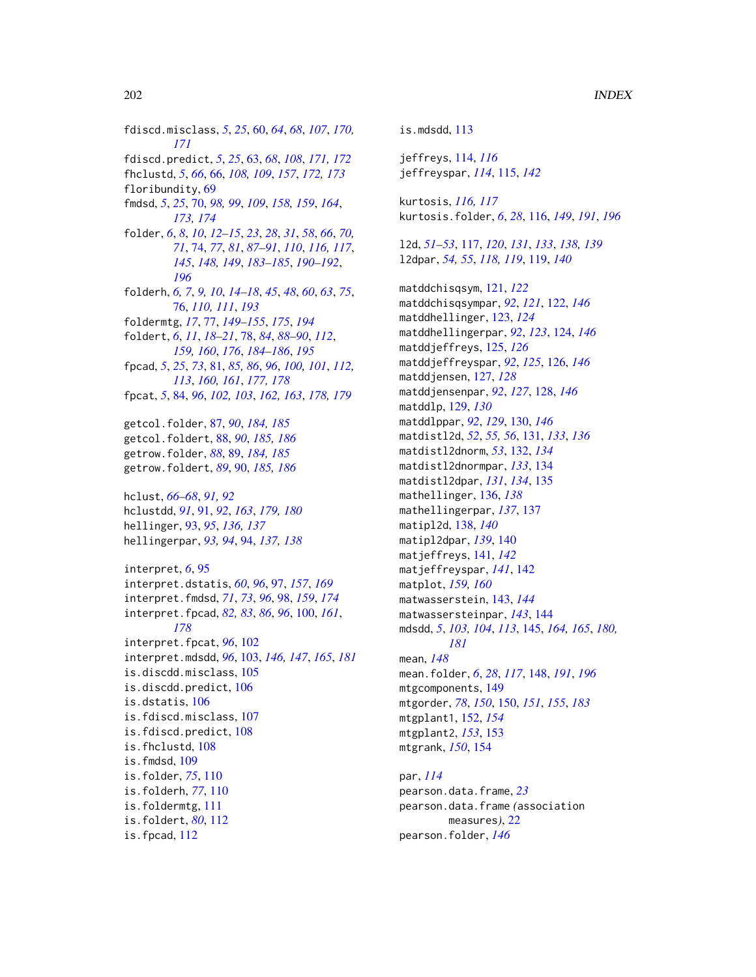fdiscd.misclass, *[5](#page-4-0)*, *[25](#page-24-0)*, [60,](#page-59-0) *[64](#page-63-0)*, *[68](#page-67-0)*, *[107](#page-106-0)*, *[170,](#page-169-0) [171](#page-170-0)* fdiscd.predict, *[5](#page-4-0)*, *[25](#page-24-0)*, [63,](#page-62-0) *[68](#page-67-0)*, *[108](#page-107-0)*, *[171,](#page-170-0) [172](#page-171-0)* fhclustd, *[5](#page-4-0)*, *[66](#page-65-0)*, [66,](#page-65-0) *[108,](#page-107-0) [109](#page-108-0)*, *[157](#page-156-0)*, *[172,](#page-171-0) [173](#page-172-0)* floribundity, [69](#page-68-0) fmdsd, *[5](#page-4-0)*, *[25](#page-24-0)*, [70,](#page-69-0) *[98,](#page-97-0) [99](#page-98-0)*, *[109](#page-108-0)*, *[158,](#page-157-0) [159](#page-158-0)*, *[164](#page-163-1)*, *[173,](#page-172-0) [174](#page-173-0)* folder, *[6](#page-5-0)*, *[8](#page-7-0)*, *[10](#page-9-0)*, *[12](#page-11-0)[–15](#page-14-0)*, *[23](#page-22-0)*, *[28](#page-27-1)*, *[31](#page-30-0)*, *[58](#page-57-0)*, *[66](#page-65-0)*, *[70,](#page-69-0) [71](#page-70-0)*, [74,](#page-73-1) *[77](#page-76-1)*, *[81](#page-80-0)*, *[87–](#page-86-1)[91](#page-90-0)*, *[110](#page-109-0)*, *[116,](#page-115-1) [117](#page-116-0)*, *[145](#page-144-1)*, *[148,](#page-147-1) [149](#page-148-0)*, *[183–](#page-182-1)[185](#page-184-1)*, *[190–](#page-189-1)[192](#page-191-0)*, *[196](#page-195-1)* folderh, *[6,](#page-5-0) [7](#page-6-0)*, *[9,](#page-8-0) [10](#page-9-0)*, *[14–](#page-13-0)[18](#page-17-0)*, *[45](#page-44-0)*, *[48](#page-47-0)*, *[60](#page-59-0)*, *[63](#page-62-0)*, *[75](#page-74-0)*, [76,](#page-75-1) *[110,](#page-109-0) [111](#page-110-0)*, *[193](#page-192-0)* foldermtg, *[17](#page-16-0)*, [77,](#page-76-1) *[149–](#page-148-0)[155](#page-154-0)*, *[175](#page-174-1)*, *[194](#page-193-0)* foldert, *[6](#page-5-0)*, *[11](#page-10-0)*, *[18](#page-17-0)[–21](#page-20-0)*, [78,](#page-77-1) *[84](#page-83-0)*, *[88–](#page-87-1)[90](#page-89-1)*, *[112](#page-111-0)*, *[159,](#page-158-0) [160](#page-159-0)*, *[176](#page-175-0)*, *[184–](#page-183-1)[186](#page-185-1)*, *[195](#page-194-0)* fpcad, *[5](#page-4-0)*, *[25](#page-24-0)*, *[73](#page-72-0)*, [81,](#page-80-0) *[85,](#page-84-0) [86](#page-85-0)*, *[96](#page-95-0)*, *[100,](#page-99-0) [101](#page-100-0)*, *[112,](#page-111-0) [113](#page-112-0)*, *[160,](#page-159-0) [161](#page-160-0)*, *[177,](#page-176-0) [178](#page-177-0)* fpcat, *[5](#page-4-0)*, [84,](#page-83-0) *[96](#page-95-0)*, *[102,](#page-101-0) [103](#page-102-1)*, *[162,](#page-161-0) [163](#page-162-0)*, *[178,](#page-177-0) [179](#page-178-0)* getcol.folder, [87,](#page-86-1) *[90](#page-89-1)*, *[184,](#page-183-1) [185](#page-184-1)* getcol.foldert, [88,](#page-87-1) *[90](#page-89-1)*, *[185,](#page-184-1) [186](#page-185-1)* getrow.folder, *[88](#page-87-1)*, [89,](#page-88-1) *[184,](#page-183-1) [185](#page-184-1)* getrow.foldert, *[89](#page-88-1)*, [90,](#page-89-1) *[185,](#page-184-1) [186](#page-185-1)* hclust, *[66](#page-65-0)[–68](#page-67-0)*, *[91,](#page-90-0) [92](#page-91-0)* hclustdd, *[91](#page-90-0)*, [91,](#page-90-0) *[92](#page-91-0)*, *[163](#page-162-0)*, *[179,](#page-178-0) [180](#page-179-0)* hellinger, [93,](#page-92-0) *[95](#page-94-0)*, *[136,](#page-135-0) [137](#page-136-0)* hellingerpar, *[93,](#page-92-0) [94](#page-93-0)*, [94,](#page-93-0) *[137,](#page-136-0) [138](#page-137-0)* interpret, *[6](#page-5-0)*, [95](#page-94-0) interpret.dstatis, *[60](#page-59-0)*, *[96](#page-95-0)*, [97,](#page-96-0) *[157](#page-156-0)*, *[169](#page-168-0)* interpret.fmdsd, *[71](#page-70-0)*, *[73](#page-72-0)*, *[96](#page-95-0)*, [98,](#page-97-0) *[159](#page-158-0)*, *[174](#page-173-0)* interpret.fpcad, *[82,](#page-81-0) [83](#page-82-0)*, *[86](#page-85-0)*, *[96](#page-95-0)*, [100,](#page-99-0) *[161](#page-160-0)*, *[178](#page-177-0)* interpret.fpcat, *[96](#page-95-0)*, [102](#page-101-0) interpret.mdsdd, *[96](#page-95-0)*, [103,](#page-102-1) *[146,](#page-145-0) [147](#page-146-0)*, *[165](#page-164-0)*, *[181](#page-180-1)* is.discdd.misclass, [105](#page-104-0) is.discdd.predict, [106](#page-105-0) is.dstatis, [106](#page-105-0) is.fdiscd.misclass, [107](#page-106-0) is.fdiscd.predict, [108](#page-107-0) is.fhclustd, [108](#page-107-0) is.fmdsd, [109](#page-108-0) is.folder, *[75](#page-74-0)*, [110](#page-109-0) is.folderh, *[77](#page-76-1)*, [110](#page-109-0) is.foldermtg, [111](#page-110-0) is.foldert, *[80](#page-79-0)*, [112](#page-111-0) is.fpcad, [112](#page-111-0)

is.mdsdd, [113](#page-112-0) jeffreys, [114,](#page-113-0) *[116](#page-115-1)* jeffreyspar, *[114](#page-113-0)*, [115,](#page-114-0) *[142](#page-141-0)* kurtosis, *[116,](#page-115-1) [117](#page-116-0)* kurtosis.folder, *[6](#page-5-0)*, *[28](#page-27-1)*, [116,](#page-115-1) *[149](#page-148-0)*, *[191](#page-190-0)*, *[196](#page-195-1)* l2d, *[51–](#page-50-0)[53](#page-52-0)*, [117,](#page-116-0) *[120](#page-119-0)*, *[131](#page-130-0)*, *[133](#page-132-0)*, *[138,](#page-137-0) [139](#page-138-0)* l2dpar, *[54,](#page-53-0) [55](#page-54-0)*, *[118,](#page-117-0) [119](#page-118-0)*, [119,](#page-118-0) *[140](#page-139-0)* matddchisqsym, [121,](#page-120-0) *[122](#page-121-0)* matddchisqsympar, *[92](#page-91-0)*, *[121](#page-120-0)*, [122,](#page-121-0) *[146](#page-145-0)* matddhellinger, [123,](#page-122-0) *[124](#page-123-0)* matddhellingerpar, *[92](#page-91-0)*, *[123](#page-122-0)*, [124,](#page-123-0) *[146](#page-145-0)* matddjeffreys, [125,](#page-124-0) *[126](#page-125-0)* matddjeffreyspar, *[92](#page-91-0)*, *[125](#page-124-0)*, [126,](#page-125-0) *[146](#page-145-0)* matddjensen, [127,](#page-126-0) *[128](#page-127-0)* matddjensenpar, *[92](#page-91-0)*, *[127](#page-126-0)*, [128,](#page-127-0) *[146](#page-145-0)* matddlp, [129,](#page-128-0) *[130](#page-129-0)* matddlppar, *[92](#page-91-0)*, *[129](#page-128-0)*, [130,](#page-129-0) *[146](#page-145-0)* matdistl2d, *[52](#page-51-0)*, *[55,](#page-54-0) [56](#page-55-0)*, [131,](#page-130-0) *[133](#page-132-0)*, *[136](#page-135-0)* matdistl2dnorm, *[53](#page-52-0)*, [132,](#page-131-0) *[134](#page-133-0)* matdistl2dnormpar, *[133](#page-132-0)*, [134](#page-133-0) matdistl2dpar, *[131](#page-130-0)*, *[134](#page-133-0)*, [135](#page-134-0) mathellinger, [136,](#page-135-0) *[138](#page-137-0)* mathellingerpar, *[137](#page-136-0)*, [137](#page-136-0) matipl2d, [138,](#page-137-0) *[140](#page-139-0)* matipl2dpar, *[139](#page-138-0)*, [140](#page-139-0) matjeffreys, [141,](#page-140-0) *[142](#page-141-0)* matjeffreyspar, *[141](#page-140-0)*, [142](#page-141-0) matplot, *[159,](#page-158-0) [160](#page-159-0)* matwasserstein, [143,](#page-142-0) *[144](#page-143-0)* matwassersteinpar, *[143](#page-142-0)*, [144](#page-143-0) mdsdd, *[5](#page-4-0)*, *[103,](#page-102-1) [104](#page-103-0)*, *[113](#page-112-0)*, [145,](#page-144-1) *[164,](#page-163-1) [165](#page-164-0)*, *[180,](#page-179-0) [181](#page-180-1)* mean, *[148](#page-147-1)* mean.folder, *[6](#page-5-0)*, *[28](#page-27-1)*, *[117](#page-116-0)*, [148,](#page-147-1) *[191](#page-190-0)*, *[196](#page-195-1)* mtgcomponents, [149](#page-148-0) mtgorder, *[78](#page-77-1)*, *[150](#page-149-1)*, [150,](#page-149-1) *[151](#page-150-0)*, *[155](#page-154-0)*, *[183](#page-182-1)* mtgplant1, [152,](#page-151-0) *[154](#page-153-0)* mtgplant2, *[153](#page-152-0)*, [153](#page-152-0) mtgrank, *[150](#page-149-1)*, [154](#page-153-0) par, *[114](#page-113-0)* pearson.data.frame, *[23](#page-22-0)* pearson.data.frame *(*association

measures*)*, [22](#page-21-0)

pearson.folder, *[146](#page-145-0)*